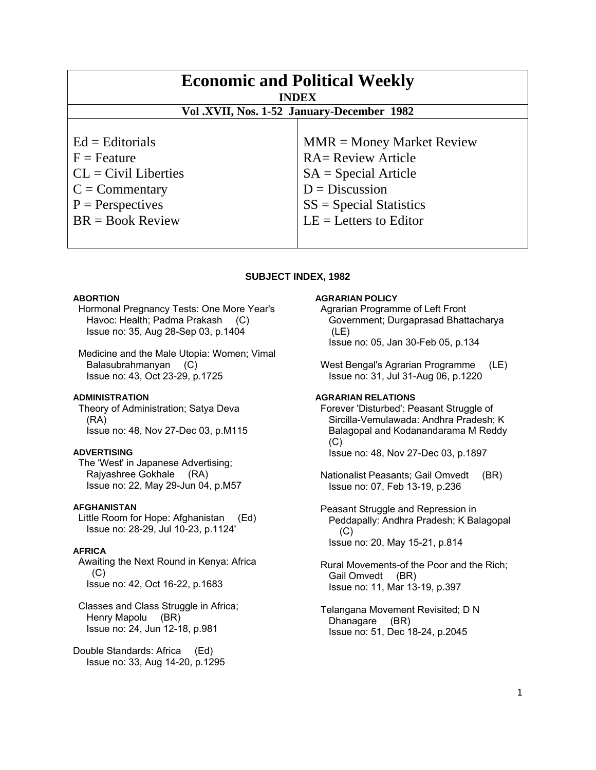| <b>Economic and Political Weekly</b><br><b>INDEX</b><br>Vol.XVII, Nos. 1-52 January-December 1982                           |                                                                                                                                                                 |
|-----------------------------------------------------------------------------------------------------------------------------|-----------------------------------------------------------------------------------------------------------------------------------------------------------------|
| $Ed =$ Editorials<br>$F =$ Feature<br>$CL = Civil\:$<br>$C = \text{Commentary}$<br>$P =$ Perspectives<br>$BR = Book Review$ | $MMR = Money Market Review$<br><b>RA= Review Article</b><br>$SA = Special Article$<br>$D = Discussion$<br>$SS = Special Statistics$<br>$LE = Letters to Editor$ |
|                                                                                                                             |                                                                                                                                                                 |

### **SUBJECT INDEX, 1982**

#### **ABORTION**

 Hormonal Pregnancy Tests: One More Year's Havoc: Health; Padma Prakash (C) Issue no: 35, Aug 28-Sep 03, p.1404

 Medicine and the Male Utopia: Women; Vimal Balasubrahmanyan (C) Issue no: 43, Oct 23-29, p.1725

#### **ADMINISTRATION**

 Theory of Administration; Satya Deva (RA) Issue no: 48, Nov 27-Dec 03, p.M115

#### **ADVERTISING**

 The 'West' in Japanese Advertising; Rajyashree Gokhale (RA) Issue no: 22, May 29-Jun 04, p.M57

## **AFGHANISTAN**

 Little Room for Hope: Afghanistan (Ed) Issue no: 28-29, Jul 10-23, p.1124'

### **AFRICA**

 Awaiting the Next Round in Kenya: Africa  $(C)$ Issue no: 42, Oct 16-22, p.1683

 Classes and Class Struggle in Africa; Henry Mapolu (BR) Issue no: 24, Jun 12-18, p.981

Double Standards: Africa (Ed) Issue no: 33, Aug 14-20, p.1295

### **AGRARIAN POLICY**

 Agrarian Programme of Left Front Government; Durgaprasad Bhattacharya (LE) Issue no: 05, Jan 30-Feb 05, p.134

 West Bengal's Agrarian Programme (LE) Issue no: 31, Jul 31-Aug 06, p.1220

#### **AGRARIAN RELATIONS**

 Forever 'Disturbed': Peasant Struggle of Sircilla-Vemulawada: Andhra Pradesh; K Balagopal and Kodanandarama M Reddy (C) Issue no: 48, Nov 27-Dec 03, p.1897

 Nationalist Peasants; Gail Omvedt (BR) Issue no: 07, Feb 13-19, p.236

 Peasant Struggle and Repression in Peddapally: Andhra Pradesh; K Balagopal (C) Issue no: 20, May 15-21, p.814

 Rural Movements-of the Poor and the Rich; Gail Omvedt (BR) Issue no: 11, Mar 13-19, p.397

 Telangana Movement Revisited; D N Dhanagare (BR) Issue no: 51, Dec 18-24, p.2045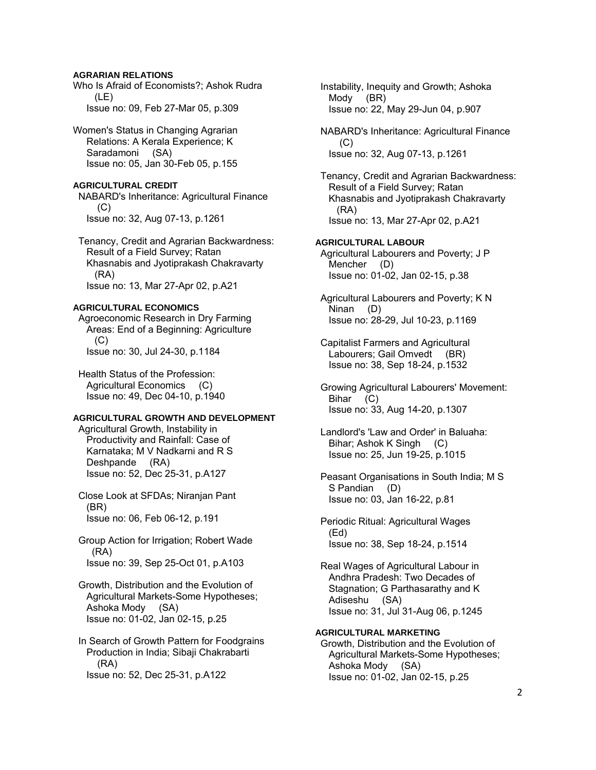# **AGRARIAN RELATIONS**

Who Is Afraid of Economists?; Ashok Rudra (LE) Issue no: 09, Feb 27-Mar 05, p.309

Women's Status in Changing Agrarian Relations: A Kerala Experience; K Saradamoni (SA) Issue no: 05, Jan 30-Feb 05, p.155

### **AGRICULTURAL CREDIT**

 NABARD's Inheritance: Agricultural Finance  $(C)$ Issue no: 32, Aug 07-13, p.1261

 Tenancy, Credit and Agrarian Backwardness: Result of a Field Survey; Ratan Khasnabis and Jyotiprakash Chakravarty (RA) Issue no: 13, Mar 27-Apr 02, p.A21

#### **AGRICULTURAL ECONOMICS**

 Agroeconomic Research in Dry Farming Areas: End of a Beginning: Agriculture (C) Issue no: 30, Jul 24-30, p.1184

 Health Status of the Profession: Agricultural Economics (C) Issue no: 49, Dec 04-10, p.1940

# **AGRICULTURAL GROWTH AND DEVELOPMENT**

 Agricultural Growth, Instability in Productivity and Rainfall: Case of Karnataka; M V Nadkarni and R S Deshpande (RA) Issue no: 52, Dec 25-31, p.A127

 Close Look at SFDAs; Niranjan Pant (BR) Issue no: 06, Feb 06-12, p.191

 Group Action for Irrigation; Robert Wade (RA) Issue no: 39, Sep 25-Oct 01, p.A103

 Growth, Distribution and the Evolution of Agricultural Markets-Some Hypotheses; Ashoka Mody (SA) Issue no: 01-02, Jan 02-15, p.25

 In Search of Growth Pattern for Foodgrains Production in India; Sibaji Chakrabarti (RA) Issue no: 52, Dec 25-31, p.A122

 Instability, Inequity and Growth; Ashoka Mody (BR) Issue no: 22, May 29-Jun 04, p.907

 NABARD's Inheritance: Agricultural Finance (C) Issue no: 32, Aug 07-13, p.1261

 Tenancy, Credit and Agrarian Backwardness: Result of a Field Survey; Ratan Khasnabis and Jyotiprakash Chakravarty (RA) Issue no: 13, Mar 27-Apr 02, p.A21

### **AGRICULTURAL LABOUR**

 Agricultural Labourers and Poverty; J P Mencher (D) Issue no: 01-02, Jan 02-15, p.38

 Agricultural Labourers and Poverty; K N Ninan (D) Issue no: 28-29, Jul 10-23, p.1169

 Capitalist Farmers and Agricultural Labourers; Gail Omvedt (BR) Issue no: 38, Sep 18-24, p.1532

 Growing Agricultural Labourers' Movement: Bihar (C) Issue no: 33, Aug 14-20, p.1307

 Landlord's 'Law and Order' in Baluaha: Bihar; Ashok K Singh (C) Issue no: 25, Jun 19-25, p.1015

 Peasant Organisations in South India; M S S Pandian (D) Issue no: 03, Jan 16-22, p.81

 Periodic Ritual: Agricultural Wages (Ed) Issue no: 38, Sep 18-24, p.1514

 Real Wages of Agricultural Labour in Andhra Pradesh: Two Decades of Stagnation; G Parthasarathy and K Adiseshu (SA) Issue no: 31, Jul 31-Aug 06, p.1245

# **AGRICULTURAL MARKETING**

 Growth, Distribution and the Evolution of Agricultural Markets-Some Hypotheses; Ashoka Mody (SA) Issue no: 01-02, Jan 02-15, p.25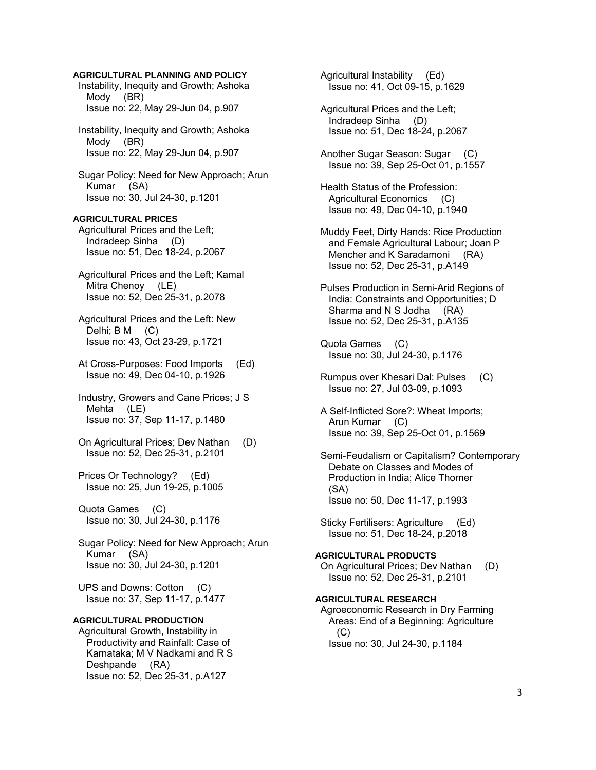## **AGRICULTURAL PLANNING AND POLICY**

 Instability, Inequity and Growth; Ashoka Mody (BR) Issue no: 22, May 29-Jun 04, p.907

 Instability, Inequity and Growth; Ashoka Mody (BR) Issue no: 22, May 29-Jun 04, p.907

 Sugar Policy: Need for New Approach; Arun Kumar (SA) Issue no: 30, Jul 24-30, p.1201

**AGRICULTURAL PRICES**  Agricultural Prices and the Left; Indradeep Sinha (D) Issue no: 51, Dec 18-24, p.2067

- Agricultural Prices and the Left; Kamal Mitra Chenoy (LE) Issue no: 52, Dec 25-31, p.2078
- Agricultural Prices and the Left: New Delhi; B M (C) Issue no: 43, Oct 23-29, p.1721
- At Cross-Purposes: Food Imports (Ed) Issue no: 49, Dec 04-10, p.1926
- Industry, Growers and Cane Prices; J S Mehta (LE) Issue no: 37, Sep 11-17, p.1480
- On Agricultural Prices; Dev Nathan (D) Issue no: 52, Dec 25-31, p.2101
- Prices Or Technology? (Ed) Issue no: 25, Jun 19-25, p.1005
- Quota Games (C) Issue no: 30, Jul 24-30, p.1176
- Sugar Policy: Need for New Approach; Arun Kumar (SA) Issue no: 30, Jul 24-30, p.1201

 UPS and Downs: Cotton (C) Issue no: 37, Sep 11-17, p.1477

# **AGRICULTURAL PRODUCTION**

 Agricultural Growth, Instability in Productivity and Rainfall: Case of Karnataka; M V Nadkarni and R S Deshpande (RA) Issue no: 52, Dec 25-31, p.A127

 Agricultural Instability (Ed) Issue no: 41, Oct 09-15, p.1629

- Agricultural Prices and the Left; Indradeep Sinha (D) Issue no: 51, Dec 18-24, p.2067
- Another Sugar Season: Sugar (C) Issue no: 39, Sep 25-Oct 01, p.1557
- Health Status of the Profession: Agricultural Economics (C) Issue no: 49, Dec 04-10, p.1940
- Muddy Feet, Dirty Hands: Rice Production and Female Agricultural Labour; Joan P Mencher and K Saradamoni (RA) Issue no: 52, Dec 25-31, p.A149
- Pulses Production in Semi-Arid Regions of India: Constraints and Opportunities; D Sharma and N S Jodha (RA) Issue no: 52, Dec 25-31, p.A135
- Quota Games (C) Issue no: 30, Jul 24-30, p.1176
- Rumpus over Khesari Dal: Pulses (C) Issue no: 27, Jul 03-09, p.1093
- A Self-Inflicted Sore?: Wheat Imports; Arun Kumar (C) Issue no: 39, Sep 25-Oct 01, p.1569
- Semi-Feudalism or Capitalism? Contemporary Debate on Classes and Modes of Production in India; Alice Thorner (SA) Issue no: 50, Dec 11-17, p.1993
- Sticky Fertilisers: Agriculture (Ed) Issue no: 51, Dec 18-24, p.2018

### **AGRICULTURAL PRODUCTS**  On Agricultural Prices; Dev Nathan (D)

Issue no: 52, Dec 25-31, p.2101

# **AGRICULTURAL RESEARCH**

 Agroeconomic Research in Dry Farming Areas: End of a Beginning: Agriculture (C) Issue no: 30, Jul 24-30, p.1184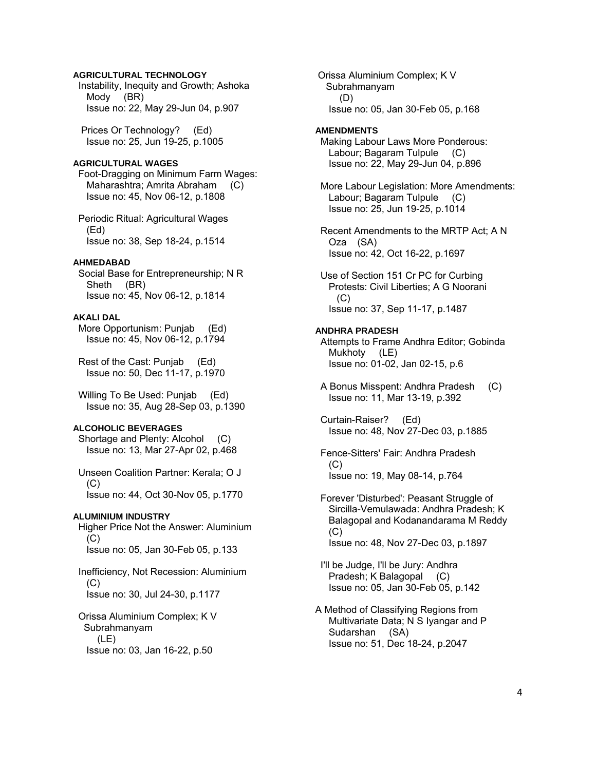## **AGRICULTURAL TECHNOLOGY**

 Instability, Inequity and Growth; Ashoka Mody (BR) Issue no: 22, May 29-Jun 04, p.907

 Prices Or Technology? (Ed) Issue no: 25, Jun 19-25, p.1005

# **AGRICULTURAL WAGES**

 Foot-Dragging on Minimum Farm Wages: Maharashtra; Amrita Abraham (C) Issue no: 45, Nov 06-12, p.1808

 Periodic Ritual: Agricultural Wages (Ed) Issue no: 38, Sep 18-24, p.1514

#### **AHMEDABAD**

 Social Base for Entrepreneurship; N R Sheth (BR) Issue no: 45, Nov 06-12, p.1814

# **AKALI DAL**

More Opportunism: Puniab (Ed) Issue no: 45, Nov 06-12, p.1794

 Rest of the Cast: Punjab (Ed) Issue no: 50, Dec 11-17, p.1970

Willing To Be Used: Punjab (Ed) Issue no: 35, Aug 28-Sep 03, p.1390

# **ALCOHOLIC BEVERAGES**

 Shortage and Plenty: Alcohol (C) Issue no: 13, Mar 27-Apr 02, p.468

 Unseen Coalition Partner: Kerala; O J  $(C)$ Issue no: 44, Oct 30-Nov 05, p.1770

### **ALUMINIUM INDUSTRY**

 Higher Price Not the Answer: Aluminium  $(C)$ Issue no: 05, Jan 30-Feb 05, p.133

 Inefficiency, Not Recession: Aluminium  $(C)$ Issue no: 30, Jul 24-30, p.1177

 Orissa Aluminium Complex; K V Subrahmanyam (LE) Issue no: 03, Jan 16-22, p.50

 Orissa Aluminium Complex; K V Subrahmanyam (D) Issue no: 05, Jan 30-Feb 05, p.168 **AMENDMENTS**  Making Labour Laws More Ponderous: Labour; Bagaram Tulpule (C) Issue no: 22, May 29-Jun 04, p.896 More Labour Legislation: More Amendments: Labour; Bagaram Tulpule (C) Issue no: 25, Jun 19-25, p.1014 Recent Amendments to the MRTP Act; A N Oza (SA) Issue no: 42, Oct 16-22, p.1697 Use of Section 151 Cr PC for Curbing Protests: Civil Liberties; A G Noorani  $(C)$  Issue no: 37, Sep 11-17, p.1487 **ANDHRA PRADESH**  Attempts to Frame Andhra Editor; Gobinda Mukhoty (LE) Issue no: 01-02, Jan 02-15, p.6 A Bonus Misspent: Andhra Pradesh (C) Issue no: 11, Mar 13-19, p.392 Curtain-Raiser? (Ed) Issue no: 48, Nov 27-Dec 03, p.1885 Fence-Sitters' Fair: Andhra Pradesh (C) Issue no: 19, May 08-14, p.764 Forever 'Disturbed': Peasant Struggle of Sircilla-Vemulawada: Andhra Pradesh; K Balagopal and Kodanandarama M Reddy  $(C)$  Issue no: 48, Nov 27-Dec 03, p.1897 I'll be Judge, I'll be Jury: Andhra Pradesh; K Balagopal (C) Issue no: 05, Jan 30-Feb 05, p.142 A Method of Classifying Regions from Multivariate Data; N S Iyangar and P Sudarshan (SA) Issue no: 51, Dec 18-24, p.2047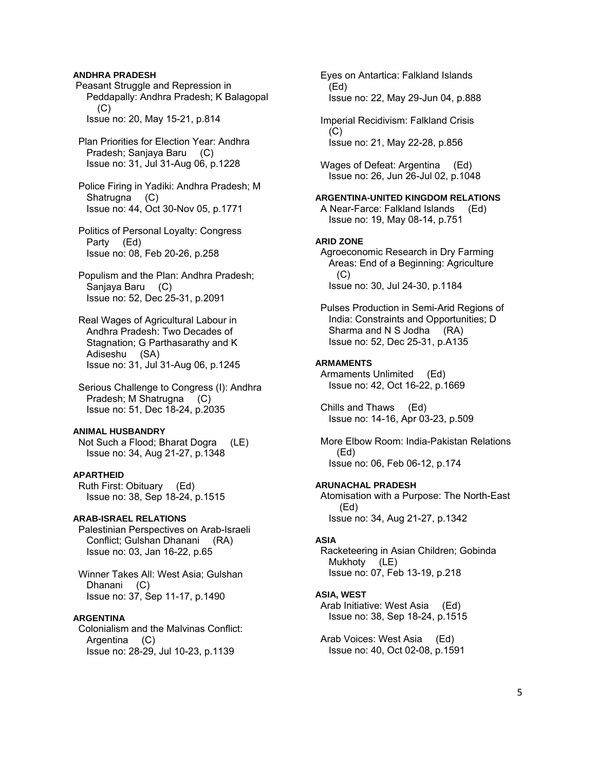# **ANDHRA PRADESH**

 Peasant Struggle and Repression in Peddapally: Andhra Pradesh; K Balagopal (C) Issue no: 20, May 15-21, p.814

 Plan Priorities for Election Year: Andhra Pradesh; Sanjaya Baru (C) Issue no: 31, Jul 31-Aug 06, p.1228

 Police Firing in Yadiki: Andhra Pradesh; M Shatrugna (C) Issue no: 44, Oct 30-Nov 05, p.1771

 Politics of Personal Loyalty: Congress Party (Ed) Issue no: 08, Feb 20-26, p.258

 Populism and the Plan: Andhra Pradesh; Sanjaya Baru (C) Issue no: 52, Dec 25-31, p.2091

 Real Wages of Agricultural Labour in Andhra Pradesh: Two Decades of Stagnation; G Parthasarathy and K Adiseshu (SA) Issue no: 31, Jul 31-Aug 06, p.1245

 Serious Challenge to Congress (I): Andhra Pradesh; M Shatrugna (C) Issue no: 51, Dec 18-24, p.2035

### **ANIMAL HUSBANDRY**

 Not Such a Flood; Bharat Dogra (LE) Issue no: 34, Aug 21-27, p.1348

# **APARTHEID**

 Ruth First: Obituary (Ed) Issue no: 38, Sep 18-24, p.1515

## **ARAB-ISRAEL RELATIONS**

 Palestinian Perspectives on Arab-Israeli Conflict; Gulshan Dhanani (RA) Issue no: 03, Jan 16-22, p.65

 Winner Takes All: West Asia; Gulshan Dhanani (C) Issue no: 37, Sep 11-17, p.1490

### **ARGENTINA**

 Colonialism and the Malvinas Conflict: Argentina (C) Issue no: 28-29, Jul 10-23, p.1139

 Eyes on Antartica: Falkland Islands (Ed) Issue no: 22, May 29-Jun 04, p.888 Imperial Recidivism: Falkland Crisis  $(C)$  Issue no: 21, May 22-28, p.856 Wages of Defeat: Argentina (Ed) Issue no: 26, Jun 26-Jul 02, p.1048 **ARGENTINA-UNITED KINGDOM RELATIONS**  A Near-Farce: Falkland Islands (Ed) Issue no: 19, May 08-14, p.751 **ARID ZONE**  Agroeconomic Research in Dry Farming Areas: End of a Beginning: Agriculture (C) Issue no: 30, Jul 24-30, p.1184 Pulses Production in Semi-Arid Regions of India: Constraints and Opportunities; D Sharma and N S Jodha (RA) Issue no: 52, Dec 25-31, p.A135 **ARMAMENTS**  Armaments Unlimited (Ed) Issue no: 42, Oct 16-22, p.1669 Chills and Thaws (Ed) Issue no: 14-16, Apr 03-23, p.509 More Elbow Room: India-Pakistan Relations (Ed) Issue no: 06, Feb 06-12, p.174 **ARUNACHAL PRADESH**  Atomisation with a Purpose: The North-East (Ed) Issue no: 34, Aug 21-27, p.1342 **ASIA**  Racketeering in Asian Children; Gobinda Mukhoty (LE) Issue no: 07, Feb 13-19, p.218 **ASIA, WEST**  Arab Initiative: West Asia (Ed) Issue no: 38, Sep 18-24, p.1515 Arab Voices: West Asia (Ed)

Issue no: 40, Oct 02-08, p.1591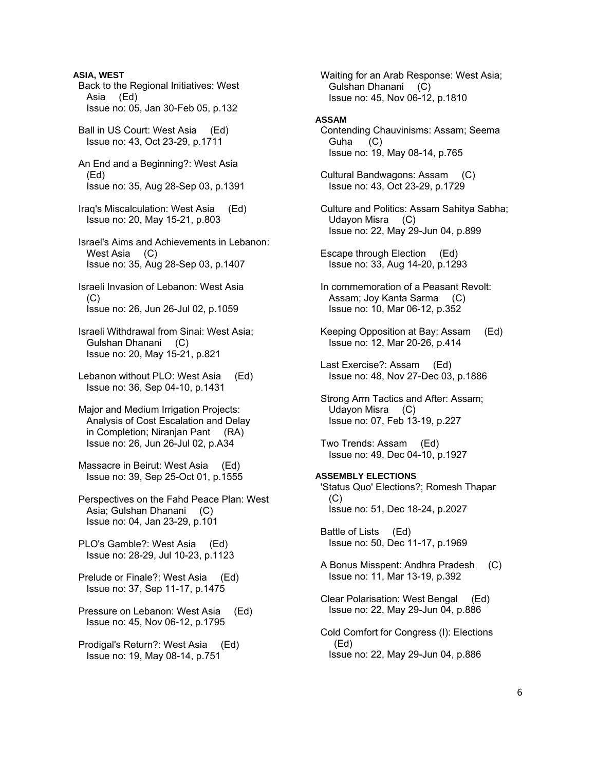**ASIA, WEST**  Back to the Regional Initiatives: West Asia (Ed) Issue no: 05, Jan 30-Feb 05, p.132 Ball in US Court: West Asia (Ed) Issue no: 43, Oct 23-29, p.1711 An End and a Beginning?: West Asia (Ed) Issue no: 35, Aug 28-Sep 03, p.1391 Iraq's Miscalculation: West Asia (Ed) Issue no: 20, May 15-21, p.803 Israel's Aims and Achievements in Lebanon: West Asia (C) Issue no: 35, Aug 28-Sep 03, p.1407 Israeli Invasion of Lebanon: West Asia  $(C)$  Issue no: 26, Jun 26-Jul 02, p.1059 Israeli Withdrawal from Sinai: West Asia; Gulshan Dhanani (C) Issue no: 20, May 15-21, p.821 Lebanon without PLO: West Asia (Ed) Issue no: 36, Sep 04-10, p.1431 Major and Medium Irrigation Projects: Analysis of Cost Escalation and Delay in Completion; Niranjan Pant (RA) Issue no: 26, Jun 26-Jul 02, p.A34 Massacre in Beirut: West Asia (Ed) Issue no: 39, Sep 25-Oct 01, p.1555 Perspectives on the Fahd Peace Plan: West Asia; Gulshan Dhanani (C) Issue no: 04, Jan 23-29, p.101 PLO's Gamble?: West Asia (Ed) Issue no: 28-29, Jul 10-23, p.1123 Prelude or Finale?: West Asia (Ed) Issue no: 37, Sep 11-17, p.1475 Pressure on Lebanon: West Asia (Ed) Issue no: 45, Nov 06-12, p.1795 Prodigal's Return?: West Asia (Ed) Issue no: 19, May 08-14, p.751

 Waiting for an Arab Response: West Asia; Gulshan Dhanani (C) Issue no: 45, Nov 06-12, p.1810 **ASSAM**  Contending Chauvinisms: Assam; Seema Guha (C) Issue no: 19, May 08-14, p.765 Cultural Bandwagons: Assam (C) Issue no: 43, Oct 23-29, p.1729 Culture and Politics: Assam Sahitya Sabha; Udayon Misra (C) Issue no: 22, May 29-Jun 04, p.899 Escape through Election (Ed) Issue no: 33, Aug 14-20, p.1293 In commemoration of a Peasant Revolt: Assam; Joy Kanta Sarma (C) Issue no: 10, Mar 06-12, p.352 Keeping Opposition at Bay: Assam (Ed) Issue no: 12, Mar 20-26, p.414 Last Exercise?: Assam (Ed) Issue no: 48, Nov 27-Dec 03, p.1886 Strong Arm Tactics and After: Assam; Udayon Misra (C) Issue no: 07, Feb 13-19, p.227 Two Trends: Assam (Ed) Issue no: 49, Dec 04-10, p.1927 **ASSEMBLY ELECTIONS**  'Status Quo' Elections?; Romesh Thapar (C) Issue no: 51, Dec 18-24, p.2027 Battle of Lists (Ed) Issue no: 50, Dec 11-17, p.1969 A Bonus Misspent: Andhra Pradesh (C) Issue no: 11, Mar 13-19, p.392 Clear Polarisation: West Bengal (Ed) Issue no: 22, May 29-Jun 04, p.886 Cold Comfort for Congress (I): Elections (Ed) Issue no: 22, May 29-Jun 04, p.886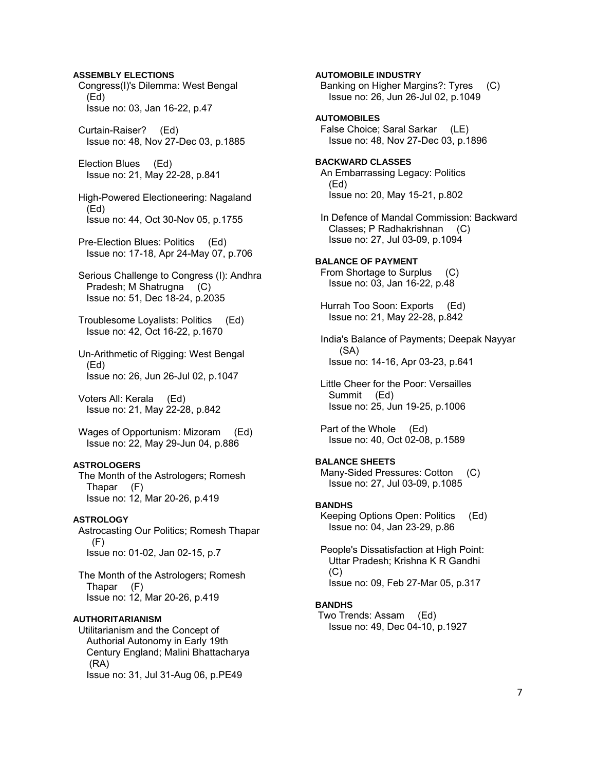# **ASSEMBLY ELECTIONS**

 Congress(I)'s Dilemma: West Bengal (Ed) Issue no: 03, Jan 16-22, p.47

 Curtain-Raiser? (Ed) Issue no: 48, Nov 27-Dec 03, p.1885

 Election Blues (Ed) Issue no: 21, May 22-28, p.841

 High-Powered Electioneering: Nagaland (Ed) Issue no: 44, Oct 30-Nov 05, p.1755

 Pre-Election Blues: Politics (Ed) Issue no: 17-18, Apr 24-May 07, p.706

 Serious Challenge to Congress (I): Andhra Pradesh; M Shatrugna (C) Issue no: 51, Dec 18-24, p.2035

 Troublesome Loyalists: Politics (Ed) Issue no: 42, Oct 16-22, p.1670

 Un-Arithmetic of Rigging: West Bengal (Ed) Issue no: 26, Jun 26-Jul 02, p.1047

 Voters All: Kerala (Ed) Issue no: 21, May 22-28, p.842

 Wages of Opportunism: Mizoram (Ed) Issue no: 22, May 29-Jun 04, p.886

# **ASTROLOGERS**

 The Month of the Astrologers; Romesh Thapar (F) Issue no: 12, Mar 20-26, p.419

# **ASTROLOGY**

 Astrocasting Our Politics; Romesh Thapar (F) Issue no: 01-02, Jan 02-15, p.7

 The Month of the Astrologers; Romesh Thapar (F) Issue no: 12, Mar 20-26, p.419

# **AUTHORITARIANISM**

 Utilitarianism and the Concept of Authorial Autonomy in Early 19th Century England; Malini Bhattacharya (RA) Issue no: 31, Jul 31-Aug 06, p.PE49

**AUTOMOBILE INDUSTRY**  Banking on Higher Margins?: Tyres (C) Issue no: 26, Jun 26-Jul 02, p.1049 **AUTOMOBILES**  False Choice; Saral Sarkar (LE) Issue no: 48, Nov 27-Dec 03, p.1896 **BACKWARD CLASSES**  An Embarrassing Legacy: Politics (Ed) Issue no: 20, May 15-21, p.802 In Defence of Mandal Commission: Backward Classes; P Radhakrishnan (C) Issue no: 27, Jul 03-09, p.1094 **BALANCE OF PAYMENT**  From Shortage to Surplus (C) Issue no: 03, Jan 16-22, p.48 Hurrah Too Soon: Exports (Ed) Issue no: 21, May 22-28, p.842 India's Balance of Payments; Deepak Nayyar (SA) Issue no: 14-16, Apr 03-23, p.641 Little Cheer for the Poor: Versailles Summit (Ed) Issue no: 25, Jun 19-25, p.1006 Part of the Whole (Ed) Issue no: 40, Oct 02-08, p.1589 **BALANCE SHEETS**  Many-Sided Pressures: Cotton (C) Issue no: 27, Jul 03-09, p.1085 **BANDHS**  Keeping Options Open: Politics (Ed) Issue no: 04, Jan 23-29, p.86 People's Dissatisfaction at High Point: Uttar Pradesh; Krishna K R Gandhi  $(C)$  Issue no: 09, Feb 27-Mar 05, p.317 **BANDHS**  Two Trends: Assam (Ed) Issue no: 49, Dec 04-10, p.1927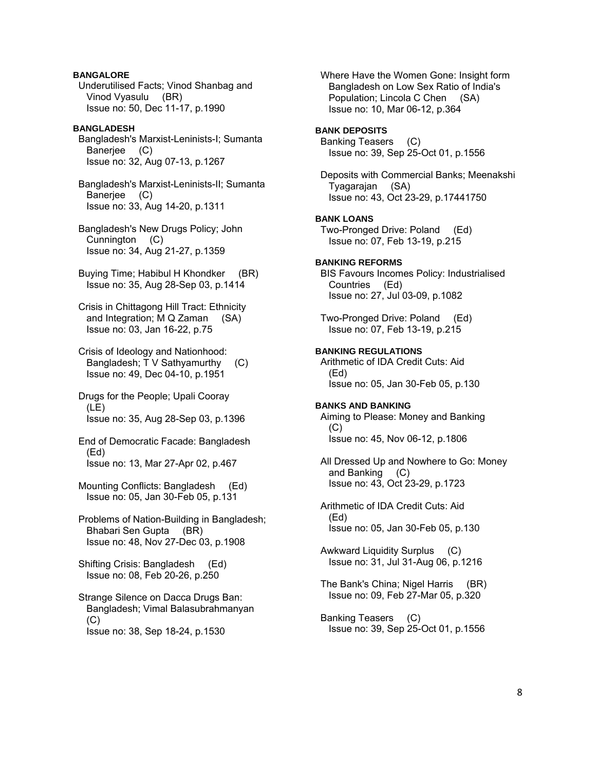# **BANGALORE**

 Underutilised Facts; Vinod Shanbag and Vinod Vyasulu (BR) Issue no: 50, Dec 11-17, p.1990

# **BANGLADESH**

 Bangladesh's Marxist-Leninists-I; Sumanta Banerjee (C) Issue no: 32, Aug 07-13, p.1267

 Bangladesh's Marxist-Leninists-II; Sumanta Banerjee (C) Issue no: 33, Aug 14-20, p.1311

 Bangladesh's New Drugs Policy; John Cunnington (C) Issue no: 34, Aug 21-27, p.1359

 Buying Time; Habibul H Khondker (BR) Issue no: 35, Aug 28-Sep 03, p.1414

 Crisis in Chittagong Hill Tract: Ethnicity and Integration; M Q Zaman (SA) Issue no: 03, Jan 16-22, p.75

 Crisis of Ideology and Nationhood: Bangladesh; T V Sathyamurthy (C) Issue no: 49, Dec 04-10, p.1951

 Drugs for the People; Upali Cooray (LE) Issue no: 35, Aug 28-Sep 03, p.1396

 End of Democratic Facade: Bangladesh (Ed) Issue no: 13, Mar 27-Apr 02, p.467

 Mounting Conflicts: Bangladesh (Ed) Issue no: 05, Jan 30-Feb 05, p.131

 Problems of Nation-Building in Bangladesh; Bhabari Sen Gupta (BR) Issue no: 48, Nov 27-Dec 03, p.1908

 Shifting Crisis: Bangladesh (Ed) Issue no: 08, Feb 20-26, p.250

 Strange Silence on Dacca Drugs Ban: Bangladesh; Vimal Balasubrahmanyan (C) Issue no: 38, Sep 18-24, p.1530

 Where Have the Women Gone: Insight form Bangladesh on Low Sex Ratio of India's Population; Lincola C Chen (SA) Issue no: 10, Mar 06-12, p.364 **BANK DEPOSITS**  Banking Teasers (C) Issue no: 39, Sep 25-Oct 01, p.1556 Deposits with Commercial Banks; Meenakshi Tyagarajan (SA) Issue no: 43, Oct 23-29, p.17441750 **BANK LOANS**  Two-Pronged Drive: Poland (Ed) Issue no: 07, Feb 13-19, p.215 **BANKING REFORMS**  BIS Favours Incomes Policy: Industrialised Countries (Ed) Issue no: 27, Jul 03-09, p.1082 Two-Pronged Drive: Poland (Ed) Issue no: 07, Feb 13-19, p.215 **BANKING REGULATIONS**  Arithmetic of IDA Credit Cuts: Aid (Ed) Issue no: 05, Jan 30-Feb 05, p.130 **BANKS AND BANKING**  Aiming to Please: Money and Banking  $(C)$  Issue no: 45, Nov 06-12, p.1806 All Dressed Up and Nowhere to Go: Money and Banking (C) Issue no: 43, Oct 23-29, p.1723 Arithmetic of IDA Credit Cuts: Aid (Ed) Issue no: 05, Jan 30-Feb 05, p.130 Awkward Liquidity Surplus (C) Issue no: 31, Jul 31-Aug 06, p.1216 The Bank's China; Nigel Harris (BR) Issue no: 09, Feb 27-Mar 05, p.320

 Banking Teasers (C) Issue no: 39, Sep 25-Oct 01, p.1556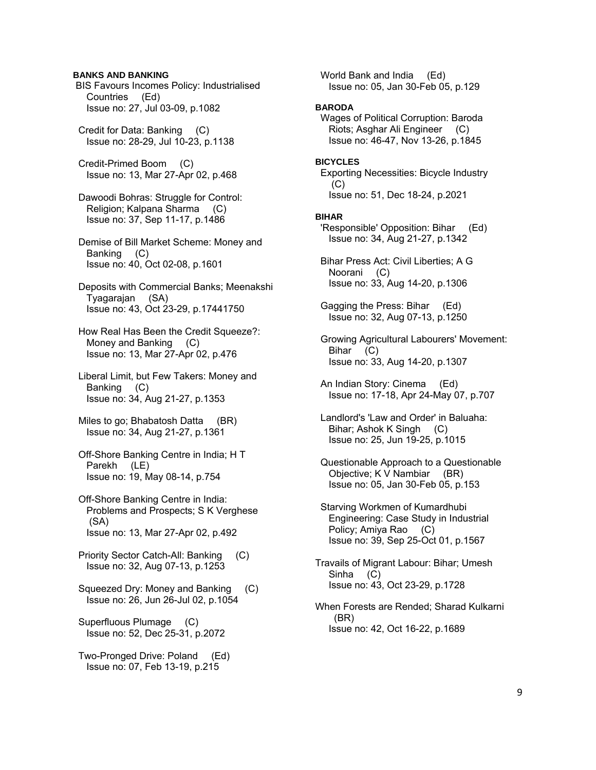# **BANKS AND BANKING**

 BIS Favours Incomes Policy: Industrialised Countries (Ed) Issue no: 27, Jul 03-09, p.1082

 Credit for Data: Banking (C) Issue no: 28-29, Jul 10-23, p.1138

 Credit-Primed Boom (C) Issue no: 13, Mar 27-Apr 02, p.468

 Dawoodi Bohras: Struggle for Control: Religion; Kalpana Sharma (C) Issue no: 37, Sep 11-17, p.1486

 Demise of Bill Market Scheme: Money and Banking (C) Issue no: 40, Oct 02-08, p.1601

 Deposits with Commercial Banks; Meenakshi Tyagarajan (SA) Issue no: 43, Oct 23-29, p.17441750

 How Real Has Been the Credit Squeeze?: Money and Banking (C) Issue no: 13, Mar 27-Apr 02, p.476

 Liberal Limit, but Few Takers: Money and Banking (C) Issue no: 34, Aug 21-27, p.1353

Miles to go; Bhabatosh Datta (BR) Issue no: 34, Aug 21-27, p.1361

 Off-Shore Banking Centre in India; H T Parekh (LE) Issue no: 19, May 08-14, p.754

 Off-Shore Banking Centre in India: Problems and Prospects; S K Verghese (SA) Issue no: 13, Mar 27-Apr 02, p.492

 Priority Sector Catch-All: Banking (C) Issue no: 32, Aug 07-13, p.1253

 Squeezed Dry: Money and Banking (C) Issue no: 26, Jun 26-Jul 02, p.1054

 Superfluous Plumage (C) Issue no: 52, Dec 25-31, p.2072

 Two-Pronged Drive: Poland (Ed) Issue no: 07, Feb 13-19, p.215

 World Bank and India (Ed) Issue no: 05, Jan 30-Feb 05, p.129

#### **BARODA**

 Wages of Political Corruption: Baroda Riots; Asghar Ali Engineer (C) Issue no: 46-47, Nov 13-26, p.1845

#### **BICYCLES**

 Exporting Necessities: Bicycle Industry  $(C)$ Issue no: 51, Dec 18-24, p.2021

#### **BIHAR**

 'Responsible' Opposition: Bihar (Ed) Issue no: 34, Aug 21-27, p.1342

 Bihar Press Act: Civil Liberties; A G Noorani (C) Issue no: 33, Aug 14-20, p.1306

 Gagging the Press: Bihar (Ed) Issue no: 32, Aug 07-13, p.1250

 Growing Agricultural Labourers' Movement: Bihar (C) Issue no: 33, Aug 14-20, p.1307

 An Indian Story: Cinema (Ed) Issue no: 17-18, Apr 24-May 07, p.707

 Landlord's 'Law and Order' in Baluaha: Bihar; Ashok K Singh (C) Issue no: 25, Jun 19-25, p.1015

 Questionable Approach to a Questionable Objective; K V Nambiar (BR) Issue no: 05, Jan 30-Feb 05, p.153

 Starving Workmen of Kumardhubi Engineering: Case Study in Industrial Policy; Amiya Rao (C) Issue no: 39, Sep 25-Oct 01, p.1567

Travails of Migrant Labour: Bihar; Umesh Sinha (C) Issue no: 43, Oct 23-29, p.1728

When Forests are Rended; Sharad Kulkarni (BR) Issue no: 42, Oct 16-22, p.1689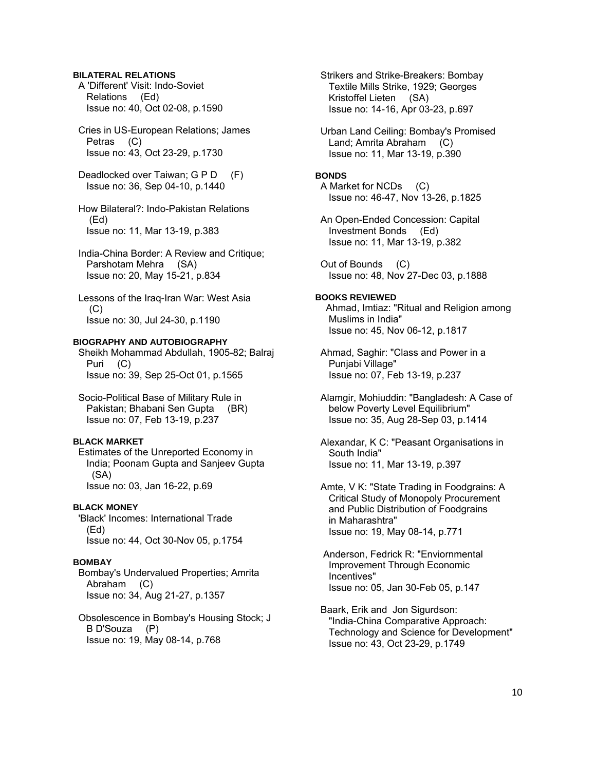# **BILATERAL RELATIONS**

 A 'Different' Visit: Indo-Soviet Relations (Ed) Issue no: 40, Oct 02-08, p.1590

 Cries in US-European Relations; James Petras (C) Issue no: 43, Oct 23-29, p.1730

Deadlocked over Taiwan; G P D (F) Issue no: 36, Sep 04-10, p.1440

 How Bilateral?: Indo-Pakistan Relations (Ed) Issue no: 11, Mar 13-19, p.383

 India-China Border: A Review and Critique; Parshotam Mehra (SA) Issue no: 20, May 15-21, p.834

 Lessons of the Iraq-Iran War: West Asia (C) Issue no: 30, Jul 24-30, p.1190

# **BIOGRAPHY AND AUTOBIOGRAPHY**

 Sheikh Mohammad Abdullah, 1905-82; Balraj Puri (C) Issue no: 39, Sep 25-Oct 01, p.1565

 Socio-Political Base of Military Rule in Pakistan; Bhabani Sen Gupta (BR) Issue no: 07, Feb 13-19, p.237

#### **BLACK MARKET**

 Estimates of the Unreported Economy in India; Poonam Gupta and Sanjeev Gupta (SA) Issue no: 03, Jan 16-22, p.69

### **BLACK MONEY**

 'Black' Incomes: International Trade (Ed) Issue no: 44, Oct 30-Nov 05, p.1754

# **BOMBAY**

 Bombay's Undervalued Properties; Amrita Abraham (C) Issue no: 34, Aug 21-27, p.1357

 Obsolescence in Bombay's Housing Stock; J B D'Souza (P) Issue no: 19, May 08-14, p.768

 Strikers and Strike-Breakers: Bombay Textile Mills Strike, 1929; Georges Kristoffel Lieten (SA) Issue no: 14-16, Apr 03-23, p.697

 Urban Land Ceiling: Bombay's Promised Land; Amrita Abraham (C) Issue no: 11, Mar 13-19, p.390

# **BONDS**

 A Market for NCDs (C) Issue no: 46-47, Nov 13-26, p.1825

 An Open-Ended Concession: Capital Investment Bonds (Ed) Issue no: 11, Mar 13-19, p.382

 Out of Bounds (C) Issue no: 48, Nov 27-Dec 03, p.1888

#### **BOOKS REVIEWED**

 Ahmad, Imtiaz: "Ritual and Religion among Muslims in India" Issue no: 45, Nov 06-12, p.1817

 Ahmad, Saghir: "Class and Power in a Punjabi Village" Issue no: 07, Feb 13-19, p.237

 Alamgir, Mohiuddin: "Bangladesh: A Case of below Poverty Level Equilibrium" Issue no: 35, Aug 28-Sep 03, p.1414

 Alexandar, K C: "Peasant Organisations in South India" Issue no: 11, Mar 13-19, p.397

 Amte, V K: "State Trading in Foodgrains: A Critical Study of Monopoly Procurement and Public Distribution of Foodgrains in Maharashtra" Issue no: 19, May 08-14, p.771

 Anderson, Fedrick R: "Enviornmental Improvement Through Economic Incentives" Issue no: 05, Jan 30-Feb 05, p.147

 Baark, Erik and Jon Sigurdson: "India-China Comparative Approach: Technology and Science for Development" Issue no: 43, Oct 23-29, p.1749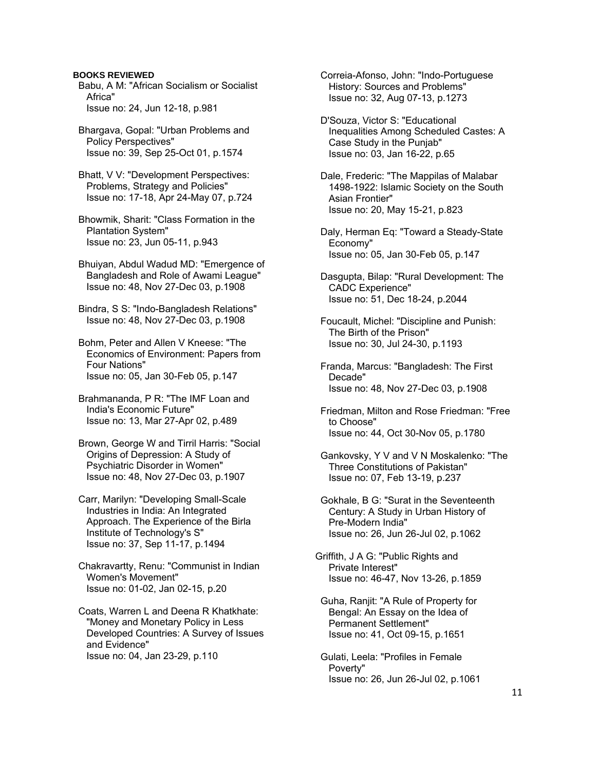Babu, A M: "African Socialism or Socialist Africa" Issue no: 24, Jun 12-18, p.981

 Bhargava, Gopal: "Urban Problems and Policy Perspectives" Issue no: 39, Sep 25-Oct 01, p.1574

 Bhatt, V V: "Development Perspectives: Problems, Strategy and Policies" Issue no: 17-18, Apr 24-May 07, p.724

 Bhowmik, Sharit: "Class Formation in the Plantation System" Issue no: 23, Jun 05-11, p.943

 Bhuiyan, Abdul Wadud MD: "Emergence of Bangladesh and Role of Awami League" Issue no: 48, Nov 27-Dec 03, p.1908

 Bindra, S S: "Indo-Bangladesh Relations" Issue no: 48, Nov 27-Dec 03, p.1908

 Bohm, Peter and Allen V Kneese: "The Economics of Environment: Papers from Four Nations" Issue no: 05, Jan 30-Feb 05, p.147

 Brahmananda, P R: "The IMF Loan and India's Economic Future" Issue no: 13, Mar 27-Apr 02, p.489

 Brown, George W and Tirril Harris: "Social Origins of Depression: A Study of Psychiatric Disorder in Women" Issue no: 48, Nov 27-Dec 03, p.1907

 Carr, Marilyn: "Developing Small-Scale Industries in India: An Integrated Approach. The Experience of the Birla Institute of Technology's S" Issue no: 37, Sep 11-17, p.1494

 Chakravartty, Renu: "Communist in Indian Women's Movement" Issue no: 01-02, Jan 02-15, p.20

 Coats, Warren L and Deena R Khatkhate: "Money and Monetary Policy in Less Developed Countries: A Survey of Issues and Evidence" Issue no: 04, Jan 23-29, p.110

 Correia-Afonso, John: "Indo-Portuguese History: Sources and Problems" Issue no: 32, Aug 07-13, p.1273

 D'Souza, Victor S: "Educational Inequalities Among Scheduled Castes: A Case Study in the Punjab" Issue no: 03, Jan 16-22, p.65

 Dale, Frederic: "The Mappilas of Malabar 1498-1922: Islamic Society on the South Asian Frontier" Issue no: 20, May 15-21, p.823

 Daly, Herman Eq: "Toward a Steady-State Economy" Issue no: 05, Jan 30-Feb 05, p.147

 Dasgupta, Bilap: "Rural Development: The CADC Experience" Issue no: 51, Dec 18-24, p.2044

 Foucault, Michel: "Discipline and Punish: The Birth of the Prison" Issue no: 30, Jul 24-30, p.1193

 Franda, Marcus: "Bangladesh: The First Decade" Issue no: 48, Nov 27-Dec 03, p.1908

 Friedman, Milton and Rose Friedman: "Free to Choose" Issue no: 44, Oct 30-Nov 05, p.1780

 Gankovsky, Y V and V N Moskalenko: "The Three Constitutions of Pakistan" Issue no: 07, Feb 13-19, p.237

 Gokhale, B G: "Surat in the Seventeenth Century: A Study in Urban History of Pre-Modern India" Issue no: 26, Jun 26-Jul 02, p.1062

Griffith, J A G: "Public Rights and Private Interest" Issue no: 46-47, Nov 13-26, p.1859

 Guha, Ranjit: "A Rule of Property for Bengal: An Essay on the Idea of Permanent Settlement" Issue no: 41, Oct 09-15, p.1651

 Gulati, Leela: "Profiles in Female Poverty" Issue no: 26, Jun 26-Jul 02, p.1061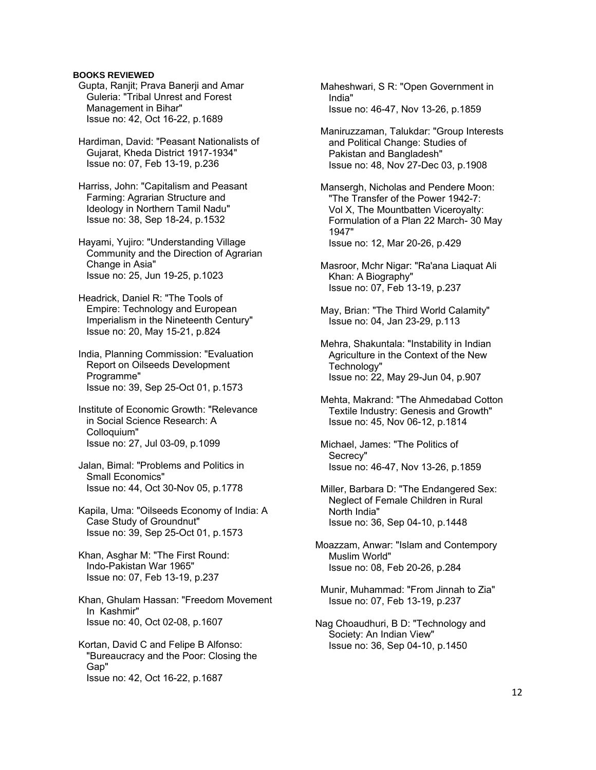Gupta, Ranjit; Prava Banerji and Amar Guleria: "Tribal Unrest and Forest Management in Bihar" Issue no: 42, Oct 16-22, p.1689

 Hardiman, David: "Peasant Nationalists of Gujarat, Kheda District 1917-1934" Issue no: 07, Feb 13-19, p.236

 Harriss, John: "Capitalism and Peasant Farming: Agrarian Structure and Ideology in Northern Tamil Nadu" Issue no: 38, Sep 18-24, p.1532

 Hayami, Yujiro: "Understanding Village Community and the Direction of Agrarian Change in Asia" Issue no: 25, Jun 19-25, p.1023

 Headrick, Daniel R: "The Tools of Empire: Technology and European Imperialism in the Nineteenth Century" Issue no: 20, May 15-21, p.824

 India, Planning Commission: "Evaluation Report on Oilseeds Development Programme" Issue no: 39, Sep 25-Oct 01, p.1573

 Institute of Economic Growth: "Relevance in Social Science Research: A Colloquium" Issue no: 27, Jul 03-09, p.1099

 Jalan, Bimal: "Problems and Politics in Small Economics" Issue no: 44, Oct 30-Nov 05, p.1778

 Kapila, Uma: "Oilseeds Economy of India: A Case Study of Groundnut" Issue no: 39, Sep 25-Oct 01, p.1573

 Khan, Asghar M: "The First Round: Indo-Pakistan War 1965" Issue no: 07, Feb 13-19, p.237

 Khan, Ghulam Hassan: "Freedom Movement In Kashmir" Issue no: 40, Oct 02-08, p.1607

 Kortan, David C and Felipe B Alfonso: "Bureaucracy and the Poor: Closing the Gap" Issue no: 42, Oct 16-22, p.1687

 Maheshwari, S R: "Open Government in India" Issue no: 46-47, Nov 13-26, p.1859

 Maniruzzaman, Talukdar: "Group Interests and Political Change: Studies of Pakistan and Bangladesh" Issue no: 48, Nov 27-Dec 03, p.1908

 Mansergh, Nicholas and Pendere Moon: "The Transfer of the Power 1942-7: Vol X, The Mountbatten Viceroyalty: Formulation of a Plan 22 March- 30 May 1947" Issue no: 12, Mar 20-26, p.429

 Masroor, Mchr Nigar: "Ra'ana Liaquat Ali Khan: A Biography" Issue no: 07, Feb 13-19, p.237

 May, Brian: "The Third World Calamity" Issue no: 04, Jan 23-29, p.113

 Mehra, Shakuntala: "Instability in Indian Agriculture in the Context of the New Technology" Issue no: 22, May 29-Jun 04, p.907

 Mehta, Makrand: "The Ahmedabad Cotton Textile Industry: Genesis and Growth" Issue no: 45, Nov 06-12, p.1814

 Michael, James: "The Politics of Secrecy" Issue no: 46-47, Nov 13-26, p.1859

 Miller, Barbara D: "The Endangered Sex: Neglect of Female Children in Rural North India" Issue no: 36, Sep 04-10, p.1448

Moazzam, Anwar: "Islam and Contempory Muslim World" Issue no: 08, Feb 20-26, p.284

 Munir, Muhammad: "From Jinnah to Zia" Issue no: 07, Feb 13-19, p.237

Nag Choaudhuri, B D: "Technology and Society: An Indian View" Issue no: 36, Sep 04-10, p.1450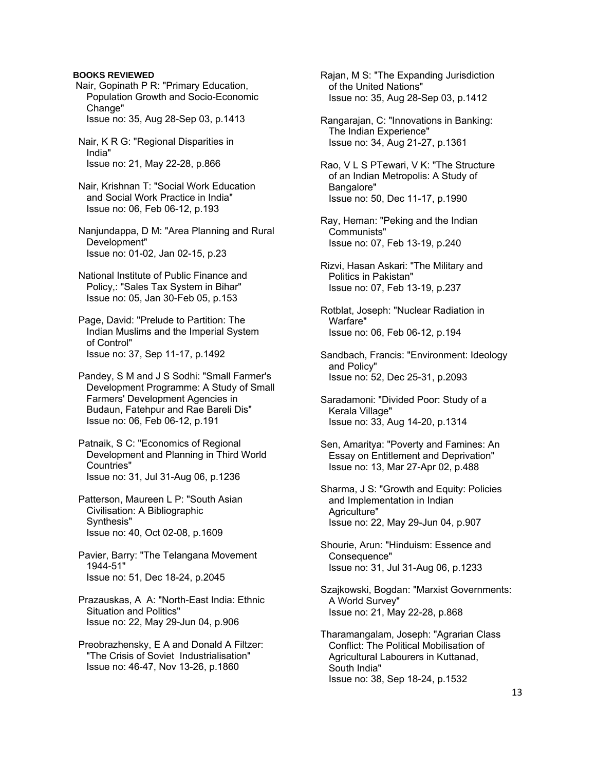- Nair, Gopinath P R: "Primary Education, Population Growth and Socio-Economic Change" Issue no: 35, Aug 28-Sep 03, p.1413
- Nair, K R G: "Regional Disparities in India" Issue no: 21, May 22-28, p.866
- Nair, Krishnan T: "Social Work Education and Social Work Practice in India" Issue no: 06, Feb 06-12, p.193

 Nanjundappa, D M: "Area Planning and Rural Development" Issue no: 01-02, Jan 02-15, p.23

- National Institute of Public Finance and Policy,: "Sales Tax System in Bihar" Issue no: 05, Jan 30-Feb 05, p.153
- Page, David: "Prelude to Partition: The Indian Muslims and the Imperial System of Control" Issue no: 37, Sep 11-17, p.1492
- Pandey, S M and J S Sodhi: "Small Farmer's Development Programme: A Study of Small Farmers' Development Agencies in Budaun, Fatehpur and Rae Bareli Dis" Issue no: 06, Feb 06-12, p.191
- Patnaik, S C: "Economics of Regional Development and Planning in Third World Countries" Issue no: 31, Jul 31-Aug 06, p.1236
- Patterson, Maureen L P: "South Asian Civilisation: A Bibliographic Synthesis" Issue no: 40, Oct 02-08, p.1609
- Pavier, Barry: "The Telangana Movement 1944-51" Issue no: 51, Dec 18-24, p.2045
- Prazauskas, A A: "North-East India: Ethnic Situation and Politics" Issue no: 22, May 29-Jun 04, p.906
- Preobrazhensky, E A and Donald A Filtzer: "The Crisis of Soviet Industrialisation" Issue no: 46-47, Nov 13-26, p.1860

 Rajan, M S: "The Expanding Jurisdiction of the United Nations" Issue no: 35, Aug 28-Sep 03, p.1412

- Rangarajan, C: "Innovations in Banking: The Indian Experience" Issue no: 34, Aug 21-27, p.1361
- Rao, V L S PTewari, V K: "The Structure of an Indian Metropolis: A Study of Bangalore" Issue no: 50, Dec 11-17, p.1990
- Ray, Heman: "Peking and the Indian Communists" Issue no: 07, Feb 13-19, p.240
- Rizvi, Hasan Askari: "The Military and Politics in Pakistan" Issue no: 07, Feb 13-19, p.237
- Rotblat, Joseph: "Nuclear Radiation in Warfare" Issue no: 06, Feb 06-12, p.194
- Sandbach, Francis: "Environment: Ideology and Policy" Issue no: 52, Dec 25-31, p.2093
- Saradamoni: "Divided Poor: Study of a Kerala Village" Issue no: 33, Aug 14-20, p.1314
- Sen, Amaritya: "Poverty and Famines: An Essay on Entitlement and Deprivation" Issue no: 13, Mar 27-Apr 02, p.488
- Sharma, J S: "Growth and Equity: Policies and Implementation in Indian Agriculture" Issue no: 22, May 29-Jun 04, p.907
- Shourie, Arun: "Hinduism: Essence and Consequence" Issue no: 31, Jul 31-Aug 06, p.1233
- Szajkowski, Bogdan: "Marxist Governments: A World Survey" Issue no: 21, May 22-28, p.868
- Tharamangalam, Joseph: "Agrarian Class Conflict: The Political Mobilisation of Agricultural Labourers in Kuttanad, South India" Issue no: 38, Sep 18-24, p.1532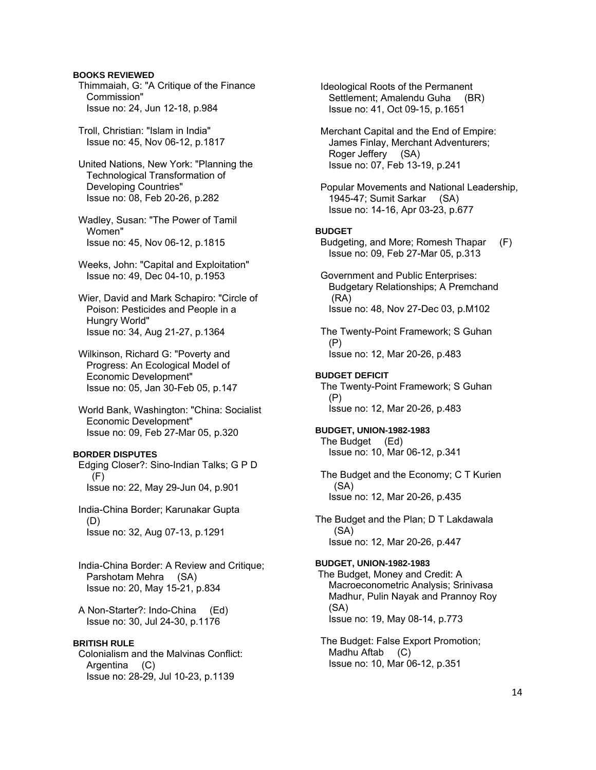Thimmaiah, G: "A Critique of the Finance Commission" Issue no: 24, Jun 12-18, p.984

 Troll, Christian: "Islam in India" Issue no: 45, Nov 06-12, p.1817

 United Nations, New York: "Planning the Technological Transformation of Developing Countries" Issue no: 08, Feb 20-26, p.282

 Wadley, Susan: "The Power of Tamil Women" Issue no: 45, Nov 06-12, p.1815

 Weeks, John: "Capital and Exploitation" Issue no: 49, Dec 04-10, p.1953

 Wier, David and Mark Schapiro: "Circle of Poison: Pesticides and People in a Hungry World" Issue no: 34, Aug 21-27, p.1364

 Wilkinson, Richard G: "Poverty and Progress: An Ecological Model of Economic Development" Issue no: 05, Jan 30-Feb 05, p.147

 World Bank, Washington: "China: Socialist Economic Development" Issue no: 09, Feb 27-Mar 05, p.320

# **BORDER DISPUTES**

 Edging Closer?: Sino-Indian Talks; G P D (F) Issue no: 22, May 29-Jun 04, p.901

 India-China Border; Karunakar Gupta (D) Issue no: 32, Aug 07-13, p.1291

 India-China Border: A Review and Critique; Parshotam Mehra (SA) Issue no: 20, May 15-21, p.834

 A Non-Starter?: Indo-China (Ed) Issue no: 30, Jul 24-30, p.1176

# **BRITISH RULE**

 Colonialism and the Malvinas Conflict: Argentina (C) Issue no: 28-29, Jul 10-23, p.1139

 Ideological Roots of the Permanent Settlement: Amalendu Guha (BR) Issue no: 41, Oct 09-15, p.1651

 Merchant Capital and the End of Empire: James Finlay, Merchant Adventurers; Roger Jeffery (SA) Issue no: 07, Feb 13-19, p.241

 Popular Movements and National Leadership, 1945-47; Sumit Sarkar (SA) Issue no: 14-16, Apr 03-23, p.677

#### **BUDGET**

 Budgeting, and More; Romesh Thapar (F) Issue no: 09, Feb 27-Mar 05, p.313

 Government and Public Enterprises: Budgetary Relationships; A Premchand (RA) Issue no: 48, Nov 27-Dec 03, p.M102

 The Twenty-Point Framework; S Guhan (P) Issue no: 12, Mar 20-26, p.483

# **BUDGET DEFICIT**

 The Twenty-Point Framework; S Guhan (P) Issue no: 12, Mar 20-26, p.483

**BUDGET, UNION-1982-1983**  The Budget (Ed) Issue no: 10, Mar 06-12, p.341

 The Budget and the Economy; C T Kurien (SA) Issue no: 12, Mar 20-26, p.435

The Budget and the Plan; D T Lakdawala (SA) Issue no: 12, Mar 20-26, p.447

# **BUDGET, UNION-1982-1983**

 The Budget, Money and Credit: A Macroeconometric Analysis; Srinivasa Madhur, Pulin Nayak and Prannoy Roy (SA) Issue no: 19, May 08-14, p.773

 The Budget: False Export Promotion; Madhu Aftab (C) Issue no: 10, Mar 06-12, p.351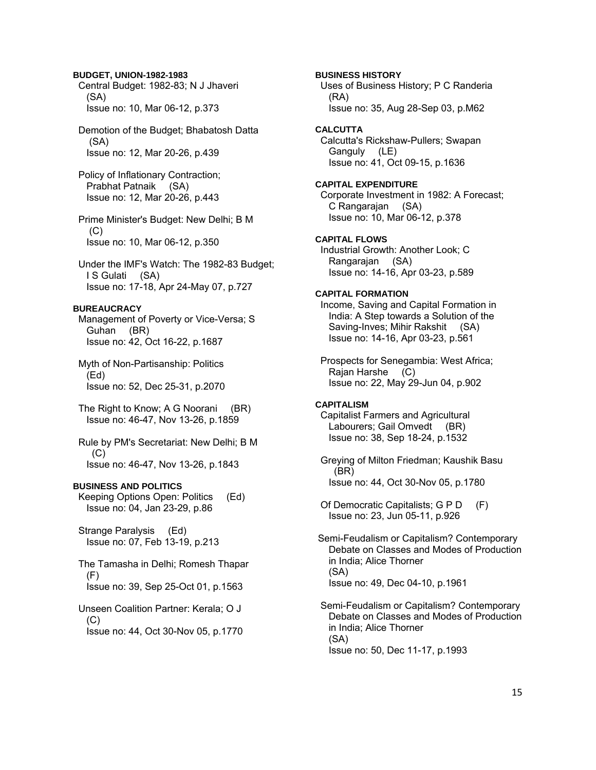**BUDGET, UNION-1982-1983**  Central Budget: 1982-83; N J Jhaveri (SA) Issue no: 10, Mar 06-12, p.373

 Demotion of the Budget; Bhabatosh Datta (SA) Issue no: 12, Mar 20-26, p.439

 Policy of Inflationary Contraction; Prabhat Patnaik (SA) Issue no: 12, Mar 20-26, p.443

 Prime Minister's Budget: New Delhi; B M  $(C)$ Issue no: 10, Mar 06-12, p.350

 Under the IMF's Watch: The 1982-83 Budget; I S Gulati (SA) Issue no: 17-18, Apr 24-May 07, p.727

# **BUREAUCRACY**

 Management of Poverty or Vice-Versa; S Guhan (BR) Issue no: 42, Oct 16-22, p.1687

 Myth of Non-Partisanship: Politics (Ed) Issue no: 52, Dec 25-31, p.2070

 The Right to Know; A G Noorani (BR) Issue no: 46-47, Nov 13-26, p.1859

 Rule by PM's Secretariat: New Delhi; B M (C) Issue no: 46-47, Nov 13-26, p.1843

# **BUSINESS AND POLITICS**

 Keeping Options Open: Politics (Ed) Issue no: 04, Jan 23-29, p.86

 Strange Paralysis (Ed) Issue no: 07, Feb 13-19, p.213

 The Tamasha in Delhi; Romesh Thapar (F) Issue no: 39, Sep 25-Oct 01, p.1563

 Unseen Coalition Partner: Kerala; O J (C) Issue no: 44, Oct 30-Nov 05, p.1770

**BUSINESS HISTORY**  Uses of Business History; P C Randeria (RA) Issue no: 35, Aug 28-Sep 03, p.M62 **CALCUTTA**  Calcutta's Rickshaw-Pullers; Swapan Ganguly (LE) Issue no: 41, Oct 09-15, p.1636 **CAPITAL EXPENDITURE**  Corporate Investment in 1982: A Forecast; C Rangarajan (SA) Issue no: 10, Mar 06-12, p.378 **CAPITAL FLOWS**  Industrial Growth: Another Look; C Rangarajan (SA) Issue no: 14-16, Apr 03-23, p.589 **CAPITAL FORMATION**  Income, Saving and Capital Formation in India: A Step towards a Solution of the Saving-Inves; Mihir Rakshit (SA) Issue no: 14-16, Apr 03-23, p.561 Prospects for Senegambia: West Africa; Rajan Harshe (C) Issue no: 22, May 29-Jun 04, p.902 **CAPITALISM**  Capitalist Farmers and Agricultural Labourers; Gail Omvedt (BR) Issue no: 38, Sep 18-24, p.1532

 Greying of Milton Friedman; Kaushik Basu (BR) Issue no: 44, Oct 30-Nov 05, p.1780

 Of Democratic Capitalists; G P D (F) Issue no: 23, Jun 05-11, p.926

 Semi-Feudalism or Capitalism? Contemporary Debate on Classes and Modes of Production in India; Alice Thorner (SA) Issue no: 49, Dec 04-10, p.1961

 Semi-Feudalism or Capitalism? Contemporary Debate on Classes and Modes of Production in India; Alice Thorner (SA) Issue no: 50, Dec 11-17, p.1993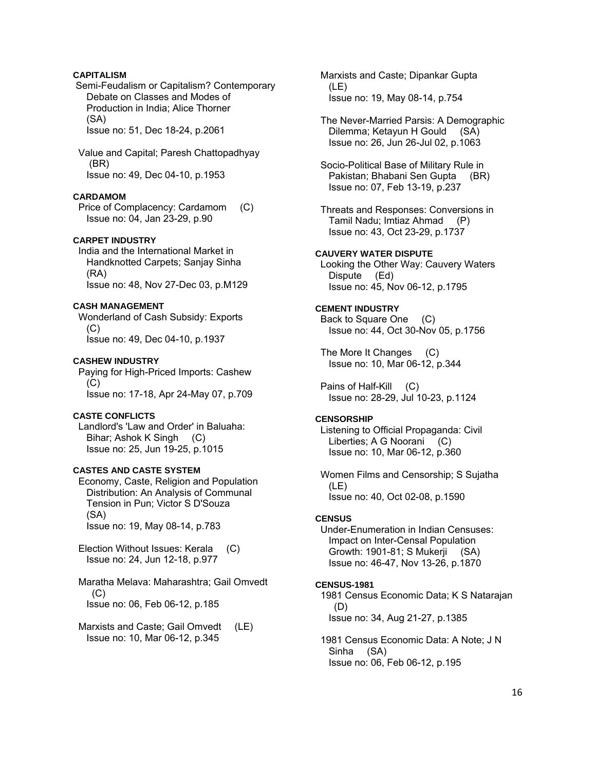# **CAPITALISM**

 Semi-Feudalism or Capitalism? Contemporary Debate on Classes and Modes of Production in India; Alice Thorner (SA) Issue no: 51, Dec 18-24, p.2061

 Value and Capital; Paresh Chattopadhyay (BR) Issue no: 49, Dec 04-10, p.1953

#### **CARDAMOM**

 Price of Complacency: Cardamom (C) Issue no: 04, Jan 23-29, p.90

# **CARPET INDUSTRY**

 India and the International Market in Handknotted Carpets; Sanjay Sinha (RA) Issue no: 48, Nov 27-Dec 03, p.M129

# **CASH MANAGEMENT**

 Wonderland of Cash Subsidy: Exports  $(C)$ Issue no: 49, Dec 04-10, p.1937

#### **CASHEW INDUSTRY**

 Paying for High-Priced Imports: Cashew  $(C)$ Issue no: 17-18, Apr 24-May 07, p.709

### **CASTE CONFLICTS**

 Landlord's 'Law and Order' in Baluaha: Bihar; Ashok K Singh (C) Issue no: 25, Jun 19-25, p.1015

## **CASTES AND CASTE SYSTEM**

 Economy, Caste, Religion and Population Distribution: An Analysis of Communal Tension in Pun; Victor S D'Souza (SA) Issue no: 19, May 08-14, p.783

 Election Without Issues: Kerala (C) Issue no: 24, Jun 12-18, p.977

 Maratha Melava: Maharashtra; Gail Omvedt (C) Issue no: 06, Feb 06-12, p.185

Marxists and Caste; Gail Omvedt (LE) Issue no: 10, Mar 06-12, p.345

 Marxists and Caste; Dipankar Gupta (LE) Issue no: 19, May 08-14, p.754

 The Never-Married Parsis: A Demographic Dilemma; Ketayun H Gould (SA) Issue no: 26, Jun 26-Jul 02, p.1063

 Socio-Political Base of Military Rule in Pakistan; Bhabani Sen Gupta (BR) Issue no: 07, Feb 13-19, p.237

 Threats and Responses: Conversions in Tamil Nadu; Imtiaz Ahmad (P) Issue no: 43, Oct 23-29, p.1737

### **CAUVERY WATER DISPUTE**

 Looking the Other Way: Cauvery Waters Dispute (Ed) Issue no: 45, Nov 06-12, p.1795

### **CEMENT INDUSTRY**

 Back to Square One (C) Issue no: 44, Oct 30-Nov 05, p.1756

 The More It Changes (C) Issue no: 10, Mar 06-12, p.344

 Pains of Half-Kill (C) Issue no: 28-29, Jul 10-23, p.1124

### **CENSORSHIP**

 Listening to Official Propaganda: Civil Liberties; A G Noorani (C) Issue no: 10, Mar 06-12, p.360

 Women Films and Censorship; S Sujatha (LE) Issue no: 40, Oct 02-08, p.1590

### **CENSUS**

 Under-Enumeration in Indian Censuses: Impact on Inter-Censal Population Growth: 1901-81; S Mukerji (SA) Issue no: 46-47, Nov 13-26, p.1870

#### **CENSUS-1981**

 1981 Census Economic Data; K S Natarajan (D) Issue no: 34, Aug 21-27, p.1385

 1981 Census Economic Data: A Note; J N Sinha (SA) Issue no: 06, Feb 06-12, p.195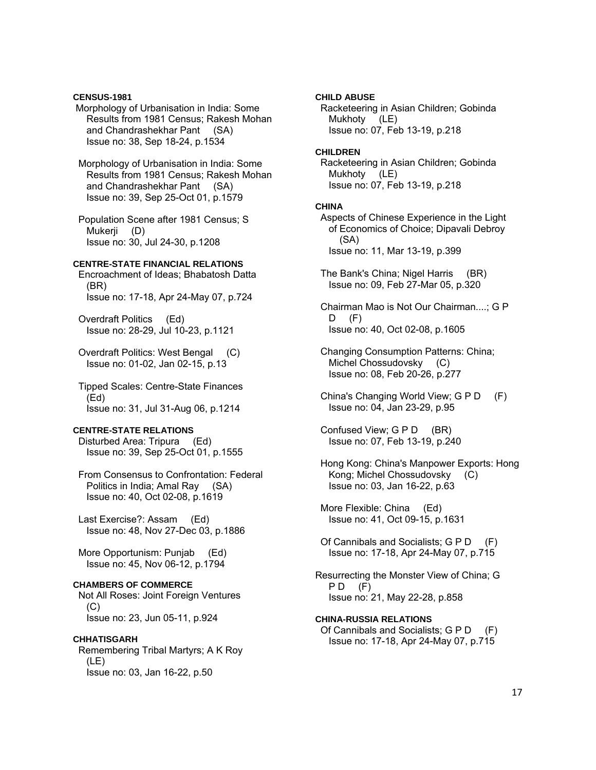### **CENSUS-1981**

 Morphology of Urbanisation in India: Some Results from 1981 Census; Rakesh Mohan and Chandrashekhar Pant (SA) Issue no: 38, Sep 18-24, p.1534

 Morphology of Urbanisation in India: Some Results from 1981 Census; Rakesh Mohan and Chandrashekhar Pant (SA) Issue no: 39, Sep 25-Oct 01, p.1579

 Population Scene after 1981 Census; S Mukerji (D) Issue no: 30, Jul 24-30, p.1208

# **CENTRE-STATE FINANCIAL RELATIONS**

 Encroachment of Ideas; Bhabatosh Datta (BR) Issue no: 17-18, Apr 24-May 07, p.724

 Overdraft Politics (Ed) Issue no: 28-29, Jul 10-23, p.1121

 Overdraft Politics: West Bengal (C) Issue no: 01-02, Jan 02-15, p.13

 Tipped Scales: Centre-State Finances (Ed) Issue no: 31, Jul 31-Aug 06, p.1214

#### **CENTRE-STATE RELATIONS**

 Disturbed Area: Tripura (Ed) Issue no: 39, Sep 25-Oct 01, p.1555

 From Consensus to Confrontation: Federal Politics in India; Amal Ray (SA) Issue no: 40, Oct 02-08, p.1619

 Last Exercise?: Assam (Ed) Issue no: 48, Nov 27-Dec 03, p.1886

 More Opportunism: Punjab (Ed) Issue no: 45, Nov 06-12, p.1794

### **CHAMBERS OF COMMERCE**

 Not All Roses: Joint Foreign Ventures (C) Issue no: 23, Jun 05-11, p.924

#### **CHHATISGARH**

 Remembering Tribal Martyrs; A K Roy (LE) Issue no: 03, Jan 16-22, p.50

# **CHILD ABUSE**

 Racketeering in Asian Children; Gobinda Mukhoty (LE) Issue no: 07, Feb 13-19, p.218

#### **CHILDREN**

 Racketeering in Asian Children; Gobinda Mukhoty (LE) Issue no: 07, Feb 13-19, p.218

#### **CHINA**

 Aspects of Chinese Experience in the Light of Economics of Choice; Dipavali Debroy (SA) Issue no: 11, Mar 13-19, p.399

 The Bank's China; Nigel Harris (BR) Issue no: 09, Feb 27-Mar 05, p.320

 Chairman Mao is Not Our Chairman....; G P D (F) Issue no: 40, Oct 02-08, p.1605

- Changing Consumption Patterns: China; Michel Chossudovsky (C) Issue no: 08, Feb 20-26, p.277
- China's Changing World View; G P D (F) Issue no: 04, Jan 23-29, p.95

 Confused View; G P D (BR) Issue no: 07, Feb 13-19, p.240

 Hong Kong: China's Manpower Exports: Hong Kong; Michel Chossudovsky (C) Issue no: 03, Jan 16-22, p.63

 More Flexible: China (Ed) Issue no: 41, Oct 09-15, p.1631

- Of Cannibals and Socialists; G P D (F) Issue no: 17-18, Apr 24-May 07, p.715
- Resurrecting the Monster View of China; G  $PD$   $(F)$ Issue no: 21, May 22-28, p.858

# **CHINA-RUSSIA RELATIONS**  Of Cannibals and Socialists; G P D (F) Issue no: 17-18, Apr 24-May 07, p.715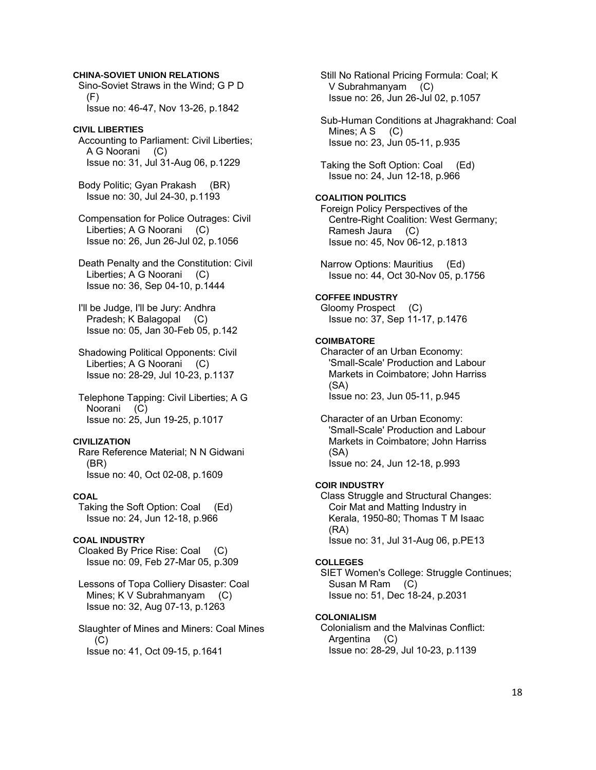## **CHINA-SOVIET UNION RELATIONS**

 Sino-Soviet Straws in the Wind; G P D  $(F)$ Issue no: 46-47, Nov 13-26, p.1842

#### **CIVIL LIBERTIES**

 Accounting to Parliament: Civil Liberties; A G Noorani (C) Issue no: 31, Jul 31-Aug 06, p.1229

 Body Politic; Gyan Prakash (BR) Issue no: 30, Jul 24-30, p.1193

 Compensation for Police Outrages: Civil Liberties; A G Noorani (C) Issue no: 26, Jun 26-Jul 02, p.1056

 Death Penalty and the Constitution: Civil Liberties; A G Noorani (C) Issue no: 36, Sep 04-10, p.1444

 I'll be Judge, I'll be Jury: Andhra Pradesh; K Balagopal (C) Issue no: 05, Jan 30-Feb 05, p.142

 Shadowing Political Opponents: Civil Liberties; A G Noorani (C) Issue no: 28-29, Jul 10-23, p.1137

 Telephone Tapping: Civil Liberties; A G Noorani (C) Issue no: 25, Jun 19-25, p.1017

### **CIVILIZATION**

 Rare Reference Material; N N Gidwani (BR) Issue no: 40, Oct 02-08, p.1609

## **COAL**

 Taking the Soft Option: Coal (Ed) Issue no: 24, Jun 12-18, p.966

# **COAL INDUSTRY**

 Cloaked By Price Rise: Coal (C) Issue no: 09, Feb 27-Mar 05, p.309

 Lessons of Topa Colliery Disaster: Coal Mines; K V Subrahmanyam (C) Issue no: 32, Aug 07-13, p.1263

 Slaughter of Mines and Miners: Coal Mines  $(C)$ Issue no: 41, Oct 09-15, p.1641

 Still No Rational Pricing Formula: Coal; K V Subrahmanyam (C) Issue no: 26, Jun 26-Jul 02, p.1057

 Sub-Human Conditions at Jhagrakhand: Coal Mines;  $AS$  (C) Issue no: 23, Jun 05-11, p.935

 Taking the Soft Option: Coal (Ed) Issue no: 24, Jun 12-18, p.966

# **COALITION POLITICS**

 Foreign Policy Perspectives of the Centre-Right Coalition: West Germany; Ramesh Jaura (C) Issue no: 45, Nov 06-12, p.1813

 Narrow Options: Mauritius (Ed) Issue no: 44, Oct 30-Nov 05, p.1756

# **COFFEE INDUSTRY**

 Gloomy Prospect (C) Issue no: 37, Sep 11-17, p.1476

#### **COIMBATORE**

 Character of an Urban Economy: 'Small-Scale' Production and Labour Markets in Coimbatore; John Harriss (SA) Issue no: 23, Jun 05-11, p.945

 Character of an Urban Economy: 'Small-Scale' Production and Labour Markets in Coimbatore; John Harriss (SA) Issue no: 24, Jun 12-18, p.993

#### **COIR INDUSTRY**

 Class Struggle and Structural Changes: Coir Mat and Matting Industry in Kerala, 1950-80; Thomas T M Isaac (RA) Issue no: 31, Jul 31-Aug 06, p.PE13

#### **COLLEGES**

 SIET Women's College: Struggle Continues; Susan M Ram (C) Issue no: 51, Dec 18-24, p.2031

# **COLONIALISM**

 Colonialism and the Malvinas Conflict: Argentina (C) Issue no: 28-29, Jul 10-23, p.1139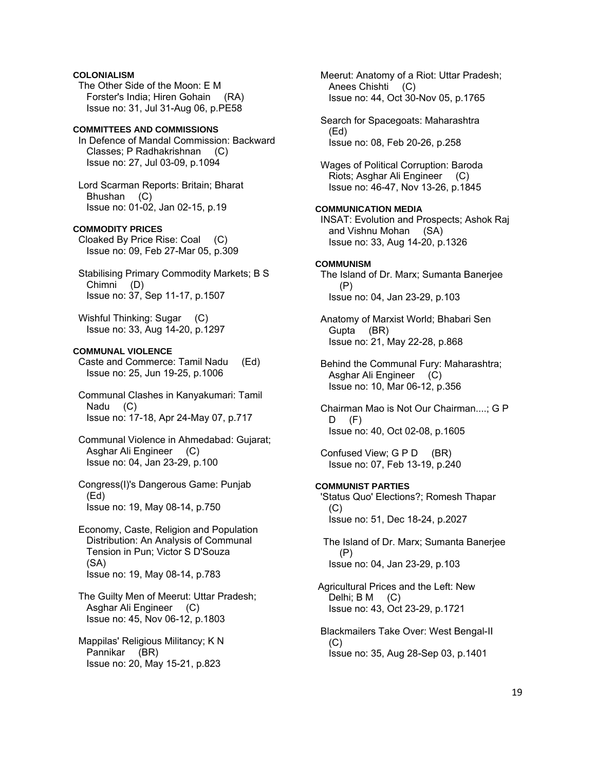# **COLONIALISM**

 The Other Side of the Moon: E M Forster's India; Hiren Gohain (RA) Issue no: 31, Jul 31-Aug 06, p.PE58

# **COMMITTEES AND COMMISSIONS**

 In Defence of Mandal Commission: Backward Classes; P Radhakrishnan (C) Issue no: 27, Jul 03-09, p.1094

 Lord Scarman Reports: Britain; Bharat Bhushan (C) Issue no: 01-02, Jan 02-15, p.19

# **COMMODITY PRICES**

 Cloaked By Price Rise: Coal (C) Issue no: 09, Feb 27-Mar 05, p.309

 Stabilising Primary Commodity Markets; B S Chimni (D) Issue no: 37, Sep 11-17, p.1507

 Wishful Thinking: Sugar (C) Issue no: 33, Aug 14-20, p.1297

### **COMMUNAL VIOLENCE**

 Caste and Commerce: Tamil Nadu (Ed) Issue no: 25, Jun 19-25, p.1006

- Communal Clashes in Kanyakumari: Tamil Nadu (C) Issue no: 17-18, Apr 24-May 07, p.717
- Communal Violence in Ahmedabad: Gujarat; Asghar Ali Engineer (C) Issue no: 04, Jan 23-29, p.100

 Congress(I)'s Dangerous Game: Punjab (Ed) Issue no: 19, May 08-14, p.750

 Economy, Caste, Religion and Population Distribution: An Analysis of Communal Tension in Pun; Victor S D'Souza (SA) Issue no: 19, May 08-14, p.783

 The Guilty Men of Meerut: Uttar Pradesh; Asghar Ali Engineer (C) Issue no: 45, Nov 06-12, p.1803

 Mappilas' Religious Militancy; K N Pannikar (BR) Issue no: 20, May 15-21, p.823

 Meerut: Anatomy of a Riot: Uttar Pradesh; Anees Chishti (C) Issue no: 44, Oct 30-Nov 05, p.1765 Search for Spacegoats: Maharashtra (Ed) Issue no: 08, Feb 20-26, p.258 Wages of Political Corruption: Baroda Riots; Asghar Ali Engineer (C) Issue no: 46-47, Nov 13-26, p.1845 **COMMUNICATION MEDIA**  INSAT: Evolution and Prospects; Ashok Raj and Vishnu Mohan (SA) Issue no: 33, Aug 14-20, p.1326 **COMMUNISM**  The Island of Dr. Marx; Sumanta Banerjee (P) Issue no: 04, Jan 23-29, p.103 Anatomy of Marxist World; Bhabari Sen Gupta (BR) Issue no: 21, May 22-28, p.868 Behind the Communal Fury: Maharashtra; Asghar Ali Engineer (C) Issue no: 10, Mar 06-12, p.356 Chairman Mao is Not Our Chairman....; G P  $D$   $(F)$  Issue no: 40, Oct 02-08, p.1605 Confused View; G P D (BR) Issue no: 07, Feb 13-19, p.240 **COMMUNIST PARTIES**  'Status Quo' Elections?; Romesh Thapar (C) Issue no: 51, Dec 18-24, p.2027 The Island of Dr. Marx; Sumanta Banerjee (P) Issue no: 04, Jan 23-29, p.103 Agricultural Prices and the Left: New Delhi; B M (C) Issue no: 43, Oct 23-29, p.1721 Blackmailers Take Over: West Bengal-II (C) Issue no: 35, Aug 28-Sep 03, p.1401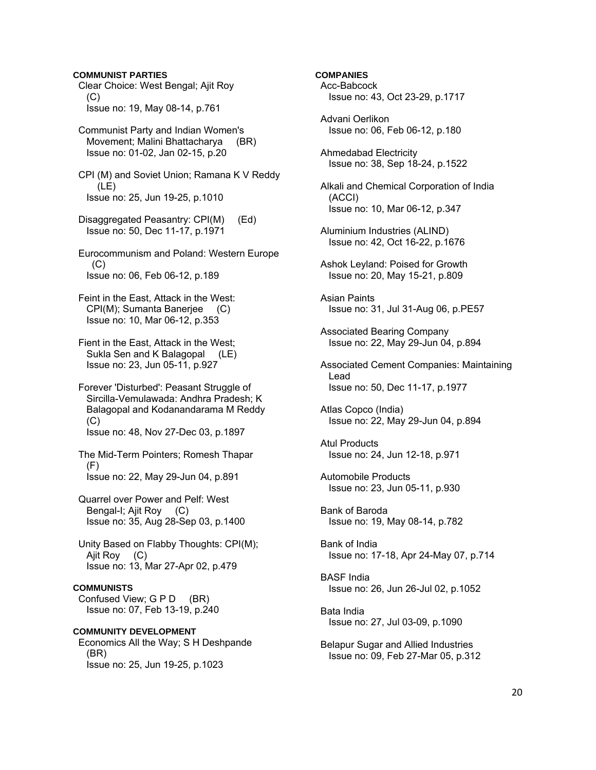**COMMUNIST PARTIES**  Clear Choice: West Bengal; Ajit Roy  $(C)$  Issue no: 19, May 08-14, p.761 Communist Party and Indian Women's Movement; Malini Bhattacharya (BR) Issue no: 01-02, Jan 02-15, p.20 CPI (M) and Soviet Union; Ramana K V Reddy (LE) Issue no: 25, Jun 19-25, p.1010 Disaggregated Peasantry: CPI(M) (Ed) Issue no: 50, Dec 11-17, p.1971 Eurocommunism and Poland: Western Europe  $(C)$  Issue no: 06, Feb 06-12, p.189 Feint in the East, Attack in the West: CPI(M); Sumanta Banerjee (C) Issue no: 10, Mar 06-12, p.353 Fient in the East, Attack in the West; Sukla Sen and K Balagopal (LE) Issue no: 23, Jun 05-11, p.927 Forever 'Disturbed': Peasant Struggle of Sircilla-Vemulawada: Andhra Pradesh; K Balagopal and Kodanandarama M Reddy  $(C)$  Issue no: 48, Nov 27-Dec 03, p.1897 The Mid-Term Pointers; Romesh Thapar (F) Issue no: 22, May 29-Jun 04, p.891 Quarrel over Power and Pelf: West Bengal-I; Ajit Roy (C) Issue no: 35, Aug 28-Sep 03, p.1400 Unity Based on Flabby Thoughts: CPI(M); Ajit Roy (C) Issue no: 13, Mar 27-Apr 02, p.479 **COMMUNISTS**  Confused View; G P D (BR) Issue no: 07, Feb 13-19, p.240 **COMMUNITY DEVELOPMENT**  Economics All the Way; S H Deshpande (BR) Issue no: 25, Jun 19-25, p.1023

### **COMPANIES**

 Acc-Babcock Issue no: 43, Oct 23-29, p.1717

 Advani Oerlikon Issue no: 06, Feb 06-12, p.180

 Ahmedabad Electricity Issue no: 38, Sep 18-24, p.1522

 Alkali and Chemical Corporation of India (ACCI) Issue no: 10, Mar 06-12, p.347

 Aluminium Industries (ALIND) Issue no: 42, Oct 16-22, p.1676

 Ashok Leyland: Poised for Growth Issue no: 20, May 15-21, p.809

 Asian Paints Issue no: 31, Jul 31-Aug 06, p.PE57

 Associated Bearing Company Issue no: 22, May 29-Jun 04, p.894

 Associated Cement Companies: Maintaining Lead Issue no: 50, Dec 11-17, p.1977

 Atlas Copco (India) Issue no: 22, May 29-Jun 04, p.894

 Atul Products Issue no: 24, Jun 12-18, p.971

 Automobile Products Issue no: 23, Jun 05-11, p.930

 Bank of Baroda Issue no: 19, May 08-14, p.782

 Bank of India Issue no: 17-18, Apr 24-May 07, p.714

 BASF India Issue no: 26, Jun 26-Jul 02, p.1052

 Bata India Issue no: 27, Jul 03-09, p.1090

 Belapur Sugar and Allied Industries Issue no: 09, Feb 27-Mar 05, p.312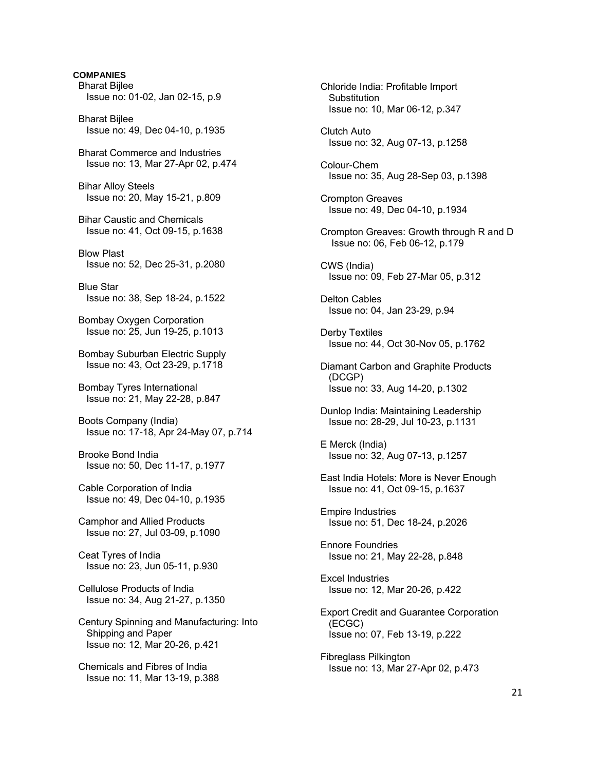**COMPANIES**  Bharat Bijlee Issue no: 01-02, Jan 02-15, p.9 Bharat Bijlee Issue no: 49, Dec 04-10, p.1935 Bharat Commerce and Industries Issue no: 13, Mar 27-Apr 02, p.474 Bihar Alloy Steels Issue no: 20, May 15-21, p.809 Bihar Caustic and Chemicals Issue no: 41, Oct 09-15, p.1638 Blow Plast Issue no: 52, Dec 25-31, p.2080 Blue Star Issue no: 38, Sep 18-24, p.1522 Bombay Oxygen Corporation Issue no: 25, Jun 19-25, p.1013 Bombay Suburban Electric Supply Issue no: 43, Oct 23-29, p.1718 Bombay Tyres International Issue no: 21, May 22-28, p.847 Boots Company (India) Issue no: 17-18, Apr 24-May 07, p.714 Brooke Bond India Issue no: 50, Dec 11-17, p.1977 Cable Corporation of India Issue no: 49, Dec 04-10, p.1935 Camphor and Allied Products Issue no: 27, Jul 03-09, p.1090 Ceat Tyres of India Issue no: 23, Jun 05-11, p.930 Cellulose Products of India Issue no: 34, Aug 21-27, p.1350 Century Spinning and Manufacturing: Into Shipping and Paper Issue no: 12, Mar 20-26, p.421 Chemicals and Fibres of India Issue no: 11, Mar 13-19, p.388

 Chloride India: Profitable Import **Substitution**  Issue no: 10, Mar 06-12, p.347 Clutch Auto Issue no: 32, Aug 07-13, p.1258 Colour-Chem Issue no: 35, Aug 28-Sep 03, p.1398 Crompton Greaves Issue no: 49, Dec 04-10, p.1934 Crompton Greaves: Growth through R and D Issue no: 06, Feb 06-12, p.179 CWS (India) Issue no: 09, Feb 27-Mar 05, p.312 Delton Cables Issue no: 04, Jan 23-29, p.94 Derby Textiles Issue no: 44, Oct 30-Nov 05, p.1762 Diamant Carbon and Graphite Products (DCGP) Issue no: 33, Aug 14-20, p.1302 Dunlop India: Maintaining Leadership Issue no: 28-29, Jul 10-23, p.1131 E Merck (India) Issue no: 32, Aug 07-13, p.1257 East India Hotels: More is Never Enough Issue no: 41, Oct 09-15, p.1637 Empire Industries Issue no: 51, Dec 18-24, p.2026 Ennore Foundries Issue no: 21, May 22-28, p.848 Excel Industries Issue no: 12, Mar 20-26, p.422 Export Credit and Guarantee Corporation (ECGC) Issue no: 07, Feb 13-19, p.222 Fibreglass Pilkington Issue no: 13, Mar 27-Apr 02, p.473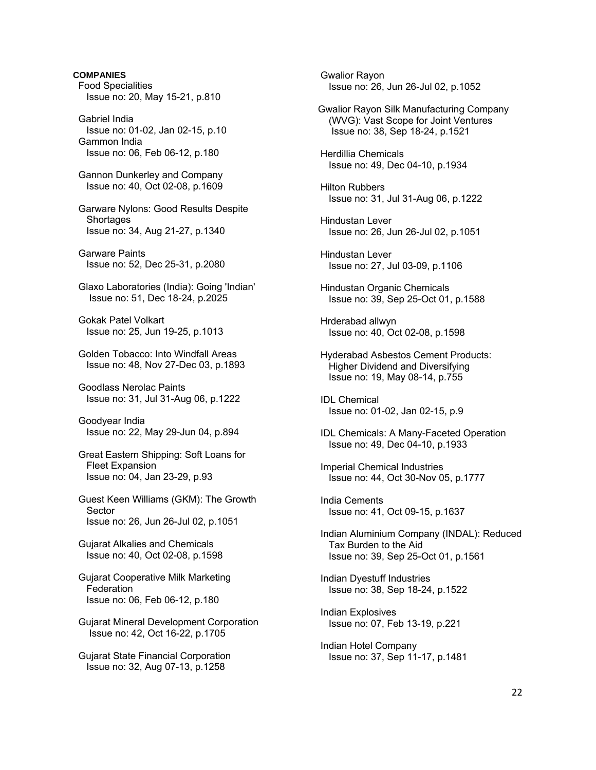**COMPANIES**  Food Specialities Issue no: 20, May 15-21, p.810 Gabriel India Issue no: 01-02, Jan 02-15, p.10 Gammon India Issue no: 06, Feb 06-12, p.180 Gannon Dunkerley and Company Issue no: 40, Oct 02-08, p.1609 Garware Nylons: Good Results Despite **Shortages**  Issue no: 34, Aug 21-27, p.1340 Garware Paints Issue no: 52, Dec 25-31, p.2080 Glaxo Laboratories (India): Going 'Indian' Issue no: 51, Dec 18-24, p.2025 Gokak Patel Volkart Issue no: 25, Jun 19-25, p.1013 Golden Tobacco: Into Windfall Areas Issue no: 48, Nov 27-Dec 03, p.1893 Goodlass Nerolac Paints Issue no: 31, Jul 31-Aug 06, p.1222 Goodyear India Issue no: 22, May 29-Jun 04, p.894 Great Eastern Shipping: Soft Loans for Fleet Expansion Issue no: 04, Jan 23-29, p.93 Guest Keen Williams (GKM): The Growth Sector Issue no: 26, Jun 26-Jul 02, p.1051 Gujarat Alkalies and Chemicals Issue no: 40, Oct 02-08, p.1598 Gujarat Cooperative Milk Marketing **Federation**  Issue no: 06, Feb 06-12, p.180 Gujarat Mineral Development Corporation Issue no: 42, Oct 16-22, p.1705 Gujarat State Financial Corporation Issue no: 32, Aug 07-13, p.1258

 Gwalior Rayon Issue no: 26, Jun 26-Jul 02, p.1052 Gwalior Rayon Silk Manufacturing Company (WVG): Vast Scope for Joint Ventures Issue no: 38, Sep 18-24, p.1521 Herdillia Chemicals Issue no: 49, Dec 04-10, p.1934 Hilton Rubbers Issue no: 31, Jul 31-Aug 06, p.1222 Hindustan Lever Issue no: 26, Jun 26-Jul 02, p.1051 Hindustan Lever Issue no: 27, Jul 03-09, p.1106 Hindustan Organic Chemicals Issue no: 39, Sep 25-Oct 01, p.1588 Hrderabad allwyn Issue no: 40, Oct 02-08, p.1598 Hyderabad Asbestos Cement Products: Higher Dividend and Diversifying Issue no: 19, May 08-14, p.755 IDL Chemical Issue no: 01-02, Jan 02-15, p.9 IDL Chemicals: A Many-Faceted Operation Issue no: 49, Dec 04-10, p.1933 Imperial Chemical Industries Issue no: 44, Oct 30-Nov 05, p.1777 India Cements Issue no: 41, Oct 09-15, p.1637 Indian Aluminium Company (INDAL): Reduced Tax Burden to the Aid Issue no: 39, Sep 25-Oct 01, p.1561 Indian Dyestuff Industries Issue no: 38, Sep 18-24, p.1522 Indian Explosives Issue no: 07, Feb 13-19, p.221 Indian Hotel Company Issue no: 37, Sep 11-17, p.1481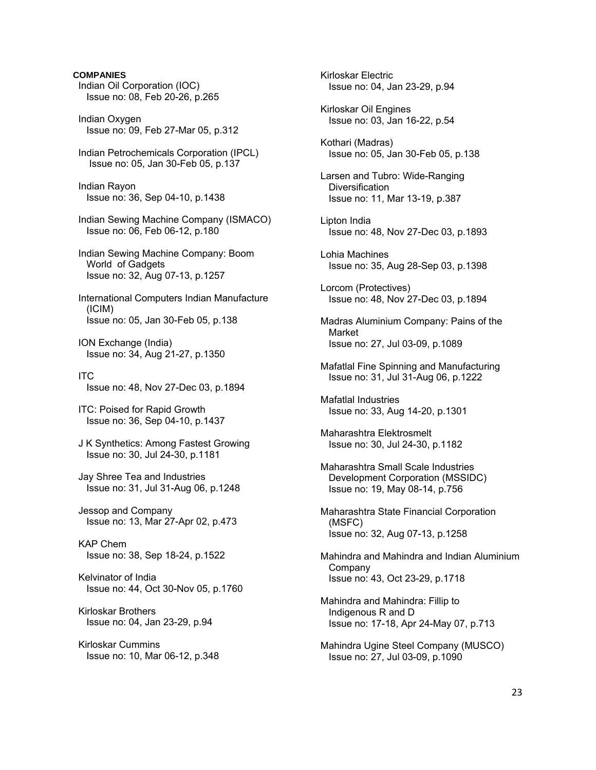**COMPANIES**  Indian Oil Corporation (IOC) Issue no: 08, Feb 20-26, p.265 Indian Oxygen Issue no: 09, Feb 27-Mar 05, p.312 Indian Petrochemicals Corporation (IPCL) Issue no: 05, Jan 30-Feb 05, p.137 Indian Rayon Issue no: 36, Sep 04-10, p.1438 Indian Sewing Machine Company (ISMACO) Issue no: 06, Feb 06-12, p.180 Indian Sewing Machine Company: Boom World of Gadgets Issue no: 32, Aug 07-13, p.1257 International Computers Indian Manufacture (ICIM) Issue no: 05, Jan 30-Feb 05, p.138 ION Exchange (India) Issue no: 34, Aug 21-27, p.1350 ITC Issue no: 48, Nov 27-Dec 03, p.1894 ITC: Poised for Rapid Growth Issue no: 36, Sep 04-10, p.1437 J K Synthetics: Among Fastest Growing Issue no: 30, Jul 24-30, p.1181 Jay Shree Tea and Industries Issue no: 31, Jul 31-Aug 06, p.1248 Jessop and Company Issue no: 13, Mar 27-Apr 02, p.473 KAP Chem Issue no: 38, Sep 18-24, p.1522 Kelvinator of India Issue no: 44, Oct 30-Nov 05, p.1760 Kirloskar Brothers Issue no: 04, Jan 23-29, p.94 Kirloskar Cummins

Issue no: 10, Mar 06-12, p.348

 Kirloskar Electric Issue no: 04, Jan 23-29, p.94 Kirloskar Oil Engines Issue no: 03, Jan 16-22, p.54 Kothari (Madras) Issue no: 05, Jan 30-Feb 05, p.138 Larsen and Tubro: Wide-Ranging **Diversification**  Issue no: 11, Mar 13-19, p.387 Lipton India Issue no: 48, Nov 27-Dec 03, p.1893 Lohia Machines Issue no: 35, Aug 28-Sep 03, p.1398 Lorcom (Protectives) Issue no: 48, Nov 27-Dec 03, p.1894 Madras Aluminium Company: Pains of the Market Issue no: 27, Jul 03-09, p.1089 Mafatlal Fine Spinning and Manufacturing Issue no: 31, Jul 31-Aug 06, p.1222 Mafatlal Industries Issue no: 33, Aug 14-20, p.1301 Maharashtra Elektrosmelt Issue no: 30, Jul 24-30, p.1182 Maharashtra Small Scale Industries Development Corporation (MSSIDC) Issue no: 19, May 08-14, p.756 Maharashtra State Financial Corporation (MSFC) Issue no: 32, Aug 07-13, p.1258 Mahindra and Mahindra and Indian Aluminium **Company**  Issue no: 43, Oct 23-29, p.1718 Mahindra and Mahindra: Fillip to Indigenous R and D Issue no: 17-18, Apr 24-May 07, p.713 Mahindra Ugine Steel Company (MUSCO) Issue no: 27, Jul 03-09, p.1090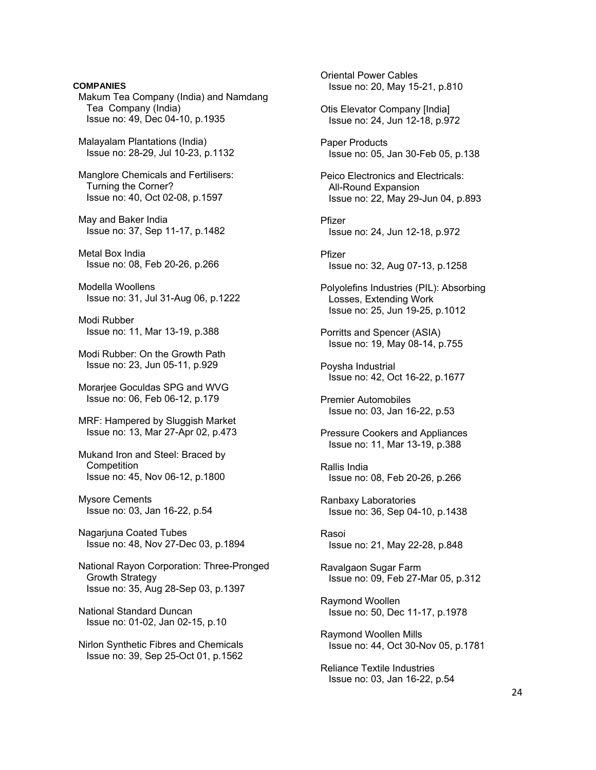**COMPANIES**  Makum Tea Company (India) and Namdang Tea Company (India) Issue no: 49, Dec 04-10, p.1935 Malayalam Plantations (India) Issue no: 28-29, Jul 10-23, p.1132 Manglore Chemicals and Fertilisers: Turning the Corner? Issue no: 40, Oct 02-08, p.1597 May and Baker India Issue no: 37, Sep 11-17, p.1482 Metal Box India Issue no: 08, Feb 20-26, p.266 Modella Woollens Issue no: 31, Jul 31-Aug 06, p.1222 Modi Rubber Issue no: 11, Mar 13-19, p.388 Modi Rubber: On the Growth Path Issue no: 23, Jun 05-11, p.929 Morarjee Goculdas SPG and WVG Issue no: 06, Feb 06-12, p.179 MRF: Hampered by Sluggish Market Issue no: 13, Mar 27-Apr 02, p.473 Mukand Iron and Steel: Braced by **Competition**  Issue no: 45, Nov 06-12, p.1800 Mysore Cements Issue no: 03, Jan 16-22, p.54 Nagarjuna Coated Tubes Issue no: 48, Nov 27-Dec 03, p.1894 National Rayon Corporation: Three-Pronged Growth Strategy Issue no: 35, Aug 28-Sep 03, p.1397 National Standard Duncan Issue no: 01-02, Jan 02-15, p.10 Nirlon Synthetic Fibres and Chemicals Issue no: 39, Sep 25-Oct 01, p.1562

 Oriental Power Cables Issue no: 20, May 15-21, p.810 Otis Elevator Company [India] Issue no: 24, Jun 12-18, p.972 Paper Products Issue no: 05, Jan 30-Feb 05, p.138 Peico Electronics and Electricals: All-Round Expansion Issue no: 22, May 29-Jun 04, p.893 Pfizer Issue no: 24, Jun 12-18, p.972 Pfizer Issue no: 32, Aug 07-13, p.1258 Polyolefins Industries (PIL): Absorbing Losses, Extending Work Issue no: 25, Jun 19-25, p.1012 Porritts and Spencer (ASIA) Issue no: 19, May 08-14, p.755 Poysha Industrial Issue no: 42, Oct 16-22, p.1677 Premier Automobiles Issue no: 03, Jan 16-22, p.53 Pressure Cookers and Appliances Issue no: 11, Mar 13-19, p.388 Rallis India Issue no: 08, Feb 20-26, p.266 Ranbaxy Laboratories Issue no: 36, Sep 04-10, p.1438 Rasoi Issue no: 21, May 22-28, p.848 Ravalgaon Sugar Farm Issue no: 09, Feb 27-Mar 05, p.312 Raymond Woollen Issue no: 50, Dec 11-17, p.1978 Raymond Woollen Mills Issue no: 44, Oct 30-Nov 05, p.1781 Reliance Textile Industries Issue no: 03, Jan 16-22, p.54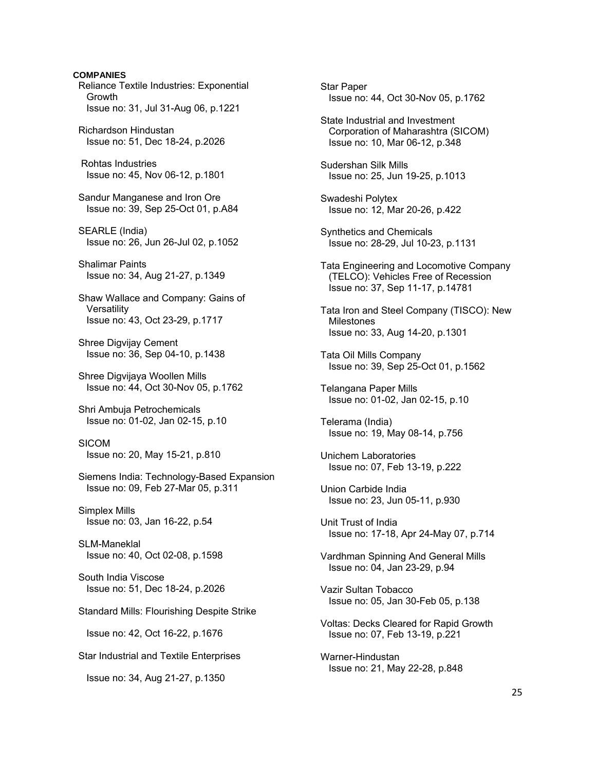**COMPANIES**  Reliance Textile Industries: Exponential Growth Issue no: 31, Jul 31-Aug 06, p.1221 Richardson Hindustan Issue no: 51, Dec 18-24, p.2026 Rohtas Industries Issue no: 45, Nov 06-12, p.1801 Sandur Manganese and Iron Ore Issue no: 39, Sep 25-Oct 01, p.A84 SEARLE (India) Issue no: 26, Jun 26-Jul 02, p.1052 Shalimar Paints Issue no: 34, Aug 21-27, p.1349 Shaw Wallace and Company: Gains of **Versatility**  Issue no: 43, Oct 23-29, p.1717 Shree Digvijay Cement Issue no: 36, Sep 04-10, p.1438 Shree Digvijaya Woollen Mills Issue no: 44, Oct 30-Nov 05, p.1762 Shri Ambuja Petrochemicals Issue no: 01-02, Jan 02-15, p.10 SICOM Issue no: 20, May 15-21, p.810 Siemens India: Technology-Based Expansion Issue no: 09, Feb 27-Mar 05, p.311 Simplex Mills Issue no: 03, Jan 16-22, p.54 SLM-Maneklal Issue no: 40, Oct 02-08, p.1598 South India Viscose Issue no: 51, Dec 18-24, p.2026 Standard Mills: Flourishing Despite Strike Issue no: 42, Oct 16-22, p.1676 Star Industrial and Textile Enterprises Issue no: 34, Aug 21-27, p.1350

 Star Paper Issue no: 44, Oct 30-Nov 05, p.1762 State Industrial and Investment Corporation of Maharashtra (SICOM) Issue no: 10, Mar 06-12, p.348 Sudershan Silk Mills Issue no: 25, Jun 19-25, p.1013 Swadeshi Polytex Issue no: 12, Mar 20-26, p.422 Synthetics and Chemicals Issue no: 28-29, Jul 10-23, p.1131 Tata Engineering and Locomotive Company (TELCO): Vehicles Free of Recession Issue no: 37, Sep 11-17, p.14781 Tata Iron and Steel Company (TISCO): New Milestones Issue no: 33, Aug 14-20, p.1301 Tata Oil Mills Company Issue no: 39, Sep 25-Oct 01, p.1562 Telangana Paper Mills Issue no: 01-02, Jan 02-15, p.10 Telerama (India) Issue no: 19, May 08-14, p.756 Unichem Laboratories Issue no: 07, Feb 13-19, p.222 Union Carbide India Issue no: 23, Jun 05-11, p.930 Unit Trust of India Issue no: 17-18, Apr 24-May 07, p.714 Vardhman Spinning And General Mills Issue no: 04, Jan 23-29, p.94 Vazir Sultan Tobacco Issue no: 05, Jan 30-Feb 05, p.138 Voltas: Decks Cleared for Rapid Growth Issue no: 07, Feb 13-19, p.221 Warner-Hindustan Issue no: 21, May 22-28, p.848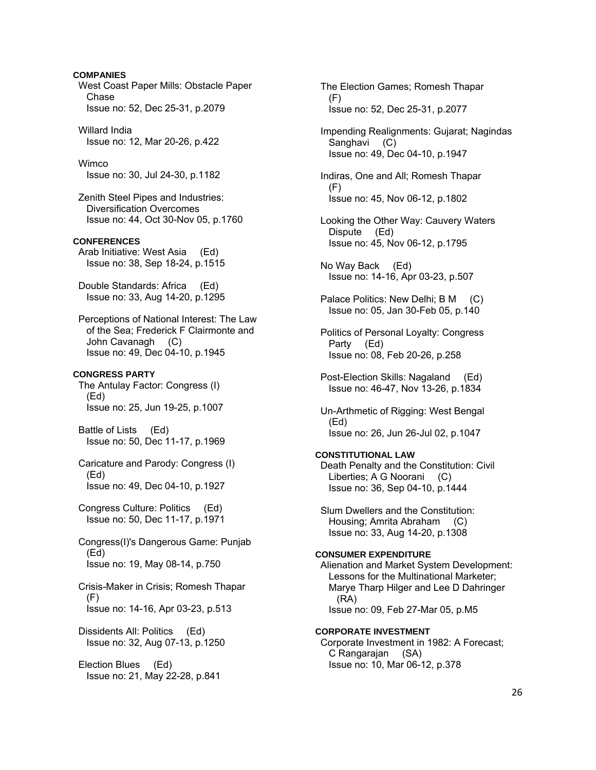West Coast Paper Mills: Obstacle Paper Chase Issue no: 52, Dec 25-31, p.2079 Willard India Issue no: 12, Mar 20-26, p.422 Wimco Issue no: 30, Jul 24-30, p.1182 Zenith Steel Pipes and Industries: Diversification Overcomes Issue no: 44, Oct 30-Nov 05, p.1760 **CONFERENCES**  Arab Initiative: West Asia (Ed) Issue no: 38, Sep 18-24, p.1515 Double Standards: Africa (Ed) Issue no: 33, Aug 14-20, p.1295

**COMPANIES** 

 Perceptions of National Interest: The Law of the Sea; Frederick F Clairmonte and John Cavanagh (C) Issue no: 49, Dec 04-10, p.1945

**CONGRESS PARTY**  The Antulay Factor: Congress (I) (Ed) Issue no: 25, Jun 19-25, p.1007

 Battle of Lists (Ed) Issue no: 50, Dec 11-17, p.1969

 Caricature and Parody: Congress (I) (Ed) Issue no: 49, Dec 04-10, p.1927

 Congress Culture: Politics (Ed) Issue no: 50, Dec 11-17, p.1971

 Congress(I)'s Dangerous Game: Punjab (Ed) Issue no: 19, May 08-14, p.750

 Crisis-Maker in Crisis; Romesh Thapar  $(F)$ Issue no: 14-16, Apr 03-23, p.513

 Dissidents All: Politics (Ed) Issue no: 32, Aug 07-13, p.1250

 Election Blues (Ed) Issue no: 21, May 22-28, p.841  The Election Games; Romesh Thapar (F) Issue no: 52, Dec 25-31, p.2077

 Impending Realignments: Gujarat; Nagindas Sanghavi (C) Issue no: 49, Dec 04-10, p.1947

 Indiras, One and All; Romesh Thapar (F) Issue no: 45, Nov 06-12, p.1802

 Looking the Other Way: Cauvery Waters Dispute (Ed) Issue no: 45, Nov 06-12, p.1795

 No Way Back (Ed) Issue no: 14-16, Apr 03-23, p.507

Palace Politics: New Delhi; B M (C) Issue no: 05, Jan 30-Feb 05, p.140

 Politics of Personal Loyalty: Congress Party (Ed) Issue no: 08, Feb 20-26, p.258

 Post-Election Skills: Nagaland (Ed) Issue no: 46-47, Nov 13-26, p.1834

 Un-Arthmetic of Rigging: West Bengal (Ed) Issue no: 26, Jun 26-Jul 02, p.1047

# **CONSTITUTIONAL LAW**

 Death Penalty and the Constitution: Civil Liberties; A G Noorani (C) Issue no: 36, Sep 04-10, p.1444

 Slum Dwellers and the Constitution: Housing; Amrita Abraham (C) Issue no: 33, Aug 14-20, p.1308

#### **CONSUMER EXPENDITURE**

 Alienation and Market System Development: Lessons for the Multinational Marketer; Marye Tharp Hilger and Lee D Dahringer (RA) Issue no: 09, Feb 27-Mar 05, p.M5

**CORPORATE INVESTMENT** 

 Corporate Investment in 1982: A Forecast; C Rangarajan (SA) Issue no: 10, Mar 06-12, p.378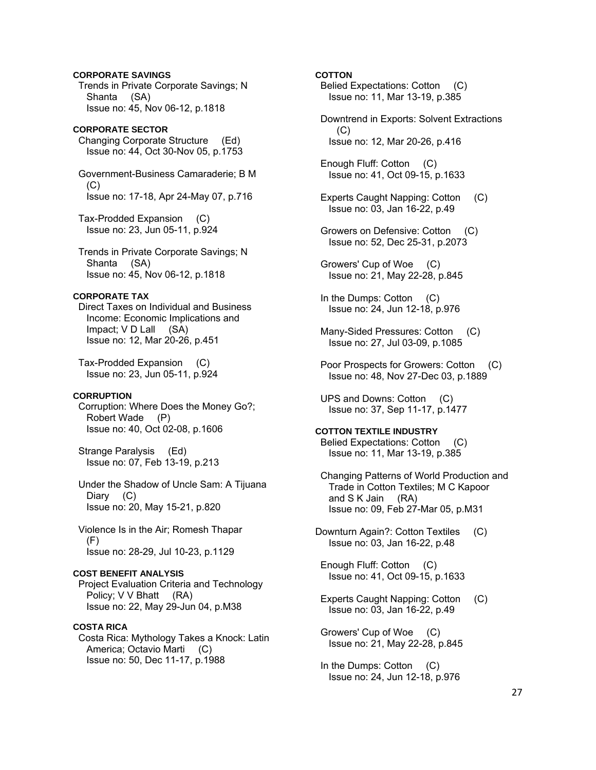# **CORPORATE SAVINGS**

 Trends in Private Corporate Savings; N Shanta (SA) Issue no: 45, Nov 06-12, p.1818

# **CORPORATE SECTOR**

 Changing Corporate Structure (Ed) Issue no: 44, Oct 30-Nov 05, p.1753

 Government-Business Camaraderie; B M (C) Issue no: 17-18, Apr 24-May 07, p.716

 Tax-Prodded Expansion (C) Issue no: 23, Jun 05-11, p.924

 Trends in Private Corporate Savings; N Shanta (SA) Issue no: 45, Nov 06-12, p.1818

# **CORPORATE TAX**

 Direct Taxes on Individual and Business Income: Economic Implications and Impact; V D Lall (SA) Issue no: 12, Mar 20-26, p.451

 Tax-Prodded Expansion (C) Issue no: 23, Jun 05-11, p.924

# **CORRUPTION**

 Corruption: Where Does the Money Go?; Robert Wade (P) Issue no: 40, Oct 02-08, p.1606

 Strange Paralysis (Ed) Issue no: 07, Feb 13-19, p.213

 Under the Shadow of Uncle Sam: A Tijuana Diary (C) Issue no: 20, May 15-21, p.820

 Violence Is in the Air; Romesh Thapar  $(F)$ Issue no: 28-29, Jul 10-23, p.1129

### **COST BENEFIT ANALYSIS**

 Project Evaluation Criteria and Technology Policy; V V Bhatt (RA) Issue no: 22, May 29-Jun 04, p.M38

# **COSTA RICA**

 Costa Rica: Mythology Takes a Knock: Latin America; Octavio Marti (C) Issue no: 50, Dec 11-17, p.1988

## **COTTON**

 Belied Expectations: Cotton (C) Issue no: 11, Mar 13-19, p.385

 Downtrend in Exports: Solvent Extractions  $(C)$ Issue no: 12, Mar 20-26, p.416

 Enough Fluff: Cotton (C) Issue no: 41, Oct 09-15, p.1633

 Experts Caught Napping: Cotton (C) Issue no: 03, Jan 16-22, p.49

 Growers on Defensive: Cotton (C) Issue no: 52, Dec 25-31, p.2073

 Growers' Cup of Woe (C) Issue no: 21, May 22-28, p.845

 In the Dumps: Cotton (C) Issue no: 24, Jun 12-18, p.976

Many-Sided Pressures: Cotton (C) Issue no: 27, Jul 03-09, p.1085

 Poor Prospects for Growers: Cotton (C) Issue no: 48, Nov 27-Dec 03, p.1889

 UPS and Downs: Cotton (C) Issue no: 37, Sep 11-17, p.1477

### **COTTON TEXTILE INDUSTRY**  Belied Expectations: Cotton (C) Issue no: 11, Mar 13-19, p.385

 Changing Patterns of World Production and Trade in Cotton Textiles; M C Kapoor and S K Jain (RA) Issue no: 09, Feb 27-Mar 05, p.M31

Downturn Again?: Cotton Textiles (C) Issue no: 03, Jan 16-22, p.48

 Enough Fluff: Cotton (C) Issue no: 41, Oct 09-15, p.1633

- Experts Caught Napping: Cotton (C) Issue no: 03, Jan 16-22, p.49
- Growers' Cup of Woe (C) Issue no: 21, May 22-28, p.845
- In the Dumps: Cotton (C) Issue no: 24, Jun 12-18, p.976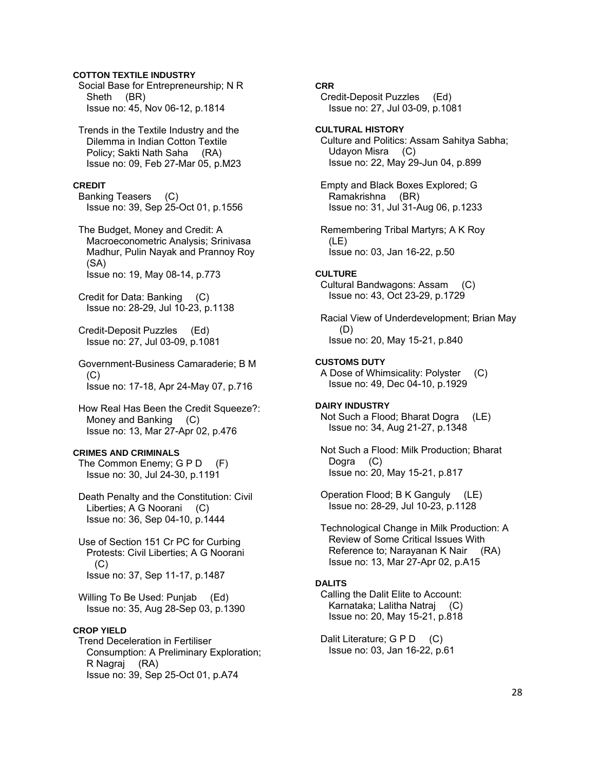# **COTTON TEXTILE INDUSTRY**

 Social Base for Entrepreneurship; N R Sheth (BR) Issue no: 45, Nov 06-12, p.1814

 Trends in the Textile Industry and the Dilemma in Indian Cotton Textile Policy; Sakti Nath Saha (RA) Issue no: 09, Feb 27-Mar 05, p.M23

### **CREDIT**

 Banking Teasers (C) Issue no: 39, Sep 25-Oct 01, p.1556

 The Budget, Money and Credit: A Macroeconometric Analysis; Srinivasa Madhur, Pulin Nayak and Prannoy Roy (SA) Issue no: 19, May 08-14, p.773

 Credit for Data: Banking (C) Issue no: 28-29, Jul 10-23, p.1138

 Credit-Deposit Puzzles (Ed) Issue no: 27, Jul 03-09, p.1081

- Government-Business Camaraderie; B M  $(C)$ Issue no: 17-18, Apr 24-May 07, p.716
- How Real Has Been the Credit Squeeze?: Money and Banking (C) Issue no: 13, Mar 27-Apr 02, p.476

#### **CRIMES AND CRIMINALS**

The Common Enemy; G P D (F) Issue no: 30, Jul 24-30, p.1191

 Death Penalty and the Constitution: Civil Liberties; A G Noorani (C) Issue no: 36, Sep 04-10, p.1444

 Use of Section 151 Cr PC for Curbing Protests: Civil Liberties; A G Noorani  $(C)$ Issue no: 37, Sep 11-17, p.1487

Willing To Be Used: Punjab (Ed) Issue no: 35, Aug 28-Sep 03, p.1390

# **CROP YIELD**

 Trend Deceleration in Fertiliser Consumption: A Preliminary Exploration; R Nagraj (RA) Issue no: 39, Sep 25-Oct 01, p.A74

### **CRR**

 Credit-Deposit Puzzles (Ed) Issue no: 27, Jul 03-09, p.1081

### **CULTURAL HISTORY**  Culture and Politics: Assam Sahitya Sabha; Udayon Misra (C)

Issue no: 22, May 29-Jun 04, p.899

 Empty and Black Boxes Explored; G Ramakrishna (BR) Issue no: 31, Jul 31-Aug 06, p.1233

 Remembering Tribal Martyrs; A K Roy (LE) Issue no: 03, Jan 16-22, p.50

#### **CULTURE**

 Cultural Bandwagons: Assam (C) Issue no: 43, Oct 23-29, p.1729

 Racial View of Underdevelopment; Brian May (D) Issue no: 20, May 15-21, p.840

#### **CUSTOMS DUTY**

 A Dose of Whimsicality: Polyster (C) Issue no: 49, Dec 04-10, p.1929

### **DAIRY INDUSTRY**

 Not Such a Flood; Bharat Dogra (LE) Issue no: 34, Aug 21-27, p.1348

 Not Such a Flood: Milk Production; Bharat Dogra (C) Issue no: 20, May 15-21, p.817

 Operation Flood; B K Ganguly (LE) Issue no: 28-29, Jul 10-23, p.1128

 Technological Change in Milk Production: A Review of Some Critical Issues With Reference to; Narayanan K Nair (RA) Issue no: 13, Mar 27-Apr 02, p.A15

# **DALITS**

 Calling the Dalit Elite to Account: Karnataka; Lalitha Natraj (C) Issue no: 20, May 15-21, p.818

Dalit Literature: G P D (C) Issue no: 03, Jan 16-22, p.61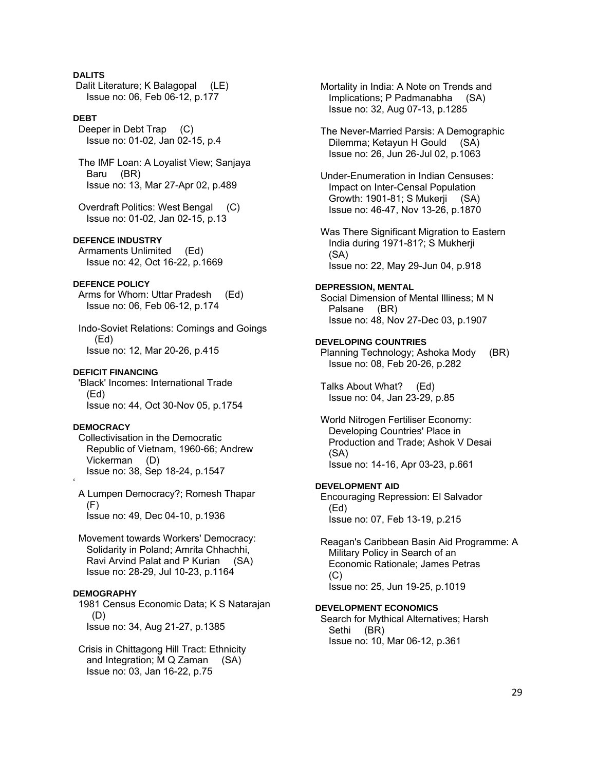# **DALITS**

Dalit Literature; K Balagopal (LE) Issue no: 06, Feb 06-12, p.177

# **DEBT**

 Deeper in Debt Trap (C) Issue no: 01-02, Jan 02-15, p.4

 The IMF Loan: A Loyalist View; Sanjaya Baru (BR) Issue no: 13, Mar 27-Apr 02, p.489

 Overdraft Politics: West Bengal (C) Issue no: 01-02, Jan 02-15, p.13

# **DEFENCE INDUSTRY**

 Armaments Unlimited (Ed) Issue no: 42, Oct 16-22, p.1669

# **DEFENCE POLICY**

 Arms for Whom: Uttar Pradesh (Ed) Issue no: 06, Feb 06-12, p.174

 Indo-Soviet Relations: Comings and Goings (Ed) Issue no: 12, Mar 20-26, p.415

#### **DEFICIT FINANCING**

 'Black' Incomes: International Trade (Ed) Issue no: 44, Oct 30-Nov 05, p.1754

### **DEMOCRACY**

 $^{\circ}$ 

 Collectivisation in the Democratic Republic of Vietnam, 1960-66; Andrew Vickerman (D) Issue no: 38, Sep 18-24, p.1547

 A Lumpen Democracy?; Romesh Thapar (F) Issue no: 49, Dec 04-10, p.1936

 Movement towards Workers' Democracy: Solidarity in Poland; Amrita Chhachhi, Ravi Arvind Palat and P Kurian (SA) Issue no: 28-29, Jul 10-23, p.1164

# **DEMOGRAPHY**

 1981 Census Economic Data; K S Natarajan (D) Issue no: 34, Aug 21-27, p.1385

 Crisis in Chittagong Hill Tract: Ethnicity and Integration; M Q Zaman (SA) Issue no: 03, Jan 16-22, p.75

 Mortality in India: A Note on Trends and Implications; P Padmanabha (SA) Issue no: 32, Aug 07-13, p.1285

 The Never-Married Parsis: A Demographic Dilemma; Ketayun H Gould (SA) Issue no: 26, Jun 26-Jul 02, p.1063

 Under-Enumeration in Indian Censuses: Impact on Inter-Censal Population Growth: 1901-81; S Mukerji (SA) Issue no: 46-47, Nov 13-26, p.1870

 Was There Significant Migration to Eastern India during 1971-81?; S Mukherji (SA) Issue no: 22, May 29-Jun 04, p.918

#### **DEPRESSION, MENTAL**

 Social Dimension of Mental Illiness; M N Palsane (BR) Issue no: 48, Nov 27-Dec 03, p.1907

### **DEVELOPING COUNTRIES**

 Planning Technology; Ashoka Mody (BR) Issue no: 08, Feb 20-26, p.282

 Talks About What? (Ed) Issue no: 04, Jan 23-29, p.85

 World Nitrogen Fertiliser Economy: Developing Countries' Place in Production and Trade; Ashok V Desai (SA) Issue no: 14-16, Apr 03-23, p.661

# **DEVELOPMENT AID**

 Encouraging Repression: El Salvador (Ed) Issue no: 07, Feb 13-19, p.215

 Reagan's Caribbean Basin Aid Programme: A Military Policy in Search of an Economic Rationale; James Petras  $(C)$ Issue no: 25, Jun 19-25, p.1019

#### **DEVELOPMENT ECONOMICS**

 Search for Mythical Alternatives; Harsh Sethi (BR) Issue no: 10, Mar 06-12, p.361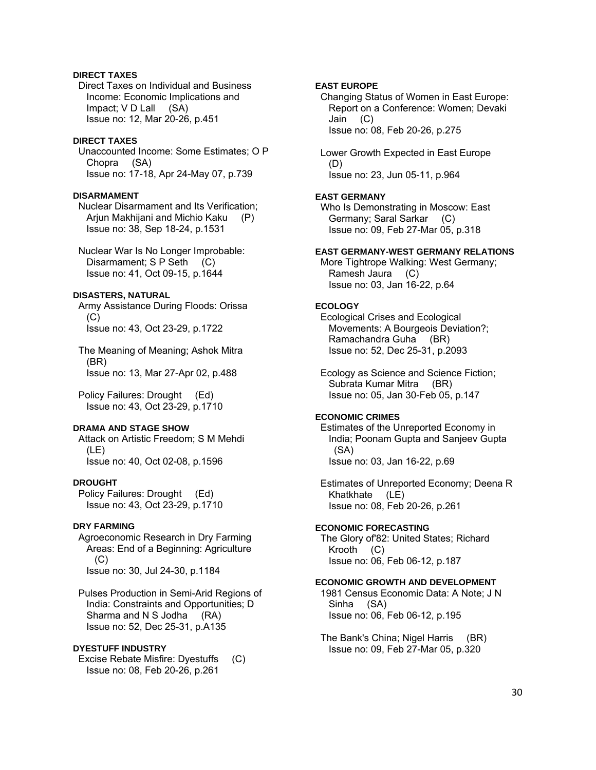# **DIRECT TAXES**

 Direct Taxes on Individual and Business Income: Economic Implications and Impact; V D Lall (SA) Issue no: 12, Mar 20-26, p.451

### **DIRECT TAXES**

 Unaccounted Income: Some Estimates; O P Chopra (SA) Issue no: 17-18, Apr 24-May 07, p.739

# **DISARMAMENT**

 Nuclear Disarmament and Its Verification; Arjun Makhijani and Michio Kaku (P) Issue no: 38, Sep 18-24, p.1531

 Nuclear War Is No Longer Improbable: Disarmament; S P Seth (C) Issue no: 41, Oct 09-15, p.1644

## **DISASTERS, NATURAL**

 Army Assistance During Floods: Orissa  $(C)$ 

Issue no: 43, Oct 23-29, p.1722

 The Meaning of Meaning; Ashok Mitra (BR) Issue no: 13, Mar 27-Apr 02, p.488

 Policy Failures: Drought (Ed) Issue no: 43, Oct 23-29, p.1710

# **DRAMA AND STAGE SHOW**

 Attack on Artistic Freedom; S M Mehdi (LE) Issue no: 40, Oct 02-08, p.1596

# **DROUGHT**

 Policy Failures: Drought (Ed) Issue no: 43, Oct 23-29, p.1710

#### **DRY FARMING**

 Agroeconomic Research in Dry Farming Areas: End of a Beginning: Agriculture  $(C)$ Issue no: 30, Jul 24-30, p.1184

 Pulses Production in Semi-Arid Regions of India: Constraints and Opportunities; D Sharma and N S Jodha (RA) Issue no: 52, Dec 25-31, p.A135

### **DYESTUFF INDUSTRY**

 Excise Rebate Misfire: Dyestuffs (C) Issue no: 08, Feb 20-26, p.261

# **EAST EUROPE**

 Changing Status of Women in East Europe: Report on a Conference: Women; Devaki Jain (C) Issue no: 08, Feb 20-26, p.275

 Lower Growth Expected in East Europe (D) Issue no: 23, Jun 05-11, p.964

### **EAST GERMANY**

 Who Is Demonstrating in Moscow: East Germany; Saral Sarkar (C) Issue no: 09, Feb 27-Mar 05, p.318

# **EAST GERMANY-WEST GERMANY RELATIONS**

 More Tightrope Walking: West Germany; Ramesh Jaura (C) Issue no: 03, Jan 16-22, p.64

# **ECOLOGY**

 Ecological Crises and Ecological Movements: A Bourgeois Deviation?; Ramachandra Guha (BR) Issue no: 52, Dec 25-31, p.2093

 Ecology as Science and Science Fiction; Subrata Kumar Mitra (BR) Issue no: 05, Jan 30-Feb 05, p.147

### **ECONOMIC CRIMES**

 Estimates of the Unreported Economy in India; Poonam Gupta and Sanjeev Gupta (SA) Issue no: 03, Jan 16-22, p.69

 Estimates of Unreported Economy; Deena R Khatkhate (LE) Issue no: 08, Feb 20-26, p.261

#### **ECONOMIC FORECASTING**

 The Glory of'82: United States; Richard Krooth (C) Issue no: 06, Feb 06-12, p.187

# **ECONOMIC GROWTH AND DEVELOPMENT**

 1981 Census Economic Data: A Note; J N Sinha (SA) Issue no: 06, Feb 06-12, p.195

 The Bank's China; Nigel Harris (BR) Issue no: 09, Feb 27-Mar 05, p.320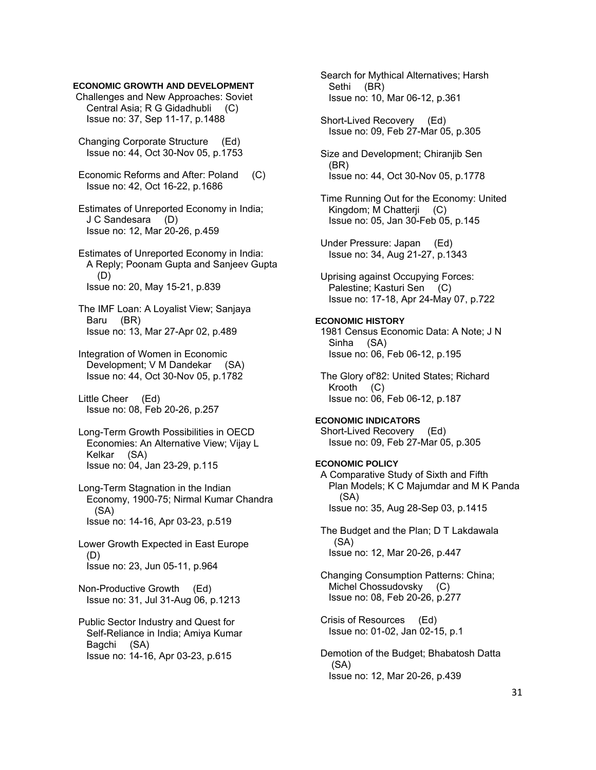### **ECONOMIC GROWTH AND DEVELOPMENT**

 Challenges and New Approaches: Soviet Central Asia; R G Gidadhubli (C) Issue no: 37, Sep 11-17, p.1488

- Changing Corporate Structure (Ed) Issue no: 44, Oct 30-Nov 05, p.1753
- Economic Reforms and After: Poland (C) Issue no: 42, Oct 16-22, p.1686
- Estimates of Unreported Economy in India; J C Sandesara (D) Issue no: 12, Mar 20-26, p.459

 Estimates of Unreported Economy in India: A Reply; Poonam Gupta and Sanjeev Gupta (D) Issue no: 20, May 15-21, p.839

- The IMF Loan: A Loyalist View; Sanjaya Baru (BR) Issue no: 13, Mar 27-Apr 02, p.489
- Integration of Women in Economic Development; V M Dandekar (SA) Issue no: 44, Oct 30-Nov 05, p.1782

 Little Cheer (Ed) Issue no: 08, Feb 20-26, p.257

 Long-Term Growth Possibilities in OECD Economies: An Alternative View; Vijay L Kelkar (SA) Issue no: 04, Jan 23-29, p.115

 Long-Term Stagnation in the Indian Economy, 1900-75; Nirmal Kumar Chandra (SA) Issue no: 14-16, Apr 03-23, p.519

- Lower Growth Expected in East Europe (D) Issue no: 23, Jun 05-11, p.964
- Non-Productive Growth (Ed) Issue no: 31, Jul 31-Aug 06, p.1213
- Public Sector Industry and Quest for Self-Reliance in India; Amiya Kumar Bagchi (SA) Issue no: 14-16, Apr 03-23, p.615

 Search for Mythical Alternatives; Harsh Sethi (BR) Issue no: 10, Mar 06-12, p.361

- Short-Lived Recovery (Ed) Issue no: 09, Feb 27-Mar 05, p.305
- Size and Development; Chiranjib Sen (BR) Issue no: 44, Oct 30-Nov 05, p.1778
- Time Running Out for the Economy: United Kingdom; M Chatterji (C) Issue no: 05, Jan 30-Feb 05, p.145
- Under Pressure: Japan (Ed) Issue no: 34, Aug 21-27, p.1343
- Uprising against Occupying Forces: Palestine; Kasturi Sen (C) Issue no: 17-18, Apr 24-May 07, p.722

## **ECONOMIC HISTORY**

 1981 Census Economic Data: A Note; J N Sinha (SA) Issue no: 06, Feb 06-12, p.195

 The Glory of'82: United States; Richard Krooth (C) Issue no: 06, Feb 06-12, p.187

### **ECONOMIC INDICATORS**  Short-Lived Recovery (Ed) Issue no: 09, Feb 27-Mar 05, p.305

### **ECONOMIC POLICY**

 A Comparative Study of Sixth and Fifth Plan Models; K C Majumdar and M K Panda (SA) Issue no: 35, Aug 28-Sep 03, p.1415

 The Budget and the Plan; D T Lakdawala (SA) Issue no: 12, Mar 20-26, p.447

- Changing Consumption Patterns: China; Michel Chossudovsky (C) Issue no: 08, Feb 20-26, p.277
- Crisis of Resources (Ed) Issue no: 01-02, Jan 02-15, p.1

 Demotion of the Budget; Bhabatosh Datta (SA) Issue no: 12, Mar 20-26, p.439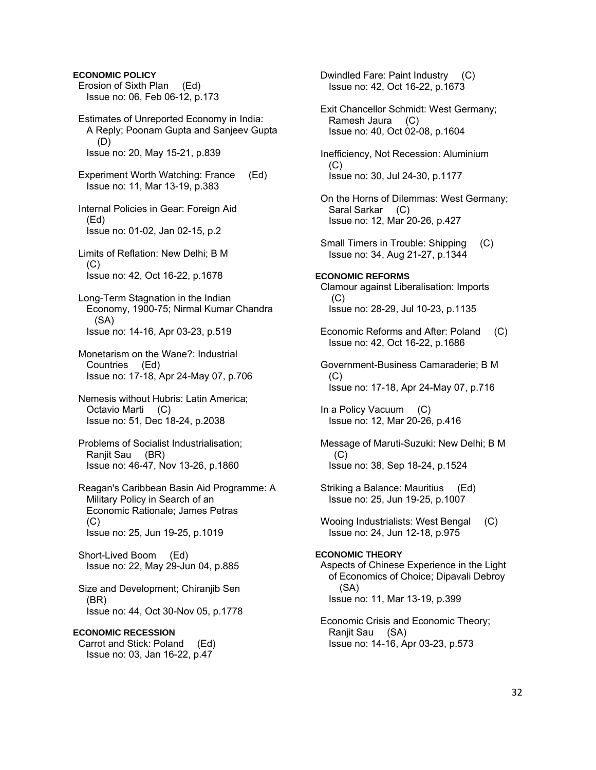# **ECONOMIC POLICY**

 Erosion of Sixth Plan (Ed) Issue no: 06, Feb 06-12, p.173

 Estimates of Unreported Economy in India: A Reply; Poonam Gupta and Sanjeev Gupta (D) Issue no: 20, May 15-21, p.839

 Experiment Worth Watching: France (Ed) Issue no: 11, Mar 13-19, p.383

 Internal Policies in Gear: Foreign Aid (Ed) Issue no: 01-02, Jan 02-15, p.2

 Limits of Reflation: New Delhi; B M  $(C)$ Issue no: 42, Oct 16-22, p.1678

 Long-Term Stagnation in the Indian Economy, 1900-75; Nirmal Kumar Chandra (SA) Issue no: 14-16, Apr 03-23, p.519

- Monetarism on the Wane?: Industrial Countries (Ed) Issue no: 17-18, Apr 24-May 07, p.706
- Nemesis without Hubris: Latin America; Octavio Marti (C) Issue no: 51, Dec 18-24, p.2038
- Problems of Socialist Industrialisation; Ranjit Sau (BR) Issue no: 46-47, Nov 13-26, p.1860

 Reagan's Caribbean Basin Aid Programme: A Military Policy in Search of an Economic Rationale; James Petras  $(C)$ Issue no: 25, Jun 19-25, p.1019

 Short-Lived Boom (Ed) Issue no: 22, May 29-Jun 04, p.885

 Size and Development; Chiranjib Sen (BR) Issue no: 44, Oct 30-Nov 05, p.1778

# **ECONOMIC RECESSION**

 Carrot and Stick: Poland (Ed) Issue no: 03, Jan 16-22, p.47

 Dwindled Fare: Paint Industry (C) Issue no: 42, Oct 16-22, p.1673

- Exit Chancellor Schmidt: West Germany; Ramesh Jaura (C) Issue no: 40, Oct 02-08, p.1604
- Inefficiency, Not Recession: Aluminium (C) Issue no: 30, Jul 24-30, p.1177
- On the Horns of Dilemmas: West Germany; Saral Sarkar (C) Issue no: 12, Mar 20-26, p.427
- Small Timers in Trouble: Shipping (C) Issue no: 34, Aug 21-27, p.1344

# **ECONOMIC REFORMS**

- Clamour against Liberalisation: Imports  $(C)$ Issue no: 28-29, Jul 10-23, p.1135
- Economic Reforms and After: Poland (C) Issue no: 42, Oct 16-22, p.1686

 Government-Business Camaraderie; B M  $(C)$ Issue no: 17-18, Apr 24-May 07, p.716

 In a Policy Vacuum (C) Issue no: 12, Mar 20-26, p.416

 Message of Maruti-Suzuki: New Delhi; B M  $(C)$ Issue no: 38, Sep 18-24, p.1524

 Striking a Balance: Mauritius (Ed) Issue no: 25, Jun 19-25, p.1007

 Wooing Industrialists: West Bengal (C) Issue no: 24, Jun 12-18, p.975

#### **ECONOMIC THEORY**  Aspects of Chinese Experience in the Light

 of Economics of Choice; Dipavali Debroy (SA) Issue no: 11, Mar 13-19, p.399

 Economic Crisis and Economic Theory; Ranjit Sau (SA) Issue no: 14-16, Apr 03-23, p.573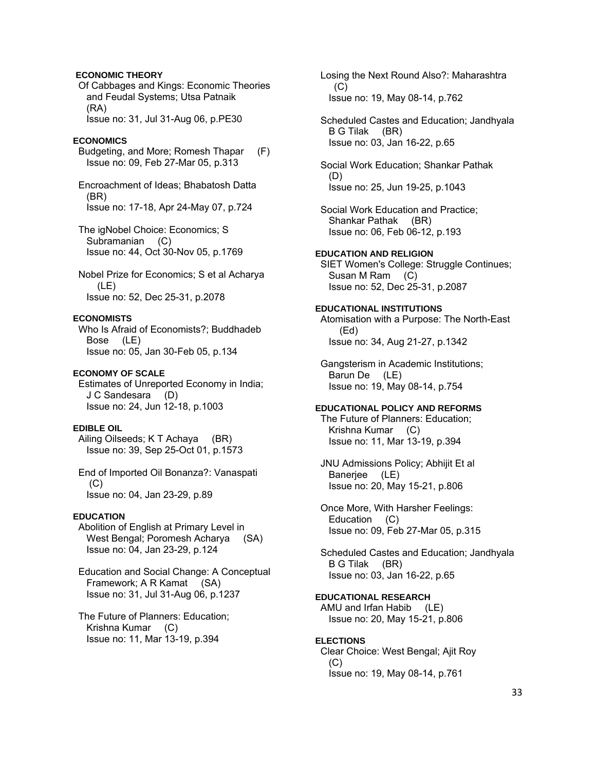# **ECONOMIC THEORY**

 Of Cabbages and Kings: Economic Theories and Feudal Systems; Utsa Patnaik (RA) Issue no: 31, Jul 31-Aug 06, p.PE30

#### **ECONOMICS**

 Budgeting, and More; Romesh Thapar (F) Issue no: 09, Feb 27-Mar 05, p.313

 Encroachment of Ideas; Bhabatosh Datta (BR) Issue no: 17-18, Apr 24-May 07, p.724

 The igNobel Choice: Economics; S Subramanian (C) Issue no: 44, Oct 30-Nov 05, p.1769

 Nobel Prize for Economics; S et al Acharya (LE) Issue no: 52, Dec 25-31, p.2078

#### **ECONOMISTS**

 Who Is Afraid of Economists?; Buddhadeb Bose (LE) Issue no: 05, Jan 30-Feb 05, p.134

#### **ECONOMY OF SCALE**

 Estimates of Unreported Economy in India; J C Sandesara (D) Issue no: 24, Jun 12-18, p.1003

#### **EDIBLE OIL**

 Ailing Oilseeds; K T Achaya (BR) Issue no: 39, Sep 25-Oct 01, p.1573

 End of Imported Oil Bonanza?: Vanaspati (C) Issue no: 04, Jan 23-29, p.89

### **EDUCATION**

 Abolition of English at Primary Level in West Bengal; Poromesh Acharya (SA) Issue no: 04, Jan 23-29, p.124

 Education and Social Change: A Conceptual Framework; A R Kamat (SA) Issue no: 31, Jul 31-Aug 06, p.1237

 The Future of Planners: Education; Krishna Kumar (C) Issue no: 11, Mar 13-19, p.394

 Losing the Next Round Also?: Maharashtra  $(C)$ Issue no: 19, May 08-14, p.762

 Scheduled Castes and Education; Jandhyala B G Tilak (BR) Issue no: 03, Jan 16-22, p.65

 Social Work Education; Shankar Pathak (D) Issue no: 25, Jun 19-25, p.1043

 Social Work Education and Practice; Shankar Pathak (BR) Issue no: 06, Feb 06-12, p.193

### **EDUCATION AND RELIGION**

 SIET Women's College: Struggle Continues; Susan M Ram (C) Issue no: 52, Dec 25-31, p.2087

# **EDUCATIONAL INSTITUTIONS**

 Atomisation with a Purpose: The North-East (Ed) Issue no: 34, Aug 21-27, p.1342

 Gangsterism in Academic Institutions; Barun De (LE) Issue no: 19, May 08-14, p.754

#### **EDUCATIONAL POLICY AND REFORMS**

 The Future of Planners: Education; Krishna Kumar (C) Issue no: 11, Mar 13-19, p.394

 JNU Admissions Policy; Abhijit Et al Banerjee (LE) Issue no: 20, May 15-21, p.806

 Once More, With Harsher Feelings: Education (C) Issue no: 09, Feb 27-Mar 05, p.315

 Scheduled Castes and Education; Jandhyala B G Tilak (BR) Issue no: 03, Jan 16-22, p.65

# **EDUCATIONAL RESEARCH**

 AMU and Irfan Habib (LE) Issue no: 20, May 15-21, p.806

## **ELECTIONS**

 Clear Choice: West Bengal; Ajit Roy  $(C)$ Issue no: 19, May 08-14, p.761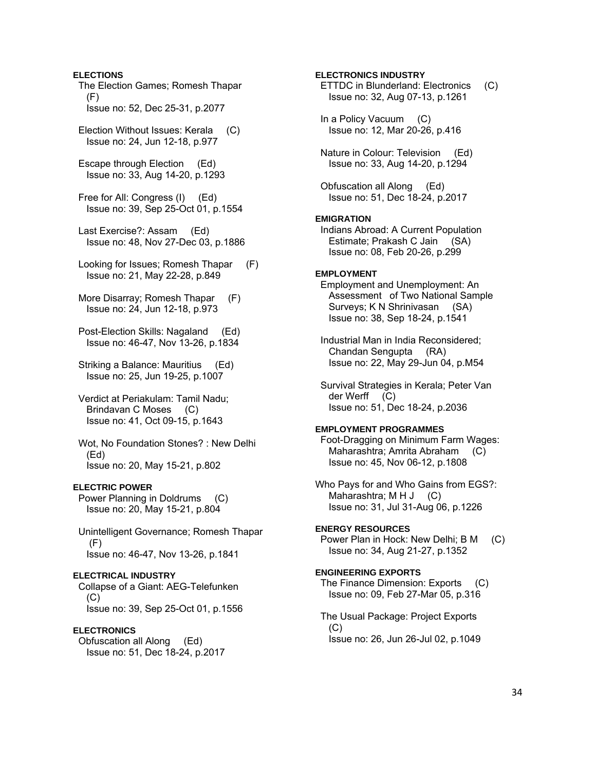## **ELECTIONS**

 The Election Games; Romesh Thapar  $(F)$ Issue no: 52, Dec 25-31, p.2077

 Election Without Issues: Kerala (C) Issue no: 24, Jun 12-18, p.977

 Escape through Election (Ed) Issue no: 33, Aug 14-20, p.1293

 Free for All: Congress (I) (Ed) Issue no: 39, Sep 25-Oct 01, p.1554

 Last Exercise?: Assam (Ed) Issue no: 48, Nov 27-Dec 03, p.1886

- Looking for Issues; Romesh Thapar (F) Issue no: 21, May 22-28, p.849
- More Disarray; Romesh Thapar (F) Issue no: 24, Jun 12-18, p.973
- Post-Election Skills: Nagaland (Ed) Issue no: 46-47, Nov 13-26, p.1834
- Striking a Balance: Mauritius (Ed) Issue no: 25, Jun 19-25, p.1007
- Verdict at Periakulam: Tamil Nadu; Brindavan C Moses (C) Issue no: 41, Oct 09-15, p.1643
- Wot, No Foundation Stones? : New Delhi (Ed) Issue no: 20, May 15-21, p.802

#### **ELECTRIC POWER**

 Power Planning in Doldrums (C) Issue no: 20, May 15-21, p.804

 Unintelligent Governance; Romesh Thapar (F) Issue no: 46-47, Nov 13-26, p.1841

#### **ELECTRICAL INDUSTRY**

 Collapse of a Giant: AEG-Telefunken  $(C)$ Issue no: 39, Sep 25-Oct 01, p.1556

# **ELECTRONICS**

 Obfuscation all Along (Ed) Issue no: 51, Dec 18-24, p.2017

### **ELECTRONICS INDUSTRY**

 ETTDC in Blunderland: Electronics (C) Issue no: 32, Aug 07-13, p.1261

 In a Policy Vacuum (C) Issue no: 12, Mar 20-26, p.416

 Nature in Colour: Television (Ed) Issue no: 33, Aug 14-20, p.1294

 Obfuscation all Along (Ed) Issue no: 51, Dec 18-24, p.2017

### **EMIGRATION**

 Indians Abroad: A Current Population Estimate; Prakash C Jain (SA) Issue no: 08, Feb 20-26, p.299

## **EMPLOYMENT**

 Employment and Unemployment: An Assessment of Two National Sample Surveys; K N Shrinivasan (SA) Issue no: 38, Sep 18-24, p.1541

 Industrial Man in India Reconsidered; Chandan Sengupta (RA) Issue no: 22, May 29-Jun 04, p.M54

 Survival Strategies in Kerala; Peter Van der Werff (C) Issue no: 51, Dec 18-24, p.2036

#### **EMPLOYMENT PROGRAMMES**

 Foot-Dragging on Minimum Farm Wages: Maharashtra; Amrita Abraham (C) Issue no: 45, Nov 06-12, p.1808

Who Pays for and Who Gains from EGS?: Maharashtra;  $M H J$  (C) Issue no: 31, Jul 31-Aug 06, p.1226

### **ENERGY RESOURCES**

 Power Plan in Hock: New Delhi; B M (C) Issue no: 34, Aug 21-27, p.1352

### **ENGINEERING EXPORTS**

 The Finance Dimension: Exports (C) Issue no: 09, Feb 27-Mar 05, p.316

 The Usual Package: Project Exports (C) Issue no: 26, Jun 26-Jul 02, p.1049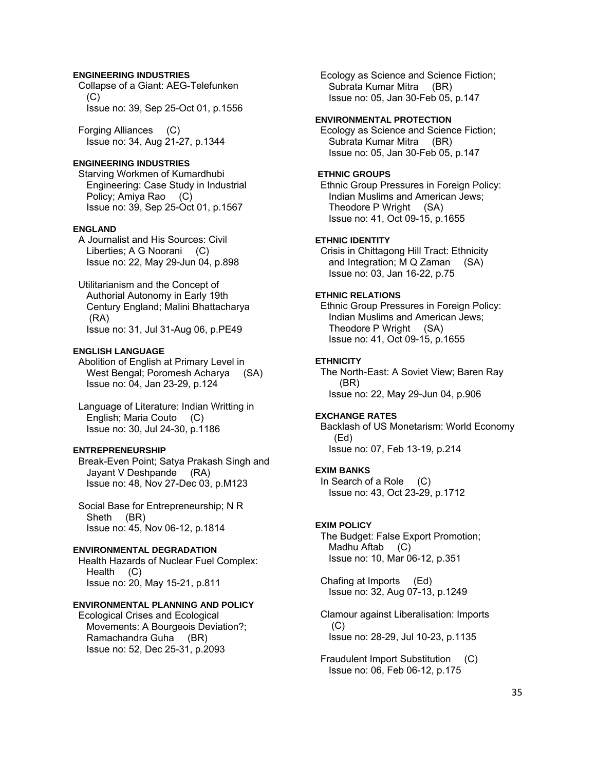# **ENGINEERING INDUSTRIES**

 Collapse of a Giant: AEG-Telefunken  $(C)$ Issue no: 39, Sep 25-Oct 01, p.1556

 Forging Alliances (C) Issue no: 34, Aug 21-27, p.1344

# **ENGINEERING INDUSTRIES**

 Starving Workmen of Kumardhubi Engineering: Case Study in Industrial Policy; Amiya Rao (C) Issue no: 39, Sep 25-Oct 01, p.1567

# **ENGLAND**

 A Journalist and His Sources: Civil Liberties; A G Noorani (C) Issue no: 22, May 29-Jun 04, p.898

 Utilitarianism and the Concept of Authorial Autonomy in Early 19th Century England; Malini Bhattacharya (RA) Issue no: 31, Jul 31-Aug 06, p.PE49

#### **ENGLISH LANGUAGE**

 Abolition of English at Primary Level in West Bengal; Poromesh Acharya (SA) Issue no: 04, Jan 23-29, p.124

 Language of Literature: Indian Writting in English; Maria Couto (C) Issue no: 30, Jul 24-30, p.1186

### **ENTREPRENEURSHIP**

 Break-Even Point; Satya Prakash Singh and Jayant V Deshpande (RA) Issue no: 48, Nov 27-Dec 03, p.M123

 Social Base for Entrepreneurship; N R Sheth (BR) Issue no: 45, Nov 06-12, p.1814

#### **ENVIRONMENTAL DEGRADATION**

 Health Hazards of Nuclear Fuel Complex: Health (C) Issue no: 20, May 15-21, p.811

# **ENVIRONMENTAL PLANNING AND POLICY**

 Ecological Crises and Ecological Movements: A Bourgeois Deviation?; Ramachandra Guha (BR) Issue no: 52, Dec 25-31, p.2093

 Ecology as Science and Science Fiction; Subrata Kumar Mitra (BR) Issue no: 05, Jan 30-Feb 05, p.147

### **ENVIRONMENTAL PROTECTION**

 Ecology as Science and Science Fiction; Subrata Kumar Mitra (BR) Issue no: 05, Jan 30-Feb 05, p.147

#### **ETHNIC GROUPS**

 Ethnic Group Pressures in Foreign Policy: Indian Muslims and American Jews; Theodore P Wright (SA) Issue no: 41, Oct 09-15, p.1655

### **ETHNIC IDENTITY**

 Crisis in Chittagong Hill Tract: Ethnicity and Integration; M Q Zaman (SA) Issue no: 03, Jan 16-22, p.75

# **ETHNIC RELATIONS**

 Ethnic Group Pressures in Foreign Policy: Indian Muslims and American Jews; Theodore P Wright (SA) Issue no: 41, Oct 09-15, p.1655

#### **ETHNICITY**

 The North-East: A Soviet View; Baren Ray (BR) Issue no: 22, May 29-Jun 04, p.906

#### **EXCHANGE RATES**

 Backlash of US Monetarism: World Economy (Ed) Issue no: 07, Feb 13-19, p.214

### **EXIM BANKS**

 In Search of a Role (C) Issue no: 43, Oct 23-29, p.1712

#### **EXIM POLICY**

 The Budget: False Export Promotion; Madhu Aftab (C) Issue no: 10, Mar 06-12, p.351

 Chafing at Imports (Ed) Issue no: 32, Aug 07-13, p.1249

 Clamour against Liberalisation: Imports (C) Issue no: 28-29, Jul 10-23, p.1135

 Fraudulent Import Substitution (C) Issue no: 06, Feb 06-12, p.175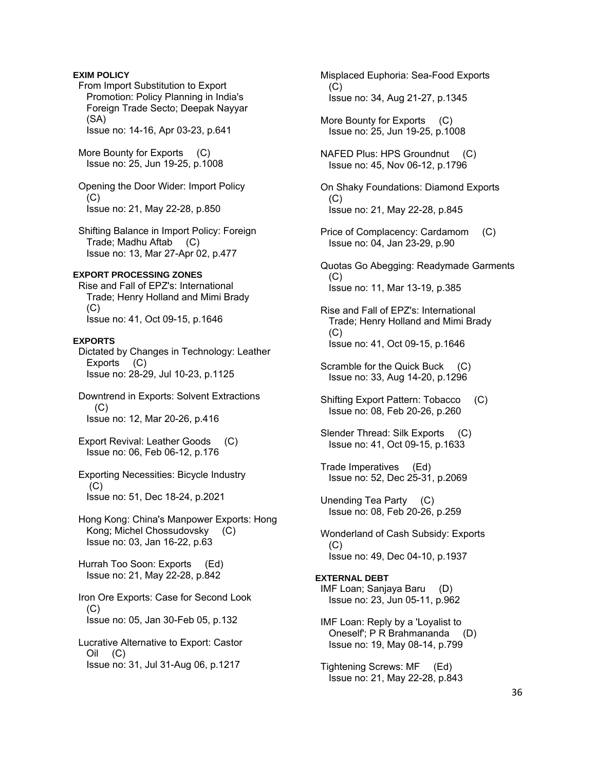# **EXIM POLICY**

 From Import Substitution to Export Promotion: Policy Planning in India's Foreign Trade Secto; Deepak Nayyar (SA) Issue no: 14-16, Apr 03-23, p.641

 More Bounty for Exports (C) Issue no: 25, Jun 19-25, p.1008

 Opening the Door Wider: Import Policy  $(C)$ Issue no: 21, May 22-28, p.850

 Shifting Balance in Import Policy: Foreign Trade; Madhu Aftab (C) Issue no: 13, Mar 27-Apr 02, p.477

# **EXPORT PROCESSING ZONES**

 Rise and Fall of EPZ's: International Trade; Henry Holland and Mimi Brady  $(C)$ Issue no: 41, Oct 09-15, p.1646

#### **EXPORTS**

 Dictated by Changes in Technology: Leather Exports (C) Issue no: 28-29, Jul 10-23, p.1125

 Downtrend in Exports: Solvent Extractions (C) Issue no: 12, Mar 20-26, p.416

- Export Revival: Leather Goods (C) Issue no: 06, Feb 06-12, p.176
- Exporting Necessities: Bicycle Industry (C) Issue no: 51, Dec 18-24, p.2021

 Hong Kong: China's Manpower Exports: Hong Kong; Michel Chossudovsky (C) Issue no: 03, Jan 16-22, p.63

 Hurrah Too Soon: Exports (Ed) Issue no: 21, May 22-28, p.842

 Iron Ore Exports: Case for Second Look (C) Issue no: 05, Jan 30-Feb 05, p.132

 Lucrative Alternative to Export: Castor Oil (C) Issue no: 31, Jul 31-Aug 06, p.1217

 Misplaced Euphoria: Sea-Food Exports  $(C)$ Issue no: 34, Aug 21-27, p.1345

 More Bounty for Exports (C) Issue no: 25, Jun 19-25, p.1008

 NAFED Plus: HPS Groundnut (C) Issue no: 45, Nov 06-12, p.1796

 On Shaky Foundations: Diamond Exports (C) Issue no: 21, May 22-28, p.845

- Price of Complacency: Cardamom (C) Issue no: 04, Jan 23-29, p.90
- Quotas Go Abegging: Readymade Garments  $(C)$ Issue no: 11, Mar 13-19, p.385

 Rise and Fall of EPZ's: International Trade; Henry Holland and Mimi Brady (C) Issue no: 41, Oct 09-15, p.1646

Scramble for the Quick Buck (C) Issue no: 33, Aug 14-20, p.1296

 Shifting Export Pattern: Tobacco (C) Issue no: 08, Feb 20-26, p.260

 Slender Thread: Silk Exports (C) Issue no: 41, Oct 09-15, p.1633

 Trade Imperatives (Ed) Issue no: 52, Dec 25-31, p.2069

 Unending Tea Party (C) Issue no: 08, Feb 20-26, p.259

 Wonderland of Cash Subsidy: Exports (C) Issue no: 49, Dec 04-10, p.1937

**EXTERNAL DEBT**  IMF Loan; Sanjaya Baru (D) Issue no: 23, Jun 05-11, p.962

 IMF Loan: Reply by a 'Loyalist to Oneself'; P R Brahmananda (D) Issue no: 19, May 08-14, p.799

 Tightening Screws: MF (Ed) Issue no: 21, May 22-28, p.843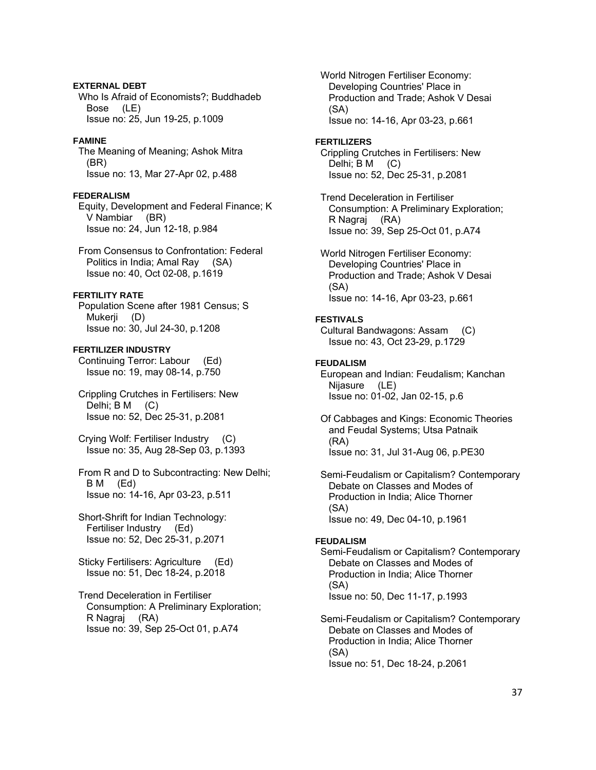# **EXTERNAL DEBT**

 Who Is Afraid of Economists?; Buddhadeb Bose (LE) Issue no: 25, Jun 19-25, p.1009

# **FAMINE**

 The Meaning of Meaning; Ashok Mitra (BR) Issue no: 13, Mar 27-Apr 02, p.488

# **FEDERALISM**

 Equity, Development and Federal Finance; K V Nambiar (BR) Issue no: 24, Jun 12-18, p.984

 From Consensus to Confrontation: Federal Politics in India; Amal Ray (SA) Issue no: 40, Oct 02-08, p.1619

# **FERTILITY RATE**

 Population Scene after 1981 Census; S Mukerji (D) Issue no: 30, Jul 24-30, p.1208

# **FERTILIZER INDUSTRY**

 Continuing Terror: Labour (Ed) Issue no: 19, may 08-14, p.750

 Crippling Crutches in Fertilisers: New Delhi; B M (C) Issue no: 52, Dec 25-31, p.2081

 Crying Wolf: Fertiliser Industry (C) Issue no: 35, Aug 28-Sep 03, p.1393

 From R and D to Subcontracting: New Delhi; B M (Ed) Issue no: 14-16, Apr 03-23, p.511

 Short-Shrift for Indian Technology: Fertiliser Industry (Ed) Issue no: 52, Dec 25-31, p.2071

Sticky Fertilisers: Agriculture (Ed) Issue no: 51, Dec 18-24, p.2018

# Trend Deceleration in Fertiliser Consumption: A Preliminary Exploration; R Nagraj (RA) Issue no: 39, Sep 25-Oct 01, p.A74

 World Nitrogen Fertiliser Economy: Developing Countries' Place in Production and Trade; Ashok V Desai (SA) Issue no: 14-16, Apr 03-23, p.661

#### **FERTILIZERS**

 Crippling Crutches in Fertilisers: New Delhi; B M (C) Issue no: 52, Dec 25-31, p.2081

 Trend Deceleration in Fertiliser Consumption: A Preliminary Exploration; R Nagraj (RA) Issue no: 39, Sep 25-Oct 01, p.A74

 World Nitrogen Fertiliser Economy: Developing Countries' Place in Production and Trade; Ashok V Desai (SA) Issue no: 14-16, Apr 03-23, p.661

### **FESTIVALS**

 Cultural Bandwagons: Assam (C) Issue no: 43, Oct 23-29, p.1729

# **FEUDALISM**

 European and Indian: Feudalism; Kanchan Nijasure (LE) Issue no: 01-02, Jan 02-15, p.6

 Of Cabbages and Kings: Economic Theories and Feudal Systems; Utsa Patnaik (RA) Issue no: 31, Jul 31-Aug 06, p.PE30

 Semi-Feudalism or Capitalism? Contemporary Debate on Classes and Modes of Production in India; Alice Thorner (SA) Issue no: 49, Dec 04-10, p.1961

### **FEUDALISM**

 Semi-Feudalism or Capitalism? Contemporary Debate on Classes and Modes of Production in India; Alice Thorner (SA) Issue no: 50, Dec 11-17, p.1993

 Semi-Feudalism or Capitalism? Contemporary Debate on Classes and Modes of Production in India; Alice Thorner (SA) Issue no: 51, Dec 18-24, p.2061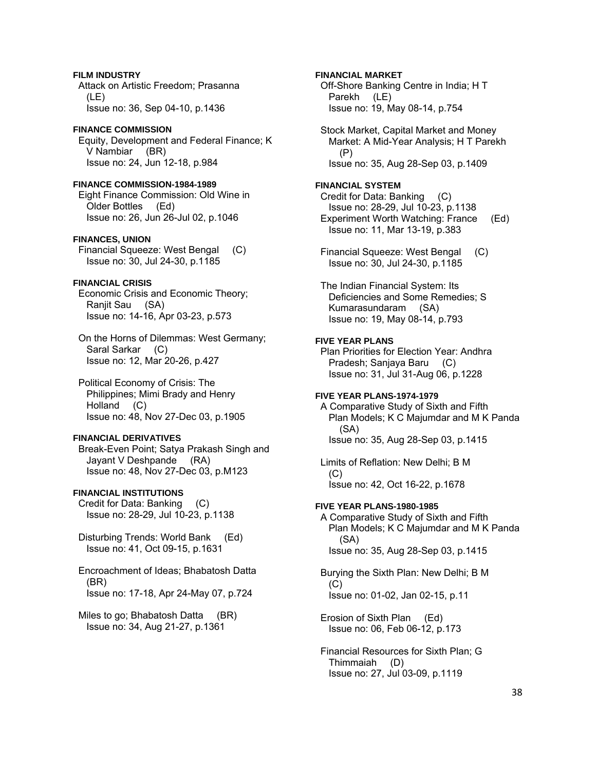# **FILM INDUSTRY**  Attack on Artistic Freedom; Prasanna (LE) Issue no: 36, Sep 04-10, p.1436 **FINANCE COMMISSION**  Equity, Development and Federal Finance; K

 V Nambiar (BR) Issue no: 24, Jun 12-18, p.984

# **FINANCE COMMISSION-1984-1989**

 Eight Finance Commission: Old Wine in Older Bottles (Ed) Issue no: 26, Jun 26-Jul 02, p.1046

### **FINANCES, UNION**

 Financial Squeeze: West Bengal (C) Issue no: 30, Jul 24-30, p.1185

# **FINANCIAL CRISIS**

 Economic Crisis and Economic Theory; Ranjit Sau (SA) Issue no: 14-16, Apr 03-23, p.573

 On the Horns of Dilemmas: West Germany; Saral Sarkar (C) Issue no: 12, Mar 20-26, p.427

 Political Economy of Crisis: The Philippines; Mimi Brady and Henry Holland (C) Issue no: 48, Nov 27-Dec 03, p.1905

# **FINANCIAL DERIVATIVES**

 Break-Even Point; Satya Prakash Singh and Jayant V Deshpande (RA) Issue no: 48, Nov 27-Dec 03, p.M123

# **FINANCIAL INSTITUTIONS**

 Credit for Data: Banking (C) Issue no: 28-29, Jul 10-23, p.1138

 Disturbing Trends: World Bank (Ed) Issue no: 41, Oct 09-15, p.1631

 Encroachment of Ideas; Bhabatosh Datta (BR) Issue no: 17-18, Apr 24-May 07, p.724

Miles to go; Bhabatosh Datta (BR) Issue no: 34, Aug 21-27, p.1361

**FINANCIAL MARKET**  Off-Shore Banking Centre in India; H T Parekh (LE) Issue no: 19, May 08-14, p.754

 Stock Market, Capital Market and Money Market: A Mid-Year Analysis; H T Parekh (P) Issue no: 35, Aug 28-Sep 03, p.1409

# **FINANCIAL SYSTEM**

 Credit for Data: Banking (C) Issue no: 28-29, Jul 10-23, p.1138 Experiment Worth Watching: France (Ed) Issue no: 11, Mar 13-19, p.383

 Financial Squeeze: West Bengal (C) Issue no: 30, Jul 24-30, p.1185

 The Indian Financial System: Its Deficiencies and Some Remedies; S Kumarasundaram (SA) Issue no: 19, May 08-14, p.793

# **FIVE YEAR PLANS**

 Plan Priorities for Election Year: Andhra Pradesh; Sanjaya Baru (C) Issue no: 31, Jul 31-Aug 06, p.1228

# **FIVE YEAR PLANS-1974-1979**

 A Comparative Study of Sixth and Fifth Plan Models; K C Majumdar and M K Panda (SA) Issue no: 35, Aug 28-Sep 03, p.1415

 Limits of Reflation: New Delhi; B M (C) Issue no: 42, Oct 16-22, p.1678

### **FIVE YEAR PLANS-1980-1985**

 A Comparative Study of Sixth and Fifth Plan Models; K C Majumdar and M K Panda (SA) Issue no: 35, Aug 28-Sep 03, p.1415

 Burying the Sixth Plan: New Delhi; B M  $(C)$ Issue no: 01-02, Jan 02-15, p.11

 Erosion of Sixth Plan (Ed) Issue no: 06, Feb 06-12, p.173

 Financial Resources for Sixth Plan; G Thimmaiah (D) Issue no: 27, Jul 03-09, p.1119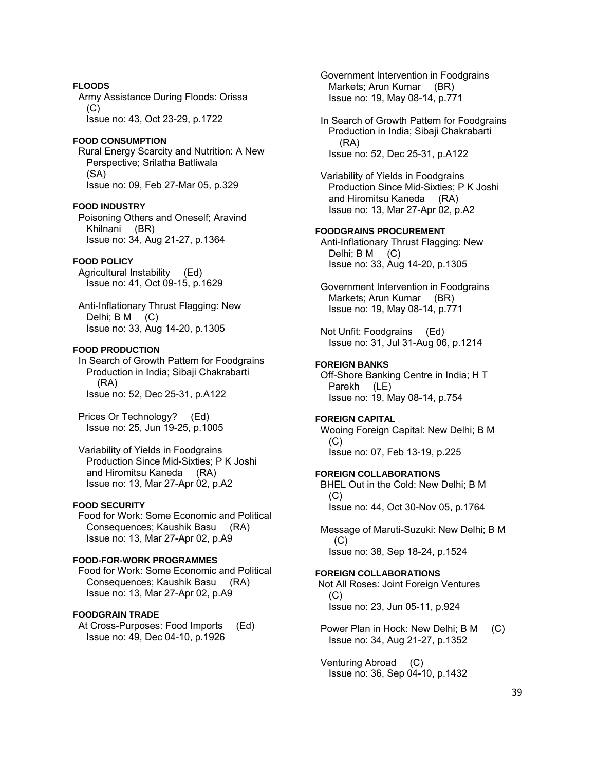# **FLOODS**  Army Assistance During Floods: Orissa  $(C)$ Issue no: 43, Oct 23-29, p.1722

#### **FOOD CONSUMPTION**

 Rural Energy Scarcity and Nutrition: A New Perspective; Srilatha Batliwala (SA) Issue no: 09, Feb 27-Mar 05, p.329

#### **FOOD INDUSTRY**

 Poisoning Others and Oneself; Aravind Khilnani (BR) Issue no: 34, Aug 21-27, p.1364

### **FOOD POLICY**

 Agricultural Instability (Ed) Issue no: 41, Oct 09-15, p.1629

 Anti-Inflationary Thrust Flagging: New Delhi; B M (C) Issue no: 33, Aug 14-20, p.1305

# **FOOD PRODUCTION**

 In Search of Growth Pattern for Foodgrains Production in India; Sibaji Chakrabarti (RA) Issue no: 52, Dec 25-31, p.A122

 Prices Or Technology? (Ed) Issue no: 25, Jun 19-25, p.1005

 Variability of Yields in Foodgrains Production Since Mid-Sixties; P K Joshi and Hiromitsu Kaneda (RA) Issue no: 13, Mar 27-Apr 02, p.A2

# **FOOD SECURITY**

 Food for Work: Some Economic and Political Consequences; Kaushik Basu (RA) Issue no: 13, Mar 27-Apr 02, p.A9

### **FOOD-FOR-WORK PROGRAMMES**

 Food for Work: Some Economic and Political Consequences; Kaushik Basu (RA) Issue no: 13, Mar 27-Apr 02, p.A9

# **FOODGRAIN TRADE**

 At Cross-Purposes: Food Imports (Ed) Issue no: 49, Dec 04-10, p.1926

 Government Intervention in Foodgrains Markets; Arun Kumar (BR) Issue no: 19, May 08-14, p.771

 In Search of Growth Pattern for Foodgrains Production in India; Sibaji Chakrabarti (RA) Issue no: 52, Dec 25-31, p.A122

 Variability of Yields in Foodgrains Production Since Mid-Sixties; P K Joshi and Hiromitsu Kaneda (RA) Issue no: 13, Mar 27-Apr 02, p.A2

#### **FOODGRAINS PROCUREMENT**

 Anti-Inflationary Thrust Flagging: New Delhi; B M (C) Issue no: 33, Aug 14-20, p.1305

 Government Intervention in Foodgrains Markets; Arun Kumar (BR) Issue no: 19, May 08-14, p.771

 Not Unfit: Foodgrains (Ed) Issue no: 31, Jul 31-Aug 06, p.1214

### **FOREIGN BANKS**

 Off-Shore Banking Centre in India; H T Parekh (LE) Issue no: 19, May 08-14, p.754

#### **FOREIGN CAPITAL**

 Wooing Foreign Capital: New Delhi; B M (C) Issue no: 07, Feb 13-19, p.225

### **FOREIGN COLLABORATIONS**

 BHEL Out in the Cold: New Delhi; B M (C) Issue no: 44, Oct 30-Nov 05, p.1764

 Message of Maruti-Suzuki: New Delhi; B M (C) Issue no: 38, Sep 18-24, p.1524

#### **FOREIGN COLLABORATIONS**

 Not All Roses: Joint Foreign Ventures  $(C)$ Issue no: 23, Jun 05-11, p.924

 Power Plan in Hock: New Delhi; B M (C) Issue no: 34, Aug 21-27, p.1352

 Venturing Abroad (C) Issue no: 36, Sep 04-10, p.1432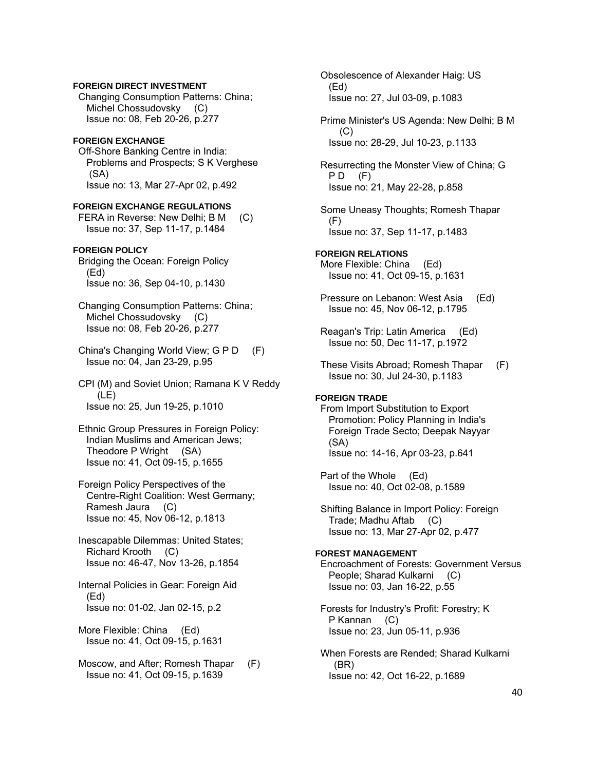# **FOREIGN DIRECT INVESTMENT**

 Changing Consumption Patterns: China; Michel Chossudovsky (C) Issue no: 08, Feb 20-26, p.277

### **FOREIGN EXCHANGE**

 Off-Shore Banking Centre in India: Problems and Prospects; S K Verghese (SA) Issue no: 13, Mar 27-Apr 02, p.492

### **FOREIGN EXCHANGE REGULATIONS**

 FERA in Reverse: New Delhi; B M (C) Issue no: 37, Sep 11-17, p.1484

# **FOREIGN POLICY**

- Bridging the Ocean: Foreign Policy (Ed) Issue no: 36, Sep 04-10, p.1430
- Changing Consumption Patterns: China; Michel Chossudovsky (C) Issue no: 08, Feb 20-26, p.277
- China's Changing World View; G P D (F) Issue no: 04, Jan 23-29, p.95
- CPI (M) and Soviet Union; Ramana K V Reddy (LE) Issue no: 25, Jun 19-25, p.1010

 Ethnic Group Pressures in Foreign Policy: Indian Muslims and American Jews; Theodore P Wright (SA) Issue no: 41, Oct 09-15, p.1655

 Foreign Policy Perspectives of the Centre-Right Coalition: West Germany; Ramesh Jaura (C) Issue no: 45, Nov 06-12, p.1813

- Inescapable Dilemmas: United States; Richard Krooth (C) Issue no: 46-47, Nov 13-26, p.1854
- Internal Policies in Gear: Foreign Aid (Ed) Issue no: 01-02, Jan 02-15, p.2
- More Flexible: China (Ed) Issue no: 41, Oct 09-15, p.1631
- Moscow, and After; Romesh Thapar (F) Issue no: 41, Oct 09-15, p.1639

 Obsolescence of Alexander Haig: US (Ed) Issue no: 27, Jul 03-09, p.1083

 Prime Minister's US Agenda: New Delhi; B M  $(C)$ Issue no: 28-29, Jul 10-23, p.1133

 Resurrecting the Monster View of China; G  $PD$   $(F)$ Issue no: 21, May 22-28, p.858

 Some Uneasy Thoughts; Romesh Thapar (F) Issue no: 37, Sep 11-17, p.1483

# **FOREIGN RELATIONS**

 More Flexible: China (Ed) Issue no: 41, Oct 09-15, p.1631

- Pressure on Lebanon: West Asia (Ed) Issue no: 45, Nov 06-12, p.1795
- Reagan's Trip: Latin America (Ed) Issue no: 50, Dec 11-17, p.1972
- These Visits Abroad; Romesh Thapar (F) Issue no: 30, Jul 24-30, p.1183

### **FOREIGN TRADE**

 From Import Substitution to Export Promotion: Policy Planning in India's Foreign Trade Secto; Deepak Nayyar (SA) Issue no: 14-16, Apr 03-23, p.641

 Part of the Whole (Ed) Issue no: 40, Oct 02-08, p.1589

 Shifting Balance in Import Policy: Foreign Trade; Madhu Aftab (C) Issue no: 13, Mar 27-Apr 02, p.477

# **FOREST MANAGEMENT**  Encroachment of Forests: Government Versus People; Sharad Kulkarni (C) Issue no: 03, Jan 16-22, p.55

 Forests for Industry's Profit: Forestry; K P Kannan (C) Issue no: 23, Jun 05-11, p.936

 When Forests are Rended; Sharad Kulkarni (BR) Issue no: 42, Oct 16-22, p.1689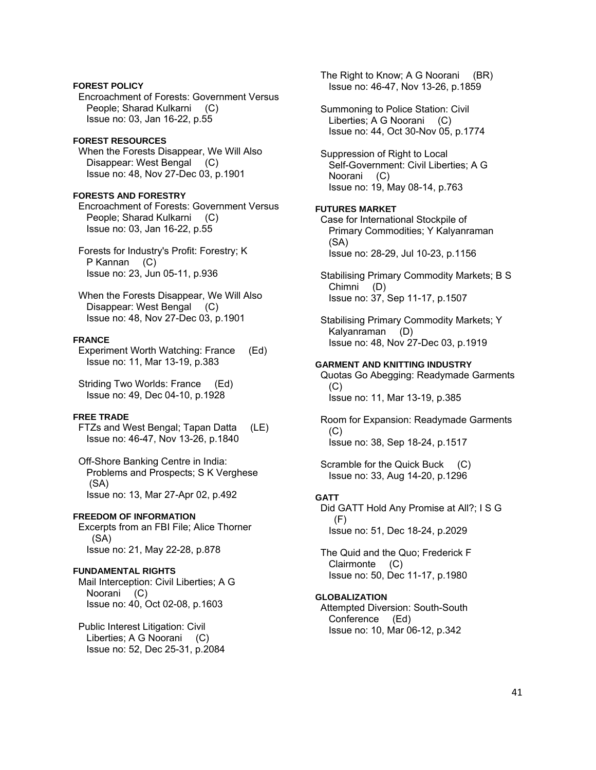# **FOREST POLICY**

 Encroachment of Forests: Government Versus People; Sharad Kulkarni (C) Issue no: 03, Jan 16-22, p.55

## **FOREST RESOURCES**

 When the Forests Disappear, We Will Also Disappear: West Bengal (C) Issue no: 48, Nov 27-Dec 03, p.1901

# **FORESTS AND FORESTRY**

 Encroachment of Forests: Government Versus People; Sharad Kulkarni (C) Issue no: 03, Jan 16-22, p.55

 Forests for Industry's Profit: Forestry; K P Kannan (C) Issue no: 23, Jun 05-11, p.936

 When the Forests Disappear, We Will Also Disappear: West Bengal (C) Issue no: 48, Nov 27-Dec 03, p.1901

# **FRANCE**

 Experiment Worth Watching: France (Ed) Issue no: 11, Mar 13-19, p.383

 Striding Two Worlds: France (Ed) Issue no: 49, Dec 04-10, p.1928

# **FREE TRADE**

 FTZs and West Bengal; Tapan Datta (LE) Issue no: 46-47, Nov 13-26, p.1840

 Off-Shore Banking Centre in India: Problems and Prospects; S K Verghese (SA) Issue no: 13, Mar 27-Apr 02, p.492

# **FREEDOM OF INFORMATION**

 Excerpts from an FBI File; Alice Thorner (SA) Issue no: 21, May 22-28, p.878

# **FUNDAMENTAL RIGHTS**

 Mail Interception: Civil Liberties; A G Noorani (C) Issue no: 40, Oct 02-08, p.1603

 Public Interest Litigation: Civil Liberties; A G Noorani (C) Issue no: 52, Dec 25-31, p.2084 The Right to Know; A G Noorani (BR) Issue no: 46-47, Nov 13-26, p.1859

 Summoning to Police Station: Civil Liberties; A G Noorani (C) Issue no: 44, Oct 30-Nov 05, p.1774

 Suppression of Right to Local Self-Government: Civil Liberties; A G Noorani (C) Issue no: 19, May 08-14, p.763

# **FUTURES MARKET**

 Case for International Stockpile of Primary Commodities; Y Kalyanraman (SA) Issue no: 28-29, Jul 10-23, p.1156

 Stabilising Primary Commodity Markets; B S Chimni (D) Issue no: 37, Sep 11-17, p.1507

 Stabilising Primary Commodity Markets; Y Kalyanraman (D) Issue no: 48, Nov 27-Dec 03, p.1919

# **GARMENT AND KNITTING INDUSTRY**

 Quotas Go Abegging: Readymade Garments (C) Issue no: 11, Mar 13-19, p.385

 Room for Expansion: Readymade Garments (C) Issue no: 38, Sep 18-24, p.1517

Scramble for the Quick Buck (C) Issue no: 33, Aug 14-20, p.1296

# **GATT**

 Did GATT Hold Any Promise at All?; I S G (F) Issue no: 51, Dec 18-24, p.2029

 The Quid and the Quo; Frederick F Clairmonte (C) Issue no: 50, Dec 11-17, p.1980

### **GLOBALIZATION**

 Attempted Diversion: South-South Conference (Ed) Issue no: 10, Mar 06-12, p.342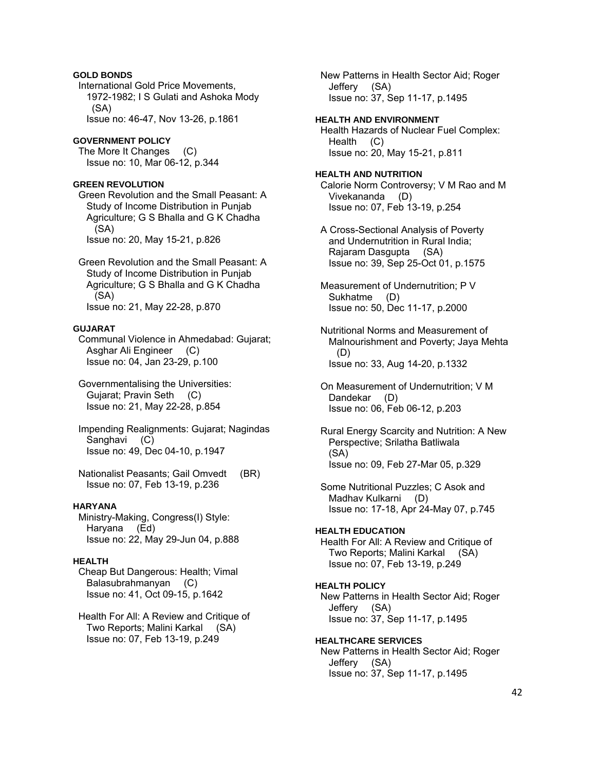# **GOLD BONDS**

 International Gold Price Movements, 1972-1982; I S Gulati and Ashoka Mody (SA) Issue no: 46-47, Nov 13-26, p.1861

#### **GOVERNMENT POLICY**

 The More It Changes (C) Issue no: 10, Mar 06-12, p.344

### **GREEN REVOLUTION**

 Green Revolution and the Small Peasant: A Study of Income Distribution in Punjab Agriculture; G S Bhalla and G K Chadha (SA) Issue no: 20, May 15-21, p.826

 Green Revolution and the Small Peasant: A Study of Income Distribution in Punjab Agriculture; G S Bhalla and G K Chadha (SA) Issue no: 21, May 22-28, p.870

#### **GUJARAT**

 Communal Violence in Ahmedabad: Gujarat; Asghar Ali Engineer (C) Issue no: 04, Jan 23-29, p.100

 Governmentalising the Universities: Gujarat; Pravin Seth (C) Issue no: 21, May 22-28, p.854

 Impending Realignments: Gujarat; Nagindas Sanghavi (C) Issue no: 49, Dec 04-10, p.1947

 Nationalist Peasants; Gail Omvedt (BR) Issue no: 07, Feb 13-19, p.236

# **HARYANA**

 Ministry-Making, Congress(I) Style: Haryana (Ed) Issue no: 22, May 29-Jun 04, p.888

# **HEALTH**

 Cheap But Dangerous: Health; Vimal Balasubrahmanyan (C) Issue no: 41, Oct 09-15, p.1642

 Health For All: A Review and Critique of Two Reports; Malini Karkal (SA) Issue no: 07, Feb 13-19, p.249

 New Patterns in Health Sector Aid; Roger Jeffery (SA) Issue no: 37, Sep 11-17, p.1495

### **HEALTH AND ENVIRONMENT**

 Health Hazards of Nuclear Fuel Complex: Health (C) Issue no: 20, May 15-21, p.811

**HEALTH AND NUTRITION**  Calorie Norm Controversy; V M Rao and M Vivekananda (D) Issue no: 07, Feb 13-19, p.254

 A Cross-Sectional Analysis of Poverty and Undernutrition in Rural India; Rajaram Dasgupta (SA) Issue no: 39, Sep 25-Oct 01, p.1575

 Measurement of Undernutrition; P V Sukhatme (D) Issue no: 50, Dec 11-17, p.2000

 Nutritional Norms and Measurement of Malnourishment and Poverty; Jaya Mehta (D) Issue no: 33, Aug 14-20, p.1332

 On Measurement of Undernutrition; V M Dandekar (D) Issue no: 06, Feb 06-12, p.203

 Rural Energy Scarcity and Nutrition: A New Perspective; Srilatha Batliwala (SA) Issue no: 09, Feb 27-Mar 05, p.329

 Some Nutritional Puzzles; C Asok and Madhav Kulkarni (D) Issue no: 17-18, Apr 24-May 07, p.745

#### **HEALTH EDUCATION**

 Health For All: A Review and Critique of Two Reports; Malini Karkal (SA) Issue no: 07, Feb 13-19, p.249

#### **HEALTH POLICY**

 New Patterns in Health Sector Aid; Roger Jeffery (SA) Issue no: 37, Sep 11-17, p.1495

**HEALTHCARE SERVICES**  New Patterns in Health Sector Aid; Roger Jeffery (SA) Issue no: 37, Sep 11-17, p.1495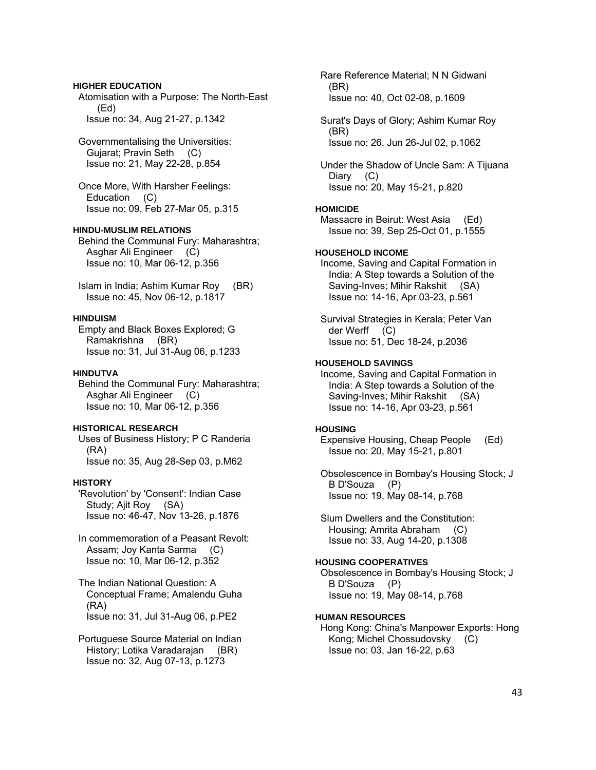# **HIGHER EDUCATION**

 Atomisation with a Purpose: The North-East (Ed) Issue no: 34, Aug 21-27, p.1342

 Governmentalising the Universities: Gujarat; Pravin Seth (C) Issue no: 21, May 22-28, p.854

 Once More, With Harsher Feelings: Education (C) Issue no: 09, Feb 27-Mar 05, p.315

# **HINDU-MUSLIM RELATIONS**

 Behind the Communal Fury: Maharashtra; Asghar Ali Engineer (C) Issue no: 10, Mar 06-12, p.356

 Islam in India; Ashim Kumar Roy (BR) Issue no: 45, Nov 06-12, p.1817

### **HINDUISM**

 Empty and Black Boxes Explored; G Ramakrishna (BR) Issue no: 31, Jul 31-Aug 06, p.1233

### **HINDUTVA**

 Behind the Communal Fury: Maharashtra; Asghar Ali Engineer (C) Issue no: 10, Mar 06-12, p.356

### **HISTORICAL RESEARCH**

 Uses of Business History; P C Randeria (RA) Issue no: 35, Aug 28-Sep 03, p.M62

# **HISTORY**

 'Revolution' by 'Consent': Indian Case Study; Ajit Roy (SA) Issue no: 46-47, Nov 13-26, p.1876

 In commemoration of a Peasant Revolt: Assam; Joy Kanta Sarma (C) Issue no: 10, Mar 06-12, p.352

 The Indian National Question: A Conceptual Frame; Amalendu Guha (RA) Issue no: 31, Jul 31-Aug 06, p.PE2

 Portuguese Source Material on Indian History; Lotika Varadarajan (BR) Issue no: 32, Aug 07-13, p.1273

 Rare Reference Material; N N Gidwani (BR) Issue no: 40, Oct 02-08, p.1609

 Surat's Days of Glory; Ashim Kumar Roy (BR) Issue no: 26, Jun 26-Jul 02, p.1062

 Under the Shadow of Uncle Sam: A Tijuana Diary (C) Issue no: 20, May 15-21, p.820

#### **HOMICIDE**

 Massacre in Beirut: West Asia (Ed) Issue no: 39, Sep 25-Oct 01, p.1555

# **HOUSEHOLD INCOME**

 Income, Saving and Capital Formation in India: A Step towards a Solution of the Saving-Inves; Mihir Rakshit (SA) Issue no: 14-16, Apr 03-23, p.561

 Survival Strategies in Kerala; Peter Van der Werff (C) Issue no: 51, Dec 18-24, p.2036

### **HOUSEHOLD SAVINGS**

 Income, Saving and Capital Formation in India: A Step towards a Solution of the Saving-Inves; Mihir Rakshit (SA) Issue no: 14-16, Apr 03-23, p.561

#### **HOUSING**

 Expensive Housing, Cheap People (Ed) Issue no: 20, May 15-21, p.801

 Obsolescence in Bombay's Housing Stock; J B D'Souza (P) Issue no: 19, May 08-14, p.768

 Slum Dwellers and the Constitution: Housing; Amrita Abraham (C) Issue no: 33, Aug 14-20, p.1308

# **HOUSING COOPERATIVES**

 Obsolescence in Bombay's Housing Stock; J B D'Souza (P) Issue no: 19, May 08-14, p.768

# **HUMAN RESOURCES**

 Hong Kong: China's Manpower Exports: Hong Kong; Michel Chossudovsky (C) Issue no: 03, Jan 16-22, p.63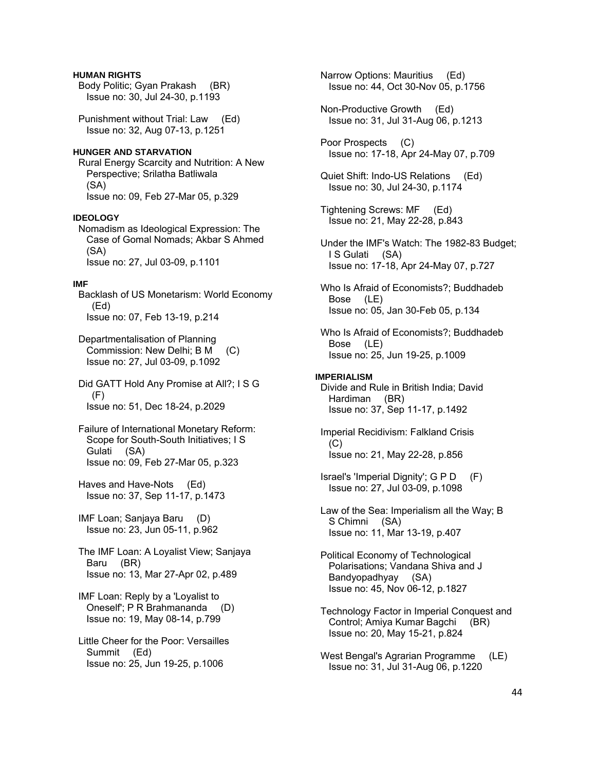# **HUMAN RIGHTS**

 Body Politic; Gyan Prakash (BR) Issue no: 30, Jul 24-30, p.1193

 Punishment without Trial: Law (Ed) Issue no: 32, Aug 07-13, p.1251

# **HUNGER AND STARVATION**

 Rural Energy Scarcity and Nutrition: A New Perspective; Srilatha Batliwala (SA) Issue no: 09, Feb 27-Mar 05, p.329

#### **IDEOLOGY**

 Nomadism as Ideological Expression: The Case of Gomal Nomads; Akbar S Ahmed (SA) Issue no: 27, Jul 03-09, p.1101

#### **IMF**

 Backlash of US Monetarism: World Economy (Ed) Issue no: 07, Feb 13-19, p.214

 Departmentalisation of Planning Commission: New Delhi; B M (C) Issue no: 27, Jul 03-09, p.1092

 Did GATT Hold Any Promise at All?; I S G  $(F)$ Issue no: 51, Dec 18-24, p.2029

 Failure of International Monetary Reform: Scope for South-South Initiatives; I S Gulati (SA) Issue no: 09, Feb 27-Mar 05, p.323

 Haves and Have-Nots (Ed) Issue no: 37, Sep 11-17, p.1473

 IMF Loan; Sanjaya Baru (D) Issue no: 23, Jun 05-11, p.962

 The IMF Loan: A Loyalist View; Sanjaya Baru (BR) Issue no: 13, Mar 27-Apr 02, p.489

 IMF Loan: Reply by a 'Loyalist to Oneself'; P R Brahmananda (D) Issue no: 19, May 08-14, p.799

 Little Cheer for the Poor: Versailles Summit (Ed) Issue no: 25, Jun 19-25, p.1006

 Narrow Options: Mauritius (Ed) Issue no: 44, Oct 30-Nov 05, p.1756

 Non-Productive Growth (Ed) Issue no: 31, Jul 31-Aug 06, p.1213

 Poor Prospects (C) Issue no: 17-18, Apr 24-May 07, p.709

 Quiet Shift: Indo-US Relations (Ed) Issue no: 30, Jul 24-30, p.1174

 Tightening Screws: MF (Ed) Issue no: 21, May 22-28, p.843

 Under the IMF's Watch: The 1982-83 Budget; I S Gulati (SA) Issue no: 17-18, Apr 24-May 07, p.727

 Who Is Afraid of Economists?; Buddhadeb Bose (LE) Issue no: 05, Jan 30-Feb 05, p.134

 Who Is Afraid of Economists?; Buddhadeb Bose (LE) Issue no: 25, Jun 19-25, p.1009

#### **IMPERIALISM**

 Divide and Rule in British India; David Hardiman (BR) Issue no: 37, Sep 11-17, p.1492

 Imperial Recidivism: Falkland Crisis (C) Issue no: 21, May 22-28, p.856

 Israel's 'Imperial Dignity'; G P D (F) Issue no: 27, Jul 03-09, p.1098

 Law of the Sea: Imperialism all the Way; B S Chimni (SA) Issue no: 11, Mar 13-19, p.407

 Political Economy of Technological Polarisations; Vandana Shiva and J Bandyopadhyay (SA) Issue no: 45, Nov 06-12, p.1827

 Technology Factor in Imperial Conquest and Control; Amiya Kumar Bagchi (BR) Issue no: 20, May 15-21, p.824

 West Bengal's Agrarian Programme (LE) Issue no: 31, Jul 31-Aug 06, p.1220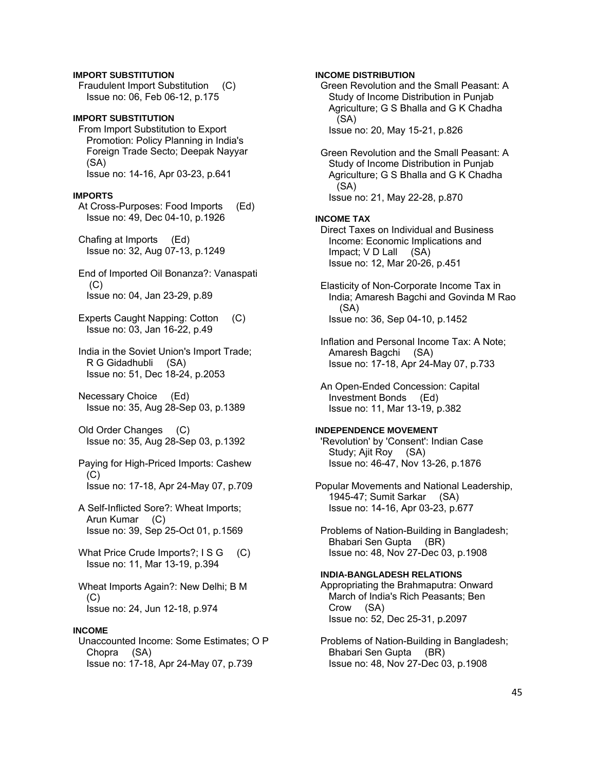# **IMPORT SUBSTITUTION**

 Fraudulent Import Substitution (C) Issue no: 06, Feb 06-12, p.175

# **IMPORT SUBSTITUTION**

 From Import Substitution to Export Promotion: Policy Planning in India's Foreign Trade Secto; Deepak Nayyar (SA) Issue no: 14-16, Apr 03-23, p.641

# **IMPORTS**

 At Cross-Purposes: Food Imports (Ed) Issue no: 49, Dec 04-10, p.1926

 Chafing at Imports (Ed) Issue no: 32, Aug 07-13, p.1249

 End of Imported Oil Bonanza?: Vanaspati (C) Issue no: 04, Jan 23-29, p.89

 Experts Caught Napping: Cotton (C) Issue no: 03, Jan 16-22, p.49

 India in the Soviet Union's Import Trade; R G Gidadhubli (SA) Issue no: 51, Dec 18-24, p.2053

 Necessary Choice (Ed) Issue no: 35, Aug 28-Sep 03, p.1389

 Old Order Changes (C) Issue no: 35, Aug 28-Sep 03, p.1392

 Paying for High-Priced Imports: Cashew (C) Issue no: 17-18, Apr 24-May 07, p.709

 A Self-Inflicted Sore?: Wheat Imports; Arun Kumar (C) Issue no: 39, Sep 25-Oct 01, p.1569

- What Price Crude Imports?; I S G (C) Issue no: 11, Mar 13-19, p.394
- Wheat Imports Again?: New Delhi; B M  $(C)$ Issue no: 24, Jun 12-18, p.974

### **INCOME**

 Unaccounted Income: Some Estimates; O P Chopra (SA) Issue no: 17-18, Apr 24-May 07, p.739

# **INCOME DISTRIBUTION**

 Green Revolution and the Small Peasant: A Study of Income Distribution in Punjab Agriculture; G S Bhalla and G K Chadha (SA) Issue no: 20, May 15-21, p.826

 Green Revolution and the Small Peasant: A Study of Income Distribution in Punjab

 Agriculture; G S Bhalla and G K Chadha (SA) Issue no: 21, May 22-28, p.870

# **INCOME TAX**

 Direct Taxes on Individual and Business Income: Economic Implications and Impact; V D Lall (SA) Issue no: 12, Mar 20-26, p.451

 Elasticity of Non-Corporate Income Tax in India; Amaresh Bagchi and Govinda M Rao (SA) Issue no: 36, Sep 04-10, p.1452

 Inflation and Personal Income Tax: A Note; Amaresh Bagchi (SA) Issue no: 17-18, Apr 24-May 07, p.733

 An Open-Ended Concession: Capital Investment Bonds (Ed) Issue no: 11, Mar 13-19, p.382

#### **INDEPENDENCE MOVEMENT**

 'Revolution' by 'Consent': Indian Case Study; Ajit Roy (SA) Issue no: 46-47, Nov 13-26, p.1876

Popular Movements and National Leadership, 1945-47; Sumit Sarkar (SA) Issue no: 14-16, Apr 03-23, p.677

 Problems of Nation-Building in Bangladesh; Bhabari Sen Gupta (BR) Issue no: 48, Nov 27-Dec 03, p.1908

### **INDIA-BANGLADESH RELATIONS**

 Appropriating the Brahmaputra: Onward March of India's Rich Peasants; Ben Crow (SA) Issue no: 52, Dec 25-31, p.2097

 Problems of Nation-Building in Bangladesh; Bhabari Sen Gupta (BR) Issue no: 48, Nov 27-Dec 03, p.1908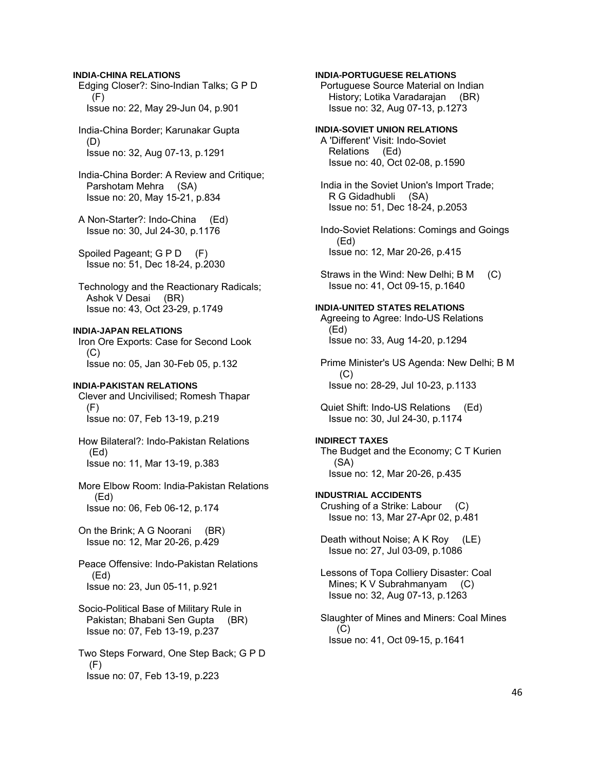### **INDIA-CHINA RELATIONS**

 Edging Closer?: Sino-Indian Talks; G P D  $(F)$ Issue no: 22, May 29-Jun 04, p.901

 India-China Border; Karunakar Gupta (D) Issue no: 32, Aug 07-13, p.1291

 India-China Border: A Review and Critique; Parshotam Mehra (SA) Issue no: 20, May 15-21, p.834

 A Non-Starter?: Indo-China (Ed) Issue no: 30, Jul 24-30, p.1176

Spoiled Pageant; G P D (F) Issue no: 51, Dec 18-24, p.2030

 Technology and the Reactionary Radicals; Ashok V Desai (BR) Issue no: 43, Oct 23-29, p.1749

## **INDIA-JAPAN RELATIONS**

 Iron Ore Exports: Case for Second Look (C) Issue no: 05, Jan 30-Feb 05, p.132

# **INDIA-PAKISTAN RELATIONS**

 Clever and Uncivilised; Romesh Thapar (F) Issue no: 07, Feb 13-19, p.219

 How Bilateral?: Indo-Pakistan Relations (Ed) Issue no: 11, Mar 13-19, p.383

 More Elbow Room: India-Pakistan Relations (Ed) Issue no: 06, Feb 06-12, p.174

 On the Brink; A G Noorani (BR) Issue no: 12, Mar 20-26, p.429

 Peace Offensive: Indo-Pakistan Relations (Ed) Issue no: 23, Jun 05-11, p.921

 Socio-Political Base of Military Rule in Pakistan; Bhabani Sen Gupta (BR) Issue no: 07, Feb 13-19, p.237

 Two Steps Forward, One Step Back; G P D  $(F)$ Issue no: 07, Feb 13-19, p.223

# **INDIA-PORTUGUESE RELATIONS**

 Portuguese Source Material on Indian History; Lotika Varadarajan (BR) Issue no: 32, Aug 07-13, p.1273

# **INDIA-SOVIET UNION RELATIONS**

 A 'Different' Visit: Indo-Soviet Relations (Ed) Issue no: 40, Oct 02-08, p.1590

 India in the Soviet Union's Import Trade; R G Gidadhubli (SA) Issue no: 51, Dec 18-24, p.2053

 Indo-Soviet Relations: Comings and Goings (Ed) Issue no: 12, Mar 20-26, p.415

 Straws in the Wind: New Delhi; B M (C) Issue no: 41, Oct 09-15, p.1640

### **INDIA-UNITED STATES RELATIONS**

 Agreeing to Agree: Indo-US Relations (Ed) Issue no: 33, Aug 14-20, p.1294

 Prime Minister's US Agenda: New Delhi; B M (C) Issue no: 28-29, Jul 10-23, p.1133

 Quiet Shift: Indo-US Relations (Ed) Issue no: 30, Jul 24-30, p.1174

# **INDIRECT TAXES**

 The Budget and the Economy; C T Kurien (SA) Issue no: 12, Mar 20-26, p.435

**INDUSTRIAL ACCIDENTS** 

 Crushing of a Strike: Labour (C) Issue no: 13, Mar 27-Apr 02, p.481

 Death without Noise; A K Roy (LE) Issue no: 27, Jul 03-09, p.1086

 Lessons of Topa Colliery Disaster: Coal Mines; K V Subrahmanyam (C) Issue no: 32, Aug 07-13, p.1263

 Slaughter of Mines and Miners: Coal Mines  $(C)$ Issue no: 41, Oct 09-15, p.1641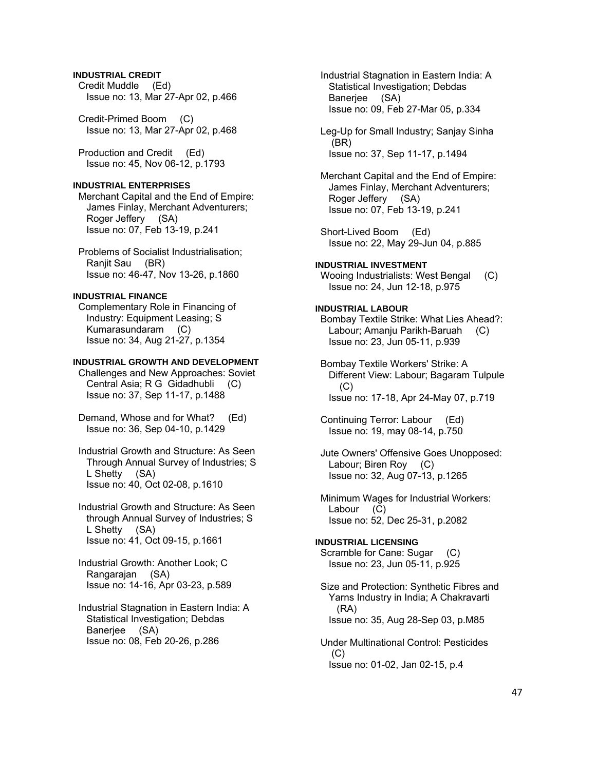# **INDUSTRIAL CREDIT**

 Credit Muddle (Ed) Issue no: 13, Mar 27-Apr 02, p.466

 Credit-Primed Boom (C) Issue no: 13, Mar 27-Apr 02, p.468

 Production and Credit (Ed) Issue no: 45, Nov 06-12, p.1793

#### **INDUSTRIAL ENTERPRISES**

 Merchant Capital and the End of Empire: James Finlay, Merchant Adventurers; Roger Jeffery (SA) Issue no: 07, Feb 13-19, p.241

 Problems of Socialist Industrialisation; Raniit Sau (BR) Issue no: 46-47, Nov 13-26, p.1860

# **INDUSTRIAL FINANCE**

 Complementary Role in Financing of Industry: Equipment Leasing; S Kumarasundaram (C) Issue no: 34, Aug 21-27, p.1354

# **INDUSTRIAL GROWTH AND DEVELOPMENT**

 Challenges and New Approaches: Soviet Central Asia; R G Gidadhubli (C) Issue no: 37, Sep 11-17, p.1488

 Demand, Whose and for What? (Ed) Issue no: 36, Sep 04-10, p.1429

 Industrial Growth and Structure: As Seen Through Annual Survey of Industries; S L Shetty (SA) Issue no: 40, Oct 02-08, p.1610

 Industrial Growth and Structure: As Seen through Annual Survey of Industries; S L Shetty (SA) Issue no: 41, Oct 09-15, p.1661

 Industrial Growth: Another Look; C Rangarajan (SA) Issue no: 14-16, Apr 03-23, p.589

 Industrial Stagnation in Eastern India: A Statistical Investigation; Debdas Banerjee (SA) Issue no: 08, Feb 20-26, p.286

 Industrial Stagnation in Eastern India: A Statistical Investigation; Debdas Banerjee (SA) Issue no: 09, Feb 27-Mar 05, p.334

 Leg-Up for Small Industry; Sanjay Sinha (BR) Issue no: 37, Sep 11-17, p.1494

 Merchant Capital and the End of Empire: James Finlay, Merchant Adventurers; Roger Jeffery (SA) Issue no: 07, Feb 13-19, p.241

 Short-Lived Boom (Ed) Issue no: 22, May 29-Jun 04, p.885

**INDUSTRIAL INVESTMENT**  Wooing Industrialists: West Bengal (C) Issue no: 24, Jun 12-18, p.975

### **INDUSTRIAL LABOUR**

 Bombay Textile Strike: What Lies Ahead?: Labour; Amanju Parikh-Baruah (C) Issue no: 23, Jun 05-11, p.939

 Bombay Textile Workers' Strike: A Different View: Labour; Bagaram Tulpule (C) Issue no: 17-18, Apr 24-May 07, p.719

 Continuing Terror: Labour (Ed) Issue no: 19, may 08-14, p.750

 Jute Owners' Offensive Goes Unopposed: Labour; Biren Roy (C) Issue no: 32, Aug 07-13, p.1265

 Minimum Wages for Industrial Workers: Labour (C) Issue no: 52, Dec 25-31, p.2082

**INDUSTRIAL LICENSING**  Scramble for Cane: Sugar (C) Issue no: 23, Jun 05-11, p.925

 Size and Protection: Synthetic Fibres and Yarns Industry in India; A Chakravarti (RA) Issue no: 35, Aug 28-Sep 03, p.M85

 Under Multinational Control: Pesticides (C) Issue no: 01-02, Jan 02-15, p.4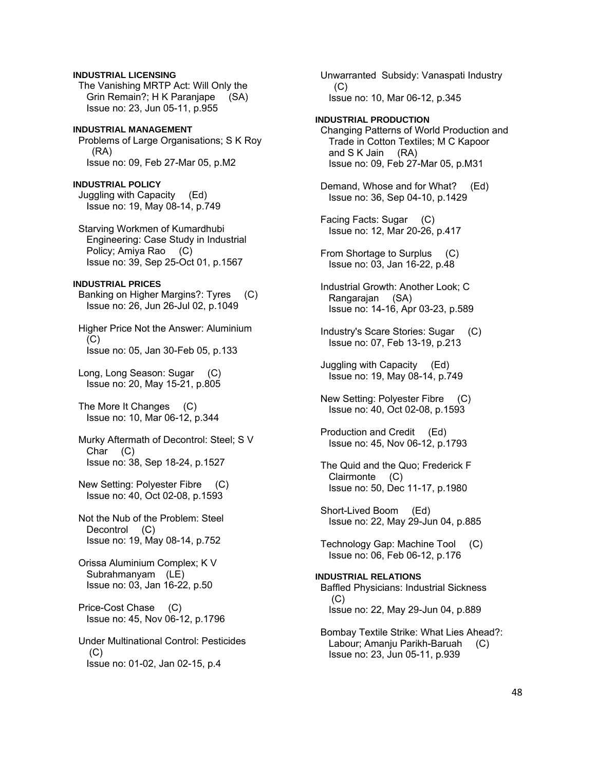# **INDUSTRIAL LICENSING**

 The Vanishing MRTP Act: Will Only the Grin Remain?; H K Paranjape (SA) Issue no: 23, Jun 05-11, p.955

**INDUSTRIAL MANAGEMENT**  Problems of Large Organisations; S K Roy (RA) Issue no: 09, Feb 27-Mar 05, p.M2

**INDUSTRIAL POLICY**  Juggling with Capacity (Ed) Issue no: 19, May 08-14, p.749

 Starving Workmen of Kumardhubi Engineering: Case Study in Industrial Policy; Amiya Rao (C) Issue no: 39, Sep 25-Oct 01, p.1567

# **INDUSTRIAL PRICES**

 Banking on Higher Margins?: Tyres (C) Issue no: 26, Jun 26-Jul 02, p.1049

 Higher Price Not the Answer: Aluminium  $(C)$ Issue no: 05, Jan 30-Feb 05, p.133

 Long, Long Season: Sugar (C) Issue no: 20, May 15-21, p.805

 The More It Changes (C) Issue no: 10, Mar 06-12, p.344

 Murky Aftermath of Decontrol: Steel; S V Char (C) Issue no: 38, Sep 18-24, p.1527

 New Setting: Polyester Fibre (C) Issue no: 40, Oct 02-08, p.1593

 Not the Nub of the Problem: Steel Decontrol (C) Issue no: 19, May 08-14, p.752

 Orissa Aluminium Complex; K V Subrahmanyam (LE) Issue no: 03, Jan 16-22, p.50

 Price-Cost Chase (C) Issue no: 45, Nov 06-12, p.1796

 Under Multinational Control: Pesticides  $(C)$ Issue no: 01-02, Jan 02-15, p.4

 Unwarranted Subsidy: Vanaspati Industry  $(C)$ Issue no: 10, Mar 06-12, p.345

### **INDUSTRIAL PRODUCTION**

 Changing Patterns of World Production and Trade in Cotton Textiles; M C Kapoor and S K Jain (RA) Issue no: 09, Feb 27-Mar 05, p.M31

 Demand, Whose and for What? (Ed) Issue no: 36, Sep 04-10, p.1429

 Facing Facts: Sugar (C) Issue no: 12, Mar 20-26, p.417

 From Shortage to Surplus (C) Issue no: 03, Jan 16-22, p.48

 Industrial Growth: Another Look; C Rangarajan (SA) Issue no: 14-16, Apr 03-23, p.589

 Industry's Scare Stories: Sugar (C) Issue no: 07, Feb 13-19, p.213

 Juggling with Capacity (Ed) Issue no: 19, May 08-14, p.749

 New Setting: Polyester Fibre (C) Issue no: 40, Oct 02-08, p.1593

 Production and Credit (Ed) Issue no: 45, Nov 06-12, p.1793

 The Quid and the Quo; Frederick F Clairmonte (C) Issue no: 50, Dec 11-17, p.1980

 Short-Lived Boom (Ed) Issue no: 22, May 29-Jun 04, p.885

 Technology Gap: Machine Tool (C) Issue no: 06, Feb 06-12, p.176

**INDUSTRIAL RELATIONS**  Baffled Physicians: Industrial Sickness (C) Issue no: 22, May 29-Jun 04, p.889

 Bombay Textile Strike: What Lies Ahead?: Labour; Amanju Parikh-Baruah (C) Issue no: 23, Jun 05-11, p.939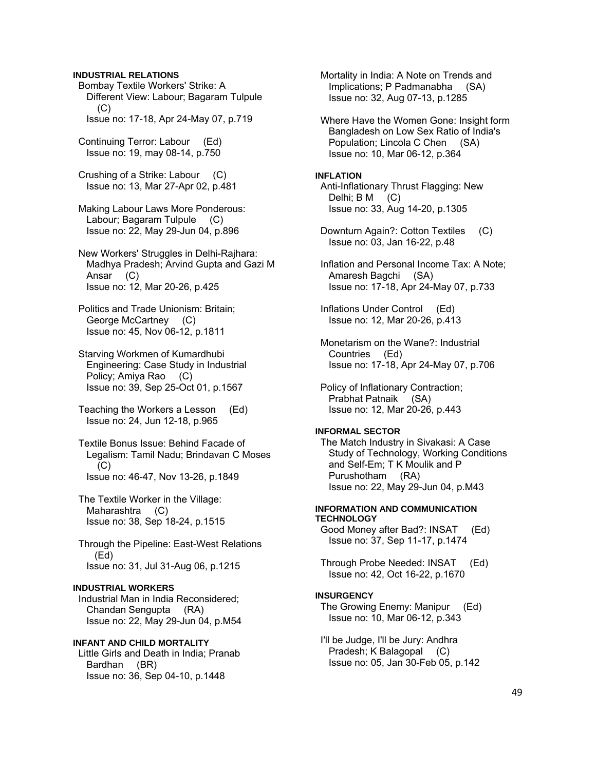# **INDUSTRIAL RELATIONS**

 Bombay Textile Workers' Strike: A Different View: Labour; Bagaram Tulpule (C) Issue no: 17-18, Apr 24-May 07, p.719

 Continuing Terror: Labour (Ed) Issue no: 19, may 08-14, p.750

 Crushing of a Strike: Labour (C) Issue no: 13, Mar 27-Apr 02, p.481

 Making Labour Laws More Ponderous: Labour; Bagaram Tulpule (C) Issue no: 22, May 29-Jun 04, p.896

 New Workers' Struggles in Delhi-Rajhara: Madhya Pradesh; Arvind Gupta and Gazi M Ansar (C) Issue no: 12, Mar 20-26, p.425

 Politics and Trade Unionism: Britain; George McCartney (C) Issue no: 45, Nov 06-12, p.1811

 Starving Workmen of Kumardhubi Engineering: Case Study in Industrial Policy; Amiya Rao (C) Issue no: 39, Sep 25-Oct 01, p.1567

 Teaching the Workers a Lesson (Ed) Issue no: 24, Jun 12-18, p.965

 Textile Bonus Issue: Behind Facade of Legalism: Tamil Nadu; Brindavan C Moses  $(C)$ Issue no: 46-47, Nov 13-26, p.1849

 The Textile Worker in the Village: Maharashtra (C) Issue no: 38, Sep 18-24, p.1515

 Through the Pipeline: East-West Relations (Ed) Issue no: 31, Jul 31-Aug 06, p.1215

### **INDUSTRIAL WORKERS**

 Industrial Man in India Reconsidered; Chandan Sengupta (RA) Issue no: 22, May 29-Jun 04, p.M54

### **INFANT AND CHILD MORTALITY**

 Little Girls and Death in India; Pranab Bardhan (BR) Issue no: 36, Sep 04-10, p.1448

 Mortality in India: A Note on Trends and Implications; P Padmanabha (SA) Issue no: 32, Aug 07-13, p.1285

 Where Have the Women Gone: Insight form Bangladesh on Low Sex Ratio of India's Population; Lincola C Chen (SA) Issue no: 10, Mar 06-12, p.364

# **INFLATION**

 Anti-Inflationary Thrust Flagging: New Delhi; B M (C) Issue no: 33, Aug 14-20, p.1305

 Downturn Again?: Cotton Textiles (C) Issue no: 03, Jan 16-22, p.48

 Inflation and Personal Income Tax: A Note; Amaresh Bagchi (SA) Issue no: 17-18, Apr 24-May 07, p.733

 Inflations Under Control (Ed) Issue no: 12, Mar 20-26, p.413

 Monetarism on the Wane?: Industrial Countries (Ed) Issue no: 17-18, Apr 24-May 07, p.706

 Policy of Inflationary Contraction; Prabhat Patnaik (SA) Issue no: 12, Mar 20-26, p.443

#### **INFORMAL SECTOR**

 The Match Industry in Sivakasi: A Case Study of Technology, Working Conditions and Self-Em; T K Moulik and P Purushotham (RA) Issue no: 22, May 29-Jun 04, p.M43

### **INFORMATION AND COMMUNICATION TECHNOLOGY**

 Good Money after Bad?: INSAT (Ed) Issue no: 37, Sep 11-17, p.1474

 Through Probe Needed: INSAT (Ed) Issue no: 42, Oct 16-22, p.1670

#### **INSURGENCY**

 The Growing Enemy: Manipur (Ed) Issue no: 10, Mar 06-12, p.343

 I'll be Judge, I'll be Jury: Andhra Pradesh; K Balagopal (C) Issue no: 05, Jan 30-Feb 05, p.142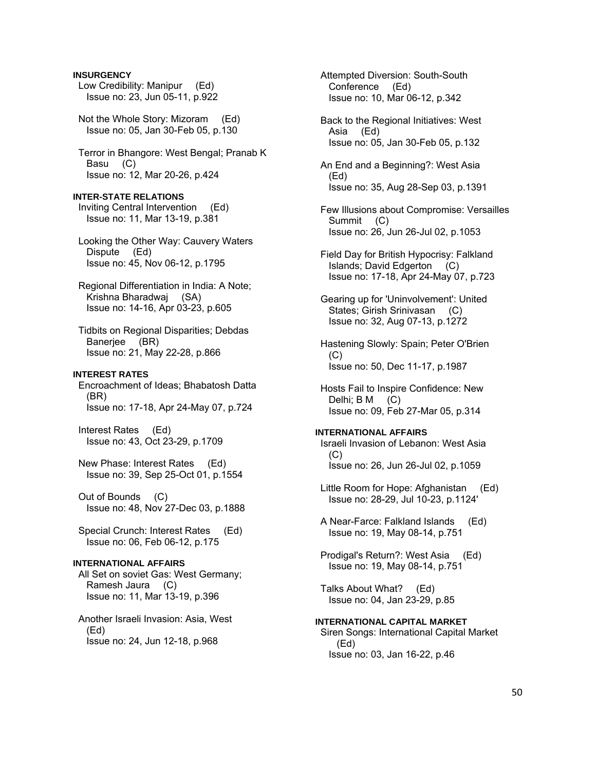# **INSURGENCY**

- Low Credibility: Manipur (Ed) Issue no: 23, Jun 05-11, p.922
- Not the Whole Story: Mizoram (Ed) Issue no: 05, Jan 30-Feb 05, p.130

 Terror in Bhangore: West Bengal; Pranab K Basu (C) Issue no: 12, Mar 20-26, p.424

# **INTER-STATE RELATIONS**

 Inviting Central Intervention (Ed) Issue no: 11, Mar 13-19, p.381

 Looking the Other Way: Cauvery Waters Dispute (Ed) Issue no: 45, Nov 06-12, p.1795

 Regional Differentiation in India: A Note; Krishna Bharadwaj (SA) Issue no: 14-16, Apr 03-23, p.605

 Tidbits on Regional Disparities; Debdas Banerjee (BR) Issue no: 21, May 22-28, p.866

#### **INTEREST RATES**

 Encroachment of Ideas; Bhabatosh Datta (BR) Issue no: 17-18, Apr 24-May 07, p.724

 Interest Rates (Ed) Issue no: 43, Oct 23-29, p.1709

 New Phase: Interest Rates (Ed) Issue no: 39, Sep 25-Oct 01, p.1554

 Out of Bounds (C) Issue no: 48, Nov 27-Dec 03, p.1888

 Special Crunch: Interest Rates (Ed) Issue no: 06, Feb 06-12, p.175

### **INTERNATIONAL AFFAIRS**

 All Set on soviet Gas: West Germany; Ramesh Jaura (C) Issue no: 11, Mar 13-19, p.396

 Another Israeli Invasion: Asia, West (Ed) Issue no: 24, Jun 12-18, p.968

 Attempted Diversion: South-South Conference (Ed) Issue no: 10, Mar 06-12, p.342

 Back to the Regional Initiatives: West Asia (Ed) Issue no: 05, Jan 30-Feb 05, p.132

 An End and a Beginning?: West Asia (Ed) Issue no: 35, Aug 28-Sep 03, p.1391

 Few Illusions about Compromise: Versailles Summit (C) Issue no: 26, Jun 26-Jul 02, p.1053

 Field Day for British Hypocrisy: Falkland Islands; David Edgerton (C) Issue no: 17-18, Apr 24-May 07, p.723

 Gearing up for 'Uninvolvement': United States; Girish Srinivasan (C) Issue no: 32, Aug 07-13, p.1272

 Hastening Slowly: Spain; Peter O'Brien (C) Issue no: 50, Dec 11-17, p.1987

 Hosts Fail to Inspire Confidence: New Delhi; B M (C) Issue no: 09, Feb 27-Mar 05, p.314

#### **INTERNATIONAL AFFAIRS**

 Israeli Invasion of Lebanon: West Asia (C) Issue no: 26, Jun 26-Jul 02, p.1059

 Little Room for Hope: Afghanistan (Ed) Issue no: 28-29, Jul 10-23, p.1124'

 A Near-Farce: Falkland Islands (Ed) Issue no: 19, May 08-14, p.751

 Prodigal's Return?: West Asia (Ed) Issue no: 19, May 08-14, p.751

 Talks About What? (Ed) Issue no: 04, Jan 23-29, p.85

# **INTERNATIONAL CAPITAL MARKET**  Siren Songs: International Capital Market (Ed)

Issue no: 03, Jan 16-22, p.46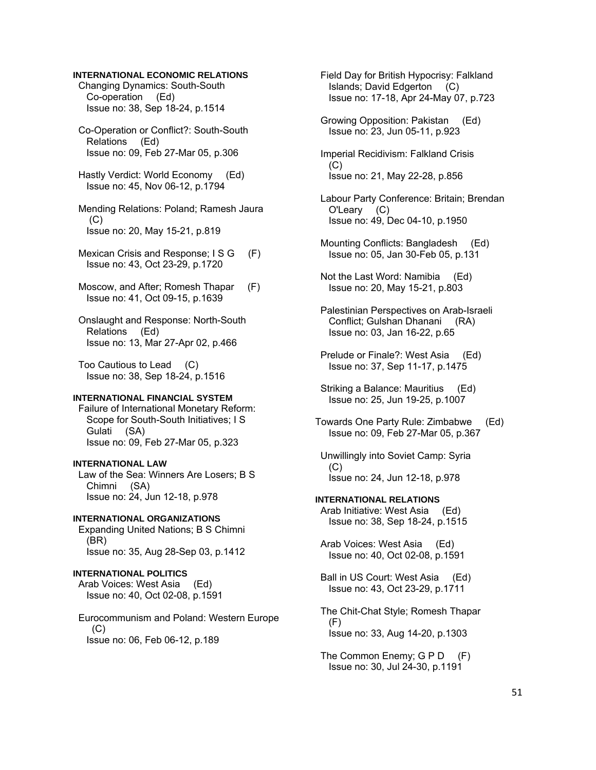# **INTERNATIONAL ECONOMIC RELATIONS**

 Changing Dynamics: South-South Co-operation (Ed) Issue no: 38, Sep 18-24, p.1514

 Co-Operation or Conflict?: South-South Relations (Ed) Issue no: 09, Feb 27-Mar 05, p.306

 Hastly Verdict: World Economy (Ed) Issue no: 45, Nov 06-12, p.1794

 Mending Relations: Poland; Ramesh Jaura (C) Issue no: 20, May 15-21, p.819

Mexican Crisis and Response: I S G (F) Issue no: 43, Oct 23-29, p.1720

Moscow, and After; Romesh Thapar (F) Issue no: 41, Oct 09-15, p.1639

 Onslaught and Response: North-South Relations (Ed) Issue no: 13, Mar 27-Apr 02, p.466

 Too Cautious to Lead (C) Issue no: 38, Sep 18-24, p.1516

#### **INTERNATIONAL FINANCIAL SYSTEM**

 Failure of International Monetary Reform: Scope for South-South Initiatives; I S Gulati (SA) Issue no: 09, Feb 27-Mar 05, p.323

#### **INTERNATIONAL LAW**

 Law of the Sea: Winners Are Losers; B S Chimni (SA) Issue no: 24, Jun 12-18, p.978

**INTERNATIONAL ORGANIZATIONS**  Expanding United Nations; B S Chimni (BR) Issue no: 35, Aug 28-Sep 03, p.1412

**INTERNATIONAL POLITICS**  Arab Voices: West Asia (Ed) Issue no: 40, Oct 02-08, p.1591

 Eurocommunism and Poland: Western Europe  $(C)$ Issue no: 06, Feb 06-12, p.189

 Field Day for British Hypocrisy: Falkland Islands; David Edgerton (C) Issue no: 17-18, Apr 24-May 07, p.723

 Growing Opposition: Pakistan (Ed) Issue no: 23, Jun 05-11, p.923

 Imperial Recidivism: Falkland Crisis  $(C)$ Issue no: 21, May 22-28, p.856

 Labour Party Conference: Britain; Brendan O'Leary (C) Issue no: 49, Dec 04-10, p.1950

 Mounting Conflicts: Bangladesh (Ed) Issue no: 05, Jan 30-Feb 05, p.131

 Not the Last Word: Namibia (Ed) Issue no: 20, May 15-21, p.803

 Palestinian Perspectives on Arab-Israeli Conflict; Gulshan Dhanani (RA) Issue no: 03, Jan 16-22, p.65

 Prelude or Finale?: West Asia (Ed) Issue no: 37, Sep 11-17, p.1475

 Striking a Balance: Mauritius (Ed) Issue no: 25, Jun 19-25, p.1007

Towards One Party Rule: Zimbabwe (Ed) Issue no: 09, Feb 27-Mar 05, p.367

 Unwillingly into Soviet Camp: Syria  $(C)$ Issue no: 24, Jun 12-18, p.978

# **INTERNATIONAL RELATIONS**

 Arab Initiative: West Asia (Ed) Issue no: 38, Sep 18-24, p.1515

 Arab Voices: West Asia (Ed) Issue no: 40, Oct 02-08, p.1591

 Ball in US Court: West Asia (Ed) Issue no: 43, Oct 23-29, p.1711

 The Chit-Chat Style; Romesh Thapar (F) Issue no: 33, Aug 14-20, p.1303

The Common Enemy; G P D (F) Issue no: 30, Jul 24-30, p.1191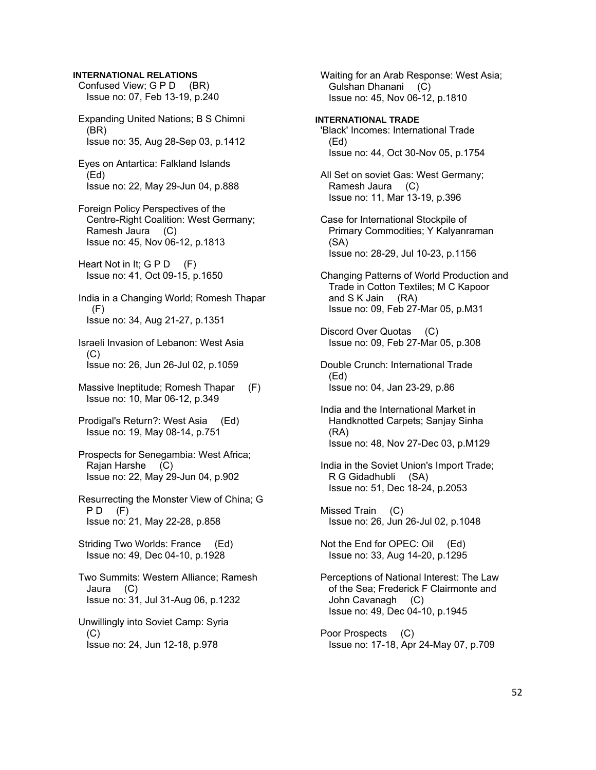#### **INTERNATIONAL RELATIONS**

Confused View; G P D (BR) Issue no: 07, Feb 13-19, p.240 Expanding United Nations; B S Chimni (BR) Issue no: 35, Aug 28-Sep 03, p.1412

 Eyes on Antartica: Falkland Islands (Ed) Issue no: 22, May 29-Jun 04, p.888

 Foreign Policy Perspectives of the Centre-Right Coalition: West Germany; Ramesh Jaura (C) Issue no: 45, Nov 06-12, p.1813

Heart Not in It; G P D (F) Issue no: 41, Oct 09-15, p.1650

 India in a Changing World; Romesh Thapar (F) Issue no: 34, Aug 21-27, p.1351

 Israeli Invasion of Lebanon: West Asia  $(C)$ Issue no: 26, Jun 26-Jul 02, p.1059

 Massive Ineptitude; Romesh Thapar (F) Issue no: 10, Mar 06-12, p.349

 Prodigal's Return?: West Asia (Ed) Issue no: 19, May 08-14, p.751

 Prospects for Senegambia: West Africa; Rajan Harshe (C) Issue no: 22, May 29-Jun 04, p.902

 Resurrecting the Monster View of China; G  $PD$   $(F)$ Issue no: 21, May 22-28, p.858

 Striding Two Worlds: France (Ed) Issue no: 49, Dec 04-10, p.1928

 Two Summits: Western Alliance; Ramesh Jaura (C) Issue no: 31, Jul 31-Aug 06, p.1232

 Unwillingly into Soviet Camp: Syria  $(C)$ Issue no: 24, Jun 12-18, p.978

 Waiting for an Arab Response: West Asia; Gulshan Dhanani (C) Issue no: 45, Nov 06-12, p.1810

**INTERNATIONAL TRADE**  'Black' Incomes: International Trade (Ed) Issue no: 44, Oct 30-Nov 05, p.1754

 All Set on soviet Gas: West Germany; Ramesh Jaura (C) Issue no: 11, Mar 13-19, p.396

 Case for International Stockpile of Primary Commodities; Y Kalyanraman (SA) Issue no: 28-29, Jul 10-23, p.1156

 Changing Patterns of World Production and Trade in Cotton Textiles; M C Kapoor and S K Jain (RA) Issue no: 09, Feb 27-Mar 05, p.M31

 Discord Over Quotas (C) Issue no: 09, Feb 27-Mar 05, p.308

 Double Crunch: International Trade (Ed) Issue no: 04, Jan 23-29, p.86

 India and the International Market in Handknotted Carpets; Sanjay Sinha (RA) Issue no: 48, Nov 27-Dec 03, p.M129

 India in the Soviet Union's Import Trade; R G Gidadhubli (SA) Issue no: 51, Dec 18-24, p.2053

 Missed Train (C) Issue no: 26, Jun 26-Jul 02, p.1048

Not the End for OPEC: Oil (Ed) Issue no: 33, Aug 14-20, p.1295

 Perceptions of National Interest: The Law of the Sea; Frederick F Clairmonte and John Cavanagh (C) Issue no: 49, Dec 04-10, p.1945

 Poor Prospects (C) Issue no: 17-18, Apr 24-May 07, p.709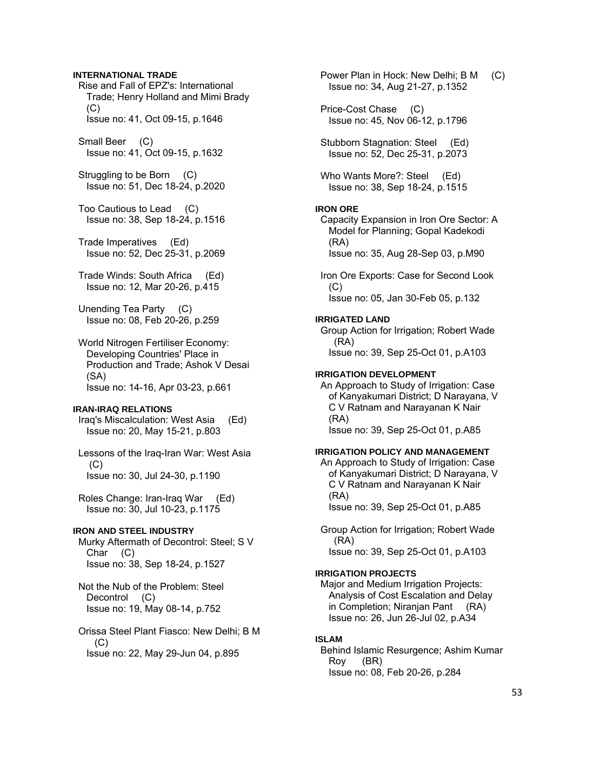# **INTERNATIONAL TRADE**

 Rise and Fall of EPZ's: International Trade; Henry Holland and Mimi Brady  $(C)$ Issue no: 41, Oct 09-15, p.1646

 Small Beer (C) Issue no: 41, Oct 09-15, p.1632

 Struggling to be Born (C) Issue no: 51, Dec 18-24, p.2020

 Too Cautious to Lead (C) Issue no: 38, Sep 18-24, p.1516

 Trade Imperatives (Ed) Issue no: 52, Dec 25-31, p.2069

 Trade Winds: South Africa (Ed) Issue no: 12, Mar 20-26, p.415

 Unending Tea Party (C) Issue no: 08, Feb 20-26, p.259

 World Nitrogen Fertiliser Economy: Developing Countries' Place in Production and Trade; Ashok V Desai (SA) Issue no: 14-16, Apr 03-23, p.661

#### **IRAN-IRAQ RELATIONS**

 Iraq's Miscalculation: West Asia (Ed) Issue no: 20, May 15-21, p.803

 Lessons of the Iraq-Iran War: West Asia (C) Issue no: 30, Jul 24-30, p.1190

 Roles Change: Iran-Iraq War (Ed) Issue no: 30, Jul 10-23, p.1175

#### **IRON AND STEEL INDUSTRY**

 Murky Aftermath of Decontrol: Steel; S V Char (C) Issue no: 38, Sep 18-24, p.1527

 Not the Nub of the Problem: Steel Decontrol (C) Issue no: 19, May 08-14, p.752

 Orissa Steel Plant Fiasco: New Delhi; B M (C) Issue no: 22, May 29-Jun 04, p.895

 Power Plan in Hock: New Delhi; B M (C) Issue no: 34, Aug 21-27, p.1352 Price-Cost Chase (C) Issue no: 45, Nov 06-12, p.1796 Stubborn Stagnation: Steel (Ed) Issue no: 52, Dec 25-31, p.2073 Who Wants More?: Steel (Ed) Issue no: 38, Sep 18-24, p.1515 **IRON ORE**  Capacity Expansion in Iron Ore Sector: A Model for Planning; Gopal Kadekodi (RA) Issue no: 35, Aug 28-Sep 03, p.M90 Iron Ore Exports: Case for Second Look  $(C)$  Issue no: 05, Jan 30-Feb 05, p.132 **IRRIGATED LAND**  Group Action for Irrigation; Robert Wade (RA) Issue no: 39, Sep 25-Oct 01, p.A103 **IRRIGATION DEVELOPMENT**  An Approach to Study of Irrigation: Case of Kanyakumari District; D Narayana, V C V Ratnam and Narayanan K Nair (RA) Issue no: 39, Sep 25-Oct 01, p.A85 **IRRIGATION POLICY AND MANAGEMENT**  An Approach to Study of Irrigation: Case of Kanyakumari District; D Narayana, V C V Ratnam and Narayanan K Nair (RA) Issue no: 39, Sep 25-Oct 01, p.A85 Group Action for Irrigation; Robert Wade (RA) Issue no: 39, Sep 25-Oct 01, p.A103 **IRRIGATION PROJECTS**  Major and Medium Irrigation Projects: Analysis of Cost Escalation and Delay in Completion; Niranjan Pant (RA) Issue no: 26, Jun 26-Jul 02, p.A34 **ISLAM**  Behind Islamic Resurgence; Ashim Kumar Roy (BR)

Issue no: 08, Feb 20-26, p.284

53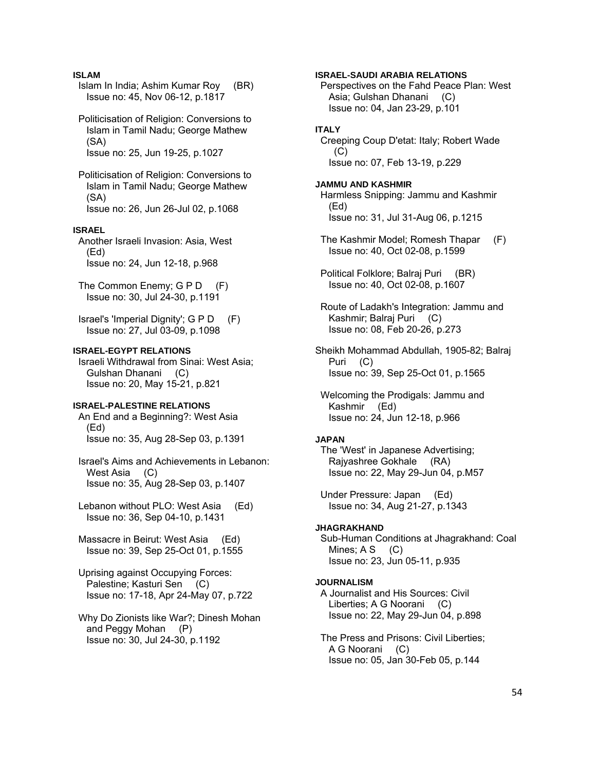# **ISLAM**

 Islam In India; Ashim Kumar Roy (BR) Issue no: 45, Nov 06-12, p.1817

 Politicisation of Religion: Conversions to Islam in Tamil Nadu; George Mathew (SA) Issue no: 25, Jun 19-25, p.1027

 Politicisation of Religion: Conversions to Islam in Tamil Nadu; George Mathew (SA) Issue no: 26, Jun 26-Jul 02, p.1068

#### **ISRAEL**

 Another Israeli Invasion: Asia, West (Ed) Issue no: 24, Jun 12-18, p.968

The Common Enemy; G P D (F) Issue no: 30, Jul 24-30, p.1191

 Israel's 'Imperial Dignity'; G P D (F) Issue no: 27, Jul 03-09, p.1098

### **ISRAEL-EGYPT RELATIONS**

 Israeli Withdrawal from Sinai: West Asia; Gulshan Dhanani (C) Issue no: 20, May 15-21, p.821

#### **ISRAEL-PALESTINE RELATIONS**

 An End and a Beginning?: West Asia (Ed) Issue no: 35, Aug 28-Sep 03, p.1391

 Israel's Aims and Achievements in Lebanon: West Asia (C) Issue no: 35, Aug 28-Sep 03, p.1407

 Lebanon without PLO: West Asia (Ed) Issue no: 36, Sep 04-10, p.1431

 Massacre in Beirut: West Asia (Ed) Issue no: 39, Sep 25-Oct 01, p.1555

 Uprising against Occupying Forces: Palestine; Kasturi Sen (C) Issue no: 17-18, Apr 24-May 07, p.722

 Why Do Zionists like War?; Dinesh Mohan and Peggy Mohan (P) Issue no: 30, Jul 24-30, p.1192

# **ISRAEL-SAUDI ARABIA RELATIONS**

 Perspectives on the Fahd Peace Plan: West Asia; Gulshan Dhanani (C) Issue no: 04, Jan 23-29, p.101

# **ITALY**

 Creeping Coup D'etat: Italy; Robert Wade (C) Issue no: 07, Feb 13-19, p.229

#### **JAMMU AND KASHMIR**

 Harmless Snipping: Jammu and Kashmir (Ed) Issue no: 31, Jul 31-Aug 06, p.1215

 The Kashmir Model; Romesh Thapar (F) Issue no: 40, Oct 02-08, p.1599

 Political Folklore; Balraj Puri (BR) Issue no: 40, Oct 02-08, p.1607

 Route of Ladakh's Integration: Jammu and Kashmir; Balraj Puri (C) Issue no: 08, Feb 20-26, p.273

Sheikh Mohammad Abdullah, 1905-82; Balraj Puri (C) Issue no: 39, Sep 25-Oct 01, p.1565

 Welcoming the Prodigals: Jammu and Kashmir (Ed) Issue no: 24, Jun 12-18, p.966

### **JAPAN**

 The 'West' in Japanese Advertising; Rajyashree Gokhale (RA) Issue no: 22, May 29-Jun 04, p.M57

 Under Pressure: Japan (Ed) Issue no: 34, Aug 21-27, p.1343

#### **JHAGRAKHAND**

 Sub-Human Conditions at Jhagrakhand: Coal Mines;  $A S$  (C) Issue no: 23, Jun 05-11, p.935

### **JOURNALISM**

 A Journalist and His Sources: Civil Liberties; A G Noorani (C) Issue no: 22, May 29-Jun 04, p.898

 The Press and Prisons: Civil Liberties; A G Noorani (C) Issue no: 05, Jan 30-Feb 05, p.144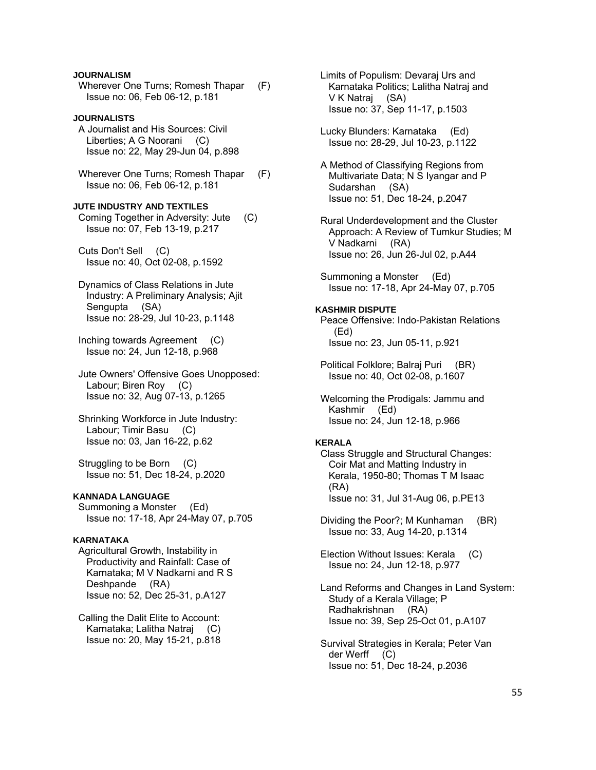# **JOURNALISM**

Wherever One Turns; Romesh Thapar (F) Issue no: 06, Feb 06-12, p.181

# **JOURNALISTS**

 A Journalist and His Sources: Civil Liberties; A G Noorani (C) Issue no: 22, May 29-Jun 04, p.898

Wherever One Turns; Romesh Thapar (F) Issue no: 06, Feb 06-12, p.181

### **JUTE INDUSTRY AND TEXTILES**

 Coming Together in Adversity: Jute (C) Issue no: 07, Feb 13-19, p.217

 Cuts Don't Sell (C) Issue no: 40, Oct 02-08, p.1592

 Dynamics of Class Relations in Jute Industry: A Preliminary Analysis; Ajit Sengupta (SA) Issue no: 28-29, Jul 10-23, p.1148

 Inching towards Agreement (C) Issue no: 24, Jun 12-18, p.968

 Jute Owners' Offensive Goes Unopposed: Labour; Biren Roy (C) Issue no: 32, Aug 07-13, p.1265

 Shrinking Workforce in Jute Industry: Labour; Timir Basu (C) Issue no: 03, Jan 16-22, p.62

 Struggling to be Born (C) Issue no: 51, Dec 18-24, p.2020

# **KANNADA LANGUAGE**

 Summoning a Monster (Ed) Issue no: 17-18, Apr 24-May 07, p.705

# **KARNATAKA**

 Agricultural Growth, Instability in Productivity and Rainfall: Case of Karnataka; M V Nadkarni and R S Deshpande (RA) Issue no: 52, Dec 25-31, p.A127

 Calling the Dalit Elite to Account: Karnataka; Lalitha Natraj (C) Issue no: 20, May 15-21, p.818

 Limits of Populism: Devaraj Urs and Karnataka Politics; Lalitha Natraj and V K Natraj (SA) Issue no: 37, Sep 11-17, p.1503

- Lucky Blunders: Karnataka (Ed) Issue no: 28-29, Jul 10-23, p.1122
- A Method of Classifying Regions from Multivariate Data; N S Iyangar and P Sudarshan (SA) Issue no: 51, Dec 18-24, p.2047
- Rural Underdevelopment and the Cluster Approach: A Review of Tumkur Studies; M V Nadkarni (RA) Issue no: 26, Jun 26-Jul 02, p.A44
- Summoning a Monster (Ed) Issue no: 17-18, Apr 24-May 07, p.705

### **KASHMIR DISPUTE**

- Peace Offensive: Indo-Pakistan Relations (Ed) Issue no: 23, Jun 05-11, p.921
- Political Folklore; Balraj Puri (BR) Issue no: 40, Oct 02-08, p.1607

 Welcoming the Prodigals: Jammu and Kashmir (Ed) Issue no: 24, Jun 12-18, p.966

#### **KERALA**

 Class Struggle and Structural Changes: Coir Mat and Matting Industry in Kerala, 1950-80; Thomas T M Isaac (RA) Issue no: 31, Jul 31-Aug 06, p.PE13

- Dividing the Poor?; M Kunhaman (BR) Issue no: 33, Aug 14-20, p.1314
- Election Without Issues: Kerala (C) Issue no: 24, Jun 12-18, p.977
- Land Reforms and Changes in Land System: Study of a Kerala Village; P Radhakrishnan (RA) Issue no: 39, Sep 25-Oct 01, p.A107

 Survival Strategies in Kerala; Peter Van der Werff (C) Issue no: 51, Dec 18-24, p.2036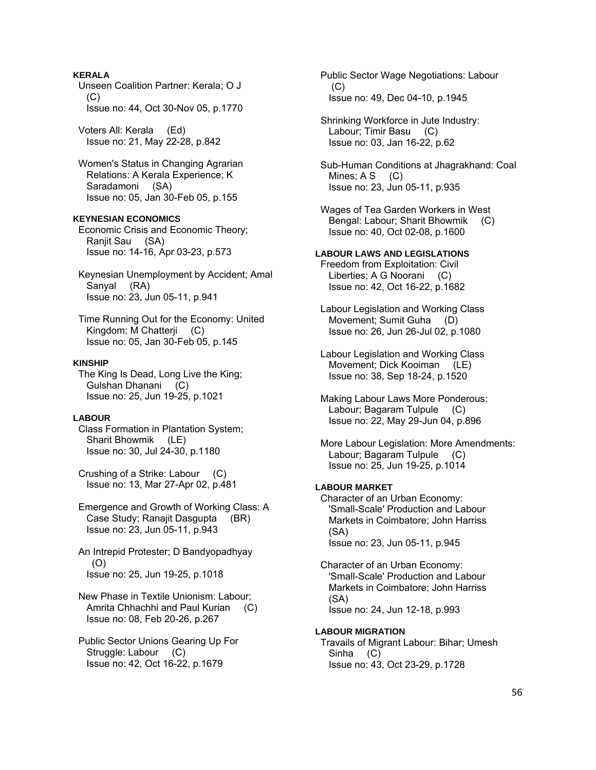# **KERALA**

 Unseen Coalition Partner: Kerala; O J  $(C)$ Issue no: 44, Oct 30-Nov 05, p.1770

 Voters All: Kerala (Ed) Issue no: 21, May 22-28, p.842

 Women's Status in Changing Agrarian Relations: A Kerala Experience; K Saradamoni (SA) Issue no: 05, Jan 30-Feb 05, p.155

# **KEYNESIAN ECONOMICS**

 Economic Crisis and Economic Theory; Ranjit Sau (SA) Issue no: 14-16, Apr 03-23, p.573

 Keynesian Unemployment by Accident; Amal Sanyal (RA) Issue no: 23, Jun 05-11, p.941

 Time Running Out for the Economy: United Kingdom; M Chatterji (C) Issue no: 05, Jan 30-Feb 05, p.145

### **KINSHIP**

 The King Is Dead, Long Live the King; Gulshan Dhanani (C) Issue no: 25, Jun 19-25, p.1021

### **LABOUR**

 Class Formation in Plantation System; Sharit Bhowmik (LE) Issue no: 30, Jul 24-30, p.1180

 Crushing of a Strike: Labour (C) Issue no: 13, Mar 27-Apr 02, p.481

 Emergence and Growth of Working Class: A Case Study; Ranajit Dasgupta (BR) Issue no: 23, Jun 05-11, p.943

 An Intrepid Protester; D Bandyopadhyay (O) Issue no: 25, Jun 19-25, p.1018

 New Phase in Textile Unionism: Labour; Amrita Chhachhi and Paul Kurian (C) Issue no: 08, Feb 20-26, p.267

 Public Sector Unions Gearing Up For Struggle: Labour (C) Issue no: 42, Oct 16-22, p.1679

 Public Sector Wage Negotiations: Labour (C) Issue no: 49, Dec 04-10, p.1945

 Shrinking Workforce in Jute Industry: Labour; Timir Basu (C) Issue no: 03, Jan 16-22, p.62

 Sub-Human Conditions at Jhagrakhand: Coal Mines;  $A S$  (C) Issue no: 23, Jun 05-11, p.935

 Wages of Tea Garden Workers in West Bengal: Labour; Sharit Bhowmik (C) Issue no: 40, Oct 02-08, p.1600

#### **LABOUR LAWS AND LEGISLATIONS**

 Freedom from Exploitation: Civil Liberties; A G Noorani (C) Issue no: 42, Oct 16-22, p.1682

 Labour Legislation and Working Class Movement; Sumit Guha (D) Issue no: 26, Jun 26-Jul 02, p.1080

 Labour Legislation and Working Class Movement; Dick Kooiman (LE) Issue no: 38, Sep 18-24, p.1520

 Making Labour Laws More Ponderous: Labour; Bagaram Tulpule (C) Issue no: 22, May 29-Jun 04, p.896

 More Labour Legislation: More Amendments: Labour; Bagaram Tulpule (C) Issue no: 25, Jun 19-25, p.1014

# **LABOUR MARKET**

 Character of an Urban Economy: 'Small-Scale' Production and Labour Markets in Coimbatore; John Harriss (SA) Issue no: 23, Jun 05-11, p.945

 Character of an Urban Economy: 'Small-Scale' Production and Labour Markets in Coimbatore; John Harriss (SA) Issue no: 24, Jun 12-18, p.993

# **LABOUR MIGRATION**

 Travails of Migrant Labour: Bihar; Umesh Sinha (C) Issue no: 43, Oct 23-29, p.1728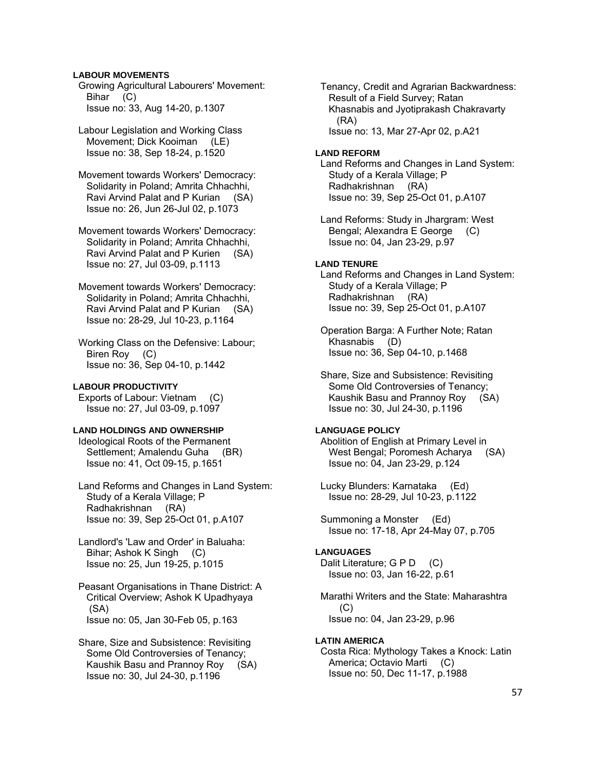# **LABOUR MOVEMENTS**

 Growing Agricultural Labourers' Movement: Bihar (C) Issue no: 33, Aug 14-20, p.1307

 Labour Legislation and Working Class Movement; Dick Kooiman (LE) Issue no: 38, Sep 18-24, p.1520

 Movement towards Workers' Democracy: Solidarity in Poland; Amrita Chhachhi, Ravi Arvind Palat and P Kurian (SA) Issue no: 26, Jun 26-Jul 02, p.1073

 Movement towards Workers' Democracy: Solidarity in Poland; Amrita Chhachhi, Ravi Arvind Palat and P Kurien (SA) Issue no: 27, Jul 03-09, p.1113

 Movement towards Workers' Democracy: Solidarity in Poland; Amrita Chhachhi, Ravi Arvind Palat and P Kurian (SA) Issue no: 28-29, Jul 10-23, p.1164

 Working Class on the Defensive: Labour; Biren Roy (C) Issue no: 36, Sep 04-10, p.1442

#### **LABOUR PRODUCTIVITY**

 Exports of Labour: Vietnam (C) Issue no: 27, Jul 03-09, p.1097

### **LAND HOLDINGS AND OWNERSHIP**

 Ideological Roots of the Permanent Settlement; Amalendu Guha (BR) Issue no: 41, Oct 09-15, p.1651

 Land Reforms and Changes in Land System: Study of a Kerala Village; P Radhakrishnan (RA) Issue no: 39, Sep 25-Oct 01, p.A107

 Landlord's 'Law and Order' in Baluaha: Bihar; Ashok K Singh (C) Issue no: 25, Jun 19-25, p.1015

 Peasant Organisations in Thane District: A Critical Overview; Ashok K Upadhyaya (SA) Issue no: 05, Jan 30-Feb 05, p.163

 Share, Size and Subsistence: Revisiting Some Old Controversies of Tenancy; Kaushik Basu and Prannoy Roy (SA) Issue no: 30, Jul 24-30, p.1196

 Tenancy, Credit and Agrarian Backwardness: Result of a Field Survey; Ratan Khasnabis and Jyotiprakash Chakravarty (RA) Issue no: 13, Mar 27-Apr 02, p.A21

### **LAND REFORM**

 Land Reforms and Changes in Land System: Study of a Kerala Village; P Radhakrishnan (RA) Issue no: 39, Sep 25-Oct 01, p.A107

 Land Reforms: Study in Jhargram: West Bengal; Alexandra E George (C) Issue no: 04, Jan 23-29, p.97

### **LAND TENURE**

 Land Reforms and Changes in Land System: Study of a Kerala Village; P Radhakrishnan (RA) Issue no: 39, Sep 25-Oct 01, p.A107

 Operation Barga: A Further Note; Ratan Khasnabis (D) Issue no: 36, Sep 04-10, p.1468

 Share, Size and Subsistence: Revisiting Some Old Controversies of Tenancy; Kaushik Basu and Prannoy Roy (SA) Issue no: 30, Jul 24-30, p.1196

### **LANGUAGE POLICY**

 Abolition of English at Primary Level in West Bengal; Poromesh Acharya (SA) Issue no: 04, Jan 23-29, p.124

 Lucky Blunders: Karnataka (Ed) Issue no: 28-29, Jul 10-23, p.1122

 Summoning a Monster (Ed) Issue no: 17-18, Apr 24-May 07, p.705

#### **LANGUAGES**

Dalit Literature; G P D (C) Issue no: 03, Jan 16-22, p.61

 Marathi Writers and the State: Maharashtra  $(C)$ Issue no: 04, Jan 23-29, p.96

# **LATIN AMERICA**

 Costa Rica: Mythology Takes a Knock: Latin America; Octavio Marti (C) Issue no: 50, Dec 11-17, p.1988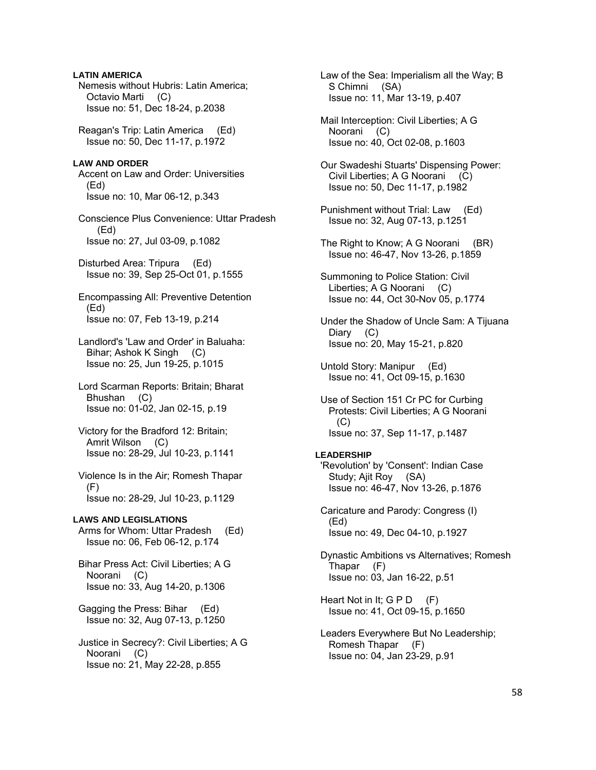**LATIN AMERICA**  Nemesis without Hubris: Latin America; Octavio Marti (C) Issue no: 51, Dec 18-24, p.2038 Reagan's Trip: Latin America (Ed) Issue no: 50, Dec 11-17, p.1972 **LAW AND ORDER**  Accent on Law and Order: Universities (Ed) Issue no: 10, Mar 06-12, p.343 Conscience Plus Convenience: Uttar Pradesh (Ed) Issue no: 27, Jul 03-09, p.1082 Disturbed Area: Tripura (Ed) Issue no: 39, Sep 25-Oct 01, p.1555 Encompassing All: Preventive Detention (Ed) Issue no: 07, Feb 13-19, p.214 Landlord's 'Law and Order' in Baluaha: Bihar; Ashok K Singh (C) Issue no: 25, Jun 19-25, p.1015 Lord Scarman Reports: Britain; Bharat Bhushan (C) Issue no: 01-02, Jan 02-15, p.19 Victory for the Bradford 12: Britain; Amrit Wilson (C) Issue no: 28-29, Jul 10-23, p.1141 Violence Is in the Air; Romesh Thapar (F) Issue no: 28-29, Jul 10-23, p.1129 **LAWS AND LEGISLATIONS**  Arms for Whom: Uttar Pradesh (Ed) Issue no: 06, Feb 06-12, p.174 Bihar Press Act: Civil Liberties; A G Noorani (C) Issue no: 33, Aug 14-20, p.1306 Gagging the Press: Bihar (Ed) Issue no: 32, Aug 07-13, p.1250 Justice in Secrecy?: Civil Liberties; A G Noorani (C) Issue no: 21, May 22-28, p.855

 Law of the Sea: Imperialism all the Way; B S Chimni (SA) Issue no: 11, Mar 13-19, p.407

 Mail Interception: Civil Liberties; A G Noorani (C) Issue no: 40, Oct 02-08, p.1603

 Our Swadeshi Stuarts' Dispensing Power: Civil Liberties; A G Noorani (C) Issue no: 50, Dec 11-17, p.1982

- Punishment without Trial: Law (Ed) Issue no: 32, Aug 07-13, p.1251
- The Right to Know; A G Noorani (BR) Issue no: 46-47, Nov 13-26, p.1859
- Summoning to Police Station: Civil Liberties; A G Noorani (C) Issue no: 44, Oct 30-Nov 05, p.1774

 Under the Shadow of Uncle Sam: A Tijuana Diary (C) Issue no: 20, May 15-21, p.820

 Untold Story: Manipur (Ed) Issue no: 41, Oct 09-15, p.1630

 Use of Section 151 Cr PC for Curbing Protests: Civil Liberties; A G Noorani (C) Issue no: 37, Sep 11-17, p.1487

# **LEADERSHIP**

 'Revolution' by 'Consent': Indian Case Study; Ajit Roy (SA) Issue no: 46-47, Nov 13-26, p.1876

 Caricature and Parody: Congress (I) (Ed) Issue no: 49, Dec 04-10, p.1927

 Dynastic Ambitions vs Alternatives; Romesh Thapar (F) Issue no: 03, Jan 16-22, p.51

Heart Not in It; G P D (F) Issue no: 41, Oct 09-15, p.1650

 Leaders Everywhere But No Leadership; Romesh Thapar (F) Issue no: 04, Jan 23-29, p.91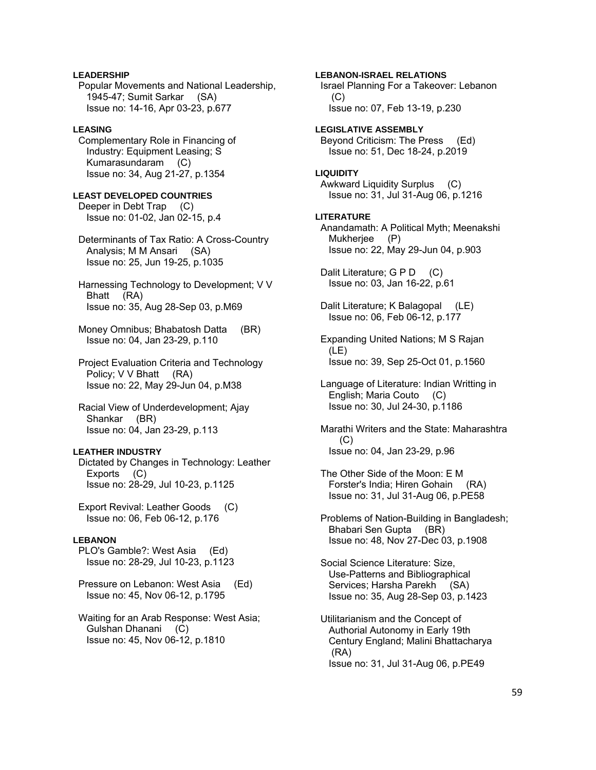# **LEADERSHIP**

 Popular Movements and National Leadership, 1945-47; Sumit Sarkar (SA) Issue no: 14-16, Apr 03-23, p.677

# **LEASING**

 Complementary Role in Financing of Industry: Equipment Leasing; S Kumarasundaram (C) Issue no: 34, Aug 21-27, p.1354

#### **LEAST DEVELOPED COUNTRIES**  Deeper in Debt Trap (C)

Issue no: 01-02, Jan 02-15, p.4

 Determinants of Tax Ratio: A Cross-Country Analysis; M M Ansari (SA) Issue no: 25, Jun 19-25, p.1035

 Harnessing Technology to Development; V V Bhatt (RA) Issue no: 35, Aug 28-Sep 03, p.M69

Money Omnibus; Bhabatosh Datta (BR) Issue no: 04, Jan 23-29, p.110

 Project Evaluation Criteria and Technology Policy; V V Bhatt (RA) Issue no: 22, May 29-Jun 04, p.M38

 Racial View of Underdevelopment; Ajay Shankar (BR) Issue no: 04, Jan 23-29, p.113

# **LEATHER INDUSTRY**

 Dictated by Changes in Technology: Leather Exports (C) Issue no: 28-29, Jul 10-23, p.1125

 Export Revival: Leather Goods (C) Issue no: 06, Feb 06-12, p.176

# **LEBANON**

 PLO's Gamble?: West Asia (Ed) Issue no: 28-29, Jul 10-23, p.1123

 Pressure on Lebanon: West Asia (Ed) Issue no: 45, Nov 06-12, p.1795

 Waiting for an Arab Response: West Asia; Gulshan Dhanani (C) Issue no: 45, Nov 06-12, p.1810

**LEBANON-ISRAEL RELATIONS**  Israel Planning For a Takeover: Lebanon  $(C)$  Issue no: 07, Feb 13-19, p.230 **LEGISLATIVE ASSEMBLY**  Beyond Criticism: The Press (Ed) Issue no: 51, Dec 18-24, p.2019 **LIQUIDITY**  Awkward Liquidity Surplus (C) Issue no: 31, Jul 31-Aug 06, p.1216 **LITERATURE**  Anandamath: A Political Myth; Meenakshi Mukherjee (P) Issue no: 22, May 29-Jun 04, p.903 Dalit Literature; G P D (C) Issue no: 03, Jan 16-22, p.61 Dalit Literature; K Balagopal (LE) Issue no: 06, Feb 06-12, p.177 Expanding United Nations; M S Rajan (LE) Issue no: 39, Sep 25-Oct 01, p.1560 Language of Literature: Indian Writting in English; Maria Couto (C) Issue no: 30, Jul 24-30, p.1186 Marathi Writers and the State: Maharashtra  $(C)$  Issue no: 04, Jan 23-29, p.96 The Other Side of the Moon: E M Forster's India; Hiren Gohain (RA) Issue no: 31, Jul 31-Aug 06, p.PE58 Problems of Nation-Building in Bangladesh; Bhabari Sen Gupta (BR) Issue no: 48, Nov 27-Dec 03, p.1908 Social Science Literature: Size, Use-Patterns and Bibliographical Services; Harsha Parekh (SA) Issue no: 35, Aug 28-Sep 03, p.1423 Utilitarianism and the Concept of Authorial Autonomy in Early 19th Century England; Malini Bhattacharya (RA) Issue no: 31, Jul 31-Aug 06, p.PE49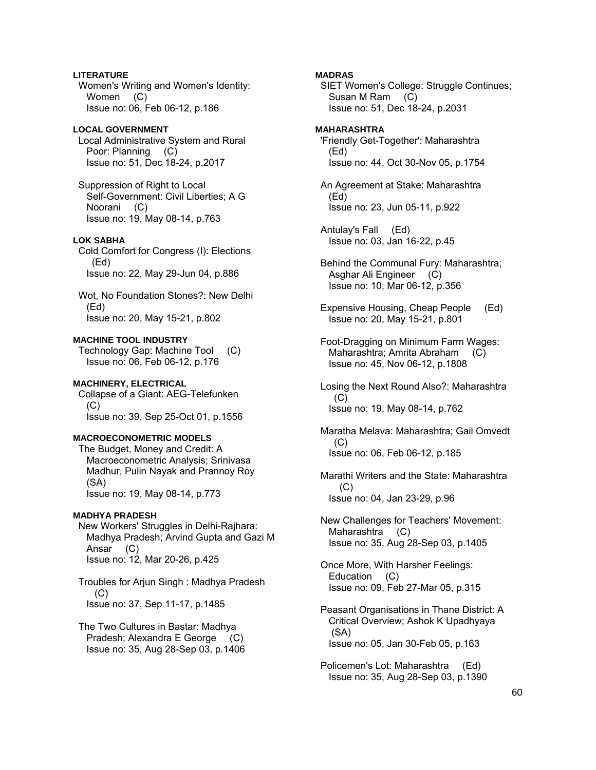**LITERATURE**  Women's Writing and Women's Identity: Women (C) Issue no: 06, Feb 06-12, p.186

# **LOCAL GOVERNMENT**

 Local Administrative System and Rural Poor: Planning (C) Issue no: 51, Dec 18-24, p.2017

 Suppression of Right to Local Self-Government: Civil Liberties; A G Noorani (C) Issue no: 19, May 08-14, p.763

# **LOK SABHA**

 Cold Comfort for Congress (I): Elections (Ed) Issue no: 22, May 29-Jun 04, p.886

 Wot, No Foundation Stones?: New Delhi (Ed) Issue no: 20, May 15-21, p.802

# **MACHINE TOOL INDUSTRY**

 Technology Gap: Machine Tool (C) Issue no: 06, Feb 06-12, p.176

### **MACHINERY, ELECTRICAL**

 Collapse of a Giant: AEG-Telefunken (C) Issue no: 39, Sep 25-Oct 01, p.1556

# **MACROECONOMETRIC MODELS**

 The Budget, Money and Credit: A Macroeconometric Analysis; Srinivasa Madhur, Pulin Nayak and Prannoy Roy (SA) Issue no: 19, May 08-14, p.773

# **MADHYA PRADESH**

 New Workers' Struggles in Delhi-Rajhara: Madhya Pradesh; Arvind Gupta and Gazi M Ansar (C) Issue no: 12, Mar 20-26, p.425

 Troubles for Arjun Singh : Madhya Pradesh (C) Issue no: 37, Sep 11-17, p.1485

 The Two Cultures in Bastar: Madhya Pradesh; Alexandra E George (C) Issue no: 35, Aug 28-Sep 03, p.1406 **MADRAS** 

 SIET Women's College: Struggle Continues; Susan M Ram (C) Issue no: 51, Dec 18-24, p.2031

#### **MAHARASHTRA**

 'Friendly Get-Together': Maharashtra (Ed) Issue no: 44, Oct 30-Nov 05, p.1754

 An Agreement at Stake: Maharashtra (Ed) Issue no: 23, Jun 05-11, p.922

 Antulay's Fall (Ed) Issue no: 03, Jan 16-22, p.45

- Behind the Communal Fury: Maharashtra; Asghar Ali Engineer (C) Issue no: 10, Mar 06-12, p.356
- Expensive Housing, Cheap People (Ed) Issue no: 20, May 15-21, p.801
- Foot-Dragging on Minimum Farm Wages: Maharashtra; Amrita Abraham (C) Issue no: 45, Nov 06-12, p.1808
- Losing the Next Round Also?: Maharashtra  $(C)$ Issue no: 19, May 08-14, p.762

 Maratha Melava: Maharashtra; Gail Omvedt (C) Issue no: 06, Feb 06-12, p.185

 Marathi Writers and the State: Maharashtra (C) Issue no: 04, Jan 23-29, p.96

 New Challenges for Teachers' Movement: Maharashtra (C) Issue no: 35, Aug 28-Sep 03, p.1405

 Once More, With Harsher Feelings: Education (C) Issue no: 09, Feb 27-Mar 05, p.315

 Peasant Organisations in Thane District: A Critical Overview; Ashok K Upadhyaya (SA) Issue no: 05, Jan 30-Feb 05, p.163

 Policemen's Lot: Maharashtra (Ed) Issue no: 35, Aug 28-Sep 03, p.1390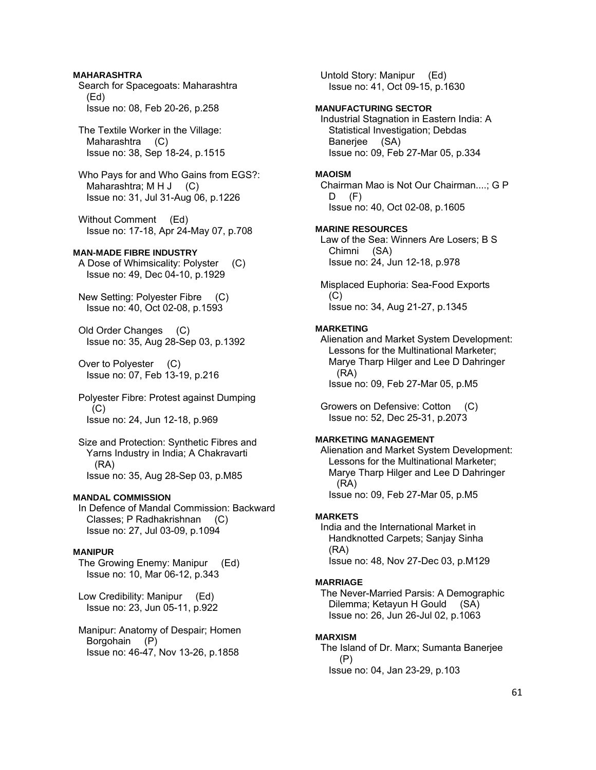# **MAHARASHTRA**

 Search for Spacegoats: Maharashtra (Ed) Issue no: 08, Feb 20-26, p.258

 The Textile Worker in the Village: Maharashtra (C) Issue no: 38, Sep 18-24, p.1515

 Who Pays for and Who Gains from EGS?: Maharashtra; M H J (C) Issue no: 31, Jul 31-Aug 06, p.1226

 Without Comment (Ed) Issue no: 17-18, Apr 24-May 07, p.708

# **MAN-MADE FIBRE INDUSTRY**

 A Dose of Whimsicality: Polyster (C) Issue no: 49, Dec 04-10, p.1929

 New Setting: Polyester Fibre (C) Issue no: 40, Oct 02-08, p.1593

 Old Order Changes (C) Issue no: 35, Aug 28-Sep 03, p.1392

 Over to Polyester (C) Issue no: 07, Feb 13-19, p.216

 Polyester Fibre: Protest against Dumping  $(C)$ Issue no: 24, Jun 12-18, p.969

 Size and Protection: Synthetic Fibres and Yarns Industry in India; A Chakravarti (RA) Issue no: 35, Aug 28-Sep 03, p.M85

# **MANDAL COMMISSION**

 In Defence of Mandal Commission: Backward Classes; P Radhakrishnan (C) Issue no: 27, Jul 03-09, p.1094

#### **MANIPUR**

 The Growing Enemy: Manipur (Ed) Issue no: 10, Mar 06-12, p.343

 Low Credibility: Manipur (Ed) Issue no: 23, Jun 05-11, p.922

 Manipur: Anatomy of Despair; Homen Borgohain (P) Issue no: 46-47, Nov 13-26, p.1858

 Untold Story: Manipur (Ed) Issue no: 41, Oct 09-15, p.1630

## **MANUFACTURING SECTOR**

 Industrial Stagnation in Eastern India: A Statistical Investigation; Debdas Baneriee (SA) Issue no: 09, Feb 27-Mar 05, p.334

#### **MAOISM**

 Chairman Mao is Not Our Chairman....; G P  $D$   $(F)$ Issue no: 40, Oct 02-08, p.1605

# **MARINE RESOURCES**

 Law of the Sea: Winners Are Losers; B S Chimni (SA) Issue no: 24, Jun 12-18, p.978

 Misplaced Euphoria: Sea-Food Exports  $(C)$ Issue no: 34, Aug 21-27, p.1345

#### **MARKETING**

 Alienation and Market System Development: Lessons for the Multinational Marketer; Marye Tharp Hilger and Lee D Dahringer (RA) Issue no: 09, Feb 27-Mar 05, p.M5

 Growers on Defensive: Cotton (C) Issue no: 52, Dec 25-31, p.2073

# **MARKETING MANAGEMENT**

 Alienation and Market System Development: Lessons for the Multinational Marketer; Marye Tharp Hilger and Lee D Dahringer (RA) Issue no: 09, Feb 27-Mar 05, p.M5

#### **MARKETS**

 India and the International Market in Handknotted Carpets; Sanjay Sinha (RA) Issue no: 48, Nov 27-Dec 03, p.M129

### **MARRIAGE**

 The Never-Married Parsis: A Demographic Dilemma; Ketayun H Gould (SA) Issue no: 26, Jun 26-Jul 02, p.1063

#### **MARXISM**

 The Island of Dr. Marx; Sumanta Banerjee (P) Issue no: 04, Jan 23-29, p.103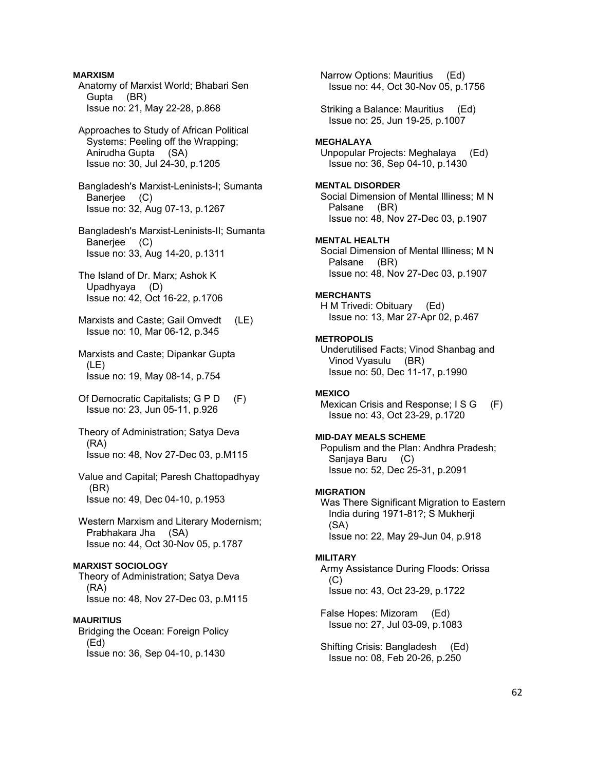**MARXISM**  Anatomy of Marxist World; Bhabari Sen Gupta (BR) Issue no: 21, May 22-28, p.868 Approaches to Study of African Political Systems: Peeling off the Wrapping; Anirudha Gupta (SA) Issue no: 30, Jul 24-30, p.1205 Bangladesh's Marxist-Leninists-I; Sumanta Banerjee (C) Issue no: 32, Aug 07-13, p.1267 Bangladesh's Marxist-Leninists-II; Sumanta Banerjee (C) Issue no: 33, Aug 14-20, p.1311 The Island of Dr. Marx; Ashok K Upadhyaya (D) Issue no: 42, Oct 16-22, p.1706 Marxists and Caste; Gail Omvedt (LE) Issue no: 10, Mar 06-12, p.345 Marxists and Caste; Dipankar Gupta (LE) Issue no: 19, May 08-14, p.754 Of Democratic Capitalists; G P D (F) Issue no: 23, Jun 05-11, p.926 Theory of Administration; Satya Deva (RA) Issue no: 48, Nov 27-Dec 03, p.M115 Value and Capital; Paresh Chattopadhyay (BR) Issue no: 49, Dec 04-10, p.1953 Western Marxism and Literary Modernism; Prabhakara Jha (SA) Issue no: 44, Oct 30-Nov 05, p.1787 **MARXIST SOCIOLOGY**  Theory of Administration; Satya Deva (RA) Issue no: 48, Nov 27-Dec 03, p.M115 **MAURITIUS**  Bridging the Ocean: Foreign Policy (Ed) Issue no: 36, Sep 04-10, p.1430

 Narrow Options: Mauritius (Ed) Issue no: 44, Oct 30-Nov 05, p.1756 Striking a Balance: Mauritius (Ed) Issue no: 25, Jun 19-25, p.1007 **MEGHALAYA**  Unpopular Projects: Meghalaya (Ed) Issue no: 36, Sep 04-10, p.1430 **MENTAL DISORDER**  Social Dimension of Mental Illiness; M N Palsane (BR) Issue no: 48, Nov 27-Dec 03, p.1907 **MENTAL HEALTH**  Social Dimension of Mental Illiness; M N Palsane (BR) Issue no: 48, Nov 27-Dec 03, p.1907 **MERCHANTS**  H M Trivedi: Obituary (Ed) Issue no: 13, Mar 27-Apr 02, p.467 **METROPOLIS**  Underutilised Facts; Vinod Shanbag and Vinod Vyasulu (BR) Issue no: 50, Dec 11-17, p.1990 **MEXICO**  Mexican Crisis and Response; I S G (F) Issue no: 43, Oct 23-29, p.1720 **MID-DAY MEALS SCHEME**  Populism and the Plan: Andhra Pradesh; Sanjaya Baru (C) Issue no: 52, Dec 25-31, p.2091 **MIGRATION**  Was There Significant Migration to Eastern India during 1971-81?; S Mukherji (SA) Issue no: 22, May 29-Jun 04, p.918 **MILITARY**  Army Assistance During Floods: Orissa  $(C)$  Issue no: 43, Oct 23-29, p.1722 False Hopes: Mizoram (Ed) Issue no: 27, Jul 03-09, p.1083 Shifting Crisis: Bangladesh (Ed) Issue no: 08, Feb 20-26, p.250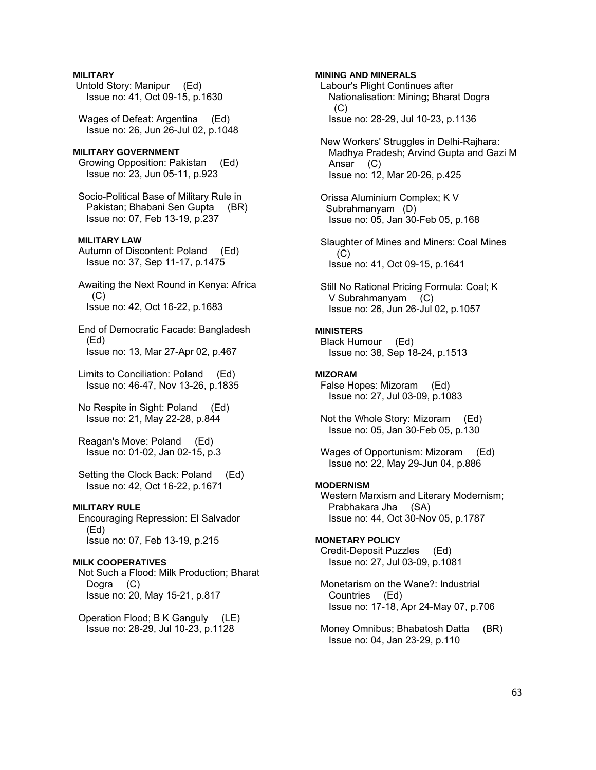# **MILITARY**  Untold Story: Manipur (Ed) Issue no: 41, Oct 09-15, p.1630 Wages of Defeat: Argentina (Ed) Issue no: 26, Jun 26-Jul 02, p.1048 **MILITARY GOVERNMENT**  Growing Opposition: Pakistan (Ed) Issue no: 23, Jun 05-11, p.923 Socio-Political Base of Military Rule in Pakistan; Bhabani Sen Gupta (BR) Issue no: 07, Feb 13-19, p.237  **MILITARY LAW**  Autumn of Discontent: Poland (Ed) Issue no: 37, Sep 11-17, p.1475 Awaiting the Next Round in Kenya: Africa (C) Issue no: 42, Oct 16-22, p.1683 End of Democratic Facade: Bangladesh (Ed) Issue no: 13, Mar 27-Apr 02, p.467 Limits to Conciliation: Poland (Ed) Issue no: 46-47, Nov 13-26, p.1835 No Respite in Sight: Poland (Ed) Issue no: 21, May 22-28, p.844 Reagan's Move: Poland (Ed) Issue no: 01-02, Jan 02-15, p.3 Setting the Clock Back: Poland (Ed) Issue no: 42, Oct 16-22, p.1671 **MILITARY RULE**  Encouraging Repression: El Salvador (Ed) Issue no: 07, Feb 13-19, p.215 **MILK COOPERATIVES**

 Not Such a Flood: Milk Production; Bharat Dogra (C) Issue no: 20, May 15-21, p.817

 Operation Flood; B K Ganguly (LE) Issue no: 28-29, Jul 10-23, p.1128

# **MINING AND MINERALS**

 Labour's Plight Continues after Nationalisation: Mining; Bharat Dogra (C) Issue no: 28-29, Jul 10-23, p.1136

 New Workers' Struggles in Delhi-Rajhara: Madhya Pradesh; Arvind Gupta and Gazi M Ansar (C) Issue no: 12, Mar 20-26, p.425

 Orissa Aluminium Complex; K V Subrahmanyam (D) Issue no: 05, Jan 30-Feb 05, p.168

 Slaughter of Mines and Miners: Coal Mines  $(C)$ Issue no: 41, Oct 09-15, p.1641

 Still No Rational Pricing Formula: Coal; K V Subrahmanyam (C) Issue no: 26, Jun 26-Jul 02, p.1057

# **MINISTERS**

 Black Humour (Ed) Issue no: 38, Sep 18-24, p.1513

#### **MIZORAM**

 False Hopes: Mizoram (Ed) Issue no: 27, Jul 03-09, p.1083

 Not the Whole Story: Mizoram (Ed) Issue no: 05, Jan 30-Feb 05, p.130

 Wages of Opportunism: Mizoram (Ed) Issue no: 22, May 29-Jun 04, p.886

# **MODERNISM**

 Western Marxism and Literary Modernism; Prabhakara Jha (SA) Issue no: 44, Oct 30-Nov 05, p.1787

#### **MONETARY POLICY**

 Credit-Deposit Puzzles (Ed) Issue no: 27, Jul 03-09, p.1081

 Monetarism on the Wane?: Industrial Countries (Ed) Issue no: 17-18, Apr 24-May 07, p.706

Money Omnibus; Bhabatosh Datta (BR) Issue no: 04, Jan 23-29, p.110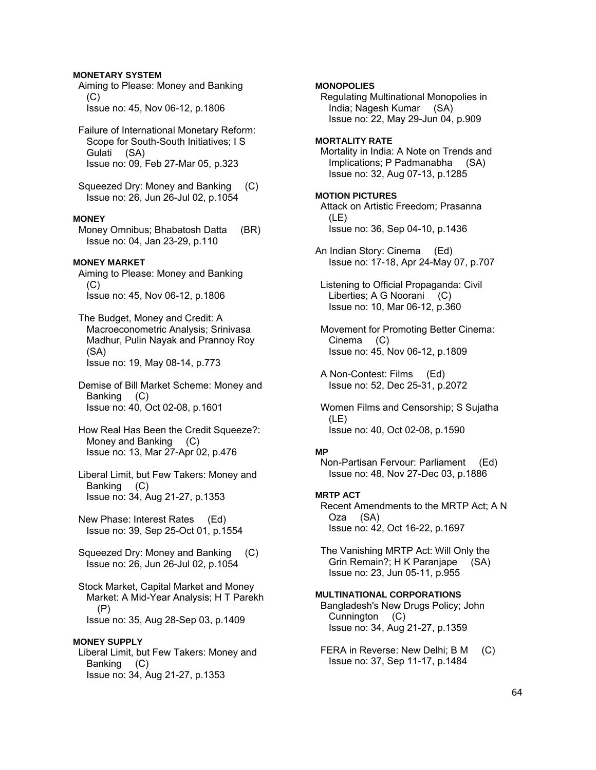# **MONETARY SYSTEM**

 Aiming to Please: Money and Banking  $(C)$ Issue no: 45, Nov 06-12, p.1806

 Failure of International Monetary Reform: Scope for South-South Initiatives; I S Gulati (SA) Issue no: 09, Feb 27-Mar 05, p.323

 Squeezed Dry: Money and Banking (C) Issue no: 26, Jun 26-Jul 02, p.1054

# **MONEY**

 Money Omnibus; Bhabatosh Datta (BR) Issue no: 04, Jan 23-29, p.110

# **MONEY MARKET**

 Aiming to Please: Money and Banking  $(C)$ Issue no: 45, Nov 06-12, p.1806

 The Budget, Money and Credit: A Macroeconometric Analysis; Srinivasa Madhur, Pulin Nayak and Prannoy Roy (SA) Issue no: 19, May 08-14, p.773

 Demise of Bill Market Scheme: Money and Banking (C) Issue no: 40, Oct 02-08, p.1601

 How Real Has Been the Credit Squeeze?: Money and Banking (C) Issue no: 13, Mar 27-Apr 02, p.476

- Liberal Limit, but Few Takers: Money and Banking (C) Issue no: 34, Aug 21-27, p.1353
- New Phase: Interest Rates (Ed) Issue no: 39, Sep 25-Oct 01, p.1554
- Squeezed Dry: Money and Banking (C) Issue no: 26, Jun 26-Jul 02, p.1054
- Stock Market, Capital Market and Money Market: A Mid-Year Analysis; H T Parekh (P) Issue no: 35, Aug 28-Sep 03, p.1409

#### **MONEY SUPPLY**

 Liberal Limit, but Few Takers: Money and Banking (C) Issue no: 34, Aug 21-27, p.1353

**MONOPOLIES** 

 Regulating Multinational Monopolies in India; Nagesh Kumar (SA) Issue no: 22, May 29-Jun 04, p.909

#### **MORTALITY RATE**

 Mortality in India: A Note on Trends and Implications; P Padmanabha (SA) Issue no: 32, Aug 07-13, p.1285

# **MOTION PICTURES**

 Attack on Artistic Freedom; Prasanna (LE) Issue no: 36, Sep 04-10, p.1436

An Indian Story: Cinema (Ed) Issue no: 17-18, Apr 24-May 07, p.707

 Listening to Official Propaganda: Civil Liberties; A G Noorani (C) Issue no: 10, Mar 06-12, p.360

 Movement for Promoting Better Cinema: Cinema (C) Issue no: 45, Nov 06-12, p.1809

 A Non-Contest: Films (Ed) Issue no: 52, Dec 25-31, p.2072

 Women Films and Censorship; S Sujatha (LE) Issue no: 40, Oct 02-08, p.1590

#### **MP**

 Non-Partisan Fervour: Parliament (Ed) Issue no: 48, Nov 27-Dec 03, p.1886

# **MRTP ACT**

 Recent Amendments to the MRTP Act; A N Oza (SA) Issue no: 42, Oct 16-22, p.1697

 The Vanishing MRTP Act: Will Only the Grin Remain?; H K Paranjape (SA) Issue no: 23, Jun 05-11, p.955

#### **MULTINATIONAL CORPORATIONS**

 Bangladesh's New Drugs Policy; John Cunnington (C) Issue no: 34, Aug 21-27, p.1359

 FERA in Reverse: New Delhi; B M (C) Issue no: 37, Sep 11-17, p.1484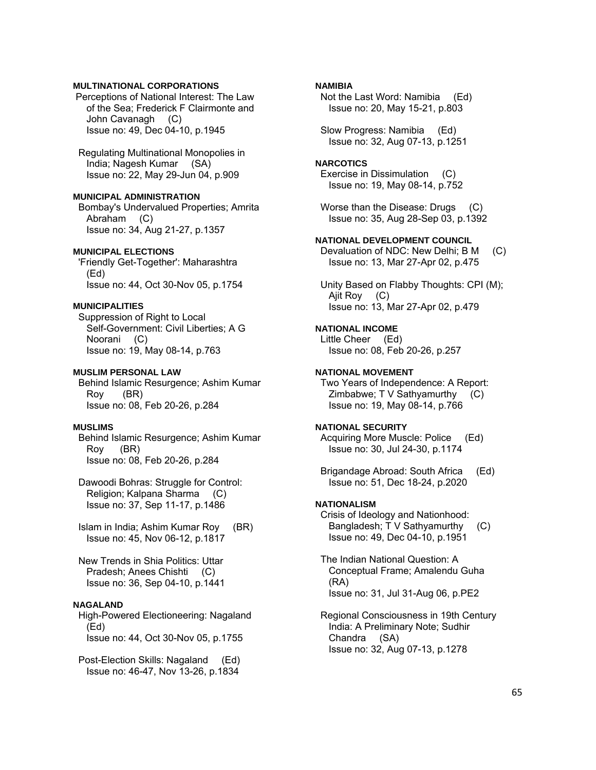# **MULTINATIONAL CORPORATIONS**

 Perceptions of National Interest: The Law of the Sea; Frederick F Clairmonte and John Cavanagh (C) Issue no: 49, Dec 04-10, p.1945

 Regulating Multinational Monopolies in India; Nagesh Kumar (SA) Issue no: 22, May 29-Jun 04, p.909

#### **MUNICIPAL ADMINISTRATION**

 Bombay's Undervalued Properties; Amrita Abraham (C) Issue no: 34, Aug 21-27, p.1357

### **MUNICIPAL ELECTIONS**

 'Friendly Get-Together': Maharashtra (Ed) Issue no: 44, Oct 30-Nov 05, p.1754

### **MUNICIPALITIES**

 Suppression of Right to Local Self-Government: Civil Liberties; A G Noorani (C) Issue no: 19, May 08-14, p.763

#### **MUSLIM PERSONAL LAW**

 Behind Islamic Resurgence; Ashim Kumar Roy (BR) Issue no: 08, Feb 20-26, p.284

# **MUSLIMS**

 Behind Islamic Resurgence; Ashim Kumar Roy (BR) Issue no: 08, Feb 20-26, p.284

 Dawoodi Bohras: Struggle for Control: Religion; Kalpana Sharma (C) Issue no: 37, Sep 11-17, p.1486

 Islam in India; Ashim Kumar Roy (BR) Issue no: 45, Nov 06-12, p.1817

 New Trends in Shia Politics: Uttar Pradesh; Anees Chishti (C) Issue no: 36, Sep 04-10, p.1441

# **NAGALAND**

 High-Powered Electioneering: Nagaland (Ed) Issue no: 44, Oct 30-Nov 05, p.1755

 Post-Election Skills: Nagaland (Ed) Issue no: 46-47, Nov 13-26, p.1834

### **NAMIBIA**

 Not the Last Word: Namibia (Ed) Issue no: 20, May 15-21, p.803

 Slow Progress: Namibia (Ed) Issue no: 32, Aug 07-13, p.1251

### **NARCOTICS**

 Exercise in Dissimulation (C) Issue no: 19, May 08-14, p.752

 Worse than the Disease: Drugs (C) Issue no: 35, Aug 28-Sep 03, p.1392

#### **NATIONAL DEVELOPMENT COUNCIL**

 Devaluation of NDC: New Delhi; B M (C) Issue no: 13, Mar 27-Apr 02, p.475

 Unity Based on Flabby Thoughts: CPI (M); Ajit Roy (C) Issue no: 13, Mar 27-Apr 02, p.479

# **NATIONAL INCOME**

 Little Cheer (Ed) Issue no: 08, Feb 20-26, p.257

### **NATIONAL MOVEMENT**

 Two Years of Independence: A Report: Zimbabwe; T V Sathyamurthy (C) Issue no: 19, May 08-14, p.766

# **NATIONAL SECURITY**

 Acquiring More Muscle: Police (Ed) Issue no: 30, Jul 24-30, p.1174

 Brigandage Abroad: South Africa (Ed) Issue no: 51, Dec 18-24, p.2020

# **NATIONALISM**

 Crisis of Ideology and Nationhood: Bangladesh; T V Sathyamurthy (C) Issue no: 49, Dec 04-10, p.1951

 The Indian National Question: A Conceptual Frame; Amalendu Guha (RA) Issue no: 31, Jul 31-Aug 06, p.PE2

 Regional Consciousness in 19th Century India: A Preliminary Note; Sudhir Chandra (SA) Issue no: 32, Aug 07-13, p.1278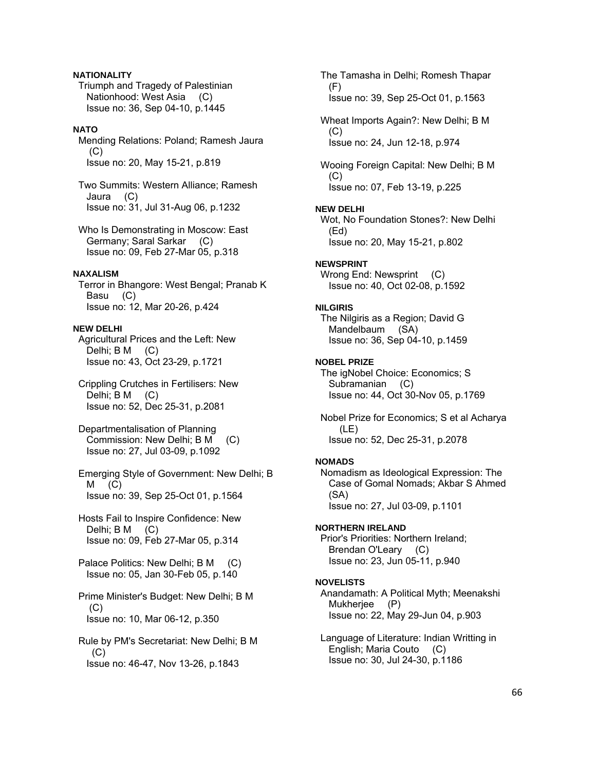# **NATIONALITY**

 Triumph and Tragedy of Palestinian Nationhood: West Asia (C) Issue no: 36, Sep 04-10, p.1445

# **NATO**

 Mending Relations: Poland; Ramesh Jaura (C) Issue no: 20, May 15-21, p.819

 Two Summits: Western Alliance; Ramesh Jaura (C) Issue no: 31, Jul 31-Aug 06, p.1232

 Who Is Demonstrating in Moscow: East Germany; Saral Sarkar (C) Issue no: 09, Feb 27-Mar 05, p.318

# **NAXALISM**

 Terror in Bhangore: West Bengal; Pranab K Basu (C) Issue no: 12, Mar 20-26, p.424

### **NEW DELHI**

 Agricultural Prices and the Left: New Delhi; B M (C) Issue no: 43, Oct 23-29, p.1721

 Crippling Crutches in Fertilisers: New Delhi; B M (C) Issue no: 52, Dec 25-31, p.2081

 Departmentalisation of Planning Commission: New Delhi; B M (C) Issue no: 27, Jul 03-09, p.1092

 Emerging Style of Government: New Delhi; B  $M$  (C) Issue no: 39, Sep 25-Oct 01, p.1564

 Hosts Fail to Inspire Confidence: New Delhi; B M (C) Issue no: 09, Feb 27-Mar 05, p.314

Palace Politics: New Delhi; B M (C) Issue no: 05, Jan 30-Feb 05, p.140

 Prime Minister's Budget: New Delhi; B M  $(C)$ Issue no: 10, Mar 06-12, p.350

 Rule by PM's Secretariat: New Delhi; B M  $(C)$ Issue no: 46-47, Nov 13-26, p.1843

 The Tamasha in Delhi; Romesh Thapar (F) Issue no: 39, Sep 25-Oct 01, p.1563 Wheat Imports Again?: New Delhi; B M (C) Issue no: 24, Jun 12-18, p.974 Wooing Foreign Capital: New Delhi; B M  $(C)$  Issue no: 07, Feb 13-19, p.225 **NEW DELHI**  Wot, No Foundation Stones?: New Delhi (Ed) Issue no: 20, May 15-21, p.802 **NEWSPRINT**  Wrong End: Newsprint (C) Issue no: 40, Oct 02-08, p.1592 **NILGIRIS**  The Nilgiris as a Region; David G Mandelbaum (SA) Issue no: 36, Sep 04-10, p.1459 **NOBEL PRIZE**  The igNobel Choice: Economics; S Subramanian (C) Issue no: 44, Oct 30-Nov 05, p.1769 Nobel Prize for Economics; S et al Acharya (LE) Issue no: 52, Dec 25-31, p.2078 **NOMADS**  Nomadism as Ideological Expression: The Case of Gomal Nomads; Akbar S Ahmed (SA) Issue no: 27, Jul 03-09, p.1101 **NORTHERN IRELAND**  Prior's Priorities: Northern Ireland; Brendan O'Leary (C) Issue no: 23, Jun 05-11, p.940 **NOVELISTS**  Anandamath: A Political Myth; Meenakshi Mukherjee (P) Issue no: 22, May 29-Jun 04, p.903 Language of Literature: Indian Writting in English; Maria Couto (C) Issue no: 30, Jul 24-30, p.1186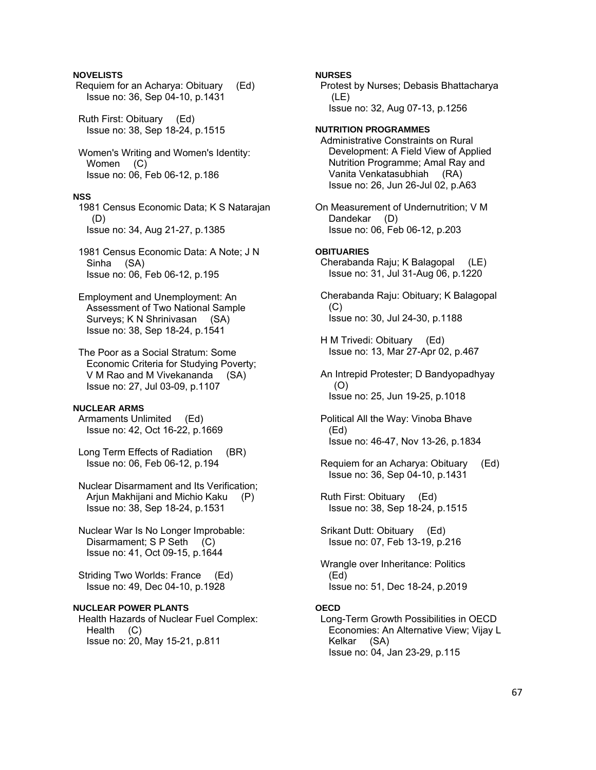# **NOVELISTS**

- Requiem for an Acharya: Obituary (Ed) Issue no: 36, Sep 04-10, p.1431
- Ruth First: Obituary (Ed) Issue no: 38, Sep 18-24, p.1515

 Women's Writing and Women's Identity: Women (C) Issue no: 06, Feb 06-12, p.186

#### **NSS**

 1981 Census Economic Data; K S Natarajan (D) Issue no: 34, Aug 21-27, p.1385

 1981 Census Economic Data: A Note; J N Sinha (SA) Issue no: 06, Feb 06-12, p.195

 Employment and Unemployment: An Assessment of Two National Sample Surveys; K N Shrinivasan (SA) Issue no: 38, Sep 18-24, p.1541

 The Poor as a Social Stratum: Some Economic Criteria for Studying Poverty; V M Rao and M Vivekananda (SA) Issue no: 27, Jul 03-09, p.1107

#### **NUCLEAR ARMS**

 Armaments Unlimited (Ed) Issue no: 42, Oct 16-22, p.1669

 Long Term Effects of Radiation (BR) Issue no: 06, Feb 06-12, p.194

 Nuclear Disarmament and Its Verification; Arjun Makhijani and Michio Kaku (P) Issue no: 38, Sep 18-24, p.1531

 Nuclear War Is No Longer Improbable: Disarmament; S P Seth (C) Issue no: 41, Oct 09-15, p.1644

 Striding Two Worlds: France (Ed) Issue no: 49, Dec 04-10, p.1928

### **NUCLEAR POWER PLANTS**

 Health Hazards of Nuclear Fuel Complex: Health (C) Issue no: 20, May 15-21, p.811

**NURSES** 

 Protest by Nurses; Debasis Bhattacharya (LE) Issue no: 32, Aug 07-13, p.1256

# **NUTRITION PROGRAMMES**

 Administrative Constraints on Rural Development: A Field View of Applied Nutrition Programme; Amal Ray and Vanita Venkatasubhiah (RA) Issue no: 26, Jun 26-Jul 02, p.A63

On Measurement of Undernutrition; V M Dandekar (D) Issue no: 06, Feb 06-12, p.203

#### **OBITUARIES**

 Cherabanda Raju; K Balagopal (LE) Issue no: 31, Jul 31-Aug 06, p.1220

 Cherabanda Raju: Obituary; K Balagopal (C) Issue no: 30, Jul 24-30, p.1188

 H M Trivedi: Obituary (Ed) Issue no: 13, Mar 27-Apr 02, p.467

 An Intrepid Protester; D Bandyopadhyay (O) Issue no: 25, Jun 19-25, p.1018

 Political All the Way: Vinoba Bhave (Ed) Issue no: 46-47, Nov 13-26, p.1834

 Requiem for an Acharya: Obituary (Ed) Issue no: 36, Sep 04-10, p.1431

 Ruth First: Obituary (Ed) Issue no: 38, Sep 18-24, p.1515

 Srikant Dutt: Obituary (Ed) Issue no: 07, Feb 13-19, p.216

 Wrangle over Inheritance: Politics (Ed) Issue no: 51, Dec 18-24, p.2019

#### **OECD**

 Long-Term Growth Possibilities in OECD Economies: An Alternative View; Vijay L Kelkar (SA) Issue no: 04, Jan 23-29, p.115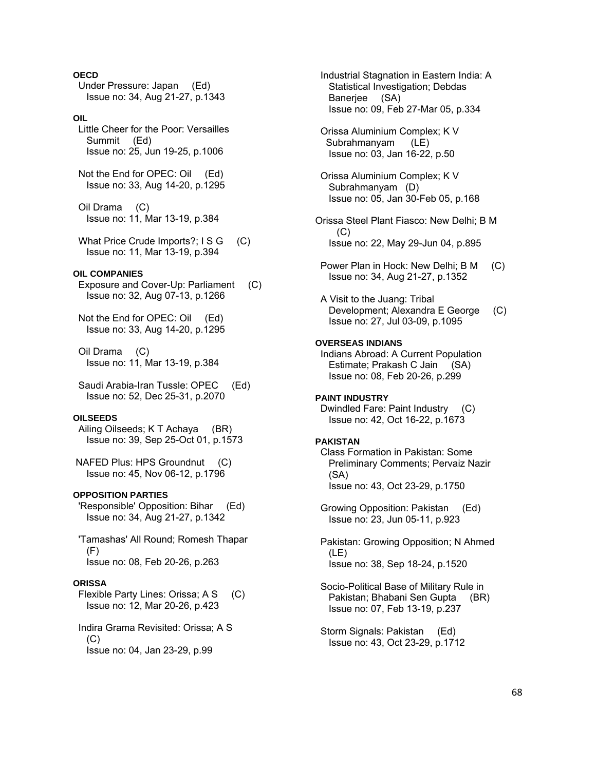# **OECD**

 Under Pressure: Japan (Ed) Issue no: 34, Aug 21-27, p.1343

#### **OIL**

- Little Cheer for the Poor: Versailles Summit (Ed) Issue no: 25, Jun 19-25, p.1006
- Not the End for OPEC: Oil (Ed) Issue no: 33, Aug 14-20, p.1295
- Oil Drama (C) Issue no: 11, Mar 13-19, p.384
- What Price Crude Imports?;  $\text{I} S G$  (C) Issue no: 11, Mar 13-19, p.394

#### **OIL COMPANIES**

 Exposure and Cover-Up: Parliament (C) Issue no: 32, Aug 07-13, p.1266

Not the End for OPEC: Oil (Ed) Issue no: 33, Aug 14-20, p.1295

 Oil Drama (C) Issue no: 11, Mar 13-19, p.384

 Saudi Arabia-Iran Tussle: OPEC (Ed) Issue no: 52, Dec 25-31, p.2070

#### **OILSEEDS**

Ailing Oilseeds; K T Achaya (BR) Issue no: 39, Sep 25-Oct 01, p.1573

 NAFED Plus: HPS Groundnut (C) Issue no: 45, Nov 06-12, p.1796

### **OPPOSITION PARTIES**

 'Responsible' Opposition: Bihar (Ed) Issue no: 34, Aug 21-27, p.1342

 'Tamashas' All Round; Romesh Thapar (F) Issue no: 08, Feb 20-26, p.263

### **ORISSA**

- Flexible Party Lines: Orissa; A S (C) Issue no: 12, Mar 20-26, p.423
- Indira Grama Revisited: Orissa; A S  $(C)$ Issue no: 04, Jan 23-29, p.99

 Industrial Stagnation in Eastern India: A Statistical Investigation; Debdas Banerjee (SA) Issue no: 09, Feb 27-Mar 05, p.334 Orissa Aluminium Complex; K V Subrahmanyam (LE) Issue no: 03, Jan 16-22, p.50 Orissa Aluminium Complex; K V Subrahmanyam (D) Issue no: 05, Jan 30-Feb 05, p.168 Orissa Steel Plant Fiasco: New Delhi; B M  $(C)$  Issue no: 22, May 29-Jun 04, p.895 Power Plan in Hock: New Delhi; B M (C) Issue no: 34, Aug 21-27, p.1352 A Visit to the Juang: Tribal Development; Alexandra E George (C) Issue no: 27, Jul 03-09, p.1095 **OVERSEAS INDIANS**  Indians Abroad: A Current Population Estimate; Prakash C Jain (SA) Issue no: 08, Feb 20-26, p.299 **PAINT INDUSTRY**  Dwindled Fare: Paint Industry (C) Issue no: 42, Oct 16-22, p.1673 **PAKISTAN**  Class Formation in Pakistan: Some Preliminary Comments; Pervaiz Nazir (SA) Issue no: 43, Oct 23-29, p.1750 Growing Opposition: Pakistan (Ed) Issue no: 23, Jun 05-11, p.923 Pakistan: Growing Opposition; N Ahmed (LE) Issue no: 38, Sep 18-24, p.1520

 Socio-Political Base of Military Rule in Pakistan; Bhabani Sen Gupta (BR) Issue no: 07, Feb 13-19, p.237

 Storm Signals: Pakistan (Ed) Issue no: 43, Oct 23-29, p.1712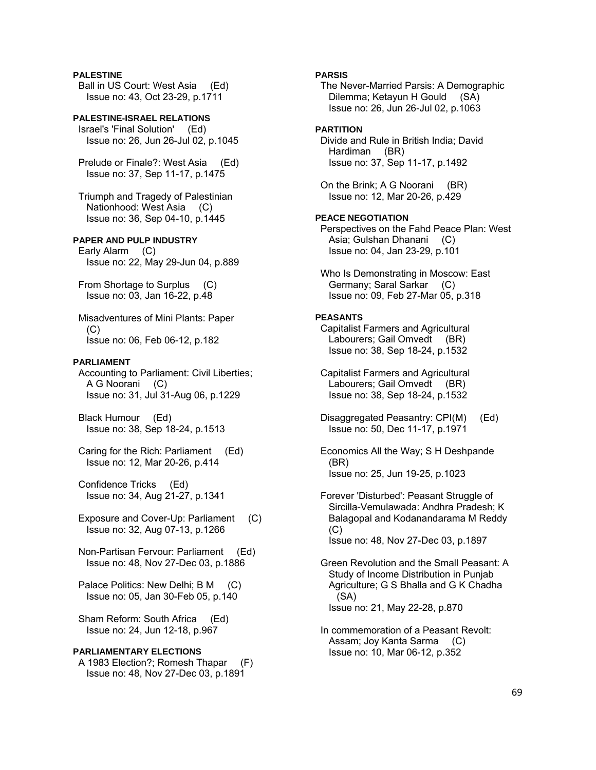# **PALESTINE**

 Ball in US Court: West Asia (Ed) Issue no: 43, Oct 23-29, p.1711

### **PALESTINE-ISRAEL RELATIONS**  Israel's 'Final Solution' (Ed) Issue no: 26, Jun 26-Jul 02, p.1045

 Prelude or Finale?: West Asia (Ed) Issue no: 37, Sep 11-17, p.1475

 Triumph and Tragedy of Palestinian Nationhood: West Asia (C) Issue no: 36, Sep 04-10, p.1445

# **PAPER AND PULP INDUSTRY**

 Early Alarm (C) Issue no: 22, May 29-Jun 04, p.889

 From Shortage to Surplus (C) Issue no: 03, Jan 16-22, p.48

 Misadventures of Mini Plants: Paper  $(C)$ Issue no: 06, Feb 06-12, p.182

### **PARLIAMENT**

 Accounting to Parliament: Civil Liberties; A G Noorani (C) Issue no: 31, Jul 31-Aug 06, p.1229

 Black Humour (Ed) Issue no: 38, Sep 18-24, p.1513

 Caring for the Rich: Parliament (Ed) Issue no: 12, Mar 20-26, p.414

 Confidence Tricks (Ed) Issue no: 34, Aug 21-27, p.1341

Exposure and Cover-Up: Parliament (C) Issue no: 32, Aug 07-13, p.1266

 Non-Partisan Fervour: Parliament (Ed) Issue no: 48, Nov 27-Dec 03, p.1886

Palace Politics: New Delhi: B M (C) Issue no: 05, Jan 30-Feb 05, p.140

 Sham Reform: South Africa (Ed) Issue no: 24, Jun 12-18, p.967

# **PARLIAMENTARY ELECTIONS**

 A 1983 Election?; Romesh Thapar (F) Issue no: 48, Nov 27-Dec 03, p.1891

### **PARSIS**

 The Never-Married Parsis: A Demographic Dilemma; Ketayun H Gould (SA) Issue no: 26, Jun 26-Jul 02, p.1063

# **PARTITION**

 Divide and Rule in British India; David Hardiman (BR) Issue no: 37, Sep 11-17, p.1492

 On the Brink; A G Noorani (BR) Issue no: 12, Mar 20-26, p.429

#### **PEACE NEGOTIATION**

 Perspectives on the Fahd Peace Plan: West Asia; Gulshan Dhanani (C) Issue no: 04, Jan 23-29, p.101

 Who Is Demonstrating in Moscow: East Germany; Saral Sarkar (C) Issue no: 09, Feb 27-Mar 05, p.318

## **PEASANTS**

 Capitalist Farmers and Agricultural Labourers; Gail Omvedt (BR) Issue no: 38, Sep 18-24, p.1532

 Capitalist Farmers and Agricultural Labourers; Gail Omvedt (BR) Issue no: 38, Sep 18-24, p.1532

 Disaggregated Peasantry: CPI(M) (Ed) Issue no: 50, Dec 11-17, p.1971

 Economics All the Way; S H Deshpande (BR) Issue no: 25, Jun 19-25, p.1023

 Forever 'Disturbed': Peasant Struggle of Sircilla-Vemulawada: Andhra Pradesh; K Balagopal and Kodanandarama M Reddy (C) Issue no: 48, Nov 27-Dec 03, p.1897

 Green Revolution and the Small Peasant: A Study of Income Distribution in Punjab Agriculture; G S Bhalla and G K Chadha (SA) Issue no: 21, May 22-28, p.870

 In commemoration of a Peasant Revolt: Assam; Joy Kanta Sarma (C) Issue no: 10, Mar 06-12, p.352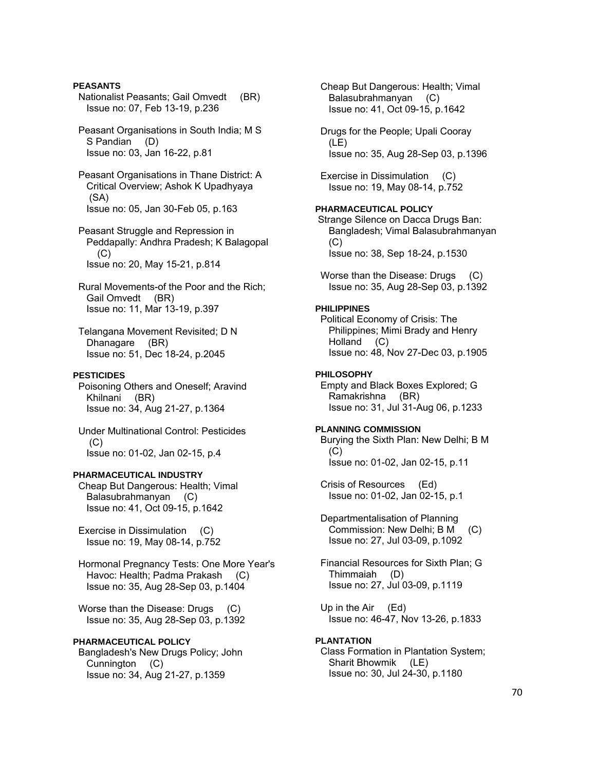# **PEASANTS**

- Nationalist Peasants; Gail Omvedt (BR) Issue no: 07, Feb 13-19, p.236
- Peasant Organisations in South India; M S S Pandian (D) Issue no: 03, Jan 16-22, p.81
- Peasant Organisations in Thane District: A Critical Overview; Ashok K Upadhyaya (SA) Issue no: 05, Jan 30-Feb 05, p.163
- Peasant Struggle and Repression in Peddapally: Andhra Pradesh; K Balagopal  $(C)$ Issue no: 20, May 15-21, p.814
- Rural Movements-of the Poor and the Rich; Gail Omvedt (BR) Issue no: 11, Mar 13-19, p.397
- Telangana Movement Revisited; D N Dhanagare (BR) Issue no: 51, Dec 18-24, p.2045

# **PESTICIDES**

- Poisoning Others and Oneself; Aravind Khilnani (BR) Issue no: 34, Aug 21-27, p.1364
- Under Multinational Control: Pesticides (C) Issue no: 01-02, Jan 02-15, p.4

### **PHARMACEUTICAL INDUSTRY**

- Cheap But Dangerous: Health; Vimal Balasubrahmanyan (C) Issue no: 41, Oct 09-15, p.1642
- Exercise in Dissimulation (C) Issue no: 19, May 08-14, p.752
- Hormonal Pregnancy Tests: One More Year's Havoc: Health; Padma Prakash (C) Issue no: 35, Aug 28-Sep 03, p.1404
- Worse than the Disease: Drugs (C) Issue no: 35, Aug 28-Sep 03, p.1392

# **PHARMACEUTICAL POLICY**

 Bangladesh's New Drugs Policy; John Cunnington (C) Issue no: 34, Aug 21-27, p.1359

 Cheap But Dangerous: Health; Vimal Balasubrahmanyan (C) Issue no: 41, Oct 09-15, p.1642 Drugs for the People; Upali Cooray (LE) Issue no: 35, Aug 28-Sep 03, p.1396 Exercise in Dissimulation (C) Issue no: 19, May 08-14, p.752 **PHARMACEUTICAL POLICY**  Strange Silence on Dacca Drugs Ban: Bangladesh; Vimal Balasubrahmanyan  $(C)$  Issue no: 38, Sep 18-24, p.1530 Worse than the Disease: Drugs (C) Issue no: 35, Aug 28-Sep 03, p.1392 **PHILIPPINES**  Political Economy of Crisis: The Philippines; Mimi Brady and Henry Holland (C) Issue no: 48, Nov 27-Dec 03, p.1905 **PHILOSOPHY**  Empty and Black Boxes Explored; G Ramakrishna (BR) Issue no: 31, Jul 31-Aug 06, p.1233 **PLANNING COMMISSION**  Burying the Sixth Plan: New Delhi; B M (C) Issue no: 01-02, Jan 02-15, p.11 Crisis of Resources (Ed) Issue no: 01-02, Jan 02-15, p.1 Departmentalisation of Planning Commission: New Delhi; B M (C) Issue no: 27, Jul 03-09, p.1092 Financial Resources for Sixth Plan; G Thimmaiah (D) Issue no: 27, Jul 03-09, p.1119 Up in the Air (Ed) Issue no: 46-47, Nov 13-26, p.1833 **PLANTATION**  Class Formation in Plantation System; Sharit Bhowmik (LE) Issue no: 30, Jul 24-30, p.1180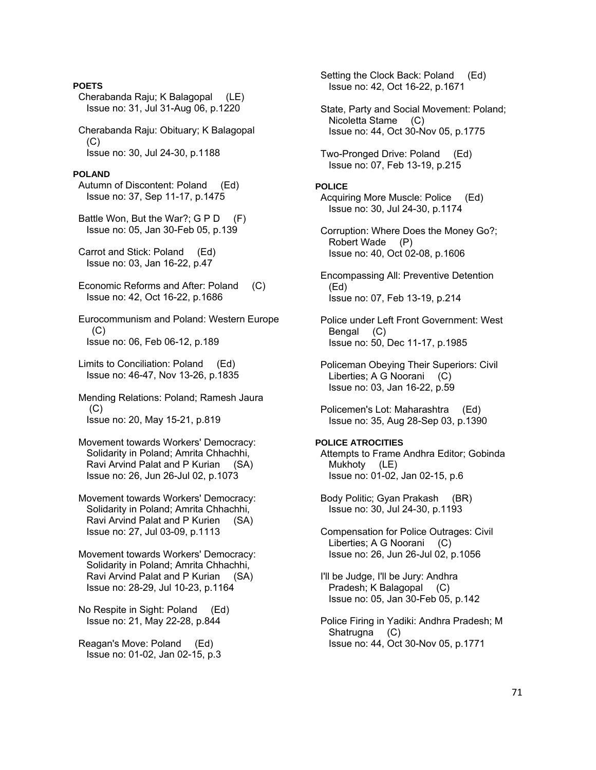# **POETS**

- Cherabanda Raju; K Balagopal (LE) Issue no: 31, Jul 31-Aug 06, p.1220
- Cherabanda Raju: Obituary; K Balagopal (C) Issue no: 30, Jul 24-30, p.1188

#### **POLAND**

- Autumn of Discontent: Poland (Ed) Issue no: 37, Sep 11-17, p.1475
- Battle Won, But the War?; G P D (F) Issue no: 05, Jan 30-Feb 05, p.139

 Carrot and Stick: Poland (Ed) Issue no: 03, Jan 16-22, p.47

- Economic Reforms and After: Poland (C) Issue no: 42, Oct 16-22, p.1686
- Eurocommunism and Poland: Western Europe (C) Issue no: 06, Feb 06-12, p.189
- Limits to Conciliation: Poland (Ed) Issue no: 46-47, Nov 13-26, p.1835
- Mending Relations: Poland; Ramesh Jaura (C) Issue no: 20, May 15-21, p.819
- Movement towards Workers' Democracy: Solidarity in Poland; Amrita Chhachhi, Ravi Arvind Palat and P Kurian (SA) Issue no: 26, Jun 26-Jul 02, p.1073
- Movement towards Workers' Democracy: Solidarity in Poland; Amrita Chhachhi, Ravi Arvind Palat and P Kurien (SA) Issue no: 27, Jul 03-09, p.1113
- Movement towards Workers' Democracy: Solidarity in Poland; Amrita Chhachhi, Ravi Arvind Palat and P Kurian (SA) Issue no: 28-29, Jul 10-23, p.1164
- No Respite in Sight: Poland (Ed) Issue no: 21, May 22-28, p.844
- Reagan's Move: Poland (Ed) Issue no: 01-02, Jan 02-15, p.3

 Setting the Clock Back: Poland (Ed) Issue no: 42, Oct 16-22, p.1671

- State, Party and Social Movement: Poland; Nicoletta Stame (C) Issue no: 44, Oct 30-Nov 05, p.1775
- Two-Pronged Drive: Poland (Ed) Issue no: 07, Feb 13-19, p.215

#### **POLICE**

- Acquiring More Muscle: Police (Ed) Issue no: 30, Jul 24-30, p.1174
- Corruption: Where Does the Money Go?; Robert Wade (P) Issue no: 40, Oct 02-08, p.1606
- Encompassing All: Preventive Detention (Ed) Issue no: 07, Feb 13-19, p.214
- Police under Left Front Government: West Bengal (C) Issue no: 50, Dec 11-17, p.1985
- Policeman Obeying Their Superiors: Civil Liberties; A G Noorani (C) Issue no: 03, Jan 16-22, p.59
- Policemen's Lot: Maharashtra (Ed) Issue no: 35, Aug 28-Sep 03, p.1390

### **POLICE ATROCITIES**

- Attempts to Frame Andhra Editor; Gobinda Mukhoty (LE) Issue no: 01-02, Jan 02-15, p.6
- Body Politic; Gyan Prakash (BR) Issue no: 30, Jul 24-30, p.1193
- Compensation for Police Outrages: Civil Liberties; A G Noorani (C) Issue no: 26, Jun 26-Jul 02, p.1056
- I'll be Judge, I'll be Jury: Andhra Pradesh; K Balagopal (C) Issue no: 05, Jan 30-Feb 05, p.142
- Police Firing in Yadiki: Andhra Pradesh; M Shatrugna (C) Issue no: 44, Oct 30-Nov 05, p.1771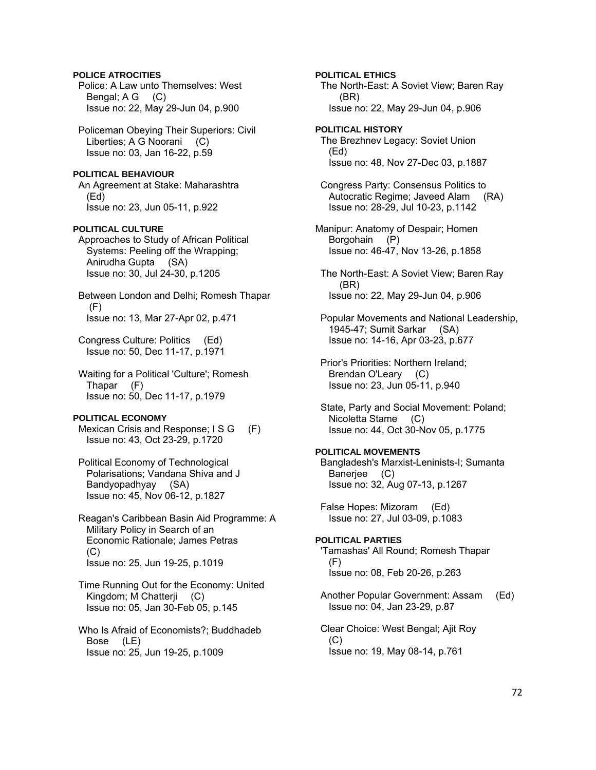# **POLICE ATROCITIES**

 Police: A Law unto Themselves: West Bengal; A G (C) Issue no: 22, May 29-Jun 04, p.900

 Policeman Obeying Their Superiors: Civil Liberties; A G Noorani (C) Issue no: 03, Jan 16-22, p.59

**POLITICAL BEHAVIOUR**  An Agreement at Stake: Maharashtra (Ed) Issue no: 23, Jun 05-11, p.922

# **POLITICAL CULTURE**

 Approaches to Study of African Political Systems: Peeling off the Wrapping; Anirudha Gupta (SA) Issue no: 30, Jul 24-30, p.1205

 Between London and Delhi; Romesh Thapar (F) Issue no: 13, Mar 27-Apr 02, p.471

 Congress Culture: Politics (Ed) Issue no: 50, Dec 11-17, p.1971

 Waiting for a Political 'Culture'; Romesh Thapar (F) Issue no: 50, Dec 11-17, p.1979

### **POLITICAL ECONOMY**

Mexican Crisis and Response; I S G (F) Issue no: 43, Oct 23-29, p.1720

 Political Economy of Technological Polarisations; Vandana Shiva and J Bandyopadhyay (SA) Issue no: 45, Nov 06-12, p.1827

 Reagan's Caribbean Basin Aid Programme: A Military Policy in Search of an Economic Rationale; James Petras  $(C)$ Issue no: 25, Jun 19-25, p.1019

 Time Running Out for the Economy: United Kingdom; M Chatterji (C) Issue no: 05, Jan 30-Feb 05, p.145

 Who Is Afraid of Economists?; Buddhadeb Bose (LE) Issue no: 25, Jun 19-25, p.1009

**POLITICAL ETHICS**  The North-East: A Soviet View; Baren Ray (BR) Issue no: 22, May 29-Jun 04, p.906

**POLITICAL HISTORY**  The Brezhnev Legacy: Soviet Union (Ed) Issue no: 48, Nov 27-Dec 03, p.1887

 Congress Party: Consensus Politics to Autocratic Regime; Javeed Alam (RA) Issue no: 28-29, Jul 10-23, p.1142

Manipur: Anatomy of Despair; Homen Borgohain (P) Issue no: 46-47, Nov 13-26, p.1858

 The North-East: A Soviet View; Baren Ray (BR) Issue no: 22, May 29-Jun 04, p.906

 Popular Movements and National Leadership, 1945-47; Sumit Sarkar (SA) Issue no: 14-16, Apr 03-23, p.677

 Prior's Priorities: Northern Ireland; Brendan O'Leary (C) Issue no: 23, Jun 05-11, p.940

 State, Party and Social Movement: Poland; Nicoletta Stame (C) Issue no: 44, Oct 30-Nov 05, p.1775

# **POLITICAL MOVEMENTS**

 Bangladesh's Marxist-Leninists-I; Sumanta Banerjee (C) Issue no: 32, Aug 07-13, p.1267

 False Hopes: Mizoram (Ed) Issue no: 27, Jul 03-09, p.1083

**POLITICAL PARTIES**  'Tamashas' All Round; Romesh Thapar  $(F)$ Issue no: 08, Feb 20-26, p.263

 Another Popular Government: Assam (Ed) Issue no: 04, Jan 23-29, p.87

 Clear Choice: West Bengal; Ajit Roy (C) Issue no: 19, May 08-14, p.761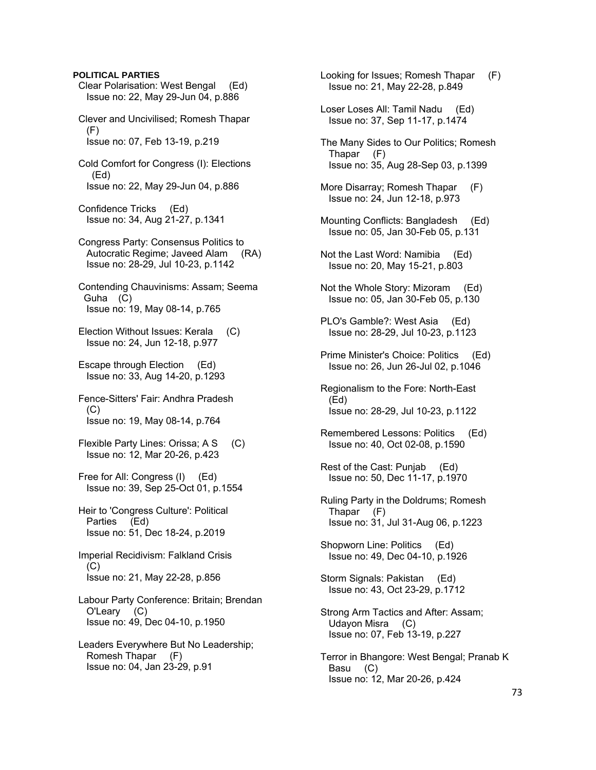## **POLITICAL PARTIES**

- Clear Polarisation: West Bengal (Ed) Issue no: 22, May 29-Jun 04, p.886
- Clever and Uncivilised; Romesh Thapar (F) Issue no: 07, Feb 13-19, p.219
- Cold Comfort for Congress (I): Elections (Ed) Issue no: 22, May 29-Jun 04, p.886
- Confidence Tricks (Ed) Issue no: 34, Aug 21-27, p.1341
- Congress Party: Consensus Politics to Autocratic Regime; Javeed Alam (RA) Issue no: 28-29, Jul 10-23, p.1142
- Contending Chauvinisms: Assam; Seema Guha (C) Issue no: 19, May 08-14, p.765
- Election Without Issues: Kerala (C) Issue no: 24, Jun 12-18, p.977
- Escape through Election (Ed) Issue no: 33, Aug 14-20, p.1293
- Fence-Sitters' Fair: Andhra Pradesh (C) Issue no: 19, May 08-14, p.764
- Flexible Party Lines: Orissa; A S (C) Issue no: 12, Mar 20-26, p.423
- Free for All: Congress (I) (Ed) Issue no: 39, Sep 25-Oct 01, p.1554
- Heir to 'Congress Culture': Political Parties (Ed) Issue no: 51, Dec 18-24, p.2019
- Imperial Recidivism: Falkland Crisis  $(C)$ Issue no: 21, May 22-28, p.856
- Labour Party Conference: Britain; Brendan O'Leary (C) Issue no: 49, Dec 04-10, p.1950
- Leaders Everywhere But No Leadership; Romesh Thapar (F) Issue no: 04, Jan 23-29, p.91
- Looking for Issues; Romesh Thapar (F) Issue no: 21, May 22-28, p.849
- Loser Loses All: Tamil Nadu (Ed) Issue no: 37, Sep 11-17, p.1474
- The Many Sides to Our Politics; Romesh Thapar (F) Issue no: 35, Aug 28-Sep 03, p.1399
- More Disarray; Romesh Thapar (F) Issue no: 24, Jun 12-18, p.973
- Mounting Conflicts: Bangladesh (Ed) Issue no: 05, Jan 30-Feb 05, p.131
- Not the Last Word: Namibia (Ed) Issue no: 20, May 15-21, p.803
- Not the Whole Story: Mizoram (Ed) Issue no: 05, Jan 30-Feb 05, p.130
- PLO's Gamble?: West Asia (Ed) Issue no: 28-29, Jul 10-23, p.1123
- Prime Minister's Choice: Politics (Ed) Issue no: 26, Jun 26-Jul 02, p.1046
- Regionalism to the Fore: North-East (Ed) Issue no: 28-29, Jul 10-23, p.1122
- Remembered Lessons: Politics (Ed) Issue no: 40, Oct 02-08, p.1590
- Rest of the Cast: Punjab (Ed) Issue no: 50, Dec 11-17, p.1970
- Ruling Party in the Doldrums; Romesh Thapar (F) Issue no: 31, Jul 31-Aug 06, p.1223
- Shopworn Line: Politics (Ed) Issue no: 49, Dec 04-10, p.1926
- Storm Signals: Pakistan (Ed) Issue no: 43, Oct 23-29, p.1712
- Strong Arm Tactics and After: Assam; Udayon Misra (C) Issue no: 07, Feb 13-19, p.227
- Terror in Bhangore: West Bengal; Pranab K Basu (C) Issue no: 12, Mar 20-26, p.424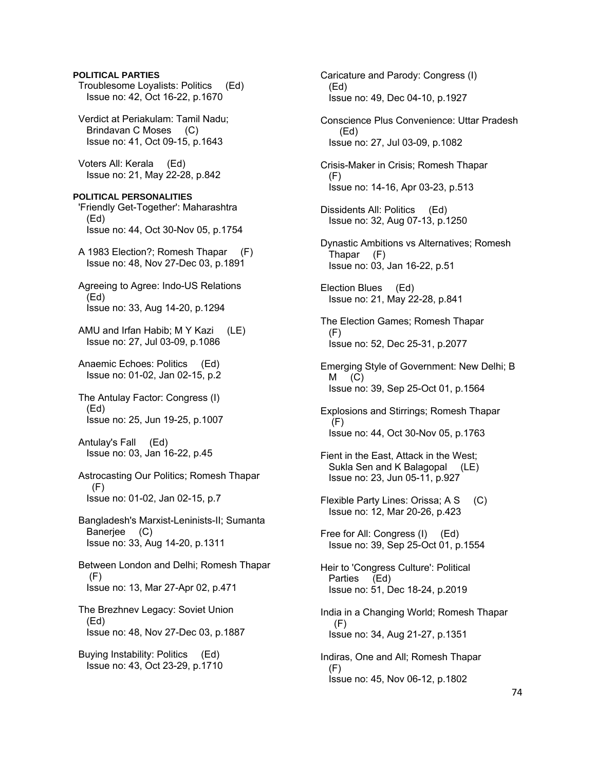# **POLITICAL PARTIES**  Troublesome Loyalists: Politics (Ed) Issue no: 42, Oct 16-22, p.1670 Verdict at Periakulam: Tamil Nadu; Brindavan C Moses (C) Issue no: 41, Oct 09-15, p.1643 Voters All: Kerala (Ed) Issue no: 21, May 22-28, p.842 **POLITICAL PERSONALITIES**  'Friendly Get-Together': Maharashtra (Ed) Issue no: 44, Oct 30-Nov 05, p.1754 A 1983 Election?; Romesh Thapar (F) Issue no: 48, Nov 27-Dec 03, p.1891 Agreeing to Agree: Indo-US Relations (Ed) Issue no: 33, Aug 14-20, p.1294 AMU and Irfan Habib; M Y Kazi (LE) Issue no: 27, Jul 03-09, p.1086 Anaemic Echoes: Politics (Ed) Issue no: 01-02, Jan 02-15, p.2 The Antulay Factor: Congress (I) (Ed) Issue no: 25, Jun 19-25, p.1007 Antulay's Fall (Ed) Issue no: 03, Jan 16-22, p.45 Astrocasting Our Politics; Romesh Thapar (F) Issue no: 01-02, Jan 02-15, p.7 Bangladesh's Marxist-Leninists-II; Sumanta Banerjee (C) Issue no: 33, Aug 14-20, p.1311 Between London and Delhi; Romesh Thapar (F) Issue no: 13, Mar 27-Apr 02, p.471 The Brezhnev Legacy: Soviet Union (Ed) Issue no: 48, Nov 27-Dec 03, p.1887 Buying Instability: Politics (Ed) Issue no: 43, Oct 23-29, p.1710

 Caricature and Parody: Congress (I) (Ed) Issue no: 49, Dec 04-10, p.1927 Conscience Plus Convenience: Uttar Pradesh (Ed) Issue no: 27, Jul 03-09, p.1082 Crisis-Maker in Crisis; Romesh Thapar (F) Issue no: 14-16, Apr 03-23, p.513 Dissidents All: Politics (Ed) Issue no: 32, Aug 07-13, p.1250 Dynastic Ambitions vs Alternatives; Romesh Thapar (F) Issue no: 03, Jan 16-22, p.51 Election Blues (Ed) Issue no: 21, May 22-28, p.841 The Election Games; Romesh Thapar (F) Issue no: 52, Dec 25-31, p.2077 Emerging Style of Government: New Delhi; B  $M$   $(C)$  Issue no: 39, Sep 25-Oct 01, p.1564 Explosions and Stirrings; Romesh Thapar (F) Issue no: 44, Oct 30-Nov 05, p.1763 Fient in the East, Attack in the West; Sukla Sen and K Balagopal (LE) Issue no: 23, Jun 05-11, p.927 Flexible Party Lines: Orissa; A S (C) Issue no: 12, Mar 20-26, p.423 Free for All: Congress (I) (Ed) Issue no: 39, Sep 25-Oct 01, p.1554 Heir to 'Congress Culture': Political Parties (Ed) Issue no: 51, Dec 18-24, p.2019 India in a Changing World; Romesh Thapar (F) Issue no: 34, Aug 21-27, p.1351 Indiras, One and All; Romesh Thapar (F) Issue no: 45, Nov 06-12, p.1802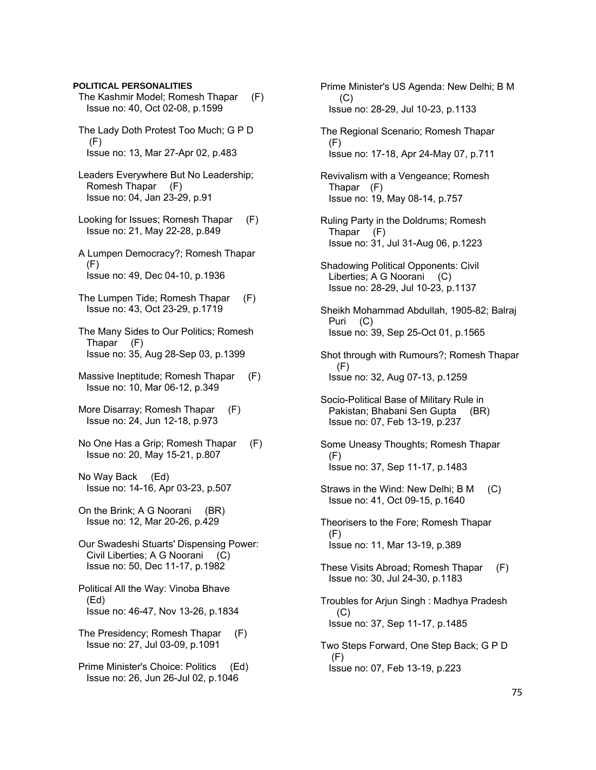### **POLITICAL PERSONALITIES**

- The Kashmir Model; Romesh Thapar (F) Issue no: 40, Oct 02-08, p.1599
- The Lady Doth Protest Too Much; G P D (F) Issue no: 13, Mar 27-Apr 02, p.483
- Leaders Everywhere But No Leadership; Romesh Thapar (F) Issue no: 04, Jan 23-29, p.91
- Looking for Issues; Romesh Thapar (F) Issue no: 21, May 22-28, p.849
- A Lumpen Democracy?; Romesh Thapar  $(F)$ Issue no: 49, Dec 04-10, p.1936
- The Lumpen Tide; Romesh Thapar (F) Issue no: 43, Oct 23-29, p.1719
- The Many Sides to Our Politics; Romesh Thapar (F) Issue no: 35, Aug 28-Sep 03, p.1399
- Massive Ineptitude; Romesh Thapar (F) Issue no: 10, Mar 06-12, p.349
- More Disarray; Romesh Thapar (F) Issue no: 24, Jun 12-18, p.973
- No One Has a Grip; Romesh Thapar (F) Issue no: 20, May 15-21, p.807
- No Way Back (Ed) Issue no: 14-16, Apr 03-23, p.507
- On the Brink; A G Noorani (BR) Issue no: 12, Mar 20-26, p.429
- Our Swadeshi Stuarts' Dispensing Power: Civil Liberties; A G Noorani (C) Issue no: 50, Dec 11-17, p.1982
- Political All the Way: Vinoba Bhave (Ed) Issue no: 46-47, Nov 13-26, p.1834
- The Presidency; Romesh Thapar (F) Issue no: 27, Jul 03-09, p.1091
- Prime Minister's Choice: Politics (Ed) Issue no: 26, Jun 26-Jul 02, p.1046
- Prime Minister's US Agenda: New Delhi; B M (C) Issue no: 28-29, Jul 10-23, p.1133
- The Regional Scenario; Romesh Thapar (F) Issue no: 17-18, Apr 24-May 07, p.711
- Revivalism with a Vengeance; Romesh Thapar (F) Issue no: 19, May 08-14, p.757
- Ruling Party in the Doldrums; Romesh Thapar (F) Issue no: 31, Jul 31-Aug 06, p.1223
- Shadowing Political Opponents: Civil Liberties; A G Noorani (C) Issue no: 28-29, Jul 10-23, p.1137
- Sheikh Mohammad Abdullah, 1905-82; Balraj Puri (C) Issue no: 39, Sep 25-Oct 01, p.1565
- Shot through with Rumours?; Romesh Thapar (F) Issue no: 32, Aug 07-13, p.1259
- Socio-Political Base of Military Rule in Pakistan; Bhabani Sen Gupta (BR) Issue no: 07, Feb 13-19, p.237
- Some Uneasy Thoughts; Romesh Thapar (F) Issue no: 37, Sep 11-17, p.1483
- Straws in the Wind: New Delhi; B M (C) Issue no: 41, Oct 09-15, p.1640
- Theorisers to the Fore; Romesh Thapar (F) Issue no: 11, Mar 13-19, p.389
- These Visits Abroad; Romesh Thapar (F) Issue no: 30, Jul 24-30, p.1183
- Troubles for Arjun Singh : Madhya Pradesh  $(C)$ Issue no: 37, Sep 11-17, p.1485
- Two Steps Forward, One Step Back; G P D (F) Issue no: 07, Feb 13-19, p.223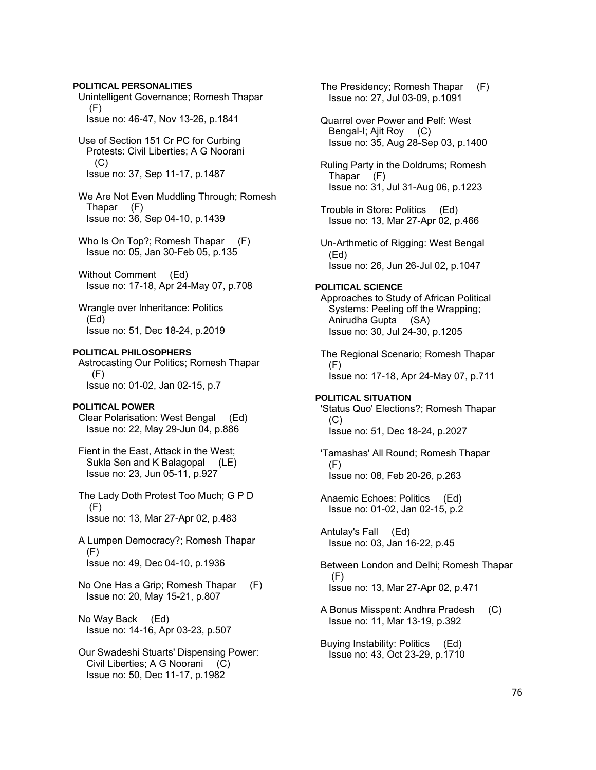# **POLITICAL PERSONALITIES**  Unintelligent Governance; Romesh Thapar (F) Issue no: 46-47, Nov 13-26, p.1841 Use of Section 151 Cr PC for Curbing Protests: Civil Liberties; A G Noorani (C) Issue no: 37, Sep 11-17, p.1487 We Are Not Even Muddling Through; Romesh Thapar (F) Issue no: 36, Sep 04-10, p.1439 Who Is On Top?; Romesh Thapar (F) Issue no: 05, Jan 30-Feb 05, p.135 Without Comment (Ed) Issue no: 17-18, Apr 24-May 07, p.708 Wrangle over Inheritance: Politics (Ed) Issue no: 51, Dec 18-24, p.2019 **POLITICAL PHILOSOPHERS**  Astrocasting Our Politics; Romesh Thapar (F) Issue no: 01-02, Jan 02-15, p.7 **POLITICAL POWER**  Clear Polarisation: West Bengal (Ed) Issue no: 22, May 29-Jun 04, p.886 Fient in the East, Attack in the West; Sukla Sen and K Balagopal (LE) Issue no: 23, Jun 05-11, p.927 The Lady Doth Protest Too Much; G P D (F) Issue no: 13, Mar 27-Apr 02, p.483 A Lumpen Democracy?; Romesh Thapar (F) Issue no: 49, Dec 04-10, p.1936 No One Has a Grip; Romesh Thapar (F) Issue no: 20, May 15-21, p.807 No Way Back (Ed) Issue no: 14-16, Apr 03-23, p.507 Our Swadeshi Stuarts' Dispensing Power:

 Civil Liberties; A G Noorani (C) Issue no: 50, Dec 11-17, p.1982

 The Presidency; Romesh Thapar (F) Issue no: 27, Jul 03-09, p.1091

 Quarrel over Power and Pelf: West Bengal-I; Ajit Roy (C) Issue no: 35, Aug 28-Sep 03, p.1400

 Ruling Party in the Doldrums; Romesh Thapar (F) Issue no: 31, Jul 31-Aug 06, p.1223

 Trouble in Store: Politics (Ed) Issue no: 13, Mar 27-Apr 02, p.466

 Un-Arthmetic of Rigging: West Bengal (Ed) Issue no: 26, Jun 26-Jul 02, p.1047

## **POLITICAL SCIENCE**  Approaches to Study of African Political Systems: Peeling off the Wrapping; Anirudha Gupta (SA) Issue no: 30, Jul 24-30, p.1205

 The Regional Scenario; Romesh Thapar  $(F)$ Issue no: 17-18, Apr 24-May 07, p.711

**POLITICAL SITUATION**  'Status Quo' Elections?; Romesh Thapar (C) Issue no: 51, Dec 18-24, p.2027

 'Tamashas' All Round; Romesh Thapar (F) Issue no: 08, Feb 20-26, p.263

 Anaemic Echoes: Politics (Ed) Issue no: 01-02, Jan 02-15, p.2

 Antulay's Fall (Ed) Issue no: 03, Jan 16-22, p.45

 Between London and Delhi; Romesh Thapar  $(F)$ Issue no: 13, Mar 27-Apr 02, p.471

 A Bonus Misspent: Andhra Pradesh (C) Issue no: 11, Mar 13-19, p.392

 Buying Instability: Politics (Ed) Issue no: 43, Oct 23-29, p.1710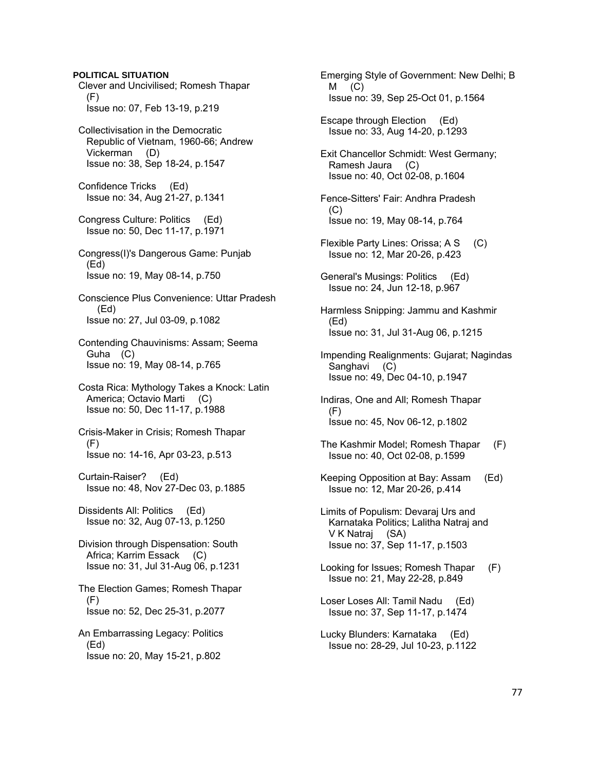**POLITICAL SITUATION**  Clever and Uncivilised; Romesh Thapar (F) Issue no: 07, Feb 13-19, p.219 Collectivisation in the Democratic Republic of Vietnam, 1960-66; Andrew Vickerman (D) Issue no: 38, Sep 18-24, p.1547 Confidence Tricks (Ed) Issue no: 34, Aug 21-27, p.1341 Congress Culture: Politics (Ed) Issue no: 50, Dec 11-17, p.1971 Congress(I)'s Dangerous Game: Punjab (Ed) Issue no: 19, May 08-14, p.750 Conscience Plus Convenience: Uttar Pradesh (Ed) Issue no: 27, Jul 03-09, p.1082 Contending Chauvinisms: Assam; Seema Guha (C) Issue no: 19, May 08-14, p.765 Costa Rica: Mythology Takes a Knock: Latin America; Octavio Marti (C) Issue no: 50, Dec 11-17, p.1988 Crisis-Maker in Crisis; Romesh Thapar (F) Issue no: 14-16, Apr 03-23, p.513 Curtain-Raiser? (Ed) Issue no: 48, Nov 27-Dec 03, p.1885 Dissidents All: Politics (Ed) Issue no: 32, Aug 07-13, p.1250 Division through Dispensation: South Africa; Karrim Essack (C) Issue no: 31, Jul 31-Aug 06, p.1231 The Election Games; Romesh Thapar  $(F)$  Issue no: 52, Dec 25-31, p.2077 An Embarrassing Legacy: Politics (Ed) Issue no: 20, May 15-21, p.802

 Emerging Style of Government: New Delhi; B  $M$  (C) Issue no: 39, Sep 25-Oct 01, p.1564

 Escape through Election (Ed) Issue no: 33, Aug 14-20, p.1293

 Exit Chancellor Schmidt: West Germany; Ramesh Jaura (C) Issue no: 40, Oct 02-08, p.1604

 Fence-Sitters' Fair: Andhra Pradesh  $(C)$ Issue no: 19, May 08-14, p.764

 Flexible Party Lines: Orissa; A S (C) Issue no: 12, Mar 20-26, p.423

 General's Musings: Politics (Ed) Issue no: 24, Jun 12-18, p.967

 Harmless Snipping: Jammu and Kashmir (Ed) Issue no: 31, Jul 31-Aug 06, p.1215

 Impending Realignments: Gujarat; Nagindas Sanghavi (C) Issue no: 49, Dec 04-10, p.1947

 Indiras, One and All; Romesh Thapar (F) Issue no: 45, Nov 06-12, p.1802

 The Kashmir Model; Romesh Thapar (F) Issue no: 40, Oct 02-08, p.1599

 Keeping Opposition at Bay: Assam (Ed) Issue no: 12, Mar 20-26, p.414

 Limits of Populism: Devaraj Urs and Karnataka Politics; Lalitha Natraj and V K Natraj (SA) Issue no: 37, Sep 11-17, p.1503

 Looking for Issues; Romesh Thapar (F) Issue no: 21, May 22-28, p.849

 Loser Loses All: Tamil Nadu (Ed) Issue no: 37, Sep 11-17, p.1474

 Lucky Blunders: Karnataka (Ed) Issue no: 28-29, Jul 10-23, p.1122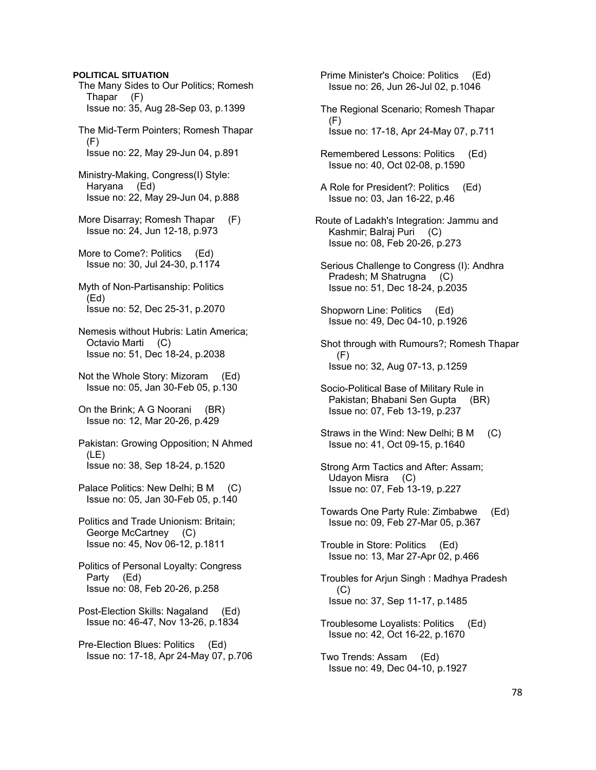## **POLITICAL SITUATION**

- The Many Sides to Our Politics; Romesh Thapar (F) Issue no: 35, Aug 28-Sep 03, p.1399
- The Mid-Term Pointers; Romesh Thapar (F) Issue no: 22, May 29-Jun 04, p.891
- Ministry-Making, Congress(I) Style: Haryana (Ed) Issue no: 22, May 29-Jun 04, p.888
- More Disarray; Romesh Thapar (F) Issue no: 24, Jun 12-18, p.973
- More to Come?: Politics (Ed) Issue no: 30, Jul 24-30, p.1174
- Myth of Non-Partisanship: Politics (Ed) Issue no: 52, Dec 25-31, p.2070
- Nemesis without Hubris: Latin America; Octavio Marti (C) Issue no: 51, Dec 18-24, p.2038
- Not the Whole Story: Mizoram (Ed) Issue no: 05, Jan 30-Feb 05, p.130
- On the Brink; A G Noorani (BR) Issue no: 12, Mar 20-26, p.429
- Pakistan: Growing Opposition; N Ahmed (LE) Issue no: 38, Sep 18-24, p.1520
- Palace Politics: New Delhi: B M (C) Issue no: 05, Jan 30-Feb 05, p.140
- Politics and Trade Unionism: Britain; George McCartney (C) Issue no: 45, Nov 06-12, p.1811
- Politics of Personal Loyalty: Congress Party (Ed) Issue no: 08, Feb 20-26, p.258
- Post-Election Skills: Nagaland (Ed) Issue no: 46-47, Nov 13-26, p.1834
- Pre-Election Blues: Politics (Ed) Issue no: 17-18, Apr 24-May 07, p.706
- Prime Minister's Choice: Politics (Ed) Issue no: 26, Jun 26-Jul 02, p.1046
- The Regional Scenario; Romesh Thapar (F) Issue no: 17-18, Apr 24-May 07, p.711
- Remembered Lessons: Politics (Ed) Issue no: 40, Oct 02-08, p.1590
- A Role for President?: Politics (Ed) Issue no: 03, Jan 16-22, p.46
- Route of Ladakh's Integration: Jammu and Kashmir; Balraj Puri (C) Issue no: 08, Feb 20-26, p.273
- Serious Challenge to Congress (I): Andhra Pradesh; M Shatrugna (C) Issue no: 51, Dec 18-24, p.2035
- Shopworn Line: Politics (Ed) Issue no: 49, Dec 04-10, p.1926
- Shot through with Rumours?; Romesh Thapar (F) Issue no: 32, Aug 07-13, p.1259
- Socio-Political Base of Military Rule in Pakistan; Bhabani Sen Gupta (BR) Issue no: 07, Feb 13-19, p.237
- Straws in the Wind: New Delhi; B M (C) Issue no: 41, Oct 09-15, p.1640
- Strong Arm Tactics and After: Assam; Udayon Misra (C) Issue no: 07, Feb 13-19, p.227
- Towards One Party Rule: Zimbabwe (Ed) Issue no: 09, Feb 27-Mar 05, p.367
- Trouble in Store: Politics (Ed) Issue no: 13, Mar 27-Apr 02, p.466
- Troubles for Arjun Singh : Madhya Pradesh (C) Issue no: 37, Sep 11-17, p.1485
- Troublesome Loyalists: Politics (Ed) Issue no: 42, Oct 16-22, p.1670
- Two Trends: Assam (Ed) Issue no: 49, Dec 04-10, p.1927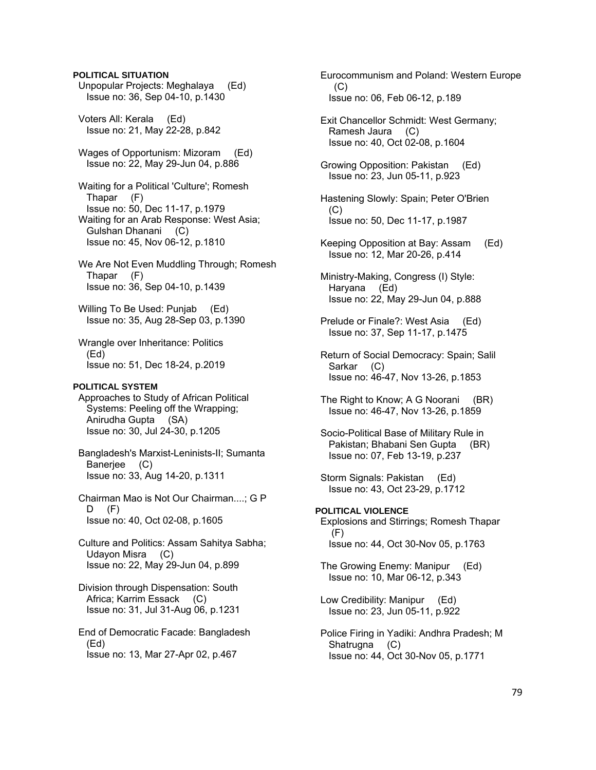## **POLITICAL SITUATION**

 Unpopular Projects: Meghalaya (Ed) Issue no: 36, Sep 04-10, p.1430

 Voters All: Kerala (Ed) Issue no: 21, May 22-28, p.842

 Wages of Opportunism: Mizoram (Ed) Issue no: 22, May 29-Jun 04, p.886

 Waiting for a Political 'Culture'; Romesh Thapar (F) Issue no: 50, Dec 11-17, p.1979 Waiting for an Arab Response: West Asia; Gulshan Dhanani (C) Issue no: 45, Nov 06-12, p.1810

 We Are Not Even Muddling Through; Romesh Thapar (F) Issue no: 36, Sep 04-10, p.1439

Willing To Be Used: Punjab (Ed) Issue no: 35, Aug 28-Sep 03, p.1390

 Wrangle over Inheritance: Politics (Ed) Issue no: 51, Dec 18-24, p.2019

#### **POLITICAL SYSTEM**

 Approaches to Study of African Political Systems: Peeling off the Wrapping; Anirudha Gupta (SA) Issue no: 30, Jul 24-30, p.1205

 Bangladesh's Marxist-Leninists-II; Sumanta Banerjee (C) Issue no: 33, Aug 14-20, p.1311

 Chairman Mao is Not Our Chairman....; G P D (F) Issue no: 40, Oct 02-08, p.1605

 Culture and Politics: Assam Sahitya Sabha; Udayon Misra (C) Issue no: 22, May 29-Jun 04, p.899

 Division through Dispensation: South Africa; Karrim Essack (C) Issue no: 31, Jul 31-Aug 06, p.1231

 End of Democratic Facade: Bangladesh (Ed) Issue no: 13, Mar 27-Apr 02, p.467

 Eurocommunism and Poland: Western Europe  $(C)$ Issue no: 06, Feb 06-12, p.189

 Exit Chancellor Schmidt: West Germany; Ramesh Jaura (C) Issue no: 40, Oct 02-08, p.1604

 Growing Opposition: Pakistan (Ed) Issue no: 23, Jun 05-11, p.923

 Hastening Slowly: Spain; Peter O'Brien  $(C)$ Issue no: 50, Dec 11-17, p.1987

 Keeping Opposition at Bay: Assam (Ed) Issue no: 12, Mar 20-26, p.414

 Ministry-Making, Congress (I) Style: Haryana (Ed) Issue no: 22, May 29-Jun 04, p.888

 Prelude or Finale?: West Asia (Ed) Issue no: 37, Sep 11-17, p.1475

 Return of Social Democracy: Spain; Salil Sarkar (C) Issue no: 46-47, Nov 13-26, p.1853

 The Right to Know; A G Noorani (BR) Issue no: 46-47, Nov 13-26, p.1859

- Socio-Political Base of Military Rule in Pakistan; Bhabani Sen Gupta (BR) Issue no: 07, Feb 13-19, p.237
- Storm Signals: Pakistan (Ed) Issue no: 43, Oct 23-29, p.1712

**POLITICAL VIOLENCE**  Explosions and Stirrings; Romesh Thapar (F) Issue no: 44, Oct 30-Nov 05, p.1763

 The Growing Enemy: Manipur (Ed) Issue no: 10, Mar 06-12, p.343

 Low Credibility: Manipur (Ed) Issue no: 23, Jun 05-11, p.922

 Police Firing in Yadiki: Andhra Pradesh; M Shatrugna (C) Issue no: 44, Oct 30-Nov 05, p.1771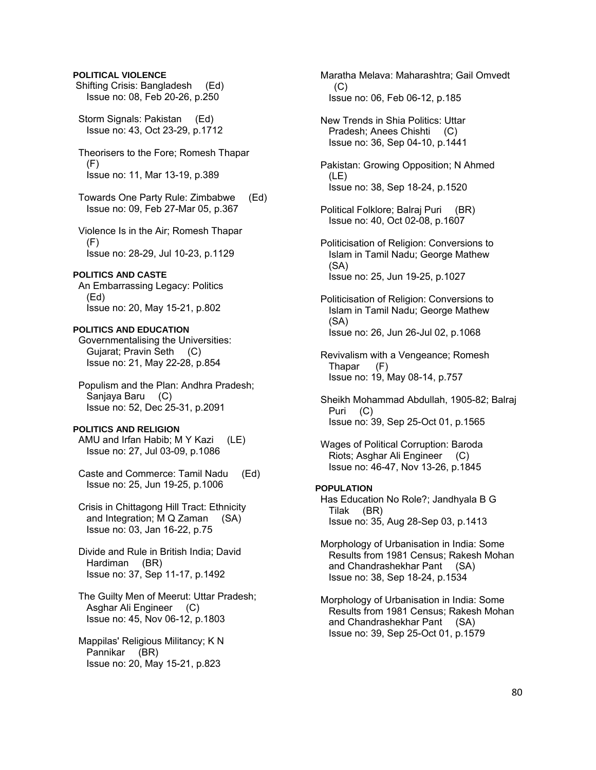## **POLITICAL VIOLENCE**

- Shifting Crisis: Bangladesh (Ed) Issue no: 08, Feb 20-26, p.250
- Storm Signals: Pakistan (Ed) Issue no: 43, Oct 23-29, p.1712
- Theorisers to the Fore; Romesh Thapar (F) Issue no: 11, Mar 13-19, p.389
- Towards One Party Rule: Zimbabwe (Ed) Issue no: 09, Feb 27-Mar 05, p.367
- Violence Is in the Air; Romesh Thapar (F) Issue no: 28-29, Jul 10-23, p.1129

## **POLITICS AND CASTE**

 An Embarrassing Legacy: Politics (Ed) Issue no: 20, May 15-21, p.802

### **POLITICS AND EDUCATION**

 Governmentalising the Universities: Gujarat; Pravin Seth (C) Issue no: 21, May 22-28, p.854

 Populism and the Plan: Andhra Pradesh; Sanjaya Baru (C) Issue no: 52, Dec 25-31, p.2091

## **POLITICS AND RELIGION**

 AMU and Irfan Habib; M Y Kazi (LE) Issue no: 27, Jul 03-09, p.1086

 Caste and Commerce: Tamil Nadu (Ed) Issue no: 25, Jun 19-25, p.1006

 Crisis in Chittagong Hill Tract: Ethnicity and Integration; M Q Zaman (SA) Issue no: 03, Jan 16-22, p.75

 Divide and Rule in British India; David Hardiman (BR) Issue no: 37, Sep 11-17, p.1492

 The Guilty Men of Meerut: Uttar Pradesh; Asghar Ali Engineer (C) Issue no: 45, Nov 06-12, p.1803

 Mappilas' Religious Militancy; K N Pannikar (BR) Issue no: 20, May 15-21, p.823

 Maratha Melava: Maharashtra; Gail Omvedt  $(C)$ Issue no: 06, Feb 06-12, p.185

 New Trends in Shia Politics: Uttar Pradesh; Anees Chishti (C) Issue no: 36, Sep 04-10, p.1441

 Pakistan: Growing Opposition; N Ahmed (LE) Issue no: 38, Sep 18-24, p.1520

- Political Folklore; Balraj Puri (BR) Issue no: 40, Oct 02-08, p.1607
- Politicisation of Religion: Conversions to Islam in Tamil Nadu; George Mathew (SA) Issue no: 25, Jun 19-25, p.1027
- Politicisation of Religion: Conversions to Islam in Tamil Nadu; George Mathew (SA) Issue no: 26, Jun 26-Jul 02, p.1068

 Revivalism with a Vengeance; Romesh Thapar (F) Issue no: 19, May 08-14, p.757

 Sheikh Mohammad Abdullah, 1905-82; Balraj Puri (C) Issue no: 39, Sep 25-Oct 01, p.1565

 Wages of Political Corruption: Baroda Riots; Asghar Ali Engineer (C) Issue no: 46-47, Nov 13-26, p.1845

## **POPULATION**

 Has Education No Role?; Jandhyala B G Tilak (BR) Issue no: 35, Aug 28-Sep 03, p.1413

 Morphology of Urbanisation in India: Some Results from 1981 Census; Rakesh Mohan and Chandrashekhar Pant (SA) Issue no: 38, Sep 18-24, p.1534

 Morphology of Urbanisation in India: Some Results from 1981 Census; Rakesh Mohan and Chandrashekhar Pant (SA) Issue no: 39, Sep 25-Oct 01, p.1579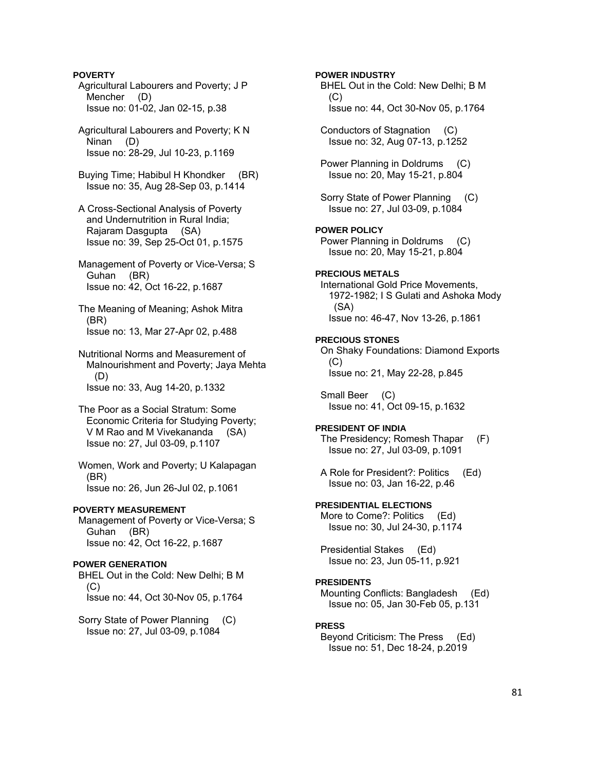**POVERTY**  Agricultural Labourers and Poverty; J P Mencher (D) Issue no: 01-02, Jan 02-15, p.38 Agricultural Labourers and Poverty; K N Ninan (D) Issue no: 28-29, Jul 10-23, p.1169 Buying Time; Habibul H Khondker (BR) Issue no: 35, Aug 28-Sep 03, p.1414 A Cross-Sectional Analysis of Poverty and Undernutrition in Rural India; Rajaram Dasgupta (SA) Issue no: 39, Sep 25-Oct 01, p.1575 Management of Poverty or Vice-Versa; S Guhan (BR) Issue no: 42, Oct 16-22, p.1687 The Meaning of Meaning; Ashok Mitra (BR) Issue no: 13, Mar 27-Apr 02, p.488 Nutritional Norms and Measurement of Malnourishment and Poverty; Jaya Mehta (D) Issue no: 33, Aug 14-20, p.1332 The Poor as a Social Stratum: Some Economic Criteria for Studying Poverty; V M Rao and M Vivekananda (SA) Issue no: 27, Jul 03-09, p.1107 Women, Work and Poverty; U Kalapagan (BR) Issue no: 26, Jun 26-Jul 02, p.1061 **POVERTY MEASUREMENT**  Management of Poverty or Vice-Versa; S Guhan (BR) Issue no: 42, Oct 16-22, p.1687

#### **POWER GENERATION**

 BHEL Out in the Cold: New Delhi; B M (C) Issue no: 44, Oct 30-Nov 05, p.1764

 Sorry State of Power Planning (C) Issue no: 27, Jul 03-09, p.1084

**POWER INDUSTRY**  BHEL Out in the Cold: New Delhi; B M  $(C)$  Issue no: 44, Oct 30-Nov 05, p.1764 Conductors of Stagnation (C) Issue no: 32, Aug 07-13, p.1252 Power Planning in Doldrums (C) Issue no: 20, May 15-21, p.804 Sorry State of Power Planning (C) Issue no: 27, Jul 03-09, p.1084 **POWER POLICY**  Power Planning in Doldrums (C) Issue no: 20, May 15-21, p.804 **PRECIOUS METALS**  International Gold Price Movements, 1972-1982; I S Gulati and Ashoka Mody (SA) Issue no: 46-47, Nov 13-26, p.1861 **PRECIOUS STONES**  On Shaky Foundations: Diamond Exports (C) Issue no: 21, May 22-28, p.845 Small Beer (C) Issue no: 41, Oct 09-15, p.1632 **PRESIDENT OF INDIA**  The Presidency; Romesh Thapar (F) Issue no: 27, Jul 03-09, p.1091 A Role for President?: Politics (Ed) Issue no: 03, Jan 16-22, p.46 **PRESIDENTIAL ELECTIONS**  More to Come?: Politics (Ed) Issue no: 30, Jul 24-30, p.1174 Presidential Stakes (Ed) Issue no: 23, Jun 05-11, p.921 **PRESIDENTS**  Mounting Conflicts: Bangladesh (Ed) Issue no: 05, Jan 30-Feb 05, p.131 **PRESS**  Beyond Criticism: The Press (Ed) Issue no: 51, Dec 18-24, p.2019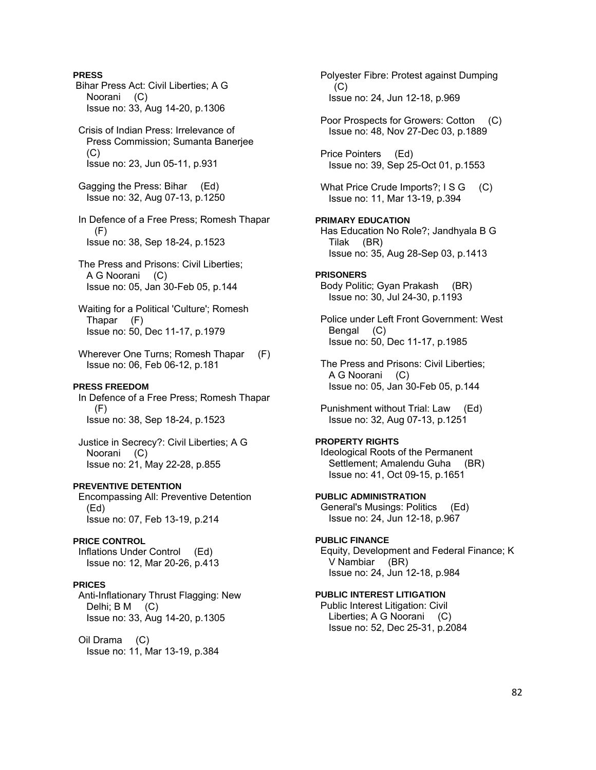# Bihar Press Act: Civil Liberties; A G Noorani (C) Issue no: 33, Aug 14-20, p.1306 Crisis of Indian Press: Irrelevance of Press Commission; Sumanta Banerjee (C) Issue no: 23, Jun 05-11, p.931 Gagging the Press: Bihar (Ed) Issue no: 32, Aug 07-13, p.1250 In Defence of a Free Press; Romesh Thapar (F) Issue no: 38, Sep 18-24, p.1523 The Press and Prisons: Civil Liberties; A G Noorani (C) Issue no: 05, Jan 30-Feb 05, p.144 Waiting for a Political 'Culture'; Romesh Thapar (F) Issue no: 50, Dec 11-17, p.1979 Wherever One Turns; Romesh Thapar (F) Issue no: 06, Feb 06-12, p.181 **PRESS FREEDOM**  In Defence of a Free Press; Romesh Thapar (F) Issue no: 38, Sep 18-24, p.1523 Justice in Secrecy?: Civil Liberties; A G Noorani (C) Issue no: 21, May 22-28, p.855 **PREVENTIVE DETENTION**  Encompassing All: Preventive Detention (Ed) Issue no: 07, Feb 13-19, p.214 **PRICE CONTROL**  Inflations Under Control (Ed) Issue no: 12, Mar 20-26, p.413 **PRICES**  Anti-Inflationary Thrust Flagging: New Delhi; B M (C) Issue no: 33, Aug 14-20, p.1305 Oil Drama (C) Issue no: 11, Mar 13-19, p.384

**PRESS** 

 Polyester Fibre: Protest against Dumping  $(C)$  Issue no: 24, Jun 12-18, p.969 Poor Prospects for Growers: Cotton (C) Issue no: 48, Nov 27-Dec 03, p.1889 Price Pointers (Ed) Issue no: 39, Sep 25-Oct 01, p.1553 What Price Crude Imports?; I S G (C) Issue no: 11, Mar 13-19, p.394 **PRIMARY EDUCATION**  Has Education No Role?; Jandhyala B G Tilak (BR) Issue no: 35, Aug 28-Sep 03, p.1413 **PRISONERS**  Body Politic; Gyan Prakash (BR) Issue no: 30, Jul 24-30, p.1193 Police under Left Front Government: West Bengal (C) Issue no: 50, Dec 11-17, p.1985 The Press and Prisons: Civil Liberties; A G Noorani (C) Issue no: 05, Jan 30-Feb 05, p.144 Punishment without Trial: Law (Ed) Issue no: 32, Aug 07-13, p.1251 **PROPERTY RIGHTS**  Ideological Roots of the Permanent Settlement; Amalendu Guha (BR) Issue no: 41, Oct 09-15, p.1651 **PUBLIC ADMINISTRATION**  General's Musings: Politics (Ed) Issue no: 24, Jun 12-18, p.967 **PUBLIC FINANCE**  Equity, Development and Federal Finance; K V Nambiar (BR) Issue no: 24, Jun 12-18, p.984

## **PUBLIC INTEREST LITIGATION**

 Public Interest Litigation: Civil Liberties; A G Noorani (C) Issue no: 52, Dec 25-31, p.2084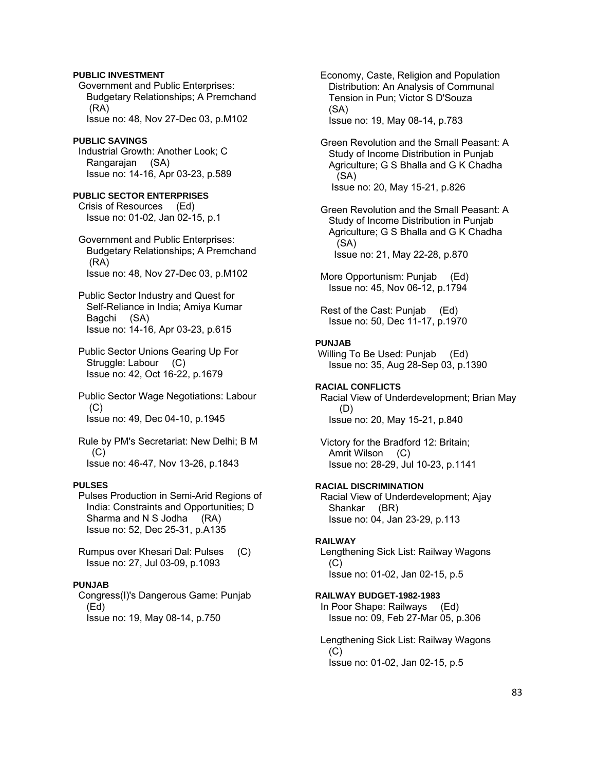## **PUBLIC INVESTMENT**

 Government and Public Enterprises: Budgetary Relationships; A Premchand (RA) Issue no: 48, Nov 27-Dec 03, p.M102

### **PUBLIC SAVINGS**

 Industrial Growth: Another Look; C Rangarajan (SA) Issue no: 14-16, Apr 03-23, p.589

## **PUBLIC SECTOR ENTERPRISES**

 Crisis of Resources (Ed) Issue no: 01-02, Jan 02-15, p.1

 Government and Public Enterprises: Budgetary Relationships; A Premchand (RA) Issue no: 48, Nov 27-Dec 03, p.M102

 Public Sector Industry and Quest for Self-Reliance in India; Amiya Kumar Bagchi (SA) Issue no: 14-16, Apr 03-23, p.615

 Public Sector Unions Gearing Up For Struggle: Labour (C) Issue no: 42, Oct 16-22, p.1679

 Public Sector Wage Negotiations: Labour (C) Issue no: 49, Dec 04-10, p.1945

 Rule by PM's Secretariat: New Delhi; B M (C) Issue no: 46-47, Nov 13-26, p.1843

### **PULSES**

 Pulses Production in Semi-Arid Regions of India: Constraints and Opportunities; D Sharma and N S Jodha (RA) Issue no: 52, Dec 25-31, p.A135

 Rumpus over Khesari Dal: Pulses (C) Issue no: 27, Jul 03-09, p.1093

## **PUNJAB**

 Congress(I)'s Dangerous Game: Punjab (Ed) Issue no: 19, May 08-14, p.750

 Economy, Caste, Religion and Population Distribution: An Analysis of Communal Tension in Pun; Victor S D'Souza (SA) Issue no: 19, May 08-14, p.783

 Green Revolution and the Small Peasant: A Study of Income Distribution in Punjab Agriculture; G S Bhalla and G K Chadha (SA) Issue no: 20, May 15-21, p.826

 Green Revolution and the Small Peasant: A Study of Income Distribution in Punjab Agriculture; G S Bhalla and G K Chadha (SA) Issue no: 21, May 22-28, p.870

More Opportunism: Punjab (Ed) Issue no: 45, Nov 06-12, p.1794

 Rest of the Cast: Punjab (Ed) Issue no: 50, Dec 11-17, p.1970

### **PUNJAB**

Willing To Be Used: Punjab (Ed) Issue no: 35, Aug 28-Sep 03, p.1390

#### **RACIAL CONFLICTS**

 Racial View of Underdevelopment; Brian May (D) Issue no: 20, May 15-21, p.840

 Victory for the Bradford 12: Britain; Amrit Wilson (C) Issue no: 28-29, Jul 10-23, p.1141

## **RACIAL DISCRIMINATION**

 Racial View of Underdevelopment; Ajay Shankar (BR) Issue no: 04, Jan 23-29, p.113

#### **RAILWAY**

 Lengthening Sick List: Railway Wagons (C) Issue no: 01-02, Jan 02-15, p.5

### **RAILWAY BUDGET-1982-1983**

 In Poor Shape: Railways (Ed) Issue no: 09, Feb 27-Mar 05, p.306

 Lengthening Sick List: Railway Wagons  $(C)$ Issue no: 01-02, Jan 02-15, p.5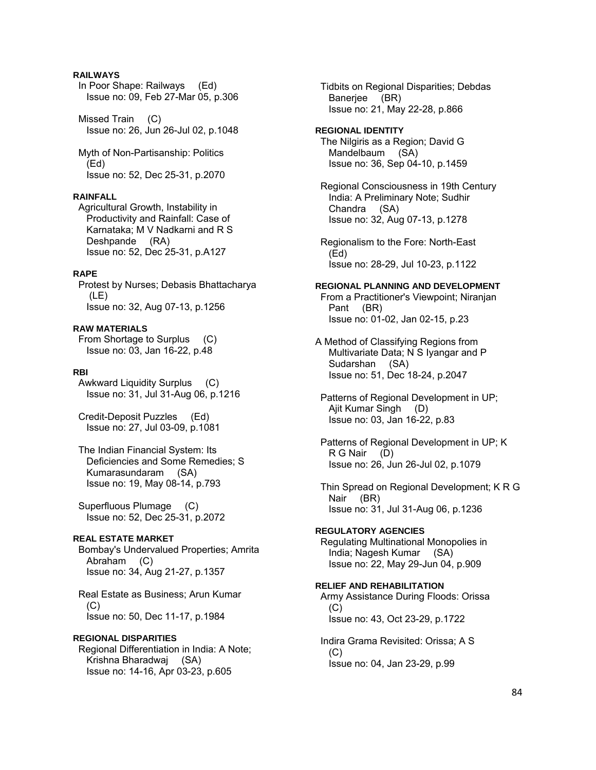## **RAILWAYS**

 In Poor Shape: Railways (Ed) Issue no: 09, Feb 27-Mar 05, p.306

 Missed Train (C) Issue no: 26, Jun 26-Jul 02, p.1048

 Myth of Non-Partisanship: Politics (Ed) Issue no: 52, Dec 25-31, p.2070

### **RAINFALL**

 Agricultural Growth, Instability in Productivity and Rainfall: Case of Karnataka; M V Nadkarni and R S Deshpande (RA) Issue no: 52, Dec 25-31, p.A127

## **RAPE**

 Protest by Nurses; Debasis Bhattacharya (LE) Issue no: 32, Aug 07-13, p.1256

## **RAW MATERIALS**

 From Shortage to Surplus (C) Issue no: 03, Jan 16-22, p.48

### **RBI**

 Awkward Liquidity Surplus (C) Issue no: 31, Jul 31-Aug 06, p.1216

 Credit-Deposit Puzzles (Ed) Issue no: 27, Jul 03-09, p.1081

 The Indian Financial System: Its Deficiencies and Some Remedies; S Kumarasundaram (SA) Issue no: 19, May 08-14, p.793

 Superfluous Plumage (C) Issue no: 52, Dec 25-31, p.2072

## **REAL ESTATE MARKET**

 Bombay's Undervalued Properties; Amrita Abraham (C) Issue no: 34, Aug 21-27, p.1357

 Real Estate as Business; Arun Kumar (C) Issue no: 50, Dec 11-17, p.1984

## **REGIONAL DISPARITIES**

 Regional Differentiation in India: A Note; Krishna Bharadwaj (SA) Issue no: 14-16, Apr 03-23, p.605

 Tidbits on Regional Disparities; Debdas Banerjee (BR) Issue no: 21, May 22-28, p.866 **REGIONAL IDENTITY**  The Nilgiris as a Region; David G Mandelbaum (SA) Issue no: 36, Sep 04-10, p.1459 Regional Consciousness in 19th Century India: A Preliminary Note; Sudhir Chandra (SA) Issue no: 32, Aug 07-13, p.1278 Regionalism to the Fore: North-East (Ed) Issue no: 28-29, Jul 10-23, p.1122 **REGIONAL PLANNING AND DEVELOPMENT**  From a Practitioner's Viewpoint; Niranjan Pant (BR) Issue no: 01-02, Jan 02-15, p.23 A Method of Classifying Regions from Multivariate Data; N S Iyangar and P Sudarshan (SA) Issue no: 51, Dec 18-24, p.2047 Patterns of Regional Development in UP; Ajit Kumar Singh (D) Issue no: 03, Jan 16-22, p.83 Patterns of Regional Development in UP; K R G Nair (D) Issue no: 26, Jun 26-Jul 02, p.1079 Thin Spread on Regional Development; K R G Nair (BR) Issue no: 31, Jul 31-Aug 06, p.1236 **REGULATORY AGENCIES**  Regulating Multinational Monopolies in India; Nagesh Kumar (SA) Issue no: 22, May 29-Jun 04, p.909 **RELIEF AND REHABILITATION**  Army Assistance During Floods: Orissa  $(C)$  Issue no: 43, Oct 23-29, p.1722 Indira Grama Revisited: Orissa; A S  $(C)$ Issue no: 04, Jan 23-29, p.99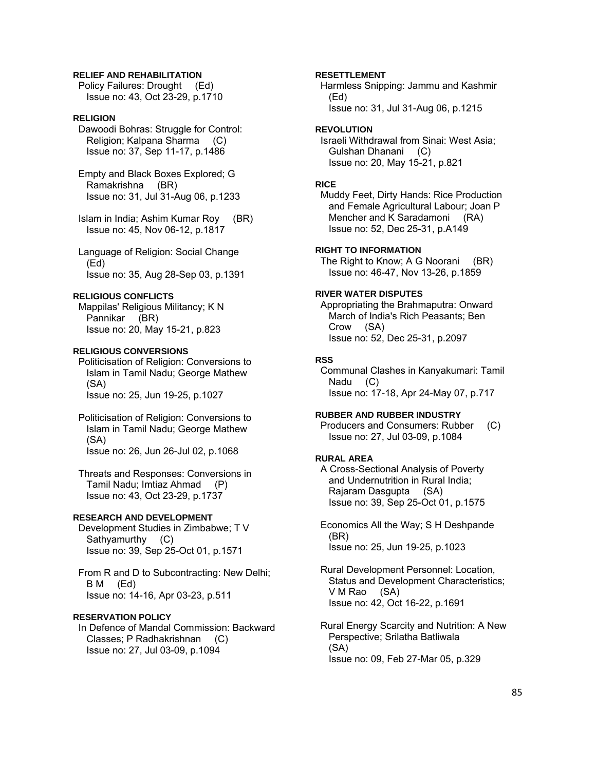### **RELIEF AND REHABILITATION**

 Policy Failures: Drought (Ed) Issue no: 43, Oct 23-29, p.1710

## **RELIGION**

 Dawoodi Bohras: Struggle for Control: Religion; Kalpana Sharma (C) Issue no: 37, Sep 11-17, p.1486

 Empty and Black Boxes Explored; G Ramakrishna (BR) Issue no: 31, Jul 31-Aug 06, p.1233

 Islam in India; Ashim Kumar Roy (BR) Issue no: 45, Nov 06-12, p.1817

 Language of Religion: Social Change (Ed) Issue no: 35, Aug 28-Sep 03, p.1391

## **RELIGIOUS CONFLICTS**

 Mappilas' Religious Militancy; K N Pannikar (BR) Issue no: 20, May 15-21, p.823

## **RELIGIOUS CONVERSIONS**

 Politicisation of Religion: Conversions to Islam in Tamil Nadu; George Mathew (SA) Issue no: 25, Jun 19-25, p.1027

 Politicisation of Religion: Conversions to Islam in Tamil Nadu; George Mathew (SA) Issue no: 26, Jun 26-Jul 02, p.1068

 Threats and Responses: Conversions in Tamil Nadu; Imtiaz Ahmad (P) Issue no: 43, Oct 23-29, p.1737

## **RESEARCH AND DEVELOPMENT**

 Development Studies in Zimbabwe; T V Sathyamurthy (C) Issue no: 39, Sep 25-Oct 01, p.1571

 From R and D to Subcontracting: New Delhi; B M (Ed) Issue no: 14-16, Apr 03-23, p.511

## **RESERVATION POLICY**

 In Defence of Mandal Commission: Backward Classes; P Radhakrishnan (C) Issue no: 27, Jul 03-09, p.1094

## **RESETTLEMENT**

 Harmless Snipping: Jammu and Kashmir (Ed) Issue no: 31, Jul 31-Aug 06, p.1215

## **REVOLUTION**

 Israeli Withdrawal from Sinai: West Asia; Gulshan Dhanani (C) Issue no: 20, May 15-21, p.821

#### **RICE**

 Muddy Feet, Dirty Hands: Rice Production and Female Agricultural Labour; Joan P Mencher and K Saradamoni (RA) Issue no: 52, Dec 25-31, p.A149

### **RIGHT TO INFORMATION**

The Right to Know; A G Noorani (BR) Issue no: 46-47, Nov 13-26, p.1859

## **RIVER WATER DISPUTES**

 Appropriating the Brahmaputra: Onward March of India's Rich Peasants; Ben Crow (SA) Issue no: 52, Dec 25-31, p.2097

## **RSS**

 Communal Clashes in Kanyakumari: Tamil Nadu (C) Issue no: 17-18, Apr 24-May 07, p.717

### **RUBBER AND RUBBER INDUSTRY**

 Producers and Consumers: Rubber (C) Issue no: 27, Jul 03-09, p.1084

### **RURAL AREA**

 A Cross-Sectional Analysis of Poverty and Undernutrition in Rural India; Rajaram Dasgupta (SA) Issue no: 39, Sep 25-Oct 01, p.1575

 Economics All the Way; S H Deshpande (BR) Issue no: 25, Jun 19-25, p.1023

 Rural Development Personnel: Location, Status and Development Characteristics; V M Rao (SA) Issue no: 42, Oct 16-22, p.1691

 Rural Energy Scarcity and Nutrition: A New Perspective; Srilatha Batliwala (SA) Issue no: 09, Feb 27-Mar 05, p.329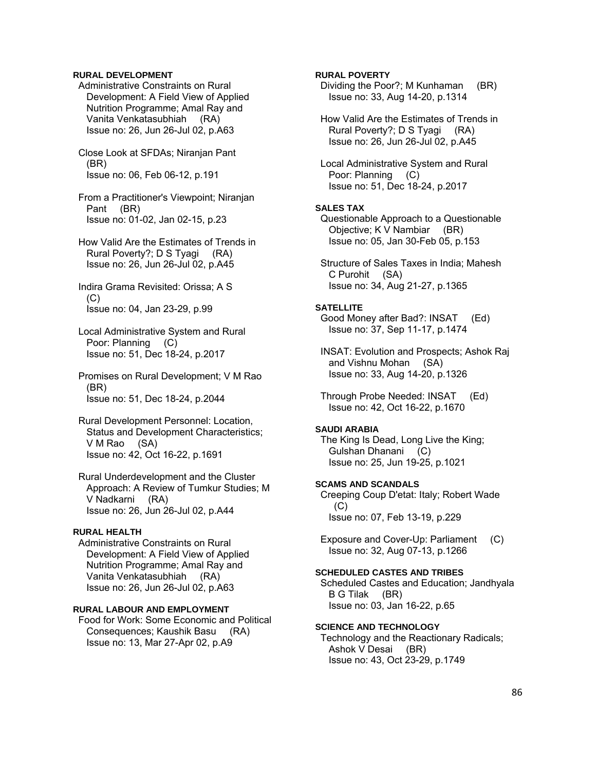## **RURAL DEVELOPMENT**

- Administrative Constraints on Rural Development: A Field View of Applied Nutrition Programme; Amal Ray and Vanita Venkatasubhiah (RA) Issue no: 26, Jun 26-Jul 02, p.A63
- Close Look at SFDAs; Niranjan Pant (BR) Issue no: 06, Feb 06-12, p.191
- From a Practitioner's Viewpoint; Niranjan Pant (BR) Issue no: 01-02, Jan 02-15, p.23
- How Valid Are the Estimates of Trends in Rural Poverty?; D S Tyagi (RA) Issue no: 26, Jun 26-Jul 02, p.A45
- Indira Grama Revisited: Orissa; A S  $(C)$ Issue no: 04, Jan 23-29, p.99
- Local Administrative System and Rural Poor: Planning (C) Issue no: 51, Dec 18-24, p.2017
- Promises on Rural Development; V M Rao (BR) Issue no: 51, Dec 18-24, p.2044
- Rural Development Personnel: Location, Status and Development Characteristics; V M Rao (SA) Issue no: 42, Oct 16-22, p.1691
- Rural Underdevelopment and the Cluster Approach: A Review of Tumkur Studies; M V Nadkarni (RA) Issue no: 26, Jun 26-Jul 02, p.A44

## **RURAL HEALTH**

 Administrative Constraints on Rural Development: A Field View of Applied Nutrition Programme; Amal Ray and Vanita Venkatasubhiah (RA) Issue no: 26, Jun 26-Jul 02, p.A63

## **RURAL LABOUR AND EMPLOYMENT**

 Food for Work: Some Economic and Political Consequences; Kaushik Basu (RA) Issue no: 13, Mar 27-Apr 02, p.A9

## **RURAL POVERTY**

- Dividing the Poor?; M Kunhaman (BR) Issue no: 33, Aug 14-20, p.1314
- How Valid Are the Estimates of Trends in Rural Poverty?; D S Tyagi (RA) Issue no: 26, Jun 26-Jul 02, p.A45
- Local Administrative System and Rural Poor: Planning (C) Issue no: 51, Dec 18-24, p.2017

### **SALES TAX**

- Questionable Approach to a Questionable Objective; K V Nambiar (BR) Issue no: 05, Jan 30-Feb 05, p.153
- Structure of Sales Taxes in India; Mahesh C Purohit (SA) Issue no: 34, Aug 21-27, p.1365

### **SATELLITE**

 Good Money after Bad?: INSAT (Ed) Issue no: 37, Sep 11-17, p.1474

- INSAT: Evolution and Prospects; Ashok Raj and Vishnu Mohan (SA) Issue no: 33, Aug 14-20, p.1326
- Through Probe Needed: INSAT (Ed) Issue no: 42, Oct 16-22, p.1670

## **SAUDI ARABIA**

 The King Is Dead, Long Live the King; Gulshan Dhanani (C) Issue no: 25, Jun 19-25, p.1021

## **SCAMS AND SCANDALS**

 Creeping Coup D'etat: Italy; Robert Wade (C) Issue no: 07, Feb 13-19, p.229

 Exposure and Cover-Up: Parliament (C) Issue no: 32, Aug 07-13, p.1266

## **SCHEDULED CASTES AND TRIBES**

 Scheduled Castes and Education; Jandhyala B G Tilak (BR) Issue no: 03, Jan 16-22, p.65

### **SCIENCE AND TECHNOLOGY**

 Technology and the Reactionary Radicals; Ashok V Desai (BR) Issue no: 43, Oct 23-29, p.1749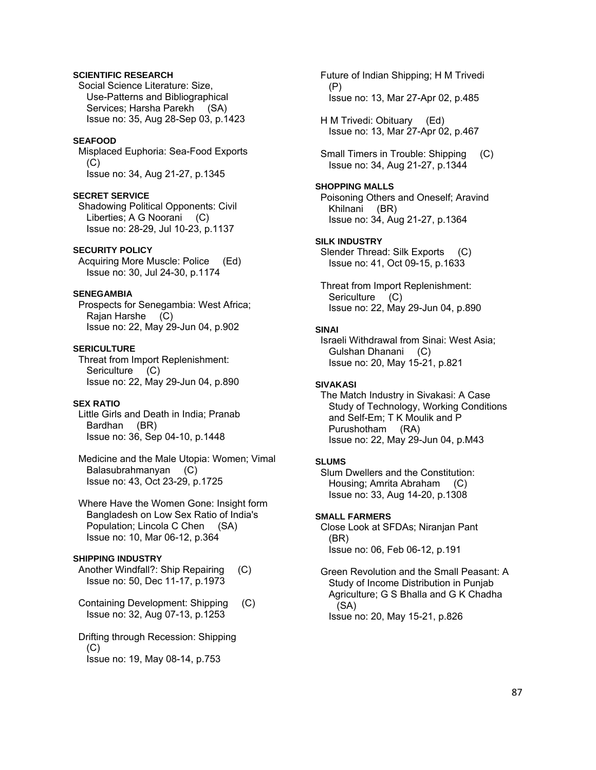## **SCIENTIFIC RESEARCH**

 Social Science Literature: Size, Use-Patterns and Bibliographical Services; Harsha Parekh (SA) Issue no: 35, Aug 28-Sep 03, p.1423

### **SEAFOOD**

 Misplaced Euphoria: Sea-Food Exports  $(C)$ Issue no: 34, Aug 21-27, p.1345

### **SECRET SERVICE**

 Shadowing Political Opponents: Civil Liberties; A G Noorani (C) Issue no: 28-29, Jul 10-23, p.1137

### **SECURITY POLICY**

 Acquiring More Muscle: Police (Ed) Issue no: 30, Jul 24-30, p.1174

## **SENEGAMBIA**

 Prospects for Senegambia: West Africa; Rajan Harshe (C) Issue no: 22, May 29-Jun 04, p.902

## **SERICULTURE**

 Threat from Import Replenishment: Sericulture (C) Issue no: 22, May 29-Jun 04, p.890

### **SEX RATIO**

 Little Girls and Death in India; Pranab Bardhan (BR) Issue no: 36, Sep 04-10, p.1448

 Medicine and the Male Utopia: Women; Vimal Balasubrahmanyan (C) Issue no: 43, Oct 23-29, p.1725

 Where Have the Women Gone: Insight form Bangladesh on Low Sex Ratio of India's Population; Lincola C Chen (SA) Issue no: 10, Mar 06-12, p.364

### **SHIPPING INDUSTRY**

- Another Windfall?: Ship Repairing (C) Issue no: 50, Dec 11-17, p.1973
- Containing Development: Shipping (C) Issue no: 32, Aug 07-13, p.1253

 Drifting through Recession: Shipping  $(C)$ Issue no: 19, May 08-14, p.753

 Future of Indian Shipping; H M Trivedi (P) Issue no: 13, Mar 27-Apr 02, p.485

 H M Trivedi: Obituary (Ed) Issue no: 13, Mar 27-Apr 02, p.467

 Small Timers in Trouble: Shipping (C) Issue no: 34, Aug 21-27, p.1344

## **SHOPPING MALLS**

 Poisoning Others and Oneself; Aravind Khilnani (BR) Issue no: 34, Aug 21-27, p.1364

## **SILK INDUSTRY**

 Slender Thread: Silk Exports (C) Issue no: 41, Oct 09-15, p.1633

 Threat from Import Replenishment: Sericulture (C) Issue no: 22, May 29-Jun 04, p.890

## **SINAI**

 Israeli Withdrawal from Sinai: West Asia; Gulshan Dhanani (C) Issue no: 20, May 15-21, p.821

### **SIVAKASI**

 The Match Industry in Sivakasi: A Case Study of Technology, Working Conditions and Self-Em; T K Moulik and P Purushotham (RA) Issue no: 22, May 29-Jun 04, p.M43

#### **SLUMS**

 Slum Dwellers and the Constitution: Housing; Amrita Abraham (C) Issue no: 33, Aug 14-20, p.1308

### **SMALL FARMERS**

 Close Look at SFDAs; Niranjan Pant (BR) Issue no: 06, Feb 06-12, p.191

 Green Revolution and the Small Peasant: A Study of Income Distribution in Punjab Agriculture; G S Bhalla and G K Chadha (SA) Issue no: 20, May 15-21, p.826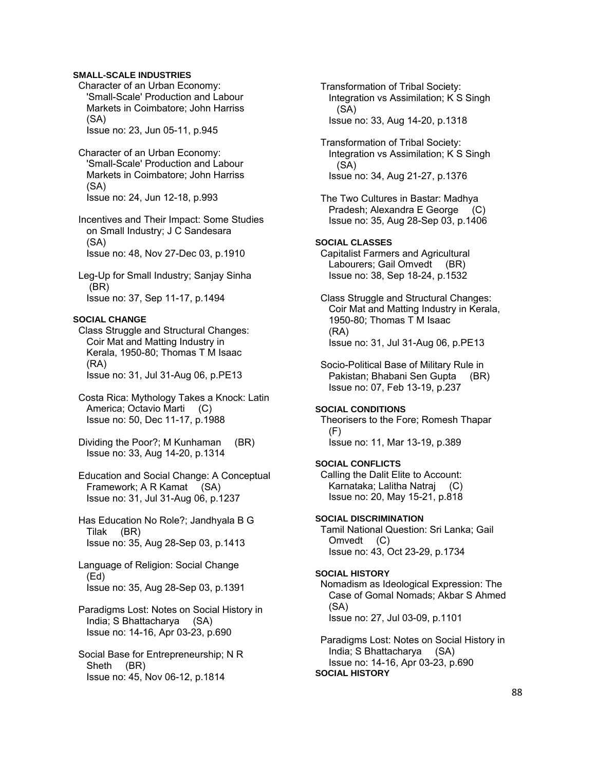## **SMALL-SCALE INDUSTRIES**

 Character of an Urban Economy: 'Small-Scale' Production and Labour Markets in Coimbatore; John Harriss (SA) Issue no: 23, Jun 05-11, p.945

 Character of an Urban Economy: 'Small-Scale' Production and Labour Markets in Coimbatore; John Harriss (SA) Issue no: 24, Jun 12-18, p.993

 Incentives and Their Impact: Some Studies on Small Industry; J C Sandesara (SA) Issue no: 48, Nov 27-Dec 03, p.1910

 Leg-Up for Small Industry; Sanjay Sinha (BR) Issue no: 37, Sep 11-17, p.1494

## **SOCIAL CHANGE**

 Class Struggle and Structural Changes: Coir Mat and Matting Industry in Kerala, 1950-80; Thomas T M Isaac (RA) Issue no: 31, Jul 31-Aug 06, p.PE13

 Costa Rica: Mythology Takes a Knock: Latin America; Octavio Marti (C) Issue no: 50, Dec 11-17, p.1988

 Dividing the Poor?; M Kunhaman (BR) Issue no: 33, Aug 14-20, p.1314

 Education and Social Change: A Conceptual Framework; A R Kamat (SA) Issue no: 31, Jul 31-Aug 06, p.1237

 Has Education No Role?; Jandhyala B G Tilak (BR) Issue no: 35, Aug 28-Sep 03, p.1413

 Language of Religion: Social Change (Ed) Issue no: 35, Aug 28-Sep 03, p.1391

 Paradigms Lost: Notes on Social History in India; S Bhattacharya (SA) Issue no: 14-16, Apr 03-23, p.690

 Social Base for Entrepreneurship; N R Sheth (BR) Issue no: 45, Nov 06-12, p.1814

 Transformation of Tribal Society: Integration vs Assimilation; K S Singh (SA) Issue no: 33, Aug 14-20, p.1318

 Transformation of Tribal Society: Integration vs Assimilation; K S Singh (SA) Issue no: 34, Aug 21-27, p.1376

 The Two Cultures in Bastar: Madhya Pradesh; Alexandra E George (C) Issue no: 35, Aug 28-Sep 03, p.1406

## **SOCIAL CLASSES**

 Capitalist Farmers and Agricultural Labourers; Gail Omvedt (BR) Issue no: 38, Sep 18-24, p.1532

 Class Struggle and Structural Changes: Coir Mat and Matting Industry in Kerala, 1950-80; Thomas T M Isaac (RA) Issue no: 31, Jul 31-Aug 06, p.PE13

 Socio-Political Base of Military Rule in Pakistan; Bhabani Sen Gupta (BR) Issue no: 07, Feb 13-19, p.237

## **SOCIAL CONDITIONS**

 Theorisers to the Fore; Romesh Thapar (F) Issue no: 11, Mar 13-19, p.389

### **SOCIAL CONFLICTS**

 Calling the Dalit Elite to Account: Karnataka; Lalitha Natraj (C) Issue no: 20, May 15-21, p.818

## **SOCIAL DISCRIMINATION**

 Tamil National Question: Sri Lanka; Gail Omvedt (C) Issue no: 43, Oct 23-29, p.1734

## **SOCIAL HISTORY**

 Nomadism as Ideological Expression: The Case of Gomal Nomads; Akbar S Ahmed (SA) Issue no: 27, Jul 03-09, p.1101

 Paradigms Lost: Notes on Social History in India; S Bhattacharya (SA) Issue no: 14-16, Apr 03-23, p.690 **SOCIAL HISTORY**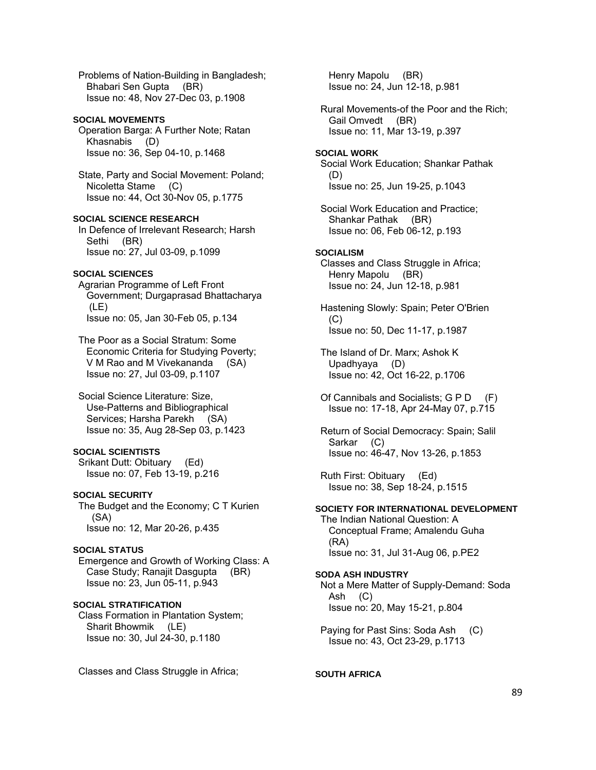Problems of Nation-Building in Bangladesh; Bhabari Sen Gupta (BR) Issue no: 48, Nov 27-Dec 03, p.1908

## **SOCIAL MOVEMENTS**

 Operation Barga: A Further Note; Ratan Khasnabis (D) Issue no: 36, Sep 04-10, p.1468

 State, Party and Social Movement: Poland; Nicoletta Stame (C) Issue no: 44, Oct 30-Nov 05, p.1775

**SOCIAL SCIENCE RESEARCH**  In Defence of Irrelevant Research; Harsh

 Sethi (BR) Issue no: 27, Jul 03-09, p.1099

## **SOCIAL SCIENCES**

 Agrarian Programme of Left Front Government; Durgaprasad Bhattacharya (LE) Issue no: 05, Jan 30-Feb 05, p.134

 The Poor as a Social Stratum: Some Economic Criteria for Studying Poverty; V M Rao and M Vivekananda (SA) Issue no: 27, Jul 03-09, p.1107

 Social Science Literature: Size, Use-Patterns and Bibliographical Services; Harsha Parekh (SA) Issue no: 35, Aug 28-Sep 03, p.1423

#### **SOCIAL SCIENTISTS**

 Srikant Dutt: Obituary (Ed) Issue no: 07, Feb 13-19, p.216

### **SOCIAL SECURITY**

 The Budget and the Economy; C T Kurien (SA) Issue no: 12, Mar 20-26, p.435

## **SOCIAL STATUS**

 Emergence and Growth of Working Class: A Case Study; Ranajit Dasgupta (BR) Issue no: 23, Jun 05-11, p.943

## **SOCIAL STRATIFICATION**

 Class Formation in Plantation System; Sharit Bhowmik (LE) Issue no: 30, Jul 24-30, p.1180

Classes and Class Struggle in Africa;

Henry Mapolu (BR) Issue no: 24, Jun 12-18, p.981

 Rural Movements-of the Poor and the Rich; Gail Omvedt (BR) Issue no: 11, Mar 13-19, p.397

### **SOCIAL WORK**

 Social Work Education; Shankar Pathak (D) Issue no: 25, Jun 19-25, p.1043

 Social Work Education and Practice; Shankar Pathak (BR) Issue no: 06, Feb 06-12, p.193

### **SOCIALISM**

 Classes and Class Struggle in Africa; Henry Mapolu (BR) Issue no: 24, Jun 12-18, p.981

 Hastening Slowly: Spain; Peter O'Brien (C) Issue no: 50, Dec 11-17, p.1987

 The Island of Dr. Marx; Ashok K Upadhyaya (D) Issue no: 42, Oct 16-22, p.1706

 Of Cannibals and Socialists; G P D (F) Issue no: 17-18, Apr 24-May 07, p.715

 Return of Social Democracy: Spain; Salil Sarkar (C) Issue no: 46-47, Nov 13-26, p.1853

 Ruth First: Obituary (Ed) Issue no: 38, Sep 18-24, p.1515

## **SOCIETY FOR INTERNATIONAL DEVELOPMENT**

 The Indian National Question: A Conceptual Frame; Amalendu Guha (RA) Issue no: 31, Jul 31-Aug 06, p.PE2

#### **SODA ASH INDUSTRY**

 Not a Mere Matter of Supply-Demand: Soda Ash (C) Issue no: 20, May 15-21, p.804

 Paying for Past Sins: Soda Ash (C) Issue no: 43, Oct 23-29, p.1713

## **SOUTH AFRICA**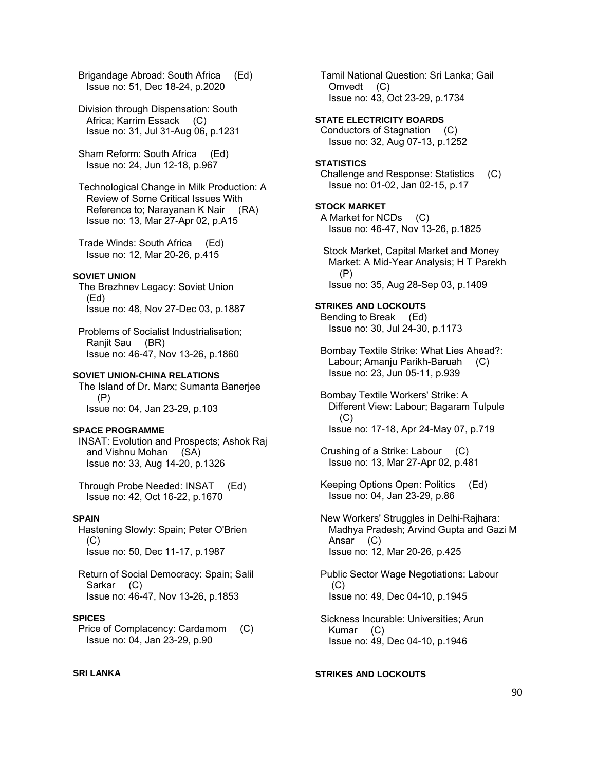Brigandage Abroad: South Africa (Ed) Issue no: 51, Dec 18-24, p.2020

 Division through Dispensation: South Africa; Karrim Essack (C) Issue no: 31, Jul 31-Aug 06, p.1231

 Sham Reform: South Africa (Ed) Issue no: 24, Jun 12-18, p.967

 Technological Change in Milk Production: A Review of Some Critical Issues With Reference to; Narayanan K Nair (RA) Issue no: 13, Mar 27-Apr 02, p.A15

 Trade Winds: South Africa (Ed) Issue no: 12, Mar 20-26, p.415

### **SOVIET UNION**

 The Brezhnev Legacy: Soviet Union (Ed) Issue no: 48, Nov 27-Dec 03, p.1887

 Problems of Socialist Industrialisation; Ranjit Sau (BR) Issue no: 46-47, Nov 13-26, p.1860

## **SOVIET UNION-CHINA RELATIONS**

 The Island of Dr. Marx; Sumanta Banerjee (P) Issue no: 04, Jan 23-29, p.103

#### **SPACE PROGRAMME**

 INSAT: Evolution and Prospects; Ashok Raj and Vishnu Mohan (SA) Issue no: 33, Aug 14-20, p.1326

 Through Probe Needed: INSAT (Ed) Issue no: 42, Oct 16-22, p.1670

## **SPAIN**

 Hastening Slowly: Spain; Peter O'Brien  $(C)$ Issue no: 50, Dec 11-17, p.1987

 Return of Social Democracy: Spain; Salil Sarkar (C) Issue no: 46-47, Nov 13-26, p.1853

### **SPICES**

 Price of Complacency: Cardamom (C) Issue no: 04, Jan 23-29, p.90

**SRI LANKA** 

 Tamil National Question: Sri Lanka; Gail Omvedt (C) Issue no: 43, Oct 23-29, p.1734

**STATE ELECTRICITY BOARDS**  Conductors of Stagnation (C) Issue no: 32, Aug 07-13, p.1252

### **STATISTICS**

 Challenge and Response: Statistics (C) Issue no: 01-02, Jan 02-15, p.17

### **STOCK MARKET**

 A Market for NCDs (C) Issue no: 46-47, Nov 13-26, p.1825

 Stock Market, Capital Market and Money Market: A Mid-Year Analysis; H T Parekh (P) Issue no: 35, Aug 28-Sep 03, p.1409

### **STRIKES AND LOCKOUTS**  Bending to Break (Ed)

Issue no: 30, Jul 24-30, p.1173

 Bombay Textile Strike: What Lies Ahead?: Labour; Amanju Parikh-Baruah (C) Issue no: 23, Jun 05-11, p.939

 Bombay Textile Workers' Strike: A Different View: Labour; Bagaram Tulpule (C) Issue no: 17-18, Apr 24-May 07, p.719

 Crushing of a Strike: Labour (C) Issue no: 13, Mar 27-Apr 02, p.481

 Keeping Options Open: Politics (Ed) Issue no: 04, Jan 23-29, p.86

 New Workers' Struggles in Delhi-Rajhara: Madhya Pradesh; Arvind Gupta and Gazi M Ansar (C) Issue no: 12, Mar 20-26, p.425

 Public Sector Wage Negotiations: Labour  $(C)$ Issue no: 49, Dec 04-10, p.1945

 Sickness Incurable: Universities; Arun Kumar (C) Issue no: 49, Dec 04-10, p.1946

## **STRIKES AND LOCKOUTS**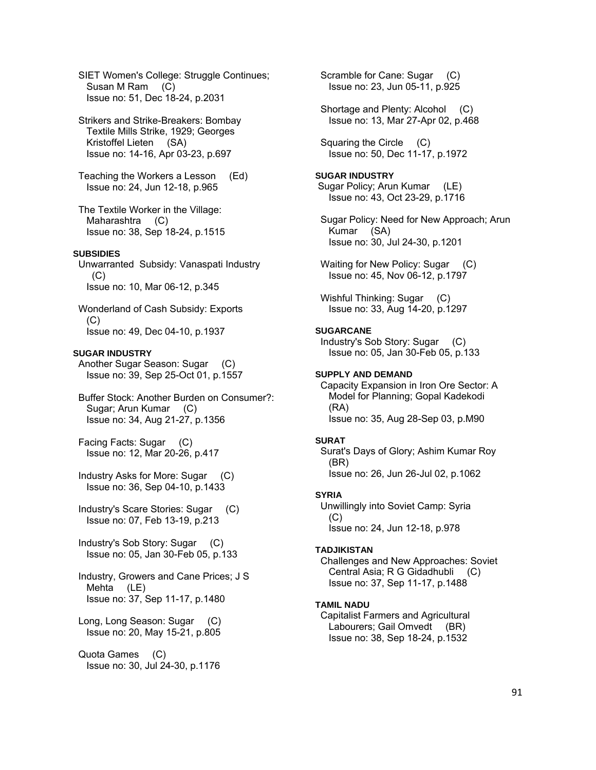SIET Women's College: Struggle Continues; Susan M Ram (C) Issue no: 51, Dec 18-24, p.2031

 Strikers and Strike-Breakers: Bombay Textile Mills Strike, 1929; Georges Kristoffel Lieten (SA) Issue no: 14-16, Apr 03-23, p.697

 Teaching the Workers a Lesson (Ed) Issue no: 24, Jun 12-18, p.965

 The Textile Worker in the Village: Maharashtra (C) Issue no: 38, Sep 18-24, p.1515

### **SUBSIDIES**

 Unwarranted Subsidy: Vanaspati Industry (C) Issue no: 10, Mar 06-12, p.345

 Wonderland of Cash Subsidy: Exports (C) Issue no: 49, Dec 04-10, p.1937

## **SUGAR INDUSTRY**

 Another Sugar Season: Sugar (C) Issue no: 39, Sep 25-Oct 01, p.1557

 Buffer Stock: Another Burden on Consumer?: Sugar; Arun Kumar (C) Issue no: 34, Aug 21-27, p.1356

 Facing Facts: Sugar (C) Issue no: 12, Mar 20-26, p.417

 Industry Asks for More: Sugar (C) Issue no: 36, Sep 04-10, p.1433

 Industry's Scare Stories: Sugar (C) Issue no: 07, Feb 13-19, p.213

 Industry's Sob Story: Sugar (C) Issue no: 05, Jan 30-Feb 05, p.133

 Industry, Growers and Cane Prices; J S Mehta (LE) Issue no: 37, Sep 11-17, p.1480

 Long, Long Season: Sugar (C) Issue no: 20, May 15-21, p.805

 Quota Games (C) Issue no: 30, Jul 24-30, p.1176  Scramble for Cane: Sugar (C) Issue no: 23, Jun 05-11, p.925

Shortage and Plenty: Alcohol (C) Issue no: 13, Mar 27-Apr 02, p.468

 Squaring the Circle (C) Issue no: 50, Dec 11-17, p.1972

## **SUGAR INDUSTRY**

 Sugar Policy; Arun Kumar (LE) Issue no: 43, Oct 23-29, p.1716

 Sugar Policy: Need for New Approach; Arun Kumar (SA) Issue no: 30, Jul 24-30, p.1201

Waiting for New Policy: Sugar (C) Issue no: 45, Nov 06-12, p.1797

Wishful Thinking: Sugar (C) Issue no: 33, Aug 14-20, p.1297

## **SUGARCANE**

 Industry's Sob Story: Sugar (C) Issue no: 05, Jan 30-Feb 05, p.133

### **SUPPLY AND DEMAND**

 Capacity Expansion in Iron Ore Sector: A Model for Planning; Gopal Kadekodi (RA) Issue no: 35, Aug 28-Sep 03, p.M90

### **SURAT**

 Surat's Days of Glory; Ashim Kumar Roy (BR) Issue no: 26, Jun 26-Jul 02, p.1062

#### **SYRIA**

 Unwillingly into Soviet Camp: Syria (C) Issue no: 24, Jun 12-18, p.978

## **TADJIKISTAN**

 Challenges and New Approaches: Soviet Central Asia; R G Gidadhubli (C) Issue no: 37, Sep 11-17, p.1488

## **TAMIL NADU**

 Capitalist Farmers and Agricultural Labourers; Gail Omvedt (BR) Issue no: 38, Sep 18-24, p.1532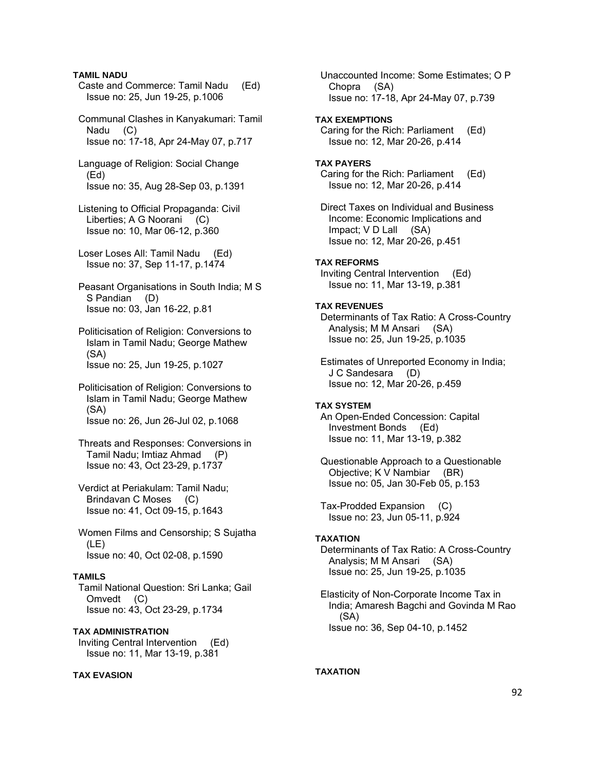## **TAMIL NADU**

- Caste and Commerce: Tamil Nadu (Ed) Issue no: 25, Jun 19-25, p.1006
- Communal Clashes in Kanyakumari: Tamil Nadu (C) Issue no: 17-18, Apr 24-May 07, p.717
- Language of Religion: Social Change (Ed) Issue no: 35, Aug 28-Sep 03, p.1391
- Listening to Official Propaganda: Civil Liberties; A G Noorani (C) Issue no: 10, Mar 06-12, p.360
- Loser Loses All: Tamil Nadu (Ed) Issue no: 37, Sep 11-17, p.1474
- Peasant Organisations in South India; M S S Pandian (D) Issue no: 03, Jan 16-22, p.81
- Politicisation of Religion: Conversions to Islam in Tamil Nadu; George Mathew (SA) Issue no: 25, Jun 19-25, p.1027
- Politicisation of Religion: Conversions to Islam in Tamil Nadu; George Mathew (SA) Issue no: 26, Jun 26-Jul 02, p.1068
- Threats and Responses: Conversions in Tamil Nadu; Imtiaz Ahmad (P) Issue no: 43, Oct 23-29, p.1737
- Verdict at Periakulam: Tamil Nadu; Brindavan C Moses (C) Issue no: 41, Oct 09-15, p.1643
- Women Films and Censorship; S Sujatha (LE) Issue no: 40, Oct 02-08, p.1590

## **TAMILS**

 Tamil National Question: Sri Lanka; Gail Omvedt (C) Issue no: 43, Oct 23-29, p.1734

## **TAX ADMINISTRATION**

 Inviting Central Intervention (Ed) Issue no: 11, Mar 13-19, p.381

## **TAX EVASION**

 Unaccounted Income: Some Estimates; O P Chopra (SA) Issue no: 17-18, Apr 24-May 07, p.739

## **TAX EXEMPTIONS**

 Caring for the Rich: Parliament (Ed) Issue no: 12, Mar 20-26, p.414

#### **TAX PAYERS**

 Caring for the Rich: Parliament (Ed) Issue no: 12, Mar 20-26, p.414

 Direct Taxes on Individual and Business Income: Economic Implications and Impact; V D Lall (SA) Issue no: 12, Mar 20-26, p.451

## **TAX REFORMS**

 Inviting Central Intervention (Ed) Issue no: 11, Mar 13-19, p.381

## **TAX REVENUES**

 Determinants of Tax Ratio: A Cross-Country Analysis; M M Ansari (SA) Issue no: 25, Jun 19-25, p.1035

 Estimates of Unreported Economy in India; J C Sandesara (D) Issue no: 12, Mar 20-26, p.459

## **TAX SYSTEM**

 An Open-Ended Concession: Capital Investment Bonds (Ed) Issue no: 11, Mar 13-19, p.382

 Questionable Approach to a Questionable Objective; K V Nambiar (BR) Issue no: 05, Jan 30-Feb 05, p.153

 Tax-Prodded Expansion (C) Issue no: 23, Jun 05-11, p.924

### **TAXATION**

 Determinants of Tax Ratio: A Cross-Country Analysis; M M Ansari (SA) Issue no: 25, Jun 19-25, p.1035

 Elasticity of Non-Corporate Income Tax in India; Amaresh Bagchi and Govinda M Rao (SA) Issue no: 36, Sep 04-10, p.1452

## **TAXATION**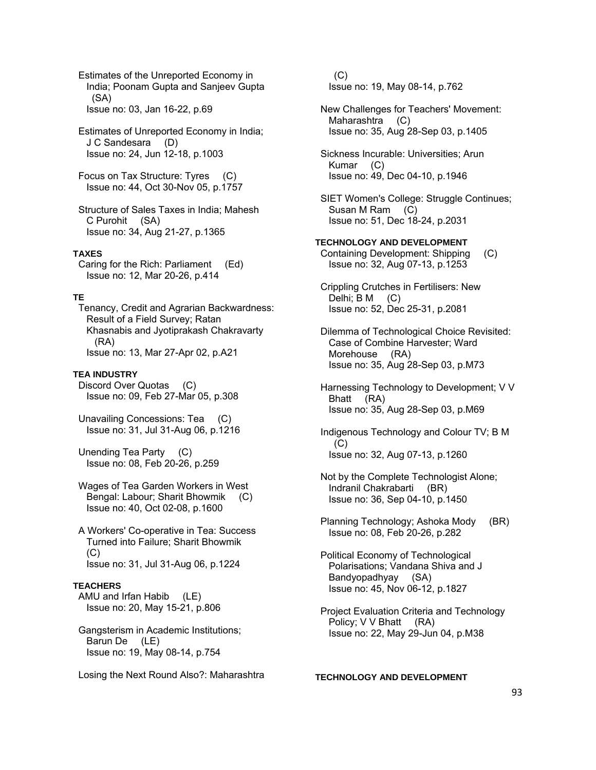Estimates of the Unreported Economy in India; Poonam Gupta and Sanjeev Gupta (SA) Issue no: 03, Jan 16-22, p.69

 Estimates of Unreported Economy in India; J C Sandesara (D) Issue no: 24, Jun 12-18, p.1003

 Focus on Tax Structure: Tyres (C) Issue no: 44, Oct 30-Nov 05, p.1757

 Structure of Sales Taxes in India; Mahesh C Purohit (SA) Issue no: 34, Aug 21-27, p.1365

### **TAXES**

 Caring for the Rich: Parliament (Ed) Issue no: 12, Mar 20-26, p.414

## **TE**

 Tenancy, Credit and Agrarian Backwardness: Result of a Field Survey; Ratan Khasnabis and Jyotiprakash Chakravarty (RA) Issue no: 13, Mar 27-Apr 02, p.A21

## **TEA INDUSTRY**

 Discord Over Quotas (C) Issue no: 09, Feb 27-Mar 05, p.308

 Unavailing Concessions: Tea (C) Issue no: 31, Jul 31-Aug 06, p.1216

 Unending Tea Party (C) Issue no: 08, Feb 20-26, p.259

 Wages of Tea Garden Workers in West Bengal: Labour; Sharit Bhowmik (C) Issue no: 40, Oct 02-08, p.1600

 A Workers' Co-operative in Tea: Success Turned into Failure; Sharit Bhowmik (C) Issue no: 31, Jul 31-Aug 06, p.1224

### **TEACHERS**

 AMU and Irfan Habib (LE) Issue no: 20, May 15-21, p.806

 Gangsterism in Academic Institutions; Barun De (LE) Issue no: 19, May 08-14, p.754

Losing the Next Round Also?: Maharashtra

 $(C)$ Issue no: 19, May 08-14, p.762

 New Challenges for Teachers' Movement: Maharashtra (C) Issue no: 35, Aug 28-Sep 03, p.1405

 Sickness Incurable: Universities; Arun Kumar (C) Issue no: 49, Dec 04-10, p.1946

 SIET Women's College: Struggle Continues; Susan M Ram (C) Issue no: 51, Dec 18-24, p.2031

### **TECHNOLOGY AND DEVELOPMENT**

 Containing Development: Shipping (C) Issue no: 32, Aug 07-13, p.1253

 Crippling Crutches in Fertilisers: New Delhi; B M (C) Issue no: 52, Dec 25-31, p.2081

 Dilemma of Technological Choice Revisited: Case of Combine Harvester; Ward Morehouse (RA) Issue no: 35, Aug 28-Sep 03, p.M73

 Harnessing Technology to Development; V V Bhatt (RA) Issue no: 35, Aug 28-Sep 03, p.M69

 Indigenous Technology and Colour TV; B M (C) Issue no: 32, Aug 07-13, p.1260

 Not by the Complete Technologist Alone; Indranil Chakrabarti (BR) Issue no: 36, Sep 04-10, p.1450

 Planning Technology; Ashoka Mody (BR) Issue no: 08, Feb 20-26, p.282

 Political Economy of Technological Polarisations; Vandana Shiva and J Bandyopadhyay (SA) Issue no: 45, Nov 06-12, p.1827

 Project Evaluation Criteria and Technology Policy; V V Bhatt (RA) Issue no: 22, May 29-Jun 04, p.M38

**TECHNOLOGY AND DEVELOPMENT**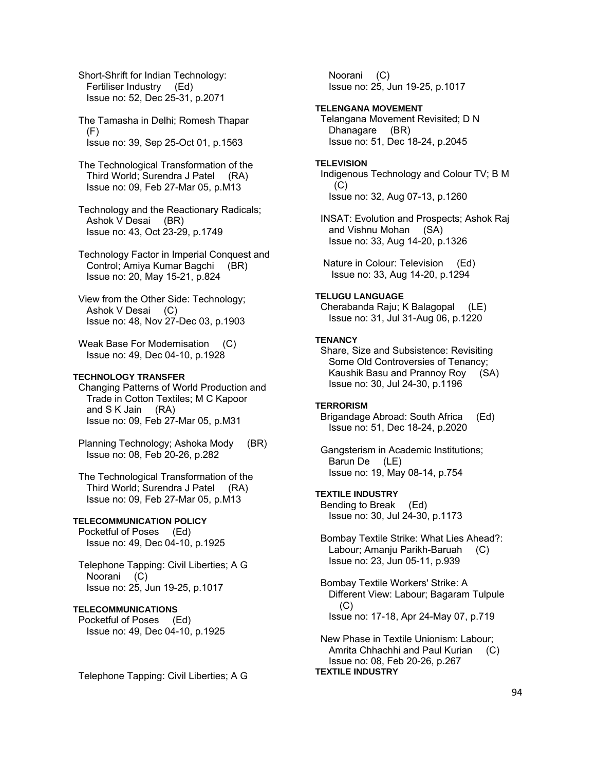Short-Shrift for Indian Technology: Fertiliser Industry (Ed) Issue no: 52, Dec 25-31, p.2071

- The Tamasha in Delhi; Romesh Thapar  $(F)$ Issue no: 39, Sep 25-Oct 01, p.1563
- The Technological Transformation of the Third World; Surendra J Patel (RA) Issue no: 09, Feb 27-Mar 05, p.M13
- Technology and the Reactionary Radicals; Ashok V Desai (BR) Issue no: 43, Oct 23-29, p.1749

 Technology Factor in Imperial Conquest and Control; Amiya Kumar Bagchi (BR) Issue no: 20, May 15-21, p.824

 View from the Other Side: Technology; Ashok V Desai (C) Issue no: 48, Nov 27-Dec 03, p.1903

Weak Base For Modernisation (C) Issue no: 49, Dec 04-10, p.1928

## **TECHNOLOGY TRANSFER**

 Changing Patterns of World Production and Trade in Cotton Textiles; M C Kapoor and S K Jain (RA) Issue no: 09, Feb 27-Mar 05, p.M31

 Planning Technology; Ashoka Mody (BR) Issue no: 08, Feb 20-26, p.282

 The Technological Transformation of the Third World; Surendra J Patel (RA) Issue no: 09, Feb 27-Mar 05, p.M13

## **TELECOMMUNICATION POLICY**

 Pocketful of Poses (Ed) Issue no: 49, Dec 04-10, p.1925

 Telephone Tapping: Civil Liberties; A G Noorani (C) Issue no: 25, Jun 19-25, p.1017

## **TELECOMMUNICATIONS**

 Pocketful of Poses (Ed) Issue no: 49, Dec 04-10, p.1925

Telephone Tapping: Civil Liberties; A G

 Noorani (C) Issue no: 25, Jun 19-25, p.1017

### **TELENGANA MOVEMENT**

 Telangana Movement Revisited; D N Dhanagare (BR) Issue no: 51, Dec 18-24, p.2045

### **TELEVISION**

 Indigenous Technology and Colour TV; B M  $(C)$ Issue no: 32, Aug 07-13, p.1260

 INSAT: Evolution and Prospects; Ashok Raj and Vishnu Mohan (SA) Issue no: 33, Aug 14-20, p.1326

 Nature in Colour: Television (Ed) Issue no: 33, Aug 14-20, p.1294

## **TELUGU LANGUAGE**

 Cherabanda Raju; K Balagopal (LE) Issue no: 31, Jul 31-Aug 06, p.1220

### **TENANCY**

 Share, Size and Subsistence: Revisiting Some Old Controversies of Tenancy; Kaushik Basu and Prannoy Roy (SA) Issue no: 30, Jul 24-30, p.1196

## **TERRORISM**

 Brigandage Abroad: South Africa (Ed) Issue no: 51, Dec 18-24, p.2020

 Gangsterism in Academic Institutions; Barun De (LE) Issue no: 19, May 08-14, p.754

## **TEXTILE INDUSTRY**

 Bending to Break (Ed) Issue no: 30, Jul 24-30, p.1173

 Bombay Textile Strike: What Lies Ahead?: Labour; Amanju Parikh-Baruah (C) Issue no: 23, Jun 05-11, p.939

 Bombay Textile Workers' Strike: A Different View: Labour; Bagaram Tulpule (C) Issue no: 17-18, Apr 24-May 07, p.719

 New Phase in Textile Unionism: Labour; Amrita Chhachhi and Paul Kurian (C) Issue no: 08, Feb 20-26, p.267 **TEXTILE INDUSTRY**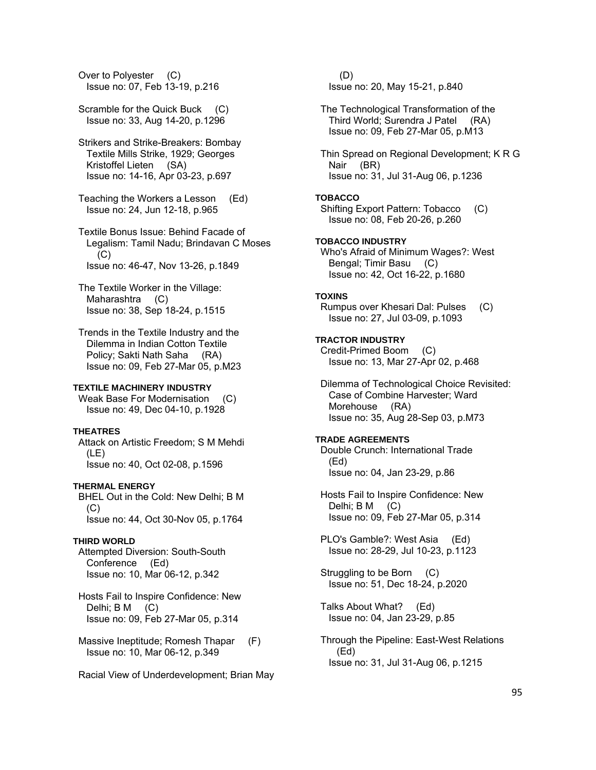Over to Polyester (C) Issue no: 07, Feb 13-19, p.216

Scramble for the Quick Buck (C) Issue no: 33, Aug 14-20, p.1296

 Strikers and Strike-Breakers: Bombay Textile Mills Strike, 1929; Georges Kristoffel Lieten (SA) Issue no: 14-16, Apr 03-23, p.697

 Teaching the Workers a Lesson (Ed) Issue no: 24, Jun 12-18, p.965

 Textile Bonus Issue: Behind Facade of Legalism: Tamil Nadu; Brindavan C Moses (C) Issue no: 46-47, Nov 13-26, p.1849

 The Textile Worker in the Village: Maharashtra (C) Issue no: 38, Sep 18-24, p.1515

 Trends in the Textile Industry and the Dilemma in Indian Cotton Textile Policy; Sakti Nath Saha (RA) Issue no: 09, Feb 27-Mar 05, p.M23

#### **TEXTILE MACHINERY INDUSTRY**

Weak Base For Modernisation (C) Issue no: 49, Dec 04-10, p.1928

### **THEATRES**

 Attack on Artistic Freedom; S M Mehdi (LE) Issue no: 40, Oct 02-08, p.1596

## **THERMAL ENERGY**

 BHEL Out in the Cold: New Delhi; B M (C) Issue no: 44, Oct 30-Nov 05, p.1764

### **THIRD WORLD**

 Attempted Diversion: South-South Conference (Ed) Issue no: 10, Mar 06-12, p.342

 Hosts Fail to Inspire Confidence: New Delhi; B M (C) Issue no: 09, Feb 27-Mar 05, p.314

Massive Ineptitude; Romesh Thapar (F) Issue no: 10, Mar 06-12, p.349

Racial View of Underdevelopment; Brian May

 (D) Issue no: 20, May 15-21, p.840

 The Technological Transformation of the Third World; Surendra J Patel (RA) Issue no: 09, Feb 27-Mar 05, p.M13

 Thin Spread on Regional Development; K R G Nair (BR) Issue no: 31, Jul 31-Aug 06, p.1236

### **TOBACCO**

 Shifting Export Pattern: Tobacco (C) Issue no: 08, Feb 20-26, p.260

## **TOBACCO INDUSTRY**

 Who's Afraid of Minimum Wages?: West Bengal; Timir Basu (C) Issue no: 42, Oct 16-22, p.1680

## **TOXINS**

 Rumpus over Khesari Dal: Pulses (C) Issue no: 27, Jul 03-09, p.1093

## **TRACTOR INDUSTRY**

 Credit-Primed Boom (C) Issue no: 13, Mar 27-Apr 02, p.468

 Dilemma of Technological Choice Revisited: Case of Combine Harvester; Ward Morehouse (RA) Issue no: 35, Aug 28-Sep 03, p.M73

## **TRADE AGREEMENTS**

 Double Crunch: International Trade (Ed) Issue no: 04, Jan 23-29, p.86

 Hosts Fail to Inspire Confidence: New Delhi; B M (C) Issue no: 09, Feb 27-Mar 05, p.314

 PLO's Gamble?: West Asia (Ed) Issue no: 28-29, Jul 10-23, p.1123

 Struggling to be Born (C) Issue no: 51, Dec 18-24, p.2020

 Talks About What? (Ed) Issue no: 04, Jan 23-29, p.85

 Through the Pipeline: East-West Relations (Ed) Issue no: 31, Jul 31-Aug 06, p.1215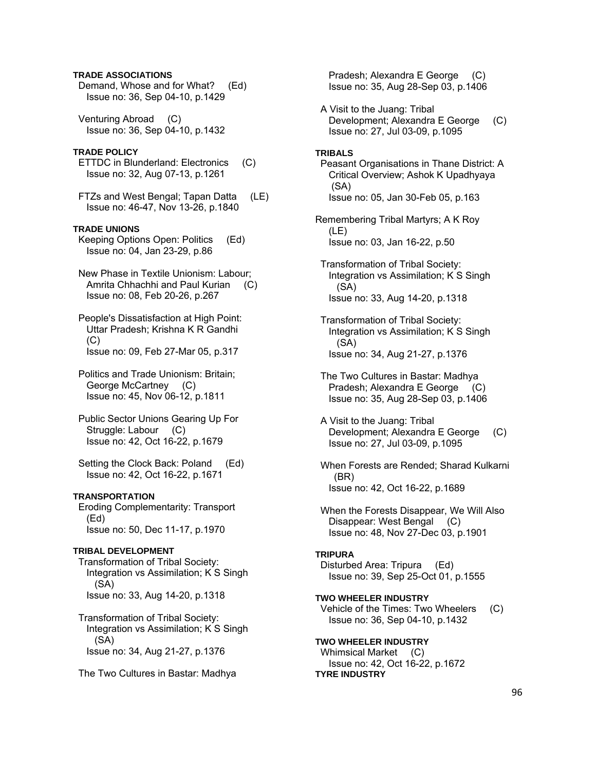## **TRADE ASSOCIATIONS**

- Demand, Whose and for What? (Ed) Issue no: 36, Sep 04-10, p.1429
- Venturing Abroad (C) Issue no: 36, Sep 04-10, p.1432

## **TRADE POLICY**

- ETTDC in Blunderland: Electronics (C) Issue no: 32, Aug 07-13, p.1261
- FTZs and West Bengal; Tapan Datta (LE) Issue no: 46-47, Nov 13-26, p.1840

## **TRADE UNIONS**

- Keeping Options Open: Politics (Ed) Issue no: 04, Jan 23-29, p.86
- New Phase in Textile Unionism: Labour; Amrita Chhachhi and Paul Kurian (C) Issue no: 08, Feb 20-26, p.267
- People's Dissatisfaction at High Point: Uttar Pradesh; Krishna K R Gandhi  $(C)$ Issue no: 09, Feb 27-Mar 05, p.317
- Politics and Trade Unionism: Britain; George McCartney (C) Issue no: 45, Nov 06-12, p.1811
- Public Sector Unions Gearing Up For Struggle: Labour (C) Issue no: 42, Oct 16-22, p.1679
- Setting the Clock Back: Poland (Ed) Issue no: 42, Oct 16-22, p.1671

## **TRANSPORTATION**

 Eroding Complementarity: Transport (Ed) Issue no: 50, Dec 11-17, p.1970

### **TRIBAL DEVELOPMENT**

 Transformation of Tribal Society: Integration vs Assimilation; K S Singh (SA) Issue no: 33, Aug 14-20, p.1318

 Transformation of Tribal Society: Integration vs Assimilation; K S Singh (SA) Issue no: 34, Aug 21-27, p.1376

The Two Cultures in Bastar: Madhya

 Pradesh; Alexandra E George (C) Issue no: 35, Aug 28-Sep 03, p.1406

 A Visit to the Juang: Tribal Development; Alexandra E George (C) Issue no: 27, Jul 03-09, p.1095

### **TRIBALS**

- Peasant Organisations in Thane District: A Critical Overview; Ashok K Upadhyaya (SA) Issue no: 05, Jan 30-Feb 05, p.163
- Remembering Tribal Martyrs; A K Roy (LE) Issue no: 03, Jan 16-22, p.50
- Transformation of Tribal Society: Integration vs Assimilation; K S Singh (SA) Issue no: 33, Aug 14-20, p.1318
- Transformation of Tribal Society: Integration vs Assimilation; K S Singh (SA) Issue no: 34, Aug 21-27, p.1376
- The Two Cultures in Bastar: Madhya Pradesh; Alexandra E George (C) Issue no: 35, Aug 28-Sep 03, p.1406
- A Visit to the Juang: Tribal Development; Alexandra E George (C) Issue no: 27, Jul 03-09, p.1095
- When Forests are Rended; Sharad Kulkarni (BR) Issue no: 42, Oct 16-22, p.1689
- When the Forests Disappear, We Will Also Disappear: West Bengal (C) Issue no: 48, Nov 27-Dec 03, p.1901

### **TRIPURA**

 Disturbed Area: Tripura (Ed) Issue no: 39, Sep 25-Oct 01, p.1555

**TWO WHEELER INDUSTRY**  Vehicle of the Times: Two Wheelers (C) Issue no: 36, Sep 04-10, p.1432

**TWO WHEELER INDUSTRY**  Whimsical Market (C) Issue no: 42, Oct 16-22, p.1672 **TYRE INDUSTRY**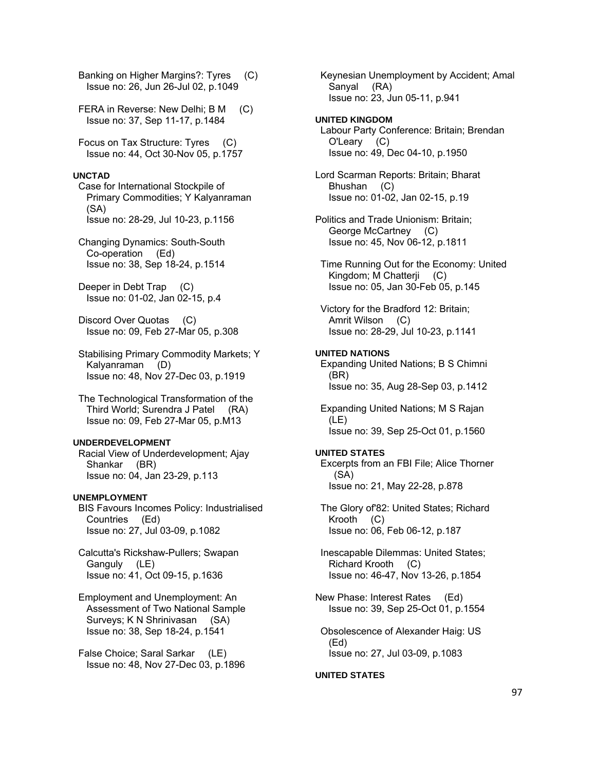Banking on Higher Margins?: Tyres (C) Issue no: 26, Jun 26-Jul 02, p.1049

FERA in Reverse: New Delhi: B M (C) Issue no: 37, Sep 11-17, p.1484

 Focus on Tax Structure: Tyres (C) Issue no: 44, Oct 30-Nov 05, p.1757

## **UNCTAD**

 Case for International Stockpile of Primary Commodities; Y Kalyanraman (SA) Issue no: 28-29, Jul 10-23, p.1156

 Changing Dynamics: South-South Co-operation (Ed) Issue no: 38, Sep 18-24, p.1514

 Deeper in Debt Trap (C) Issue no: 01-02, Jan 02-15, p.4

 Discord Over Quotas (C) Issue no: 09, Feb 27-Mar 05, p.308

 Stabilising Primary Commodity Markets; Y Kalyanraman (D) Issue no: 48, Nov 27-Dec 03, p.1919

 The Technological Transformation of the Third World; Surendra J Patel (RA) Issue no: 09, Feb 27-Mar 05, p.M13

### **UNDERDEVELOPMENT**

 Racial View of Underdevelopment; Ajay Shankar (BR) Issue no: 04, Jan 23-29, p.113

### **UNEMPLOYMENT**

 BIS Favours Incomes Policy: Industrialised Countries (Ed) Issue no: 27, Jul 03-09, p.1082

 Calcutta's Rickshaw-Pullers; Swapan Ganguly (LE) Issue no: 41, Oct 09-15, p.1636

 Employment and Unemployment: An Assessment of Two National Sample Surveys; K N Shrinivasan (SA) Issue no: 38, Sep 18-24, p.1541

 False Choice; Saral Sarkar (LE) Issue no: 48, Nov 27-Dec 03, p.1896  Keynesian Unemployment by Accident; Amal Sanyal (RA) Issue no: 23, Jun 05-11, p.941

## **UNITED KINGDOM**

 Labour Party Conference: Britain; Brendan O'Leary (C) Issue no: 49, Dec 04-10, p.1950

Lord Scarman Reports: Britain; Bharat Bhushan (C) Issue no: 01-02, Jan 02-15, p.19

Politics and Trade Unionism: Britain; George McCartney (C) Issue no: 45, Nov 06-12, p.1811

 Time Running Out for the Economy: United Kingdom; M Chatterji (C) Issue no: 05, Jan 30-Feb 05, p.145

 Victory for the Bradford 12: Britain; Amrit Wilson (C) Issue no: 28-29, Jul 10-23, p.1141

### **UNITED NATIONS**

 Expanding United Nations; B S Chimni (BR) Issue no: 35, Aug 28-Sep 03, p.1412

 Expanding United Nations; M S Rajan (LE) Issue no: 39, Sep 25-Oct 01, p.1560

### **UNITED STATES**

 Excerpts from an FBI File; Alice Thorner (SA) Issue no: 21, May 22-28, p.878

 The Glory of'82: United States; Richard Krooth (C) Issue no: 06, Feb 06-12, p.187

 Inescapable Dilemmas: United States; Richard Krooth (C) Issue no: 46-47, Nov 13-26, p.1854

New Phase: Interest Rates (Ed) Issue no: 39, Sep 25-Oct 01, p.1554

 Obsolescence of Alexander Haig: US (Ed) Issue no: 27, Jul 03-09, p.1083

### **UNITED STATES**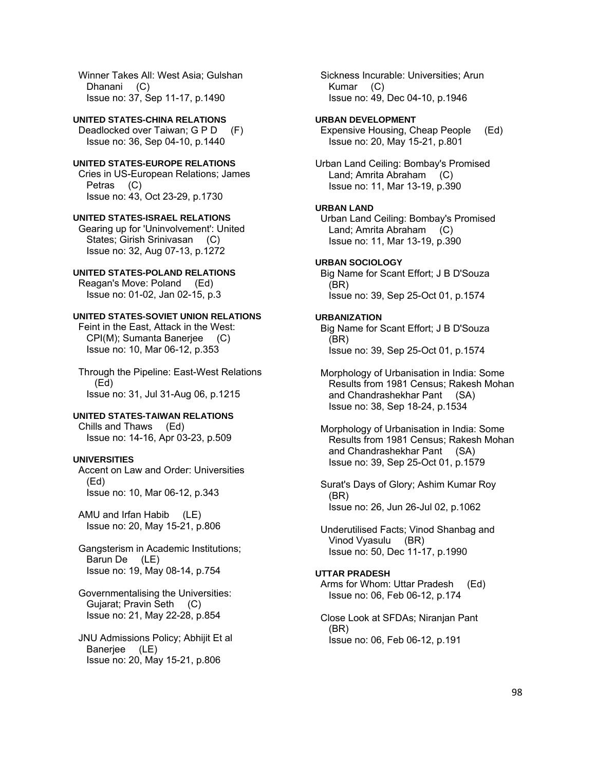Winner Takes All: West Asia; Gulshan Dhanani (C) Issue no: 37, Sep 11-17, p.1490

## **UNITED STATES-CHINA RELATIONS**

Deadlocked over Taiwan; G P D (F) Issue no: 36, Sep 04-10, p.1440

## **UNITED STATES-EUROPE RELATIONS**

 Cries in US-European Relations; James Petras (C) Issue no: 43, Oct 23-29, p.1730

### **UNITED STATES-ISRAEL RELATIONS**

 Gearing up for 'Uninvolvement': United States; Girish Srinivasan (C) Issue no: 32, Aug 07-13, p.1272

## **UNITED STATES-POLAND RELATIONS**

 Reagan's Move: Poland (Ed) Issue no: 01-02, Jan 02-15, p.3

## **UNITED STATES-SOVIET UNION RELATIONS**

 Feint in the East, Attack in the West: CPI(M); Sumanta Banerjee (C) Issue no: 10, Mar 06-12, p.353

 Through the Pipeline: East-West Relations (Ed) Issue no: 31, Jul 31-Aug 06, p.1215

### **UNITED STATES-TAIWAN RELATIONS**

 Chills and Thaws (Ed) Issue no: 14-16, Apr 03-23, p.509

## **UNIVERSITIES**

 Accent on Law and Order: Universities (Ed) Issue no: 10, Mar 06-12, p.343

 AMU and Irfan Habib (LE) Issue no: 20, May 15-21, p.806

 Gangsterism in Academic Institutions; Barun De (LE) Issue no: 19, May 08-14, p.754

 Governmentalising the Universities: Gujarat; Pravin Seth (C) Issue no: 21, May 22-28, p.854

 JNU Admissions Policy; Abhijit Et al Baneriee (LE) Issue no: 20, May 15-21, p.806

 Sickness Incurable: Universities; Arun Kumar (C) Issue no: 49, Dec 04-10, p.1946

## **URBAN DEVELOPMENT**

 Expensive Housing, Cheap People (Ed) Issue no: 20, May 15-21, p.801

Urban Land Ceiling: Bombay's Promised Land; Amrita Abraham (C) Issue no: 11, Mar 13-19, p.390

### **URBAN LAND**

 Urban Land Ceiling: Bombay's Promised Land; Amrita Abraham (C) Issue no: 11, Mar 13-19, p.390

## **URBAN SOCIOLOGY**

 Big Name for Scant Effort; J B D'Souza (BR) Issue no: 39, Sep 25-Oct 01, p.1574

## **URBANIZATION**

 Big Name for Scant Effort; J B D'Souza (BR) Issue no: 39, Sep 25-Oct 01, p.1574

 Morphology of Urbanisation in India: Some Results from 1981 Census; Rakesh Mohan and Chandrashekhar Pant (SA) Issue no: 38, Sep 18-24, p.1534

 Morphology of Urbanisation in India: Some Results from 1981 Census; Rakesh Mohan and Chandrashekhar Pant (SA) Issue no: 39, Sep 25-Oct 01, p.1579

 Surat's Days of Glory; Ashim Kumar Roy (BR) Issue no: 26, Jun 26-Jul 02, p.1062

 Underutilised Facts; Vinod Shanbag and Vinod Vyasulu (BR) Issue no: 50, Dec 11-17, p.1990

## **UTTAR PRADESH**

 Arms for Whom: Uttar Pradesh (Ed) Issue no: 06, Feb 06-12, p.174

 Close Look at SFDAs; Niranjan Pant (BR) Issue no: 06, Feb 06-12, p.191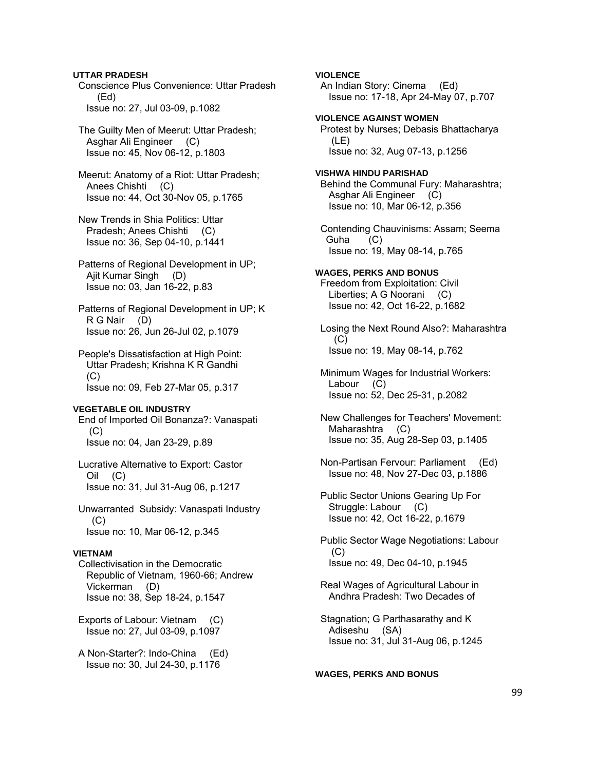## **UTTAR PRADESH**

 Conscience Plus Convenience: Uttar Pradesh (Ed) Issue no: 27, Jul 03-09, p.1082

 The Guilty Men of Meerut: Uttar Pradesh; Asghar Ali Engineer (C) Issue no: 45, Nov 06-12, p.1803

 Meerut: Anatomy of a Riot: Uttar Pradesh; Anees Chishti (C) Issue no: 44, Oct 30-Nov 05, p.1765

 New Trends in Shia Politics: Uttar Pradesh; Anees Chishti (C) Issue no: 36, Sep 04-10, p.1441

 Patterns of Regional Development in UP; Ajit Kumar Singh (D) Issue no: 03, Jan 16-22, p.83

 Patterns of Regional Development in UP; K R G Nair (D) Issue no: 26, Jun 26-Jul 02, p.1079

 People's Dissatisfaction at High Point: Uttar Pradesh; Krishna K R Gandhi  $(C)$ Issue no: 09, Feb 27-Mar 05, p.317

### **VEGETABLE OIL INDUSTRY**

 End of Imported Oil Bonanza?: Vanaspati (C) Issue no: 04, Jan 23-29, p.89

 Lucrative Alternative to Export: Castor Oil (C) Issue no: 31, Jul 31-Aug 06, p.1217

 Unwarranted Subsidy: Vanaspati Industry (C) Issue no: 10, Mar 06-12, p.345

### **VIETNAM**

 Collectivisation in the Democratic Republic of Vietnam, 1960-66; Andrew Vickerman (D) Issue no: 38, Sep 18-24, p.1547

 Exports of Labour: Vietnam (C) Issue no: 27, Jul 03-09, p.1097

 A Non-Starter?: Indo-China (Ed) Issue no: 30, Jul 24-30, p.1176

## **VIOLENCE**

 An Indian Story: Cinema (Ed) Issue no: 17-18, Apr 24-May 07, p.707

**VIOLENCE AGAINST WOMEN**  Protest by Nurses; Debasis Bhattacharya (LE) Issue no: 32, Aug 07-13, p.1256

**VISHWA HINDU PARISHAD**  Behind the Communal Fury: Maharashtra; Asghar Ali Engineer (C) Issue no: 10, Mar 06-12, p.356

 Contending Chauvinisms: Assam; Seema Guha (C) Issue no: 19, May 08-14, p.765

### **WAGES, PERKS AND BONUS**

 Freedom from Exploitation: Civil Liberties; A G Noorani (C) Issue no: 42, Oct 16-22, p.1682

 Losing the Next Round Also?: Maharashtra  $(C)$ Issue no: 19, May 08-14, p.762

 Minimum Wages for Industrial Workers: Labour (C) Issue no: 52, Dec 25-31, p.2082

 New Challenges for Teachers' Movement: Maharashtra (C) Issue no: 35, Aug 28-Sep 03, p.1405

 Non-Partisan Fervour: Parliament (Ed) Issue no: 48, Nov 27-Dec 03, p.1886

 Public Sector Unions Gearing Up For Struggle: Labour (C) Issue no: 42, Oct 16-22, p.1679

 Public Sector Wage Negotiations: Labour (C) Issue no: 49, Dec 04-10, p.1945

 Real Wages of Agricultural Labour in Andhra Pradesh: Two Decades of

 Stagnation; G Parthasarathy and K Adiseshu (SA) Issue no: 31, Jul 31-Aug 06, p.1245

## **WAGES, PERKS AND BONUS**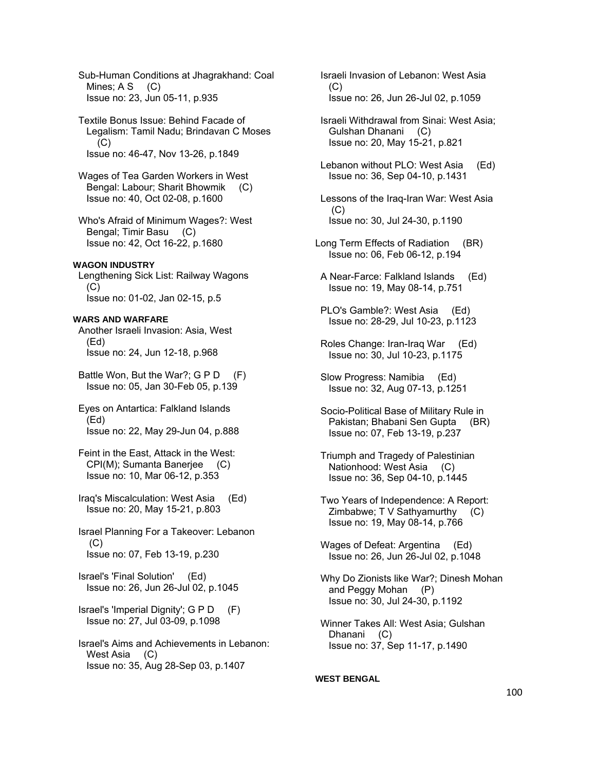Sub-Human Conditions at Jhagrakhand: Coal Mines;  $A S$  (C) Issue no: 23, Jun 05-11, p.935

 Textile Bonus Issue: Behind Facade of Legalism: Tamil Nadu; Brindavan C Moses  $(C)$ Issue no: 46-47, Nov 13-26, p.1849

 Wages of Tea Garden Workers in West Bengal: Labour; Sharit Bhowmik (C) Issue no: 40, Oct 02-08, p.1600

 Who's Afraid of Minimum Wages?: West Bengal; Timir Basu (C) Issue no: 42, Oct 16-22, p.1680

### **WAGON INDUSTRY**

 Lengthening Sick List: Railway Wagons (C) Issue no: 01-02, Jan 02-15, p.5

## **WARS AND WARFARE**

 Another Israeli Invasion: Asia, West (Ed) Issue no: 24, Jun 12-18, p.968

Battle Won, But the War?;  $G \, P \, D$  (F) Issue no: 05, Jan 30-Feb 05, p.139

 Eyes on Antartica: Falkland Islands (Ed) Issue no: 22, May 29-Jun 04, p.888

- Feint in the East, Attack in the West: CPI(M); Sumanta Banerjee (C) Issue no: 10, Mar 06-12, p.353
- Iraq's Miscalculation: West Asia (Ed) Issue no: 20, May 15-21, p.803
- Israel Planning For a Takeover: Lebanon (C) Issue no: 07, Feb 13-19, p.230
- Israel's 'Final Solution' (Ed) Issue no: 26, Jun 26-Jul 02, p.1045
- Israel's 'Imperial Dignity'; G P D (F) Issue no: 27, Jul 03-09, p.1098
- Israel's Aims and Achievements in Lebanon: West Asia (C) Issue no: 35, Aug 28-Sep 03, p.1407

 Israeli Invasion of Lebanon: West Asia (C) Issue no: 26, Jun 26-Jul 02, p.1059

- Israeli Withdrawal from Sinai: West Asia; Gulshan Dhanani (C) Issue no: 20, May 15-21, p.821
- Lebanon without PLO: West Asia (Ed) Issue no: 36, Sep 04-10, p.1431
- Lessons of the Iraq-Iran War: West Asia  $(C)$ Issue no: 30, Jul 24-30, p.1190
- Long Term Effects of Radiation (BR) Issue no: 06, Feb 06-12, p.194
- A Near-Farce: Falkland Islands (Ed) Issue no: 19, May 08-14, p.751
- PLO's Gamble?: West Asia (Ed) Issue no: 28-29, Jul 10-23, p.1123
- Roles Change: Iran-Iraq War (Ed) Issue no: 30, Jul 10-23, p.1175
- Slow Progress: Namibia (Ed) Issue no: 32, Aug 07-13, p.1251
- Socio-Political Base of Military Rule in Pakistan; Bhabani Sen Gupta (BR) Issue no: 07, Feb 13-19, p.237
- Triumph and Tragedy of Palestinian Nationhood: West Asia (C) Issue no: 36, Sep 04-10, p.1445
- Two Years of Independence: A Report: Zimbabwe; T V Sathyamurthy (C) Issue no: 19, May 08-14, p.766
- Wages of Defeat: Argentina (Ed) Issue no: 26, Jun 26-Jul 02, p.1048
- Why Do Zionists like War?; Dinesh Mohan and Peggy Mohan (P) Issue no: 30, Jul 24-30, p.1192
- Winner Takes All: West Asia; Gulshan Dhanani (C) Issue no: 37, Sep 11-17, p.1490

## **WEST BENGAL**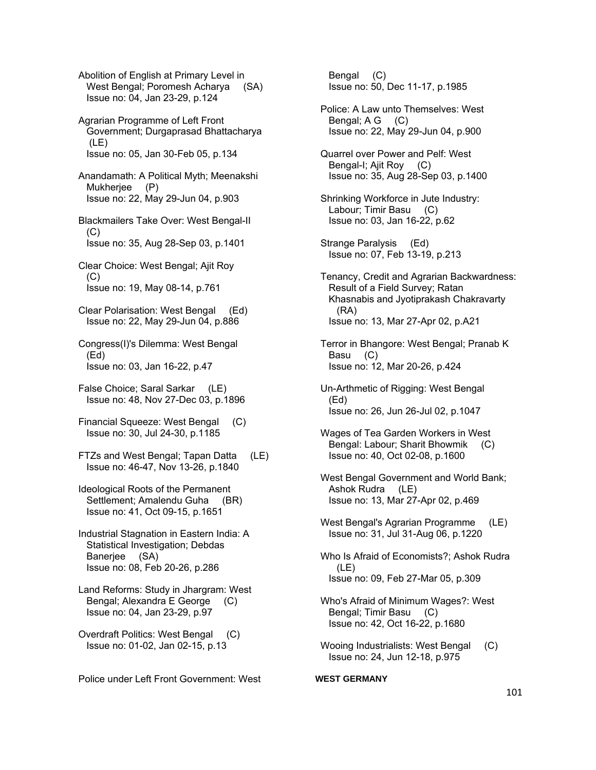Abolition of English at Primary Level in West Bengal; Poromesh Acharya (SA) Issue no: 04, Jan 23-29, p.124

 Agrarian Programme of Left Front Government; Durgaprasad Bhattacharya (LE) Issue no: 05, Jan 30-Feb 05, p.134

 Anandamath: A Political Myth; Meenakshi Mukherjee (P) Issue no: 22, May 29-Jun 04, p.903

 Blackmailers Take Over: West Bengal-II  $(C)$ Issue no: 35, Aug 28-Sep 03, p.1401

- Clear Choice: West Bengal; Ajit Roy (C) Issue no: 19, May 08-14, p.761
- Clear Polarisation: West Bengal (Ed) Issue no: 22, May 29-Jun 04, p.886
- Congress(I)'s Dilemma: West Bengal (Ed) Issue no: 03, Jan 16-22, p.47
- False Choice; Saral Sarkar (LE) Issue no: 48, Nov 27-Dec 03, p.1896
- Financial Squeeze: West Bengal (C) Issue no: 30, Jul 24-30, p.1185
- FTZs and West Bengal; Tapan Datta (LE) Issue no: 46-47, Nov 13-26, p.1840

 Ideological Roots of the Permanent Settlement; Amalendu Guha (BR) Issue no: 41, Oct 09-15, p.1651

- Industrial Stagnation in Eastern India: A Statistical Investigation; Debdas Banerjee (SA) Issue no: 08, Feb 20-26, p.286
- Land Reforms: Study in Jhargram: West Bengal; Alexandra E George (C) Issue no: 04, Jan 23-29, p.97
- Overdraft Politics: West Bengal (C) Issue no: 01-02, Jan 02-15, p.13

Police under Left Front Government: West

 Bengal (C) Issue no: 50, Dec 11-17, p.1985

- Police: A Law unto Themselves: West Bengal; A G (C) Issue no: 22, May 29-Jun 04, p.900
- Quarrel over Power and Pelf: West Bengal-I; Ajit Roy (C) Issue no: 35, Aug 28-Sep 03, p.1400
- Shrinking Workforce in Jute Industry: Labour; Timir Basu (C) Issue no: 03, Jan 16-22, p.62
- Strange Paralysis (Ed) Issue no: 07, Feb 13-19, p.213
- Tenancy, Credit and Agrarian Backwardness: Result of a Field Survey; Ratan Khasnabis and Jyotiprakash Chakravarty (RA) Issue no: 13, Mar 27-Apr 02, p.A21
- Terror in Bhangore: West Bengal; Pranab K Basu (C) Issue no: 12, Mar 20-26, p.424
- Un-Arthmetic of Rigging: West Bengal (Ed) Issue no: 26, Jun 26-Jul 02, p.1047
- Wages of Tea Garden Workers in West Bengal: Labour; Sharit Bhowmik (C) Issue no: 40, Oct 02-08, p.1600
- West Bengal Government and World Bank; Ashok Rudra (LE) Issue no: 13, Mar 27-Apr 02, p.469
- West Bengal's Agrarian Programme (LE) Issue no: 31, Jul 31-Aug 06, p.1220
- Who Is Afraid of Economists?; Ashok Rudra (LE) Issue no: 09, Feb 27-Mar 05, p.309
- Who's Afraid of Minimum Wages?: West Bengal; Timir Basu (C) Issue no: 42, Oct 16-22, p.1680
- Wooing Industrialists: West Bengal (C) Issue no: 24, Jun 12-18, p.975

## **WEST GERMANY**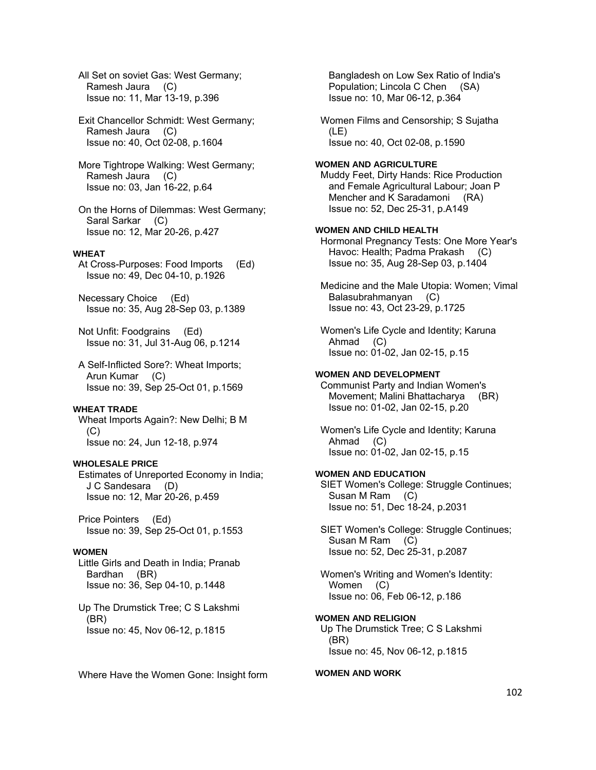All Set on soviet Gas: West Germany; Ramesh Jaura (C) Issue no: 11, Mar 13-19, p.396

 Exit Chancellor Schmidt: West Germany; Ramesh Jaura (C) Issue no: 40, Oct 02-08, p.1604

 More Tightrope Walking: West Germany; Ramesh Jaura (C) Issue no: 03, Jan 16-22, p.64

 On the Horns of Dilemmas: West Germany; Saral Sarkar (C) Issue no: 12, Mar 20-26, p.427

## **WHEAT**

 At Cross-Purposes: Food Imports (Ed) Issue no: 49, Dec 04-10, p.1926

 Necessary Choice (Ed) Issue no: 35, Aug 28-Sep 03, p.1389

 Not Unfit: Foodgrains (Ed) Issue no: 31, Jul 31-Aug 06, p.1214

 A Self-Inflicted Sore?: Wheat Imports; Arun Kumar (C) Issue no: 39, Sep 25-Oct 01, p.1569

### **WHEAT TRADE**

 Wheat Imports Again?: New Delhi; B M (C) Issue no: 24, Jun 12-18, p.974

## **WHOLESALE PRICE**

 Estimates of Unreported Economy in India; J C Sandesara (D) Issue no: 12, Mar 20-26, p.459

 Price Pointers (Ed) Issue no: 39, Sep 25-Oct 01, p.1553

#### **WOMEN**

 Little Girls and Death in India; Pranab Bardhan (BR) Issue no: 36, Sep 04-10, p.1448

 Up The Drumstick Tree; C S Lakshmi (BR) Issue no: 45, Nov 06-12, p.1815

Where Have the Women Gone: Insight form

 Bangladesh on Low Sex Ratio of India's Population; Lincola C Chen (SA) Issue no: 10, Mar 06-12, p.364

 Women Films and Censorship; S Sujatha (LE) Issue no: 40, Oct 02-08, p.1590

## **WOMEN AND AGRICULTURE**  Muddy Feet, Dirty Hands: Rice Production and Female Agricultural Labour; Joan P Mencher and K Saradamoni (RA) Issue no: 52, Dec 25-31, p.A149

### **WOMEN AND CHILD HEALTH**

 Hormonal Pregnancy Tests: One More Year's Havoc: Health; Padma Prakash (C) Issue no: 35, Aug 28-Sep 03, p.1404

 Medicine and the Male Utopia: Women; Vimal Balasubrahmanyan (C) Issue no: 43, Oct 23-29, p.1725

 Women's Life Cycle and Identity; Karuna Ahmad (C) Issue no: 01-02, Jan 02-15, p.15

## **WOMEN AND DEVELOPMENT**

 Communist Party and Indian Women's Movement; Malini Bhattacharya (BR) Issue no: 01-02, Jan 02-15, p.20

 Women's Life Cycle and Identity; Karuna Ahmad (C) Issue no: 01-02, Jan 02-15, p.15

## **WOMEN AND EDUCATION**

 SIET Women's College: Struggle Continues; Susan M Ram (C) Issue no: 51, Dec 18-24, p.2031

 SIET Women's College: Struggle Continues; Susan M Ram (C) Issue no: 52, Dec 25-31, p.2087

 Women's Writing and Women's Identity: Women (C) Issue no: 06, Feb 06-12, p.186

**WOMEN AND RELIGION**  Up The Drumstick Tree; C S Lakshmi (BR) Issue no: 45, Nov 06-12, p.1815

## **WOMEN AND WORK**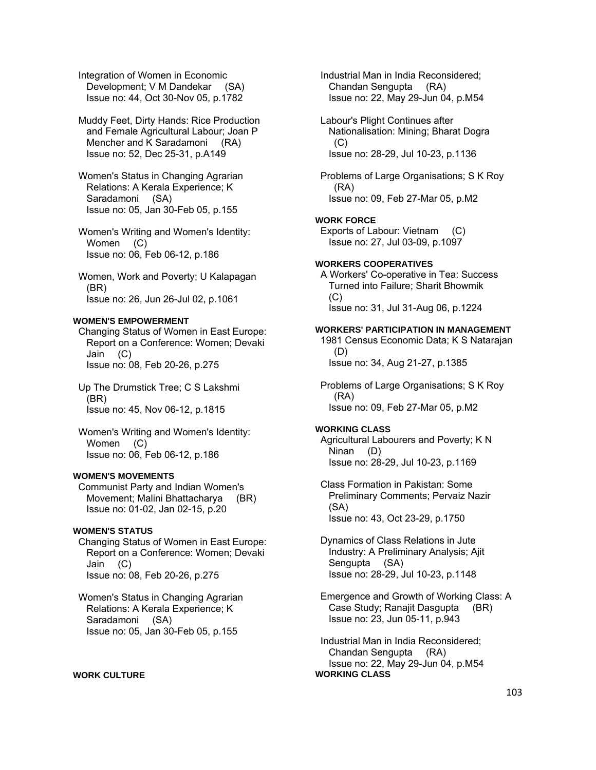Integration of Women in Economic Development; V M Dandekar (SA) Issue no: 44, Oct 30-Nov 05, p.1782

 Muddy Feet, Dirty Hands: Rice Production and Female Agricultural Labour; Joan P Mencher and K Saradamoni (RA) Issue no: 52, Dec 25-31, p.A149

 Women's Status in Changing Agrarian Relations: A Kerala Experience; K Saradamoni (SA) Issue no: 05, Jan 30-Feb 05, p.155

 Women's Writing and Women's Identity: Women (C) Issue no: 06, Feb 06-12, p.186

 Women, Work and Poverty; U Kalapagan (BR) Issue no: 26, Jun 26-Jul 02, p.1061

## **WOMEN'S EMPOWERMENT**

 Changing Status of Women in East Europe: Report on a Conference: Women; Devaki Jain (C) Issue no: 08, Feb 20-26, p.275

 Up The Drumstick Tree; C S Lakshmi (BR) Issue no: 45, Nov 06-12, p.1815

 Women's Writing and Women's Identity: Women (C) Issue no: 06, Feb 06-12, p.186

## **WOMEN'S MOVEMENTS**

 Communist Party and Indian Women's Movement; Malini Bhattacharya (BR) Issue no: 01-02, Jan 02-15, p.20

### **WOMEN'S STATUS**

 Changing Status of Women in East Europe: Report on a Conference: Women; Devaki Jain (C) Issue no: 08, Feb 20-26, p.275

 Women's Status in Changing Agrarian Relations: A Kerala Experience; K Saradamoni (SA) Issue no: 05, Jan 30-Feb 05, p.155

### **WORK CULTURE**

 Industrial Man in India Reconsidered; Chandan Sengupta (RA) Issue no: 22, May 29-Jun 04, p.M54

 Labour's Plight Continues after Nationalisation: Mining; Bharat Dogra  $(C)$ Issue no: 28-29, Jul 10-23, p.1136

 Problems of Large Organisations; S K Roy (RA) Issue no: 09, Feb 27-Mar 05, p.M2

### **WORK FORCE**

 Exports of Labour: Vietnam (C) Issue no: 27, Jul 03-09, p.1097

## **WORKERS COOPERATIVES**

 A Workers' Co-operative in Tea: Success Turned into Failure; Sharit Bhowmik (C) Issue no: 31, Jul 31-Aug 06, p.1224

## **WORKERS' PARTICIPATION IN MANAGEMENT**

 1981 Census Economic Data; K S Natarajan (D) Issue no: 34, Aug 21-27, p.1385

 Problems of Large Organisations; S K Roy (RA) Issue no: 09, Feb 27-Mar 05, p.M2

### **WORKING CLASS**

 Agricultural Labourers and Poverty; K N Ninan (D) Issue no: 28-29, Jul 10-23, p.1169

 Class Formation in Pakistan: Some Preliminary Comments; Pervaiz Nazir (SA) Issue no: 43, Oct 23-29, p.1750

 Dynamics of Class Relations in Jute Industry: A Preliminary Analysis; Ajit Sengupta (SA) Issue no: 28-29, Jul 10-23, p.1148

 Emergence and Growth of Working Class: A Case Study; Ranajit Dasgupta (BR) Issue no: 23, Jun 05-11, p.943

 Industrial Man in India Reconsidered; Chandan Sengupta (RA) Issue no: 22, May 29-Jun 04, p.M54 **WORKING CLASS**